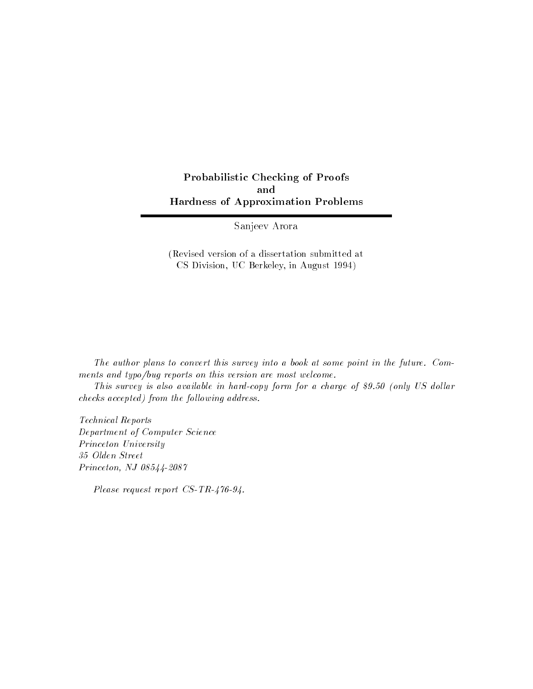#### Probabilistic Checking of Proofs and Hardness of Approximation Problems

Sanjeev Arora

Revised version of a dissertation submitted at es division-berkeley-berkeley-berkeley-berkeley-berkeley-berkeley-berkeley-berkeley-berkeley-berkeley-berkeley-

The author plans to convert this survey into a book at some point in the future-some point in the future-some point in the future-some point in the future-some point in the future-some point in the future-some point in th ments and typo/bug reports on this version are most welcome.

This survey is also available in hardcopy form for a charge of - only US dol lar checks accepted) from the following address.

Technical Reports Department of Computer Science Princeton University Princeton, NJ 08544-2087

Please request report CS-TR- $476-94$ .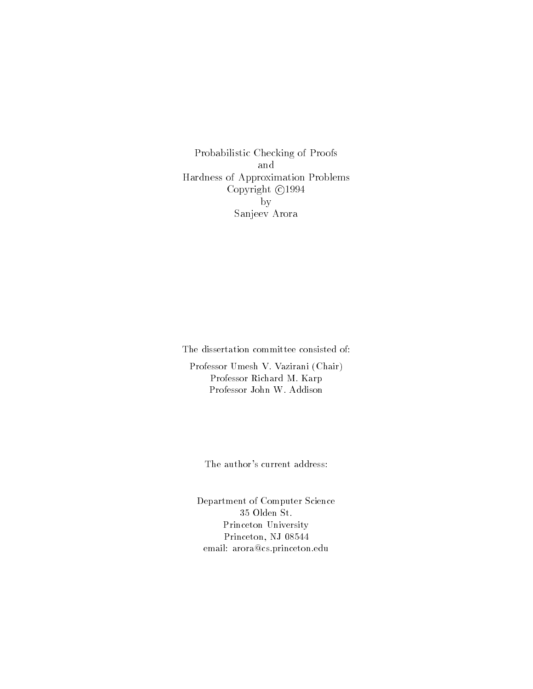Probabilistic Checking of Proofs and Hardness of Approximation Problems  $C \circ P$ ,  $\pm \pm \sqrt{2}$ by Sanjeev Arora

The dissertation committee consisted of

Professor Umesh V. Vazirani (Chair) Professor Richard M. Karp Professor John W. Addison

The author's current address:

Department of Computer Science Princeton University Princeton- NJ  email: arora@cs.princeton.edu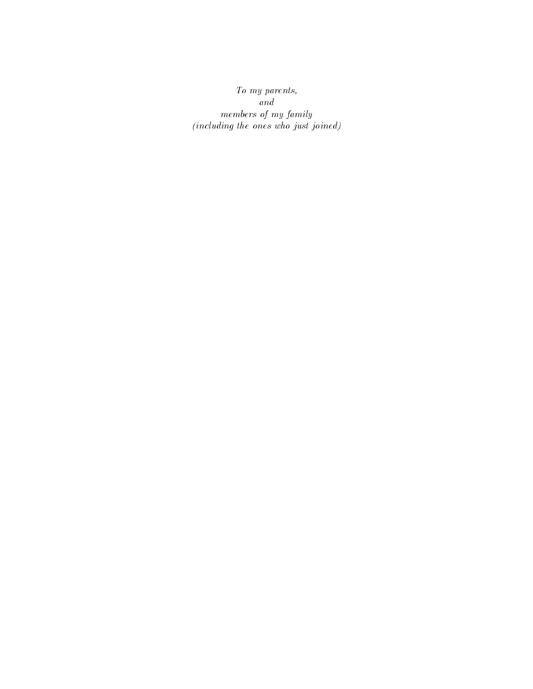$\sim$  mass  $\sim$  my parameters are not matter than  $\sim$ members of my family including the ones who just joined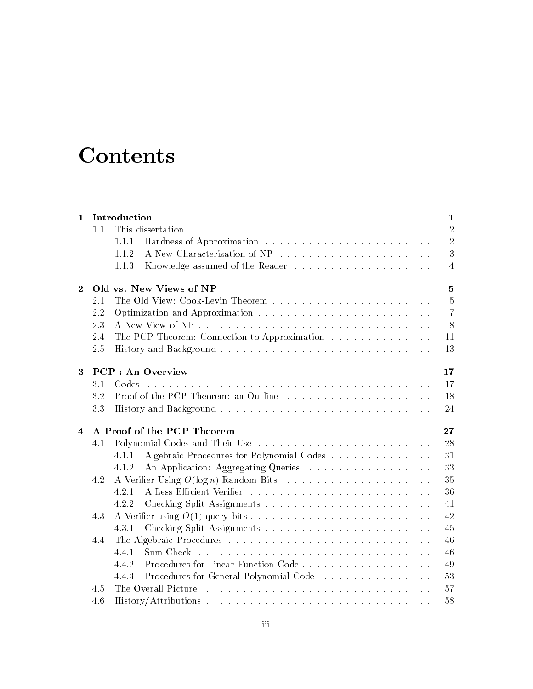# **Contents**

| $\mathbf 1$    |     | Introduction                                       | $\mathbf{1}$   |
|----------------|-----|----------------------------------------------------|----------------|
|                | 1.1 | This dissertation                                  | $\overline{2}$ |
|                |     | 1.1.1                                              | $\overline{2}$ |
|                |     | 1.1.2                                              | 3              |
|                |     | 1.1.3                                              | $\overline{4}$ |
| $\mathbf{2}$   |     | Old vs. New Views of NP                            | $\overline{5}$ |
|                | 2.1 |                                                    | 5              |
|                | 2.2 |                                                    | $\overline{7}$ |
|                | 2.3 |                                                    | 8              |
|                | 2.4 | The PCP Theorem: Connection to Approximation       | 11             |
|                | 2.5 |                                                    | 13             |
| 3              |     | PCP : An Overview                                  | 17             |
|                | 3.1 | Codes                                              | 17             |
|                | 3.2 | Proof of the PCP Theorem: an Outline               | 18             |
|                | 3.3 |                                                    | 24             |
| $\overline{4}$ |     | A Proof of the PCP Theorem                         | 27             |
|                | 4.1 | Polynomial Codes and Their Use                     | 28             |
|                |     | Algebraic Procedures for Polynomial Codes<br>4.1.1 | 31             |
|                |     | 4.1.2                                              | 33             |
|                | 4.2 |                                                    | 35             |
|                |     | 4.2.1                                              | 36             |
|                |     | 4.2.2                                              | 41             |
|                | 4.3 |                                                    | 42             |
|                |     | 4.3.1                                              | 45             |
|                | 4.4 |                                                    | 46             |
|                |     | 4.4.1                                              | 46             |
|                |     | 4.4.2                                              | 49             |
|                |     | Procedures for General Polynomial Code<br>4.4.3    | 53             |
|                | 4.5 |                                                    | 57             |
|                | 4.6 |                                                    | 58             |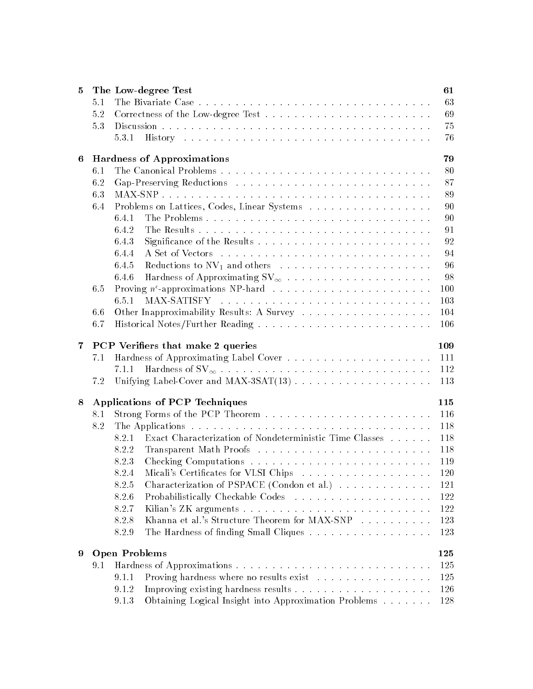| $5\phantom{.}$ | The Low-degree Test               | 61                                                             |  |
|----------------|-----------------------------------|----------------------------------------------------------------|--|
|                | 5.1                               | 63                                                             |  |
|                | 5.2                               | 69                                                             |  |
|                | 5.3                               | 75                                                             |  |
|                | 5.3.1                             | 76                                                             |  |
| 6              | <b>Hardness of Approximations</b> | 79                                                             |  |
|                | 6.1                               | 80                                                             |  |
|                | 6.2                               | 87                                                             |  |
|                | 6.3                               | 89                                                             |  |
|                | 6.4                               | 90                                                             |  |
|                | 6.4.1                             | 90                                                             |  |
|                | 6.4.2                             | 91                                                             |  |
|                | 6.4.3                             | 92                                                             |  |
|                | 6.4.4                             | 94                                                             |  |
|                | 6.4.5                             | 96                                                             |  |
|                | 6.4.6                             | 98                                                             |  |
|                | 6.5                               | 100                                                            |  |
|                | 6.5.1                             | 103                                                            |  |
|                | 6.6                               | Other Inapproximability Results: A Survey<br>104               |  |
|                | 6.7                               | 106                                                            |  |
| $\mathbf 7$    | PCP Verifiers that make 2 queries | 109                                                            |  |
|                | 7.1                               | 111                                                            |  |
|                | 7.1.1                             | 112                                                            |  |
|                | 7.2                               | 113                                                            |  |
| 8              | Applications of PCP Techniques    | 115                                                            |  |
|                | 8.1                               | 116                                                            |  |
|                | 8.2                               | 118                                                            |  |
|                | 8.2.1                             | Exact Characterization of Nondeterministic Time Classes<br>118 |  |
|                | 8.2.2                             | 118                                                            |  |
|                | 8.2.3                             | 119                                                            |  |
|                | 8.2.4                             | 120                                                            |  |
|                | 8.2.5                             | Characterization of PSPACE (Condon et al.)<br>121              |  |
|                | 8.2.6                             | 122                                                            |  |
|                | 8.2.7                             | 122                                                            |  |
|                | 8.2.8                             | Khanna et al.'s Structure Theorem for MAX-SNP<br>123           |  |
|                | 8.2.9                             | The Hardness of finding Small Cliques<br>123                   |  |
| 9              | <b>Open Problems</b>              | 125                                                            |  |
|                | 9.1                               | 125                                                            |  |
|                | 9.1.1                             | Proving hardness where no results exist<br>125                 |  |
|                | 9.1.2                             | 126                                                            |  |
|                | 9.1.3                             | Obtaining Logical Insight into Approximation Problems<br>128   |  |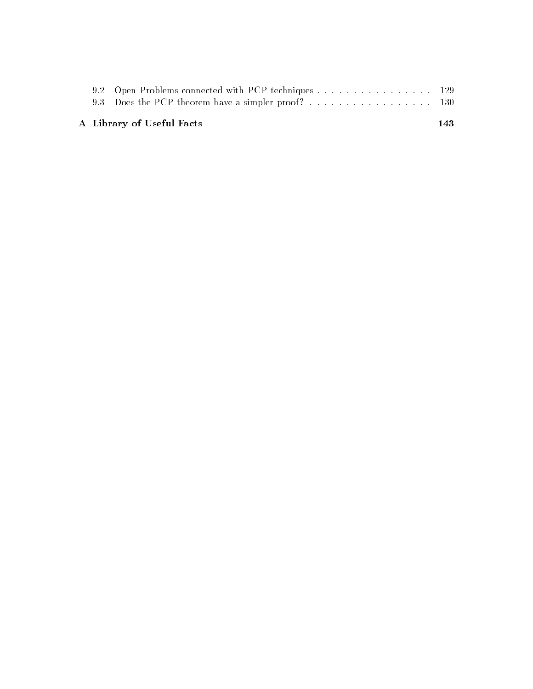| A Library of Useful Facts                                                                                 | 143 |
|-----------------------------------------------------------------------------------------------------------|-----|
| 9.2 Open Problems connected with PCP techniques 129<br>9.3 Does the PCP theorem have a simpler proof? 130 |     |
|                                                                                                           |     |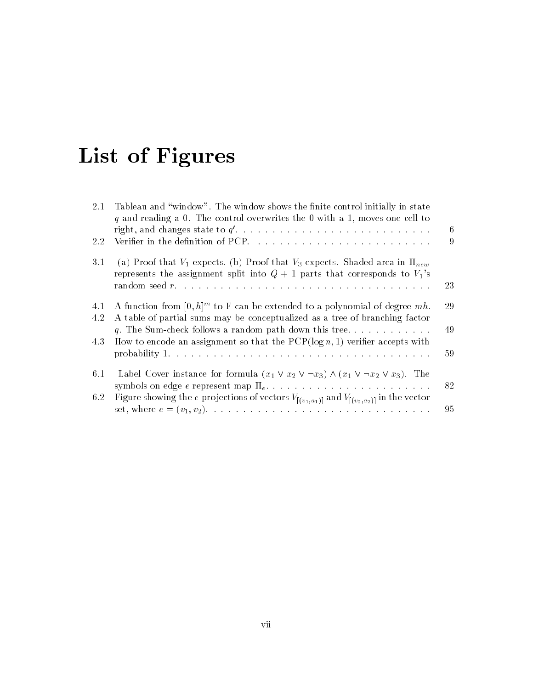# List of Figures

| 2.1<br>2.2 | Tableau and "window". The window shows the finite control initially in state<br>$q$ and reading a 0. The control overwrites the 0 with a 1, moves one cell to             | 6<br>9   |
|------------|---------------------------------------------------------------------------------------------------------------------------------------------------------------------------|----------|
| 3.1        | (a) Proof that $V_1$ expects. (b) Proof that $V_3$ expects. Shaded area in $\Pi_{new}$<br>represents the assignment split into $Q + 1$ parts that corresponds to $V_1$ 's | 23       |
| 4.1<br>4.2 | A function from $[0,h]^m$ to F can be extended to a polynomial of degree mh.<br>A table of partial sums may be conceptualized as a tree of branching factor               | 29       |
| 4.3        | q. The Sum-check follows a random path down this tree<br>How to encode an assignment so that the $PCP(\log n, 1)$ verifier accepts with                                   | 49<br>59 |
| 6.1        | Label Cover instance for formula $(x_1 \vee x_2 \vee \neg x_3) \wedge (x_1 \vee \neg x_2 \vee x_3)$ . The                                                                 | 82       |
| 6.2        | Figure showing the e-projections of vectors $V_{[(v_1, a_1)]}$ and $V_{[(v_2, a_2)]}$ in the vector                                                                       | 95       |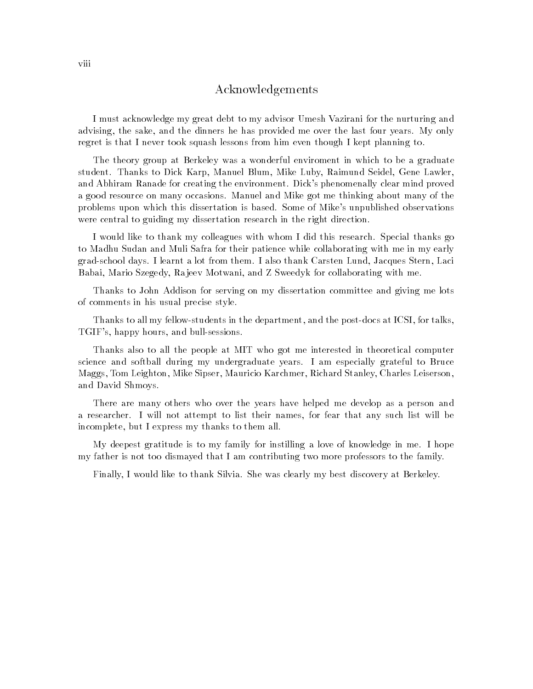#### Acknowledgements

I must acknowledge my great debt to my advisor Umesh Vazirani for the nurturing and advising, the same, where the dinners he have provided me over the me over the provided me provided me regret is that I never took squash lessons from him even though I kept planning to

The theory group at Berkeley was a wonderful enviroment in which to be a graduate student Thanks to Dick Karp- Manuel Blum- Mike Luby- Raimund Seidel- Gene Lawlerand Abhiram Ranade for creating the environment. Dick's phenomenally clear mind proved a good resource on many occasions Manuel and Mike got me thinking about many of the problems upon which this dissertation is based. Some of Mike's unpublished observations were central to guiding my dissertation research in the right direction

I would like to thank my colleagues with whom I did this research Special thanks go to Madhu Sudan and Muli Safra for their patience while collaborating with me in my early  $\alpha$  learnt a lot from the minimal also thank  $\alpha$  is that  $\alpha$  thank  $\alpha$  is thank  $\alpha$ and Sa jeeu saad waa jeer Motor Sa jeer Motor waa die die saad is die saad die saad die saad waaronder waarond

Thanks to John Addison for serving on my dissertation committee and giving me lots of comments in his usual precise style

to all message to all my fellowstudents in the department in the department of the post of the post of the control <u>sales and bullsessions-bullsessions-bullsessions-bullsessions-bullsessions-bullsessions-bullsessions-bullsessions-bullsessions-bullsessions-bullsessions-bullsessions-bullsessions-bullsessions-bullsessions-bullsessions-bul</u>

Thanks also to all the people at MIT who got me interested in theoretical computer science and softball during my undergraduate years I am especially grateful to Bruce Maggs- Tom Leighton- Mike Sipser- Mauricio Karchmer- Richard Stanley- Charles Leisersonand David Shmoys

There are many others who over the years have helped me develop as a person and a researcher I will not attempt to list their names- for fear that any such list will be incomplete-term incomplete-term in the state of the state of the state of the state of the state of them all t

My deepest gratitude is to my family for instilling a love of knowledge in me I hope my father is not too dismayed that I am contributing two more professors to the family

Finally-Iwould like to thank Silvia She was clearly my best discovery at Berkeley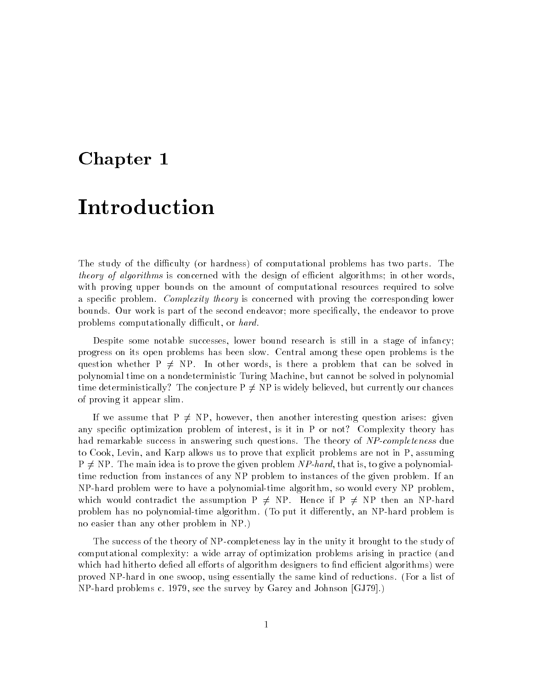## **Chapter 1**

## Introduction

The study of the difficulty (or hardness) of computational problems has two parts. The theory of algorithms is concerned with the design of efficient algorithms; in other words. with proving upper bounds on the amount of computational resources required to solve a specific problem. Complexity theory is concerned with proving the corresponding lower bounds Our work is part of the second endeavor more specically- the endeavor to prove problems computed in the second problems of the computations of the computation of the computation of the computation of the computation of the computation of the computation of the computation of the computation of the co

Despite some notable successes- lower bound research is still in a stage of infancy progress on its open problems has been slow Central among these open problems is the question whether  $P \neq NP$ . In other words, is there a problem that can be solved in polynomial time on a nondeterministic Turing Machine- but cannot be solved in polynomial time deterministically? The conjecture  $P \neq NP$  is widely believed, but currently our chances of proving it appear slim

If we assume that P  $\neq$  NP, however, then another interesting question arises: given any special optimization problem of interest- is it is it is it is interested theory theory  $\cdots$ had remarkable success in answering such questions. The theory of NP-completeness due to Cook- Levin- and Karp allows us to prove that explicit problems are not in P- assuming  $P \neq NP$ . The main idea is to prove the given problem *NP-hard*, that is, to give a polynomialtime reduction from instances of any NP problem to instances of the given problem If an NPhard problem were to have a polynomialtime algorithm- so would every NP problemwhich would contradict the assumption P  $\neq$  NP. Hence if P  $\neq$  NP then an NP-hard problem has no polynomialtime algorithm To put it dierently- an NPhard problem is no easier than any other problem in NP

The success of the theory of NP-completeness lay in the unity it brought to the study of computational complexity: a wide array of optimization problems arising in practice (and which had hitherto defied all efforts of algorithm designers to find efficient algorithms) were proved NPhard in one swoop- using essentially the same kind of reductions For a list of NPhard problems c - see the survey by Garey and Johnson GJ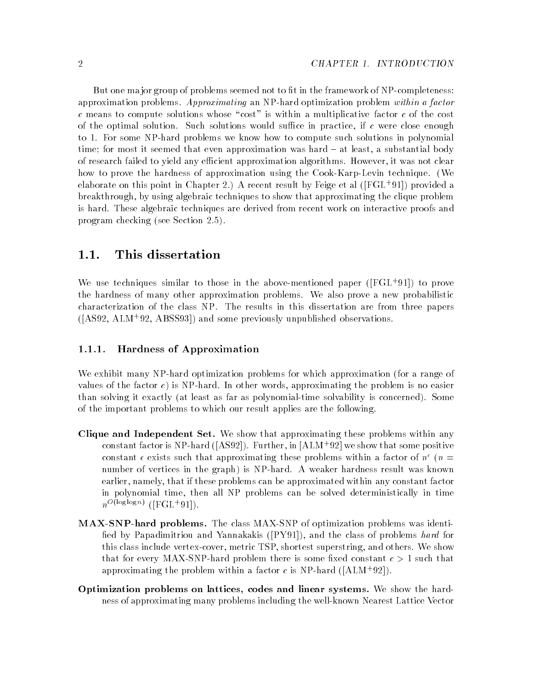But one major group of problems seemed not to fit in the framework of NP-completeness: approximation problems. Approximating an NP-hard optimization problem within a factor c means to compute solutions whose "cost" is within a multiplicative factor  $c$  of the cost of the optimal solution Such solutions would suce in practice- if c were close enough to 1. For some NP-hard problems we know how to compute such solutions in polynomial time for most it seemed that even approximation was hard at least- a substantial body of research failed to yield any existence opproximation algorithms However-Construction and the Monte Construc how to prove the hardness of approximation using the Cook-Karp-Levin technique. (We elaborate on this point in Unapter 2.) A recent result by Feige et al ([FGL'91]) provided a breakthrough- by using algebraic techniques to show that approximating the clique problem is hard. These algebraic techniques are derived from recent work on interactive proofs and program checking (see Section  $2.5$ ).

#### This dissertation

We use techniques similar to those in the above-mentioned paper ([FGL'91]) to prove the hardness of many other approximation problems. We also prove a new probabilistic characterization of the class NP. The results in this dissertation are from three papers (AS92, ALM '92, ABSS93|) and some previously unpublished observations.

#### Hardness of Approximation

We exhibit many NP-hard optimization problems for which approximation (for a range of values of the factor c is no easier that is not words- words- problem in problem is no easier wordsthan solving it exactly (at least as far as polynomial-time solvability is concerned). Some of the important problems to which our result applies are the following

- Clique and Independent Set. We show that approximating these problems within any constant factor is NP-hard ([AS92]). Further, in [ALM +92] we show that some positive  $\,$ constant  $\epsilon$  exists such that approximating these problems within a factor of  $n^{\epsilon}$  ( $n=$ number of vertices in the graph) is NP-hard. A weaker hardness result was known earlier- namely- that if these problems can be approximated within any constant factor in polynomial time- then all NP problems can be solved deterministically in time  $n^{O(\log \log n)}$  ([FGL+91]).
- MAX-SNP-hard problems. The class MAX-SNP of optimization problems was identied by Papadimitriou and Yannakakis PY- and the class of problems hard for this class include vertex and other we show that the shortest superstring the superstring vertex we show the s that for every MAX-SNP-hard problem there is some fixed constant  $c > 1$  such that approximating the problem within a factor  $c$  is NP-hard ([ALM  $^{\circ}$  92]).
- Optimization problems on lattices, codes and linear systems. We show the hardness of approximating many problems including the well-known Nearest Lattice Vector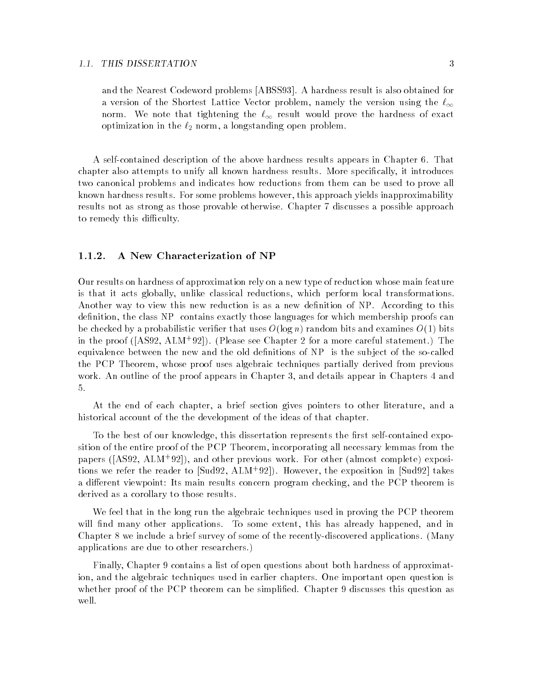and the Nearest Codeword problems problems to the modern form as when the codeword for  $\alpha$  version of the Shortest Lattice vector problem, namely the version using the  $\alpha_{\infty}$ norm. We note that tightening the  $\ell_{\infty}$  result would prove the hardness of exact optimization in the norm- a longstanding open problem

A self-contained description of the above hardness results appears in Chapter 6. That chapter also attempts to unify all known hard it is described all the more specified  $\mu$  is the specified and the two canonical problems and indicates how reductions from them can be used to prove all known hardness results For some problems however- this approach yields inapproximability results not as strong as those provable otherwise Chapter discusses a possible approach to remedy this difficulty.

#### A New Characterization of NP

Our results on hardness of approximation rely on a new type of reduction whose main feature is that it acts globally-memory computed control transformations-performance in the transformation of Another way to view this new reduction is as a new definition of NP. According to this denition- the class NP contains exactly those languages for which membership proofs can be checked by a probabilistic verifier that uses  $O(\log n)$  random bits and examines  $O(1)$  bits in the proof ([AS92, ALM '92]). (Please see Chapter 2 for a more careful statement.) Ine equivalence between the new and the old definitions of NP is the subject of the so-called the PCP Theorems whose proof uses algebraic techniques particles in the previous proof of worked and details are the proof appears in Chapter in Chapter and Chapter in Chapter in Chapter in Chapters i 5.

at the end of each chapter of and and and and and point pointers to other methods and and a historical account of the the development of the ideas of that chapter.

To the best of our knowledge- this dissertation represents the rst selfcontained expo sition of the entire proof of the PCP Theorem- incorporating all necessary lemmas from the papers (|AS92, ALM 92|), and other previous work. For other (almost complete) expositions we refer the reader to Sud92, ALM 92]. However, the exposition in Sud92] takes a dierent viewpoint its manier is made theorem programs checking-pand checking-checkingderived as a corollary to those results

We feel that in the long run the algebraic techniques used in proving the PCP theorem will not already a contraction of provided and included the some extent and include  $\mu$  and include the contract of Chapter 8 we include a brief survey of some of the recently-discovered applications. (Many applications are due to other researchers

Finally- Chapter contains a list of open questions about both hardness of approximat ion- and the algebraic techniques used in earlier chapters One important open question is whether proof of the PCP theorem can be simplified. Chapter 9 discusses this question as well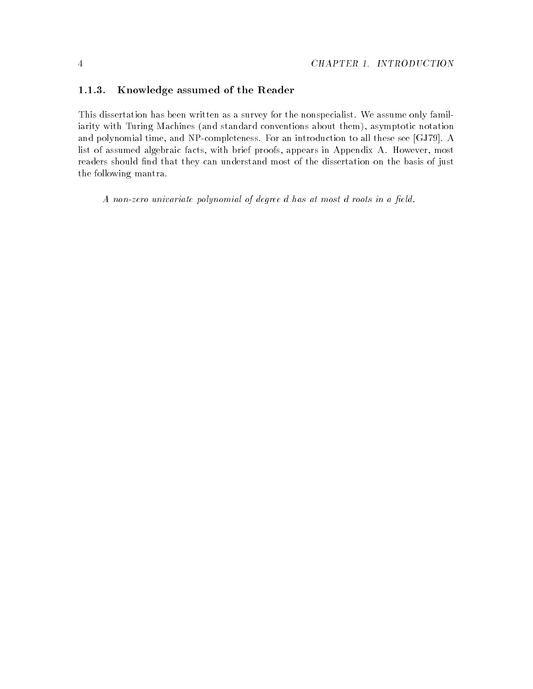#### Knowledge assumed of the Reader

This dissertation has been written as a survey for the nonspecialist. We assume only familiarity with Turing Machines and standard conventions about them- asymptotic notation and polynomial time- and the Soundary Form intervalsed the intervalse for all these sees polynomial theory and list of assumed algebraic facts- with brief proofs- appears in Appendix A However- most readers should find that they can understand most of the dissertation on the basis of just the following mantra

A non-zero univariate polynomial of degree  $d$  has at most  $d$  roots in a field.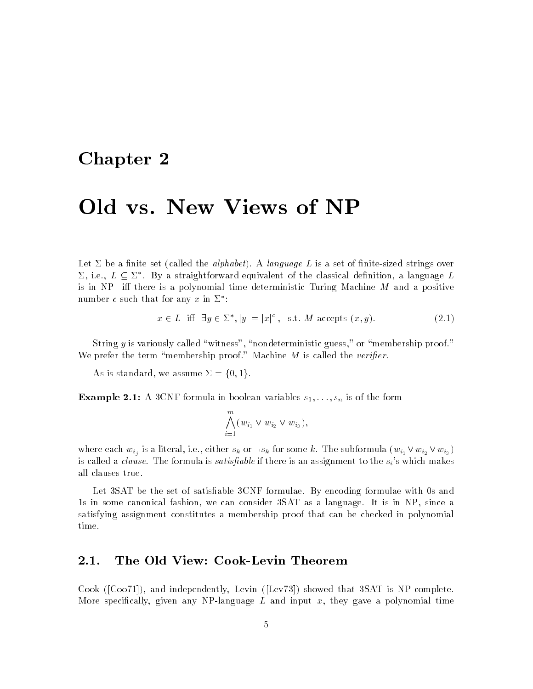## Chapter 2

Let  $\Sigma$  be a finite set (called the *alphabet*). A *language L* is a set of finite-sized strings over  $\Sigma$ , i.e.,  $L \subseteq \Sigma^*$ . By a straightforward equivalent of the classical definition, a language  $L$ is in NP iff there is a polynomial time deterministic Turing Machine  $M$  and a positive number c such that for any x in  $\Sigma^*$ :

$$
x \in L \quad \text{iff} \quad \exists y \in \Sigma^*, |y| = |x|^c, \quad \text{s.t.} \ M \text{ accepts } (x, y). \tag{2.1}
$$

String y is variously called witness- nondeterministic guess- or membership proof We prefer the term "membership proof." Machine  $M$  is called the verifier.

As is standard, we assume  $\Sigma = \{0,1\}.$ 

 $\mathbf{F}$  formula in boolean variables s-contract s-contract s-contract s-contract s-contract s-contract s-contract s-contract s-contract s-contract s-contract s-contract s-contract s-contract s-contract s-contract s-contr

$$
\bigwedge_{i=1}^m (w_{i_1} \vee w_{i_2} \vee w_{i_3}),
$$

where each  $w_{i_j}$  is a literal, i.e., either  $s_k$  or  $\neg s_k$  for some k. The subformula  $(w_{i_1} \vee w_{i_2} \vee w_{i_3})$ is called a *clause*. The formula is *satisfiable* if there is an assignment to the  $s_i$ 's which makes all clauses true

Let SAT be the set of satisable CNF formulae By encoding formulae with s and s in some canonical fashion- we can consider the consider  $\alpha$  and  $\alpha$  in  $\alpha$  is in the constant  $\alpha$ satisfying assignment constitutes a membership proof that can be checked in polynomial time

#### The Old View: Cook-Levin Theorem

Cook Coo- and independently- Levin Lev showed that SAT is NPcomplete More specically- given any NPlanguage L and input x- they gave a polynomial time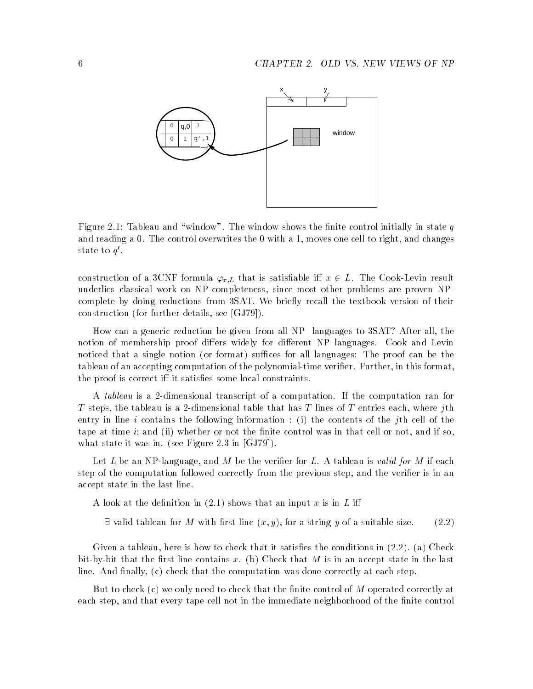

Figure 2.1: Tableau and "window". The window shows the finite control initially in state q and reading a reading the control over the control over the control to request the changes of state to  $q'$ .

construction of a 3CNF formula  $\varphi_{x,L}$  that is satisfiable iff  $x \in L$ . The Cook-Levin result underlies complete work on the problems of the most officer problems are proven are pro complete by doing reductions from SAT We brie"y recall the textbook version of their construction for further details-details-details-details-details-details-details-details-details-details-detail

How can a generic reduction be given from all NP languages to SAT After all- the notion of membership proof differs widely for different NP languages. Cook and Levin noticed that a single notion (or format) suffices for all languages: The proof can be the tableau of an accepting computation of the polynomialtime verier Further- in this formatthe proof is correct iff it satisfies some local constraints.

A tableau is a 2-dimensional transcript of a computation. If the computation ran for the tableau is a dimensional tableau is a dimensional table that the tableau is the tableau is the tableau of entry in line i contains the following information : (i) the contents of the jth cell of the tape at time it when  $\{x_i\}$  was in the nite control was in the nite control was in the cell or notwhere it is the state in set  $\mathcal{L}$  , and it was in section in the state in section  $\mathcal{L}$ 

and and m be the verify which we have the verified for the verified for the verified for  $\alpha$  tableau is valid for step of the computation followed correctly from the previous step- and the verier is in an accept state in the last line

A look at the definition in  $(2.1)$  shows that an input x is in L iff

 $\exists$  valid tableau for M with first line  $(x, y)$ , for a string y of a suitable size. (2.2)

Given a tableau-that the most that it satisfies that it satisfies the conditions in  $\{m\}$  ,  $\{m\}$  , a check bit-by-bit that the first line contains x. (b) Check that M is in an accept state in the last line And nally- c check that the computation was done correctly at each step

But to check (c) we only need to check that the finite control of M operated correctly at each step- and that every tape cell not in the immediate neighborhood of the nite control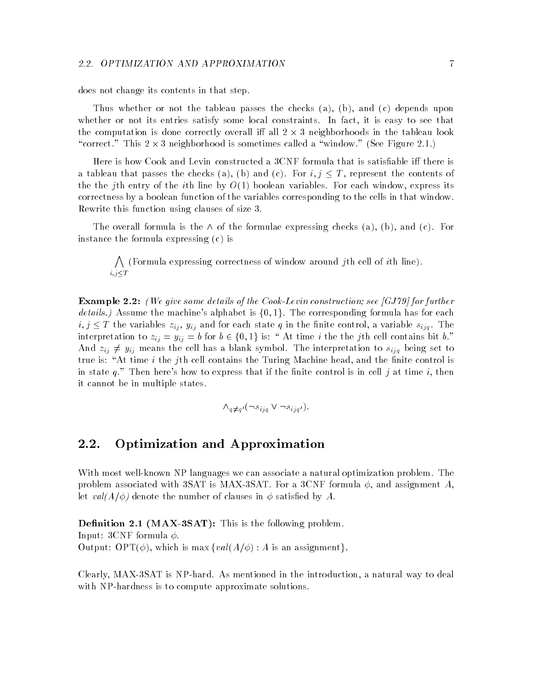#### 2.2. OPTIMIZATION AND APPROXIMATION

does not change its contents in that step

Thus whether or not the tableau passes the checks a- b- and c depends upon whether or not functions satisfy some local constraints In fact, it is see that  $\mathcal{S}$ the computation is done correctly overall iff all  $2 \times 3$  neighborhoods in the tableau look "correct." This  $2 \times 3$  neighborhood is sometimes called a "window." (See Figure 2.1.)

a tableau that passes the checks (a), (b) and (c). For  $i, j \leq T$ , represent the contents of the the jth entry of the ith line by O boolean variables For each window- express its correctness by a boolean function of the variables corresponding to the cells in that window Revision this function using this function and size  $\sim$ 

The overall formula is the  $\wedge$  of the formulae expressing checks (a), (b), and (c). For instance the formula expressing  $(c)$  is

$$
\bigwedge_{i,j\leq T} \text{(Formula expressing correctness of window around } j\text{th cell of } i\text{th line)}.
$$

examples energive give some details of the Cook Although services see God for further than the Cook Levin const *details.*) Assume the machine's alphabet is  $\{0,1\}$ . The corresponding formula has for each  $i, j \leq T$  the variables  $z_{ij}, y_{ij}$  and for each state q in the finite control, a variable  $s_{ijg}$ . The interpretation to  $z_{ij} = y_{ij} = b$  for  $b \in \{0, 1\}$  is: " At time i the the jth cell contains bit b." And  $z_{ij} \neq y_{ij}$  means the cell has a blank symbol. The interpretation to  $s_{ijq}$  being set to true is  $\mathcal{M}$  the junctions the functions the nite contains the nite control is a set of  $\mathcal{M}$ in state que to extra the state in the stappers that if the nite control is in the state  $\mathbf{j}$  at time it time it it cannot be in multiple states

$$
\wedge_{q\neq q'}(\neg s_{ijq} \vee \neg s_{ijq'}).
$$

### Optimization and Approximation

With most well-known NP languages we can associate a natural optimization problem. The problem associated with  $\mathcal{S}$  and assignment A-MX is matrix  $\mathcal{S}$  and assignment A-MX is matrix assignment A-MX is matrix assignment A-MX is matrix assignment A-MX is matrix assignment A-MX is matrix assignment assi let  $val(A/\phi)$  denote the number of clauses in  $\phi$  satisfied by A.

 $-$  -constructed problems is the following problem in the following problem is the following  $\mathcal{D}$ In the contract of the contract of the contract of the contract of the contract of the contract of the contract of the contract of the contract of the contract of the contract of the contract of the contract of the contrac Output: OPT( $\phi$ ), which is max {val( $A/\phi$ ) : A is an assignment}.

Clearly- MAX SAT is NPhard As mentioned in the introduction- a natural way to deal with NP-hardness is to compute approximate solutions.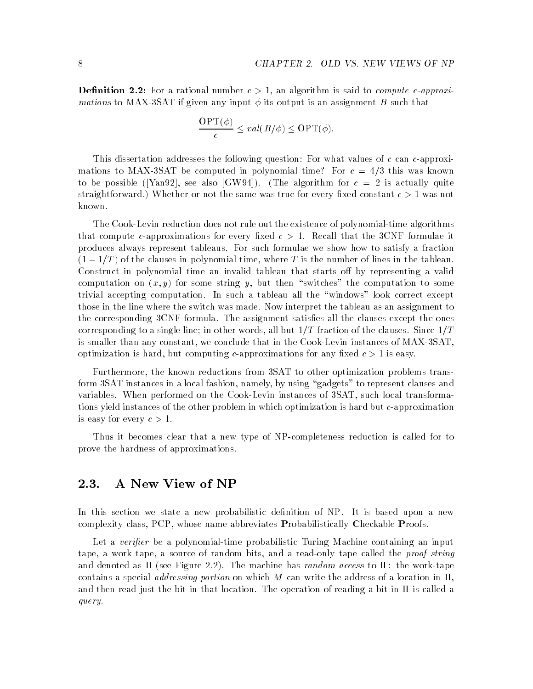Denition -- For a rational number c - an algorithm is said to compute capproxi mations to MAX SAT if given any input its output is an assignment B such that

$$
\frac{\mathrm{OPT}(\phi)}{c} \leq val(B/\phi) \leq \mathrm{OPT}(\phi).
$$

This dissertation addresses the following question: For what values of  $c$  can  $c$ -approximations to MAX SAT be computed in polynomial time For c this was known to be possible  $\mathbb{R}^n$  . The algorithm for c  $\mathbb{R}^n$  the algorithm for c  $\mathbb{R}^n$  actually  $\mathbb{R}^n$ straightforward.) Whether or not the same was true for every fixed constant  $c > 1$  was not known

The Cook-Levin reduction does not rule out the existence of polynomial-time algorithms that compute capproximations for every xed c Recall that the CNF formulae it produces always represent tableaus For such formulae we show how to satisfy a fraction  $T = T/T$  for the clauses in porynomial time, where  $T$  is the number of lines in the tableau. Construct in polynomial time an invalid tableau that starts off by representing a valid order the string y-reduced the computation to some string y-reduced to some string the computation to some trivial accepting computation. In such a tableau all the "windows" look correct except those in the line where the switch was made. Now interpret the tableau as an assignment to the corresponding CNF formula The assignment satises all the clauses except the ones corresponding to a single line in other words-words-words-words-words-words-words-words-wordsis smaller than any constant-than any constant-than any constant-that instances of MAX instances of MAX instances of optimization is the computation of any capproximation for any xed capproximations for any xed computing  $\mathcal{L}$ 

Furthermore- the known reductions from SAT to other optimization problems trans form SAT instances in a local fashion- namely- by using gadgets to represent clauses and variables when performed on the Cook Motion instances of the Cook of the Cook Cook tions yield instances of the other problem in which optimization is hard but  $c$ -approximation is easy for every  $c > 1$ .

Thus it becomes clear that a new type of NP-completeness reduction is called for to prove the hardness of approximations

In this section we state a new probabilistic definition of NP. It is based upon a new complexity comety is the probable complete abbreviates in the complete probability contentions in the collection

Let a *verifier* be a polynomial-time probabilistic Turing Machine containing an input tape- a work tape- a source of random bits- and a readonly tape called the proof string and denoted as  $\Pi$  (see Figure 2.2). The machine has *random access* to  $\Pi$ : the work-tape contains a special *addressing portion* on which M can write the address of a location in  $\Pi$ , and then read just the bit in that location. The operation of reading a bit in  $\Pi$  is called a query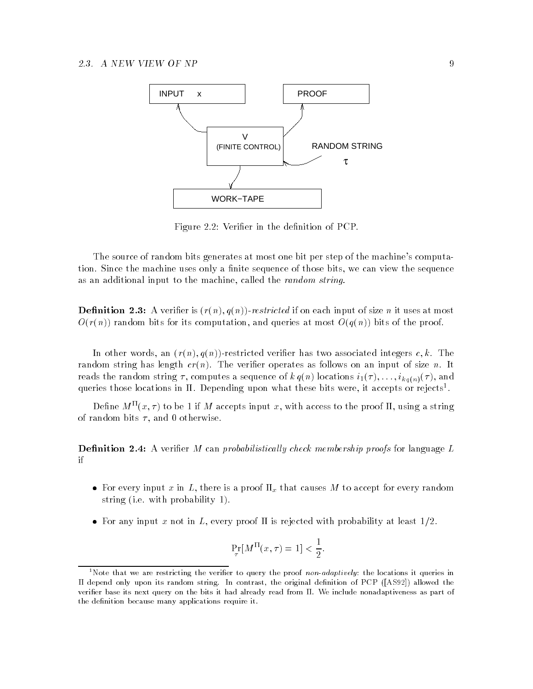

Figure 2.2: Verifier in the definition of  $PCP$ .

The source of random bits generates at most one bit per step of the machine's computation Since the machine uses only a nite sequence of those bits- we can view the sequence as an additional input to the machine-alleg the random string-

 $\mathcal{A} = \mathcal{A} = \mathcal{A} = \mathcal{A} = \mathcal{A} = \mathcal{A}$ or random bits for the computation-defective protection-computation-computation-computation-computation-

In other words- an rn- qnrestricted verier has two associated integers c- k The random string has length  $cr(n)$ . The verifier operates as follows on an input of size n. It reads the random string  $\cdot$  ) computes a sequence of  $\mathbf{1}(\cdot\cdot)$  is sequence of  $\mathbf{1}(\cdot\cdot)$  ,  $\mathbf{1}(\cdot\cdot)$  ,  $\mathbf{1}(\cdot\cdot)$ queries those locations in II. Depending upon what these bits were, it accepts or rejects .

Denne  $M^{\pm}(x,\tau)$  to be 1 if  $M$  accepts input  $x,$  with access to the proof II, using a string of random bits  $\mathbf{r}$  random bits  $\mathbf{r}$  -defined by  $\mathbf{r}$  -defined by  $\mathbf{r}$ 

 $\boldsymbol{M}$  verificial ly check membership probabilities for language Lemma and Lemma and Lemma and Lemma and Lemma  $if$ 

- $\bullet\,$  for every input  $x$  in  $L,$  there is a proof  $\Pi_x$  that causes  $M$  to accept for every random string (i.e. with probability  $1$ ).
- $\bullet$  for any input  $x$  not in  $L$ , every proof II is rejected with probability at least 1/2.

$$
\Pr_{\tau}[M^{\Pi}(x,\tau) = 1] < \frac{1}{2}
$$

<sup>&</sup>quot;Note that we are restricting the verifier to query the proof  $\it non\text{-}adaptively$ : the locations it queries in allowed the string in contrast the contrast the original decompose the place of  $\mu$  and the contrast  $\mu$ veri-er base its next query on the bits it had already read from We include nonadaptiveness as part of the definition because many applications require its requirement of  $\mathbf{r}_1$  , and  $\mathbf{r}_2$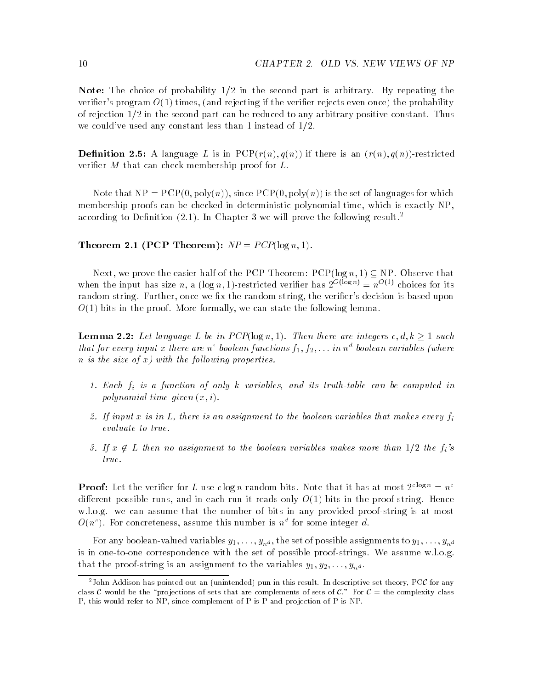**Note:** The choice of probability  $1/2$  in the second part is arbitrary. By repeating the veriers of programs O times- the verification in the verification of the verification of the probability of th of rejection  $1/2$  in the second part can be reduced to any arbitrary positive constant. Thus we could've used any constant less than 1 instead of  $1/2$ .

Denition - A language L is in PCPrn- qn if there is an rn- qnrestricted verifier M that can check membership proof for  $L$ .

Note that NP PCP- polyn- since PCP- polyn is the set of languages for which membership proofs can be checked in deterministic polynomialty which is exactly the control  $\eta$ according to Dennition (2.1). In Unapter 3 we will prove the following result.

 $\blacksquare$  . Theorem NP  $\blacksquare$  and  $\blacksquare$  and  $\blacksquare$  and  $\blacksquare$ 

Next, we prove the easier half of the PCP Theorem:  $PCP(\log n, 1) \subseteq NP$ . Observe that when the input has size n, a (log n, 1)-restricted verifier has  $2^{(1,1)} \in \mathbb{R}^{(1,1)}$  choices for its random string. Further, the verificial concernsion is the verification is based upon the verifical  $\blacksquare$  . The proof More formally-the following lemma state the following lemma state the following lemma state the following lemma state the following lemma state the following lemma state the following lemma state the fo

**Lemma 2.2:** Let language L be in  $PCP(\log n, 1)$ . Then there are integers c, d, k  $\geq 1$  such that for every input x-there are n- boolean functions  $f_1, f_2, \ldots$  in n- boolean variables (where n is the size of x with the following properties.

- Each fi is a function of only <sup>k</sup> variables and its truthtable can be computed in polynomial time given x- i-
- $\bm{r}_i$  in put is in Leptun as in the boolean variables that makes that makes that makes every fix  $\bm{r}_i$ evaluate to true.
- 3. If  $x \notin L$  then no assignment to the boolean variables makes more than  $1/2$  the  $f_i$ 's true.

**Proof:** Let the verifier for L use clog n random bits. Note that it has at most  $2^{c \log n} = n^c$ dierent possible runs-dierent possible runs-dierent possible runs-die bits in the proofstring Hence and proofs wlog. we can assume that the number of bits in any provided proof-string is at most  $O(n)$ . For concreteness, assume this number is n and some integer  $a$ .

 $\mathcal{F}$  and assignment variables y-the set of  $\mathcal{F}_n$  ,  $\mathcal{F}_n$  ,  $\mathcal{F}_n$  ,  $\mathcal{F}_n$  ,  $\mathcal{F}_n$  ,  $\mathcal{F}_n$  ,  $\mathcal{F}_n$  ,  $\mathcal{F}_n$  ,  $\mathcal{F}_n$  ,  $\mathcal{F}_n$  ,  $\mathcal{F}_n$  ,  $\mathcal{F}_n$  ,  $\mathcal{F}_n$  ,  $\mathcal{F}_n$  ,  $\mathcal{F$ is in one-to-one correspondence with the set of possible proof-strings. We assume  $w.l.o.g$  $\Gamma$  to the proofstrategies  $\sigma$  to the variable  $y_1, y_2, \ldots, y_{n-1}$ 

<sup>&</sup>quot;John Addison has pointed out an (unintended) pun in this result. In descriptive set theory, PCC for any  $\,$ class C would be the "projections of sets that are complements of sets of C." For  $\mathcal{C} =$  the complexity class P, this would refer to  $NP$ , since complement of P is P and projection of P is NP.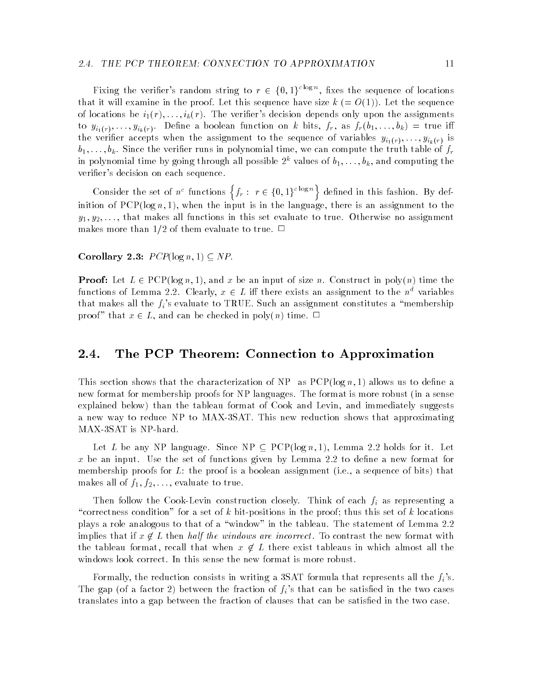Fixing the verifier's random string to  $r \in \{0,1\}^{c \log n}$ , fixes the sequence of locations that it will examine in the proof. Let this sequence have size  $k (= O(1))$ . Let the sequence  $\mathbf{I}$  into its decision decision decision decision decision decision decision decision decision decision decision decision decision decision decision decision decision decision decision decision decision decision decis  $\mathcal{F}(\{i\})$  rather function on the set of  $\mathcal{F}(\{i\})$  from  $\mathcal{F}(\{i\})$  is a boolean function on  $\mathcal{F}(\{i\})$ the verifies when the assignment to the sequence of variables  $y_{i_1}(i_1),\ldots,y_{i_k}(i_r)$  .  $\Box$  in polynomial time-verified table of  $\Box$ in polynomial time by going through all possible  $z^+$  values of  $\mathfrak{o}_1,\ldots,\mathfrak{o}_k,$  and computing the verifier's decision on each sequence.

Consider the set of  $n^c$  functions  $\{f_r: r \in \{0,1\}^{c \log n} \}$  defined in this fashion. By definition of PCPlog n-PCPlot in the language-theories in the language-theories in the language-theories is an as  $y \mapsto \alpha$ makes more than  $1/2$  of them evaluate to true.  $\Box$ 

Corollary 2.3:  $PCP(\log n, 1) \subseteq NP$ .

**Proof:** Let  $L \in \mathrm{PCP}(\log n, 1)$ , and x be an input of size n. Construct in poly(n) time the functions of Lemma 2.2. Clearly,  $x \in L$  iff there exists an assignment to the  $n^u$  variables that makes all the  $f_i$ 's evaluate to TRUE. Such an assignment constitutes a "membership" proof" that  $x \in L$ , and can be checked in poly $(n)$  time.  $\Box$ 

#### The PCP Theorem: Connection to Approximation

This section shows that the characterization of NP as PCPlog n- allows us to dene a new format for membership proofs for NP languages. The format is more robust (in a sense explained below than the tableau format of Cook and Levin- and immediately suggests a new way to reduce  $N$  . This new reduction shows that approximating shows that approximating  $N$ 

Let L be any NP language. Since NP  $\subseteq$  PCP(log n, 1), Lemma 2.2 holds for it. Let x be an input. Use the set of functions given by Lemma 2.2 to define a new format for membership proofs for L the proof is a boolean assignment ie- a sequence of bits that makes all of fragments to the form of the formulation of the matches of the second state of the second state of

Then follow the Cook-Levin construction closely. Think of each  $f_i$  as representing a "correctness condition" for a set of k bit-positions in the proof; thus this set of k locations plays a role analogous to that of a "window" in the tableau. The statement of Lemma 2.2 implies that if  $x \notin L$  then half the windows are incorrect. To contrast the new format with the tableau format, recall that when  $x \not\in L$  there exist tableaus in which almost all the windows look correct. In this sense the new format is more robust.

Formally-construction consists in the formula that representation  $\mathcal{S}^{\text{max}}$ The gap (of a factor 2) between the fraction of  $f_i$ 's that can be satisfied in the two cases translates into a gap between the fraction of clauses that can be satisfied in the two case.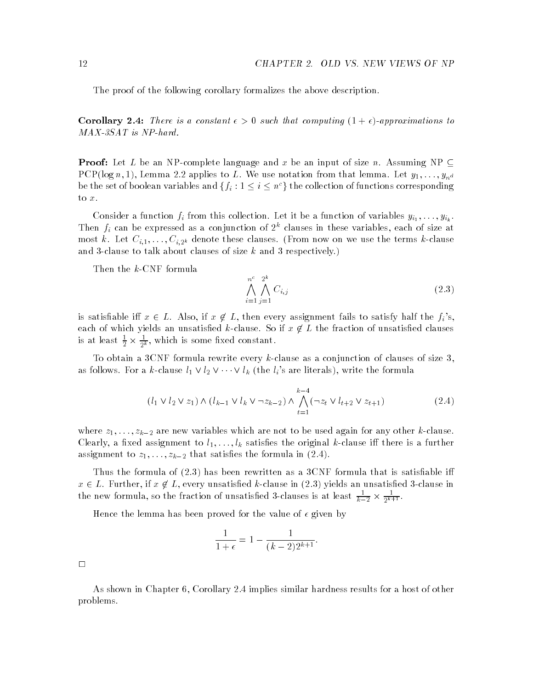The proof of the following corollary formalizes the above description.

Corollary - There is a constant such that computing approximations to

**Proof:** Let L be an NP-complete language and x be an input of size n. Assuming NP  $\subseteq$ remma applies to Lemma applies to Lemma applies to Lemma applies to Lemma applies to Lemma applies to Le be the set of boolean variables and  $\{f_i : 1 \leq i \leq n^c\}$  the collection of functions corresponding to x

considered a function  $f_k$  from this collection Let it be a function of variables  $y_{i_1},\ldots,y_{i_k}$  . Then  $f_i$  can be expressed as a conjunction of  $2^k$  clauses in these variables, each of size at most circuit control  $\mathcal{L}$  denote the terms kclauses  $\mathcal{L}$  and the terms kclauses from  $\mathcal{L}$ and a conductive clause of size conductive as a provided to a property the size  $\mathcal{C}$ 

Then the  $k$ -CNF formula

$$
\bigwedge_{i=1}^{n^c} \bigwedge_{j=1}^{2^k} C_{i,j} \tag{2.3}
$$

is satisfiable iff  $x \in L$ . Also, if  $x \notin L$ , then every assignment fails to satisfy half the  $f_i$ 's, each of which yields an unsatisfied k-clause. So if  $x \notin L$  the fraction of unsatisfied clauses is at least  $\frac{1}{2} \times \frac{1}{2^k}$ , which is some fixed constant.

To obtain a CNF formula rewrite every kclause as a conjunction of clauses of size as follows. For a k-clause  $l_1 \vee l_2 \vee \cdots \vee l_k$  (the  $l_i$ 's are literals), write the formula

$$
(l_1 \vee l_2 \vee z_1) \wedge (l_{k-1} \vee l_k \vee \neg z_{k-2}) \wedge \bigwedge_{t=1}^{k-4} (\neg z_t \vee l_{t+2} \vee z_{t+1})
$$
\n(2.4)

where  $\cdot$  ,  $\cdot$  ,  $\cdot$  ,  $\cdot$  ,  $\mu$  =  $\mu$  are new variables which are not to be used as  $\mu$  and  $\mu$  and  $\mu$  are not to be used as  $\mu$  $\sim$  . The original kclause is a further in the original kclause in the satisfied  $\sim$  and  $\sim$  $\alpha$  as  $\alpha$ -dimensional intervalses that satisfies the formula intervalse  $\alpha$ 

thus the formula of  $\{ \frac{1}{n}$  , thus is satisfied in that is satisfied in the satisfied in the satisfied in  $x \in L$ . Further, if  $x \notin L$ , every unsatisfied k-clause in  $(2.3)$  yields an unsatisfied 3-clause in the new formula, so the fraction of unsatisfied 3-clauses is at least  $\frac{1}{k-2} \times \frac{1}{2^{k+1}}$ .

Hence the lemma has been proved for the value of  $\epsilon$  given by

$$
\frac{1}{1+\epsilon} = 1 - \frac{1}{(k-2)2^{k+1}}.
$$

 $\Box$ 

As shown in Chapter - Corollary implies similar hardness results for a host of other problems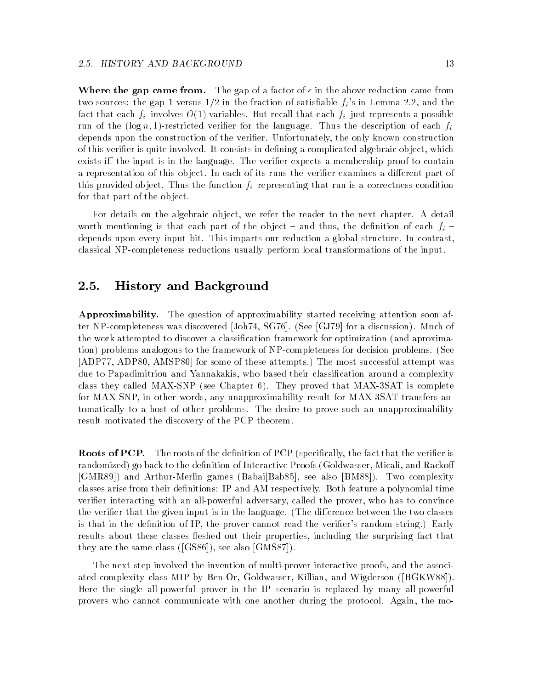#### 2.5. HISTORY AND BACKGROUND

Where the gap came from. The gap of a factor of  $\epsilon$  in the above reduction came from two sources the gap  $\pm$  , then  $\pm$  is the fraction of satisfable fi  $\pm$  in Lemma -  $\pm$  in Lemma fact that each  $f_i$  involves  $O(1)$  variables. But recall that each  $f_i$  just represents a possible run of the log n-description of the language Thus the language  $\mathcal{C}$ depends upon the construction of the verier Unfortunately- the only known construction of this verificate is quite involved in dening a complicated algebraic observed algebraic observed algebraic o exists iff the input is in the language. The verifier expects a membership proof to contain a representation of this object. In each of its runs the verifier examines a different part of this provided object. Thus the function  $f_i$  representing that run is a correctness condition for that part of the object.

For details on the algebraic ob ject- we refer the reader to the next chapter A detail worth measurements is that each part of the object and thus, the denimities of each  $\jmath\,t$ depends upon every input bit. This imparts our reduction a global structure. In contrast, classical NP-completeness reductions usually perform local transformations of the input.

#### History and Background

Approximability. The question of approximability started receiving attention soon after NPcompleteness was discovered Joh- SG See GJ for a discussion Much of the work attempted to discover a classification framework for optimization (and aproximation) problems analogous to the framework of NP-completeness for decision problems. (See ADP- ADP
- AMSP
 for some of these attempts The most successful attempt was adus to Papadimitriou and Yannakakis, who who based their complexity around a complexity class they called MAXSNP see Chapter They proved that MAX SAT is complete for MAXSNP- in other words- any unapproximability result for MAX SAT transfers au tomatically to a host of other problems. The desire to prove such an unapproximability result motivated the discovery of the PCP theorem

Roots of PCP The roots of the denition of PCP specically- the fact that the verier is randomized go back to the denition of Interactive Proofs Goldwasser- Micali- and Racko , complexity and arthur complexity and also believe the complexity of the complexity of the complexity of the complexity of the complexity of the complexity of the complexity of the complexity of the complexity of the comp classes arise from their definitions: IP and AM respectively. Both feature a polynomial time  $\mathcal{U}$  and a allowerful adversary-mixture  $\mathcal{U}$  and prover-sary-mixture  $\mathcal{U}$ the verifier that the given input is in the language. (The difference between the two classes is that in the denimicial of IP-, the prover cannot read the verified the verified  $\gamma$  and  $\gamma$ results about these classes "eshed out their properties- including the surprising fact that they are the same character of same class see also GMS substitute that the same control of the same control of

the model step invention the invention of multiples in multiples and the associative problems interactive comp ated completion, come boist as, because and with books and with and with a problem in the contract  $\mu$ Here the single all-powerful prover in the IP scenario is replaced by many all-powerful provers who cannot communicate with one another during the protocol Again- the mo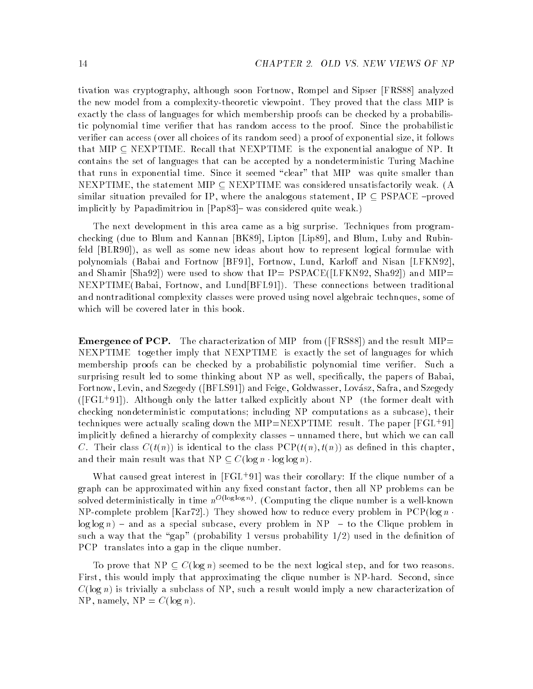tivation was cryptography-positive cryptography-source-control interesting and sipser processes, and a the new model from a complexity-theoretic viewpoint. They proved that the class MIP is exactly the class of languages for which membership proofs can be checked by a probabilis tic polynomial time verifier that has random access to the proof. Since the probabilistic verier can access to all choices of its random seed a proof of the size-size of exponential size-sizethat MIP  $\subseteq$  NEXPTIME. Recall that NEXPTIME is the exponential analogue of NP. It contains the set of languages that can be accepted by a nondeterministic Turing Machine that runs in exponential time. Since it seemed "clear" that MIP was quite smaller than NEXPTIME, the statement MIP  $\subseteq$  NEXPTIME was considered unsatisfactorily weak. (A similar situation prevailed for IP, where the analogous statement, IP  $\subseteq$  PSPACE –proved implicitly by Papadimitriou in Pap was considered quite weak

The next development in this area came as a big surprise. Techniques from programchecking due to Blum and Kannan BK
- Lipton Lip
- and Blum- Luby and Rubin feld BLR- as well as some new ideas about how to represent logical formulae with polynomials Babai and Fortnow-Press, press, press, and Nisan Linux Barance Barance and Nisan Linux Barance (1 and Shamir Shamir Sha were used to show the show that IP PSPACELF  $\sim$ NEXPTIMEBabai- Fortnow- and LundBFL These connections between traditional and ditional complexity completions were proved using the complexity technology algebraic technology of the co which will be covered later in this book

**Emergence of PCP.** The characterization of MIP from ([FRS88]) and the result MIP= NEXPTIME together imply that NEXPTIME is exactly the set of languages for which membership proofs can be checked by a probabilistic polynomial time verifier. Such a surprising result led to some thinking about NP as well- specically- the papers of Babai-Fortnow- Levin- and Szegedy BFLS and Feige- Goldwasser- Lov#asz- Safra- and Szegedy FGL Although only the latter talked explicitly about NP the former dealt with checking mondeterministic computations including NP computer  $\alpha$  subcase-  $\alpha$  subcase-  $\alpha$ techniques were actually scaling down the MIP=NEXPTIME result. The paper  $|\text{FGL}^+ \text{91}|$ implicitly dened a hierarchy of complexity classes unnamed there- but which we can call C Their class Ctn is identical to the class PCPtn- tn as dened in this chapterand their main result was that NP  $\subseteq C(\log n \cdot \log \log n)$ .

What caused great interest in FGL was their corollary If the clique number of a graph can be approximated within any xed constant factor- then all NP problems can be solved deterministically in time  $n^{O(\log \log n)}$ . (Computing the clique number is a well-known NP-complete problem [Kar72].) They showed how to reduce every problem in  $PCP(\log n \cdot$ log log n and as a special subcase- every problem in NP to the Clique problem in such a way that the "gap" (probability 1 versus probability  $1/2$ ) used in the definition of PCP translates into a gap in the clique number.

To prove that NP  $\subseteq C(\log n)$  seemed to be the next logical step, and for two reasons. First- this would imply that approximating the clique number is NPhard Second- since Clog n is trivially a subclass of NP- such a result would imply a new characterization of namely-1 namely-1 namely-1 namely-1 namely-1 namely-1 namely-1 namely-1 namely-1 namely-1 namely-1 namely-1 na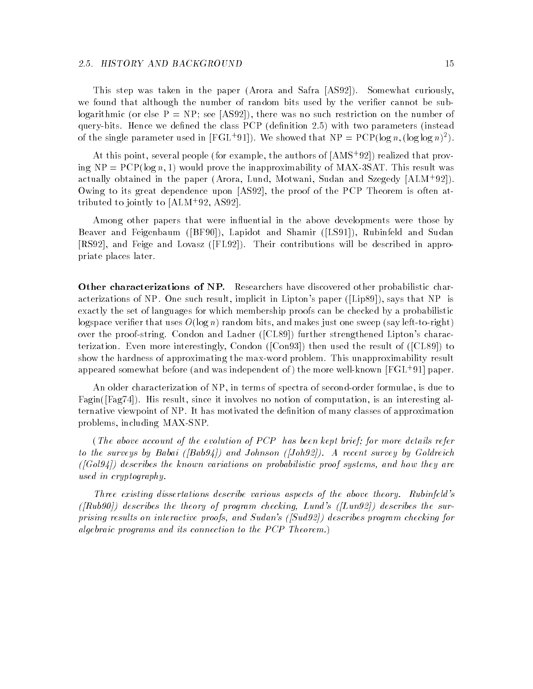#### 2.5. HISTORY AND BACKGROUND

This step was taken in the paper (Arora and Safra [AS92]). Somewhat curiously, we found that although the number of random bits used by the verifier cannot be sublogarithmic or else P NP see AS- there was no such restriction on the number of query-bits. Hence we defined the class  $PCP$  (definition 2.5) with two parameters (instead of the single parameter used in [FGL'91]). We showed that NP  $=$  PCP(log n, (log log n)  $\vdots$  ).

At this point, several people (for example, the authors of  $|\rm{AMS}$  '92]) realized that proving NP PCPlog n-Washington, and inapproximately of MAX and MAX and MAX and MAX and MAX and MAX and MAX and MA actually obtained in the paper (Arora, Lund, Motwani, Sudan and Szegedy |ALM '92|). Owing to its great dependence upon AS- the proof of the PCP Theorem is often at tributed to jointly to |ALM +92, AS92|.

Among other papers that were influential in the above developments were those by Beaver and Feigenbaum BF- Lapidot and Shamir LS- Rubinfeld and Sudan RS- and Feige and Lovasz FL Their contributions will be described in appro priate places later

Other characterizations of NP. Researchers have discovered other probabilistic characterizations of the contract result-that  $\mathcal{L}_1$  is the supplicit in Lipton  $\mathcal{L}_2$  is that  $\mathcal{L}_3$  is that  $\mathcal{L}_4$ exactly the set of languages for which membership proofs can be checked by a probabilistic logspace verier that uses Olog n random bits- and makes just one sweep say lefttoright over the proof-string. Condon and Ladner ([CL89]) further strengthened Lipton's characterization Even more interestingly-to-the result of CL is the result of CL in the result of CL is the result of CL show the hardness of approximating the max-word problem. This unapproximability result appeared somewhat before (and was independent of ) the more well-known [FGL '91] paper.  $\,$ 

An older characterization of NP- in terms of spectra of secondorder formulae- is due to Factor it is since it involves no notion of computation-interesting all  $\mathbf{r}$ ternative viewpoint of NP. It has motivated the definition of many classes of approximation problems- including maximum or and in

(The above account of the evolution of  $PCP$  has been kept brief; for more details refer  $\mathbf{u}$  and Johnson Johnson Johnson Johnson Johnson Johnson Johnson Johnson Johnson Johnson Johnson Johnson Johnson Johnson Johnson Johnson Johnson Johnson Johnson Johnson Johnson Johnson Johnson Johnson Johnson Johnson J  $(Gol94)$  describes the known variations on probabilistic proof systems, and how they are used in cryptography-

Three existing dissertations describe various aspects of the above theory- Rubinfelds  $\langle (Rub90) \rangle$  describes the theory of program checking, Lund's  $\langle (Lun92) \rangle$  describes the surprising results on interactive proofs, and Sudan's ( $[Sud92]$ ) describes program checking for algebraic programs and its connection to the PCP PCP Theorem-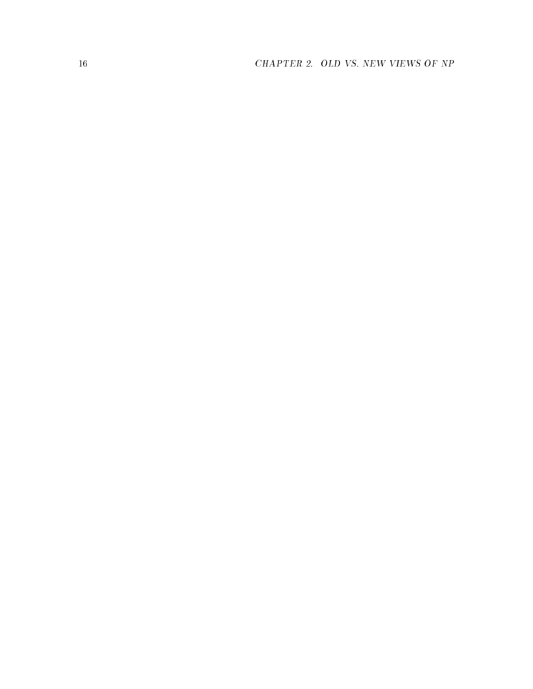### THE CHAPTER 2. OLD VS. NEW VIEWS OF NP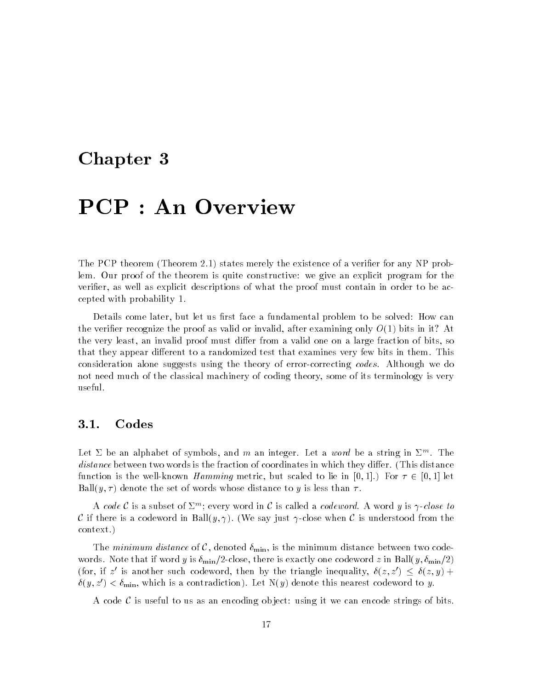## Chapter 3

## **PCP**: An Overview

The PCP theorem (Theorem 2.1) states merely the existence of a verifier for any NP problem. Our proof of the theorem is quite constructive: we give an explicit program for the veries we were no imprison distinct the same that when  $\mu$  is a contained in order to be active to be a cepted with probability

Details come later- but let us rst face a fundamental problem to be solved How can the verience the proof as valid or invariant  $\mathcal{V}$  in its in its in its in its in its in its in its in its in its in its in its in its in its in its in its in its in its in its in its in its in its in its in its in its the very least-typical proof must died an invalid one on a valid one one one of the large fraction of bitsthat they appear different to a randomized test that examines very few bits in them. This consideration alone suggests using the theory of error-correcting *codes*. Although we do not need much of the classical machinery of coding theory- some of its terminology is very useful

#### Codes

Let  $\vartriangle$  be an alphabet of symbols, and m an integer. Let a word be a string in  $\vartriangle$  , the distance between two words is the fraction of coordinates in which they differ. (This distance function is the well-known *Hamming* metric, but scaled to lie in  $[0,1]$ . For  $\tau \in [0,1]$  let Bally-denote the set of words whose distance to y is less than the set of words whose distance to y is less than

A code C is a subset of  $\Sigma^m$ ; every word in C is called a codeword. A word y is  $\gamma$ -close to C if there is a codeword in Ball $(y, \gamma)$ . (We say just  $\gamma$ -close when C is understood from the context

The *minimum distance* of C, denoted  $\delta_{\min}$ , is the minimum distance between two codewords Note that if we have interested with  $\mathcal{N}$  is exactly one codeword  $\mathcal{N}$  in Bally-Library-(for, if z' is another such codeword, then by the triangle inequality,  $\delta(z, z') \leq \delta(z, y) +$  $\delta(y, z') < \delta_{\min}$ , which is a contradiction). Let N(y) denote this nearest codeword to y.

A code  $\mathcal C$  is useful to us as an encoding object: using it we can encode strings of bits.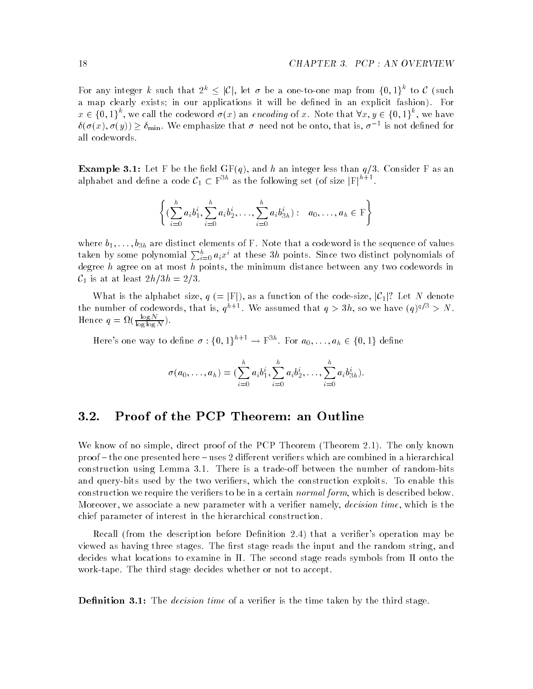For any integer k such that  $2^k \leq |\mathcal{C}|$ , let  $\sigma$  be a one-to-one map from  $\{0,1\}^k$  to  $\mathcal C$  (such a map clearly exists; in our applications it will be defined in an explicit fashion). For  $x \in \{0,1\}^{\kappa}$ , we call the codeword  $\sigma(x)$  an *encoding* of x. Note that  $\forall x, y \in \{0,1\}^{\kappa}$ , we have  $\delta(\sigma(x), \sigma(y)) \geq \delta_{\min}$ . We emphasize that  $\sigma$  need not be onto, that is,  $\sigma^{-1}$  is not defined for all codewords

example to the eld the eld group and the eld consider than integer less than  $\eta$  as an integer than  $\eta$ alphabet and define a code  $\mathcal{C}_1 \subset \mathrm{F}^{3h}$  as the following set (of size  $|\mathrm{F}|^{n+1}$ .

$$
\left\{ (\sum_{i=0}^{h} a_i b_1^i, \sum_{i=0}^{h} a_i b_2^i, \dots, \sum_{i=0}^{h} a_i b_{3h}^i) : a_0, \dots, a_h \in \mathcal{F} \right\}
$$

where b- -b-h are distinct elements of F Note that a codeword is the sequence of values taken by some polynomial  $\sum_{i=0}^{n} a_i x^i$  at these 3h points. Since two distinct polynomials of degree h agree on at most h points- the minimum distance between any two codewords in  $\mathcal{C}_1$  is at at least  $2h/3h = 2/3$ .

What is the alphabet size,  $q (= |F|)$ , as a function of the code-size,  $|\mathcal{C}_1|$ ? Let N denote the number of codewords, that is,  $q^{s+r}$ . We assumed that  $q > 3n$ , so we have  $(q)^{n} \geq N$ . Hence  $q = \Omega(\frac{\log n}{\log \log N})$ .

Here's one way to define  $\sigma:\{0,1\}^{n+1}\to{\rm F}^{3h}.$  For  $a_0,\ldots,a_h\in\{0,1\}$  define

$$
\sigma(a_0,\ldots,a_h)=(\sum_{i=0}^h a_ib_1^i,\sum_{i=0}^h a_ib_2^i,\ldots,\sum_{i=0}^h a_ib_{3h}^i).
$$

#### Proof of the PCP Theorem: an Outline

we know of the simple- and the proof of the Theorem Theorem (Theorem The Only the only himself proof – the one presented here – uses 2 different verifiers which are combined in a hierarchical construction using Lemma There is a tradeo between the number of randombits and query bits used by the two verifications, which the construction exploits To enable this this construction we require the verificial form-  $\alpha$  and  $\alpha$  and  $\alpha$  certain  $\beta$  is described below  $\alpha$  and  $\alpha$  and  $\alpha$ Moreover- we associate a new parameter with a verier namely- decision time- which is the chief parameter of interest in the hierarchical construction

Recall (from the description before Definition 2.4) that a verifier's operation may be with the statistic states stages The reads through reads the input and the random string-the random decides what locations to examine in  $\Pi$ . The second stage reads symbols from  $\Pi$  onto the work-tape. The third stage decides whether or not to accept.

**Definition 3.1:** The *decision time* of a verifier is the time taken by the third stage.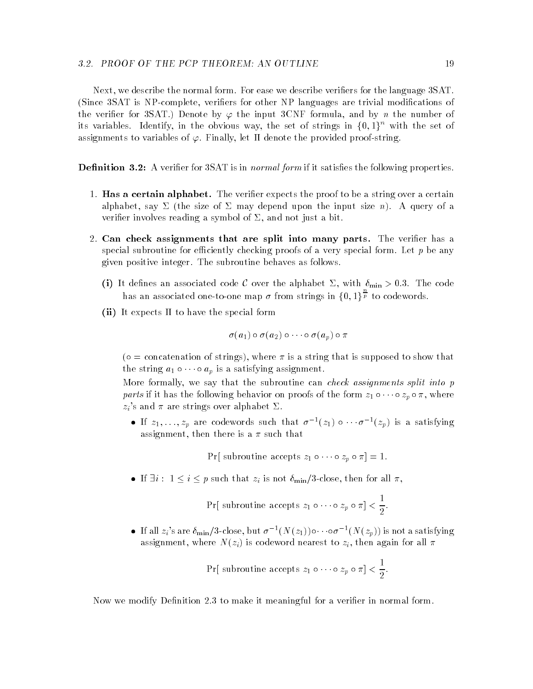Next- we describe the normal form For ease we describe veriers for the language SAT since surface is the complete, thence the complete in angulages met the modern in the second of the verier for SAT Denote by the input CNF formula- and by n the number of its variables. Identify, in the obvious way, the set of strings in  $\{0,1\}^n$  with the set of assignments to variables of  $\mu$  . I making- the provided provided provided provided provided provided provided

 $\mathcal{A}$  is in the form if it satisfactor form if it satisfactor if it satisfactor if it satisfactor is in the following properties the following properties the following properties of  $\mathcal{A}$ 

- 1. **Has a certain alphabet.** The verifier expects the proof to be a string over a certain alphabet- say  $\sim$  , the size of  $\sim$  and  $\sim$  . The size of a positive needs the input size  $\sim$  $\alpha$  , and the state reading as symbol of  $\alpha$  and  $\alpha$  and  $\alpha$  and  $\alpha$  are  $\alpha$
- 2. Can check assignments that are split into many parts. The verifier has a special subroutine for efficiently checking proofs of a very special form. Let  $p$  be any given positive integer. The subroutine behaves as follows.
	- (i) It defines an associated code C over the alphabet  $\Sigma$ , with  $\delta_{\min} > 0.3$ . The code has an associated one-to-one map  $\sigma$  from strings in  $\{0,1\}^{\frac{1}{p}}$  to codewords.
	- (ii) It expects  $\Pi$  to have the special form

$$
\sigma(a_1) \circ \sigma(a_2) \circ \cdots \circ \sigma(a_p) \circ \pi
$$

( $\circ$  = concatenation of strings), where  $\pi$  is a string that is supposed to show that the string  $a_1 \circ \cdots \circ a_p$  is a satisfying assignment.

More formally- we say that the subroutine can check assignments split into p *parts* if it has the following behavior on proofs of the form  $z_1 \circ \cdots \circ z_p \circ \pi,$  where  $z_i$ 's and  $\pi$  are strings over alphabet  $\Sigma$ .

If  $z_1,\ldots,z_p$  are codewords such that  $\sigma^{-1}(z_1)\circ\cdots\sigma^{-1}(z_p)$  is a satisfying assignment and the such that the such that the such that the such that the such that the such that the such tha

Pr| subroutine accepts  $z_1 \circ \cdots \circ z_p \circ \pi$ | = 1.

• If  $\exists i : 1 \leq i \leq p$  such that  $z_i$  is not  $\delta_{\min}/3$  close, then for all  $\pi$ ,

Pr subroutine accepts  $z_1 \circ \cdots \circ z_p \circ \pi \vert \langle -1 \rangle$ .

If all  $z_i$ 's are  $\delta_{\min}/3$ -close, but  $\sigma^{-1}(N(z_1))\circ\cdots\circ\sigma^{-1}(N(z_p))$  is not a satisfying assignment-in-codeword nearest to  $\mathcal{U}$  is contact to  $\mathcal{U}$  and a codeword  $\mathcal{U}$ 

$$
\Pr[\text{ subroutine accepts } z_1 \circ \cdots \circ z_p \circ \pi] < \frac{1}{2}
$$

 $\mathcal{N}$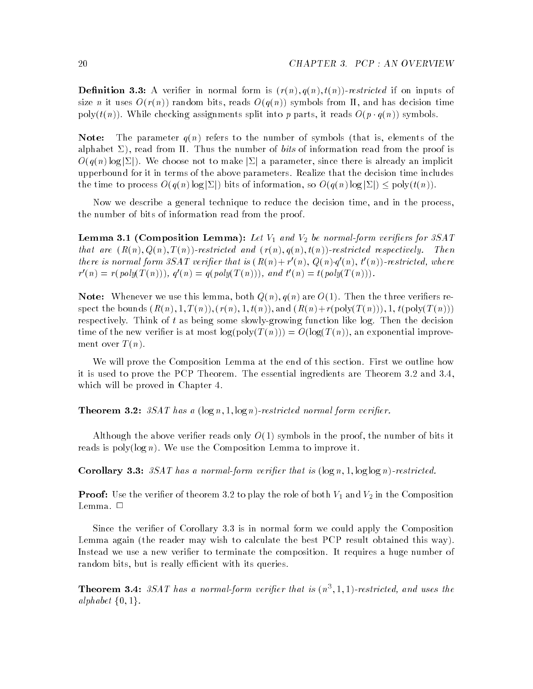, and the second in the contraction of the second interest  $\alpha$  ,  $\alpha$  is the second if on  $\alpha$  and  $\alpha$  and  $\alpha$ size n it was Orn random bits-bits-bits-orn oral organization times in the was decision times.  $\mathfrak{p}$ ory $(u, u)$ . While checking assignments split into p parts, it reads  $\mathcal{O}(p \cdot q(u))$  symbols.

Note The parameter qn refers to the number of symbols that is- elements of the alphabet !- read from Thus the number of bits of information read from the proof is  $O(q(n)\log|\Sigma|)$ . We choose not to make  $|\Sigma|$  a parameter, since there is already an implicit upperbound for it in terms of the above parameters Realize that the decision time includes the time to process  $O(q(n) \log |\Sigma|)$  bits of information, so  $O(q(n) \log |\Sigma|) \le \text{poly}(t(n)).$ 

Now we describe a general technique to reduce the decision time- and in the processthe number of bits of information read from the proof

Lemma Composition Lemma Let V and V be normalform veriers for SAT that are respectively and respectively-contracted respectively-contracted respectively- which is there is normal form 3SAT verifier that is  $(R(n) + r'(n), Q(n) \cdot q'(n), t'(n))$ -restricted, where  $r'(n) = r(\text{poly}(T(n)))$ ,  $q'(n) = q(\text{poly}(T(n)))$ , and  $t'(n) = t(\text{poly}(T(n)))$ .

Note Whenever we use this lemma- both Qn- qn are O Then the three veriers re spect to the bounds Rn-Rn-PolyT n-Rn-PolyT n-Rn-PolyT n-Rn-PolyT n-Rn-PolyT n-Rn-PolyT n-Rn-PolyT n-Rn-PolyT n-Rnrespectively. Think of  $t$  as being some slowly-growing function like log. Then the decision time of the new verificial intervals is at most logic logic logic logic node  $\mathbb{R}^n$ ment over  $T(n)$ .

We will prove the Composition Lemma at the end of this section. First we outline how it is used to prove the PCP Theorem The essential ingredients are Theorem and which will be proved in Chapter 4.

Theorem - SAT has a log n- - log nrestricted normal form verier-

Although the above verifies only O symbols in the proof-dimensionly  $\mathcal{A}$  in the proof-dimensionly  $\mathcal{A}$ reads is poly( $log n$ ). We use the Composition Lemma to improve it.

restricted that is a normalform verify that is log neutral is log normalform that is log is a normalform of th

Proof Use the verier of theorem to play the role of both V and V in the Composition Lemma.  $\square$ 

since the verified of Corollary and in the Motorland corollary the Copy the Composition (  $\sim$ Lemma again (the reader may wish to calculate the best PCP result obtained this way). Instead we use a new verifier to terminate the composition. It requires a huge number of random bits-bits-bits-but is really extended to the contract with its problem of the state of the state of the

**Theorem 3.4:** 35AT has a normal-form verifier that is  $(n^-, 1, 1)$ -restricted, and uses the alphabet  $\{0, 1\}.$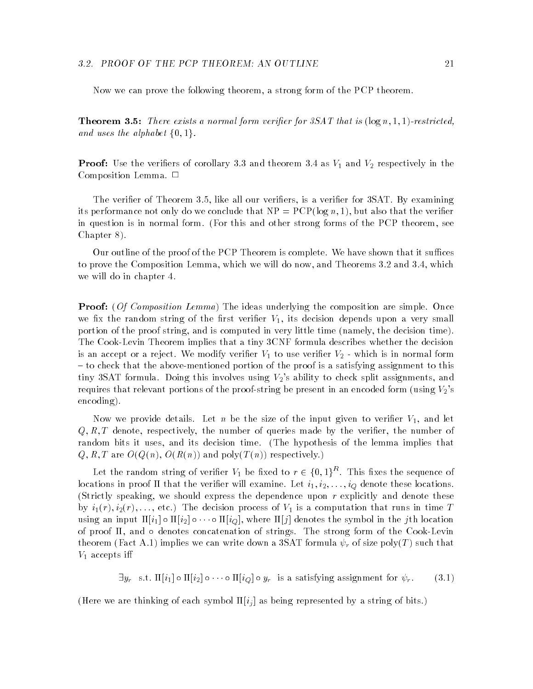Now we can prove the following theorem- a strong form of the PCP theorem

Theorem There exists a normal form verier for SAT that is log n- - restricted and uses the alphabet  $\{0,1\}.$ 

, and the verification of corollary in the verification in the verification of the starting in the verification Composition Lemma.  $\Box$ 

The verier of Theorem - like all our veriers- is a verier for SAT By examining its performance not only do we conclude that NP  $\Lambda$  -  $\Lambda$  -  $\Lambda$  -  $\Lambda$  -  $\Lambda$  -  $\Lambda$ in this in normal form  $\mathbf{M}$  is the  $\mathbf{M}$  this and other strong forms of the PCP theorem-strong forms of the PCP theorem-see  $\mathbf{M}$ Chapter 8).

Our outline of the proof of the PCP Theorem is complete. We have shown that it suffices to prove the Composition Lemma- which we will do now- and Theorems and - which we will do in chapter 4.

**Proof:** (Of Composition Lemma) The ideas underlying the composition are simple. Once we also the random string of the rest verifies  $\mathcal{V}_1$  its decision depends upon a very smaller portion of the proof string- and is computed in very little time namely- the decision time The CookLevin Theorem implies that a tiny CNF formula describes whether the decision is an accept or a reject We modify verier V to use verier V which is in normal form - to check that the above-mentioned portion of the proof is a satisfying assignment to this tiny satisfaction in this involves using this involved the check split assignment check split assignmentsrequires that relevant portions of the proof-string be present in an encoded form (using  $V_2$ 's encoding).

Now we provide details Let n be the size of the input given to verier V- and let Q- R- T denote- respectively- the number of queries made by the verier- the number of random bits it uses-parameter that its decision time time in the lemma implies that the lemma is the lemma are Orne Communication and polyte and polyte and polyte and polyte and polyte and polyte and polyte and polyte

Let the random string of verifier  $V_1$  be fixed to  $r \in \{0,1\}^R$ . This fixes the sequence of locations in proof the verified  $\mu$  is a set if  $\mu$  if  $\mu$  and  $\mu$  and  $\mu$  and  $\mu$  and  $\mu$  and  $\mu$  and  $\mu$  and  $\mu$  and  $\mu$  and  $\mu$  and  $\mu$  and  $\mu$  and  $\mu$  and  $\mu$  and  $\mu$  and  $\mu$  and  $\mu$  and  $\mu$  and  $\$ Strictly speaking- we should express the dependence upon r explicitly and denote these  $\alpha$  is the decision process of  $\alpha$  is a computation to a computation  $\alpha$  is a computation of  $\alpha$  is a computation of  $\alpha$ using an input  $\Pi[i_1] \circ \Pi[i_2] \circ \cdots \circ \Pi[i_Q],$  where  $\Pi[j]$  denotes the symbol in the  $j$ th location of proof II, and  $\circ$  denotes concatenation of strings. The strong form of the Cook-Levin theorem facts and the polyton we can write down a cannot reserve the computer formula r  $\mathcal{L}$ V accepts i

$$
\exists y_r
$$
 s.t.  $\Pi[i_1] \circ \Pi[i_2] \circ \cdots \circ \Pi[i_Q] \circ y_r$  is a satisfying assignment for  $\psi_r$ . (3.1)

(Here we are thinking of each symbol  $\Pi[i_j]$  as being represented by a string of bits.)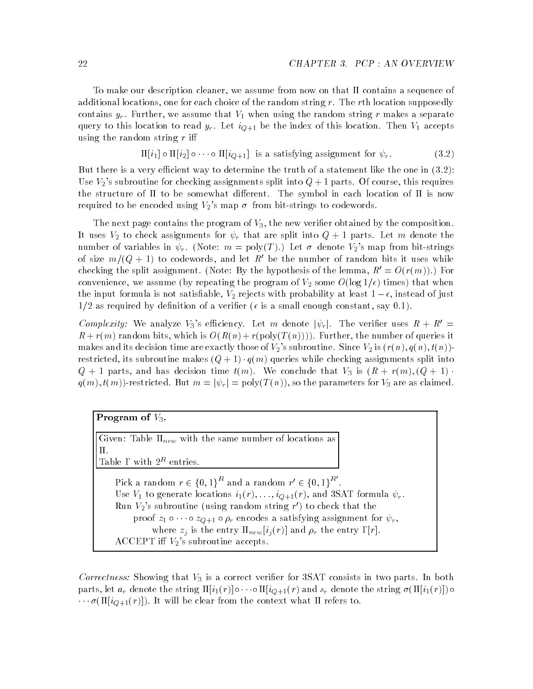To make our description cleaner- we assume from now on that contains a sequence of additional locations-that locations-the random string research  $\sim$  the research location supposed in  $\sim$ we assume that V when using the random variable results results from using results and the random string result query to this location to read  $y_r$ . Let  $i_{Q+1}$  be the index of this location. Then  $V_1$  accepts using the random string  $r$  iff

$$
\Pi[i_1] \circ \Pi[i_2] \circ \cdots \circ \Pi[i_{Q+1}]
$$
 is a satisfying assignment for  $\psi_r$ . (3.2)

But there is a very ecient way to determine the truth of a statement like the one in Use V a substitution of checking assignments split into  $q_i$  , a part of course, coursethe structure of  $\Pi$  to be somewhat different. The symbol in each location of  $\Pi$  is now required to be encoded using  $V_2$ 's map  $\sigma$  from bit-strings to codewords.

- the next page contains the program of VII and the composition of and composition of  $\mathcal{L}$ It uses V to check assignments for r that are split into <sup>Q</sup> parts Let <sup>m</sup> denote the number of variables in  $\psi_r$ . (Note:  $m = \text{poly}(T)$ .) Let  $\sigma$  denote  $V_2$ 's map from bit-strings of size  $m/(Q + 1)$  to codewords, and let R' be the number of random bits it uses while checking the split assignment. (Note: By the hypothesis of the lemma,  $R' = O(r(m))$ .) For convenience-terms that the program of V some Olog is a summer of V some Olog in the program of V some Olog in t the input formula is not satisfiable,  $v_2$  rejects with probability at least  $1-e$ , instead of just as required by denition of a verificial constant  $\mathcal{L}$  is a small enough constant  $\mathcal{L}$ 

Complexity: We analyze  $V_3$ 's efficiency. Let m denote  $|\psi_r|$ . The verifier uses  $R + R' =$ R rm random bits- which is ORn rpolyT n Further- the number of queries it makes and its decision time are exactly those of V is rational time are exactly those of  $\mu$  $\alpha$  restricted, its subroutine makes ( $Q+1$ )  $q(m)$  queries while checking assignments split into  $Q + 1$  parts, and has decision time  $\ell(m)$ . We conclude that  $V_3$  is  $(n + \ell(m), (Q + 1)$ .  $q(m), t(m))$ -restricted. But  $m = |\psi_r| = \text{poly}(T(n)),$  so the parameters for  $V_3$  are as claimed.

Program of V-

Given: Table  $\Pi_{new}$  with the same number of locations as Π. rable 1 with  $2^{**}$  entries.

Pick a random  $r \in \{0,1\}^n$  and a random  $r' \in \{0,1\}^n$ .  $\mathcal{L}$  is generate and interesting in  $\mathcal{L}$  is and  $\mathcal{L}$  formula respectively. Run  $V_2$ 's subroutine (using random string r') to check that the proof  $z_1 \circ \cdots \circ z_{Q+1} \circ \rho_r$  encodes a satisfying assignment for  $\psi_r$ , where  $z_j$  is the entry  $\Pi_{new}[i_j(r)]$  and  $\rho_r$  the entry  $\Gamma[r]$ . ACCEPT iff  $V_2$ 's subroutine accepts.

corrective Showing that V-0 is a correct verified for the consists in the parts in the part of the parts, let  $a_r$  denote the string  $\text{II}[i_1(r)]\circ\cdots\circ\text{II}[i_{Q+1}(r)$  and  $s_r$  denote the string  $\sigma(\text{II}[i_1(r)])\circ$  $\cdots$   $\sigma$  (11  $\left\vert i_{Q+1} \left( i \right) \right\vert$ ). To will be clear from the context what if felers to.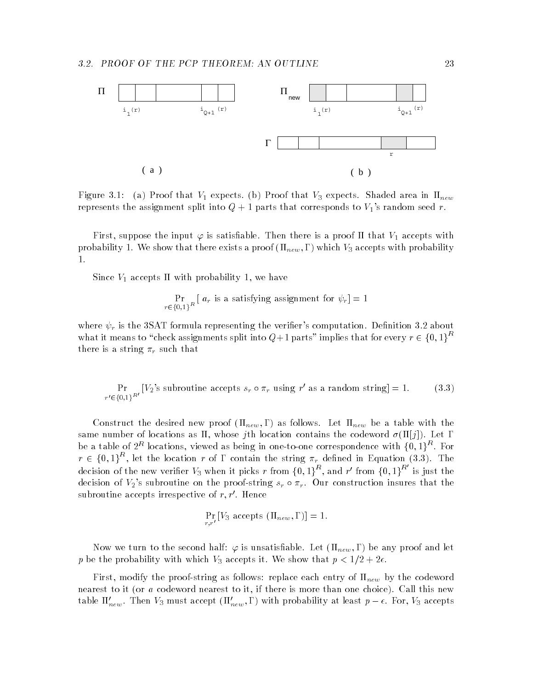

Figure – a Proof that I expects b Proof that  $P$  expects  $P$  are a shaded as  $P$ represents the assignment split into  $Q + 1$  parts that corresponds to  $V_1$ 's random seed r.

First- suppose the input is satisable Then there is a proof that V accepts with probability is a probability of the exists a probability and  $\mathcal{V}$  and  $\mathcal{V}$  accepts with probability  $\mathcal{V}$ 1.

Since V accepts with probability - we have

$$
\Pr_{r \in \{0,1\}^R} [a_r \text{ is a satisfying assignment for } \psi_r] = 1
$$

where  $\gamma$  is the verified the verified the verified the verified the verified the verified  $\gamma$ what it means to "check assignments split into  $Q+1$  parts" implies that for every  $r\in\{0,1\}^n$ there is a string  $\pi_r$  such that

$$
\Pr_{r' \in \{0,1\}^{R'}} \left[ V_2 \text{'s subroutine accepts } s_r \text{ o } \pi_r \text{ using } r' \text{ as a random string} \right] = 1. \tag{3.3}
$$

construct the desired new proof newspaper in the desired new proof newspaper in the table with the second same mumber of locations as - whose jumper is collected that is a - who is the codeword the contact of the cod be a table of  $2^R$  locations, viewed as being in one-to-one correspondence with  $\{0,1\}^R$ . For  $r \in \{0,1\}^n$ , let the location r of  $\Gamma$  contain the string  $\pi_r$  defined in Equation (3.3). The decision of the new verifier  $V_3$  when it picks r from  $\{0,1\}^R$ , and r' from  $\{0,1\}^R$  is just the decision of  $V_2$ 's subroutine on the proof-string  $s_r \circ \pi_r$ . Our construction insures that the subroutine accepts irrespective of  $r,r'$ . Hence

$$
\Pr_{r,r'}[V_3 \text{ accepts } (\Pi_{new}, \Gamma)] = 1.
$$

where the second to the second distribution  $\mu$  and distribution and let  $\mu$  is  $\mu$  and  $\mu$  and let  $\mu$  and  $\mu$  and  $\mu$ p be the probability with which V- accepts it We show that <sup>p</sup>

First- modify the proofstring as follows replace each entry of new by the codeword nearest to it or a codeword nearest to it- if there is more than one choice Call this new table  $\Pi_{new}'$ . Then  $V_3$  must accept  $(\Pi_{new}', \Gamma)$  with probability at least  $p-\epsilon$ . For,  $V_3$  accepts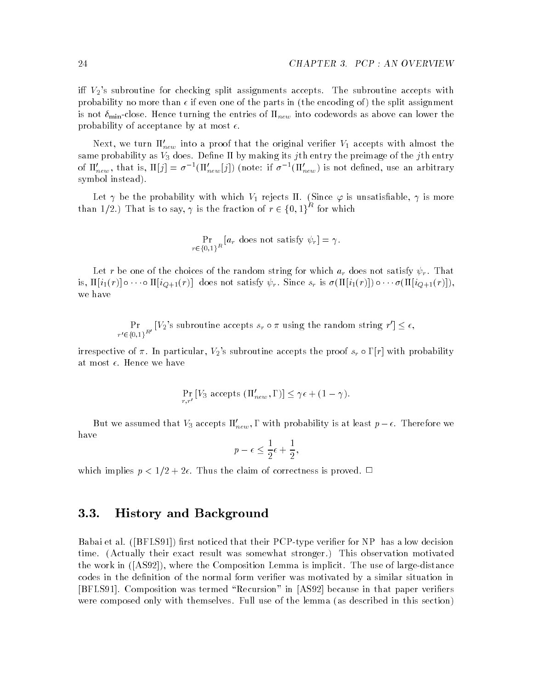iff  $V_2$ 's subroutine for checking split assignments accepts. The subroutine accepts with probability no more than  $\epsilon$  if even one of the parts in (the encoding of) the split assignment is not  $\delta_{\min}$ -close. Hence turning the entries of  $\Pi_{new}$  into codewords as above can lower the probability of acceptance by at most  $\epsilon$ .

Next, we turn  $\Pi_{new}'$  into a proof that the original verifier  $V_1$  accepts with almost the same probability as V-g-making its sites in the preimage of the preimage of the june  $j$  and  $j$  and  $j$ of  $\Pi'_{new}$ , that is,  $\Pi[j] = \sigma^{-1}(\Pi'_{new}[j])$  (note: if  $\sigma^{-1}(\Pi'_{new})$  is not defined, use an arbitrary symbol instead).

Let be the probability with which V rejects Since is unsatisable- is more than 1/2.) That is to say,  $\gamma$  is the fraction of  $r \in \{0,1\}^n$  for which

$$
\Pr_{r \in \{0,1\}^R} [a_r \text{ does not satisfy } \psi_r] = \gamma.
$$

Let r be one of the choices of the random string for which  $a_r$  does not satisfy  $\psi_r$ . That is,  $\prod |i_1(r)|$   $\circ \cdots$   $\circ$   $\prod |i_{Q+1}(r)|$  are not satisfy  $\psi_r$ . Since  $s_r$  is  $\sigma(\Pi |i_1(r)|)$   $\circ \cdots \sigma(\Pi |i_{Q+1}(r)|)$ , we have

Pr<sub>r' \in \{0,1\}^{R'} [V\_2's subroutine accepts 
$$
s_r \circ \pi
$$
 using the random string  $r'] \leq \epsilon$ ,</sub>

irrespective of  $\pi.$  In particular,  $V_2$ 's subroutine accepts the proof  $s_r$  of  $|r|$  with probability at most  $\epsilon$ . Hence we have

$$
\Pr_{r,r'}[V_3 \text{ accepts } (\Pi'_{new}, \Gamma)] \le \gamma \epsilon + (1 - \gamma).
$$

But we assumed that  $V_3$  accepts  $\Pi_{new}', \Gamma$  with probability is at least  $p-\epsilon$ . Therefore we have

$$
p - \epsilon \le \frac{1}{2}\epsilon + \frac{1}{2},
$$

which implies  $p \rightarrow \pi j = 1$  and correct is proved in proved in proved  $\pi$ 

#### History and Background

Babai et al. ( $[BFLS91]$ ) first noticed that their PCP-type verifier for NP has a low decision time. (Actually their exact result was somewhat stronger.) This observation motivated the work in As-and Lemma is in As-and the Composition Lemma is implicited that the use of largedistance codes in the definition of the normal form verifier was motivated by a similar situation in [BFLS91]. Composition was termed "Recursion" in [AS92] because in that paper verifiers were composed only with themselves. Full use of the lemma (as described in this section)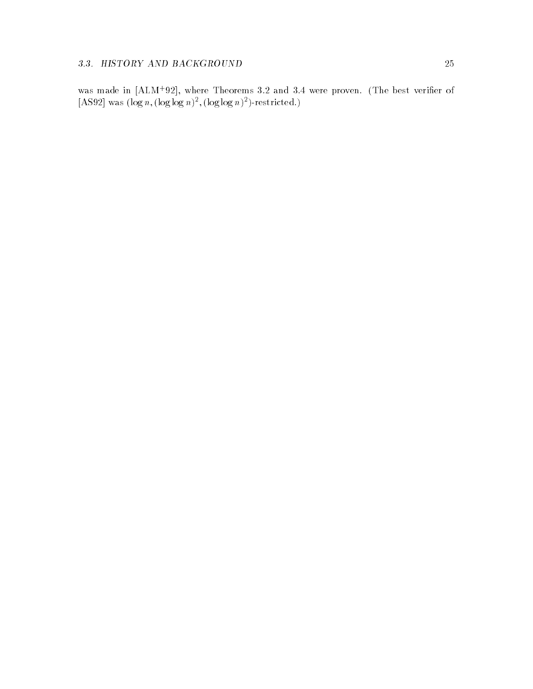was made in ALM - where Theorems and were proven The best verier of  $|{\rm AS}92|$  was  $\langle {\rm Log}\, n, {\rm Log}\, {\rm log}\, n \rangle$ ,  $\langle {\rm Log}\, {\rm log}\, n \rangle$  ) restricted.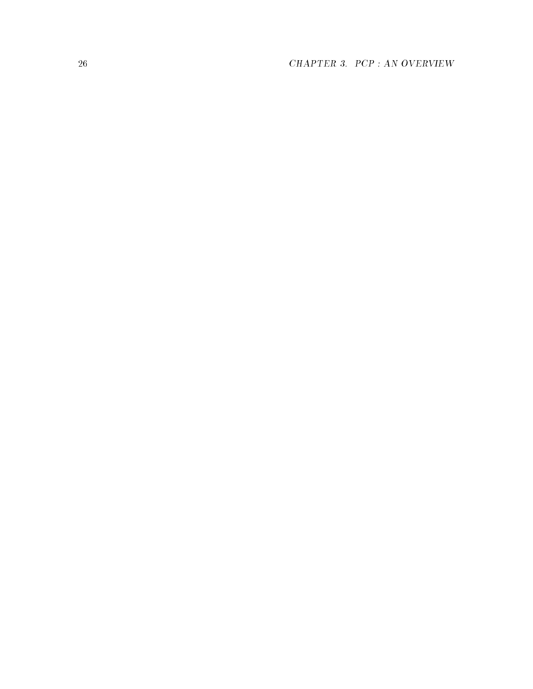### $CHAPTER$  3.  $PCP: AN$  OVERVIEW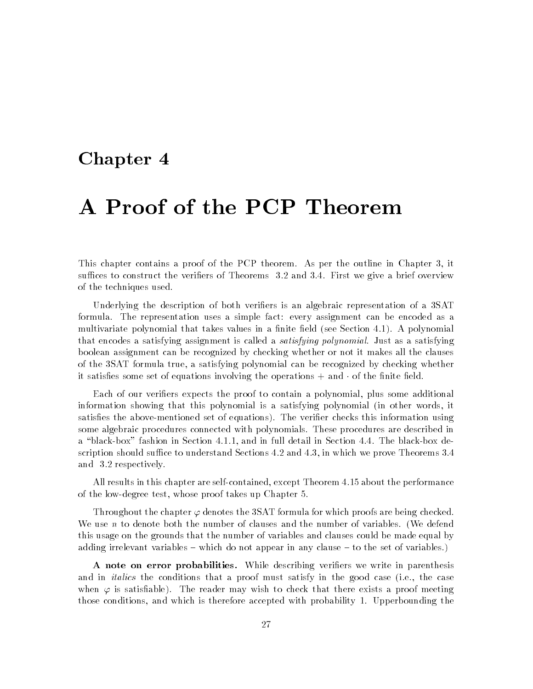# Chapter 4

# A Proof of the PCP Theorem

This chapter contains a proof of the PCP theorem As per the outline in Chapter - it suces to construct the verifies of Theorems (a) we have give the spectrum and the second construction of the s of the techniques used

Underlying the description of both veriers is an algebraic representation of a SAT formula. The representation uses a simple fact: every assignment can be encoded as a multivariate polynomial that takes values in a finite field (see Section  $4.1$ ). A polynomial that encodes a satisfying assignment is called a *satisfying polynomial*. Just as a satisfying boolean assignment can be recognized by checking whether or not it makes all the clauses of the satisfying polynomial can be recognized by can be recognized by checking whether  $\mathcal{L}$ it satisfies some set of equations involving the operations  $+$  and  $\cdot$  of the finite field.

Each of our veriers expects the proof to contain a polynomial- plus some additional information showing that this polynomial is a satisfying polynomial in other words- it satisfies the above-mentioned set of equations). The verifier checks this information using some algebraic procedures connected with polynomials These procedures are described in a blackbox fashion in Section - and in Section - and in Section - and in Section - and in Section 4. scription should suce to understand Sections and - in which we prove Theorems and a respectively. The contract of the contract of the contract of the contract of the contract of the contract of the contract of the contract of the contract of the contract of the contract of the contract of the contra

All results in this chapter are selfcontained- except Theorem about the performance of the low-compared the low-compared the change is the low-compared to the low-compared of the low-compared of

Throughout the chapter denotes the SAT formula for which proofs are being checked We use n to denote both the number of clauses and the number of variables. (We defend this usage on the grounds that the number of variables and clauses could be made equal by adding irrelevant variables  $-$  which do not appear in any clause  $-$  to the set of variables.)

A note on error probabilities. While describing verifiers we write in parenthesis and it it itself that a proof must a proof must satisfy in the good case itself the satisfy when  $\varphi$  is satisfiable). The reader may wish to check that there exists a proof meeting those conditions- and which is therefore accepted with probability Upperbounding the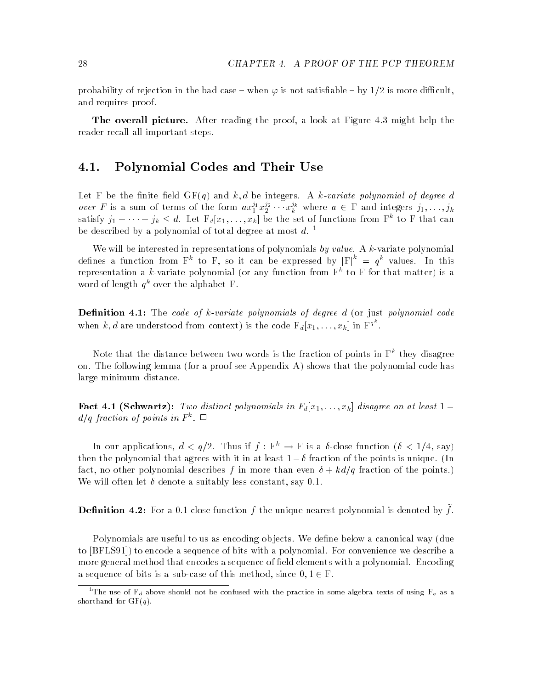probability of rejection in the bad case – when  $\varphi$  is not satisfiable – by 1/2 is more difficult, and requires proof

The overall picture After reading the proof- a look at Figure might help the reader recall all important steps

## Polynomial Codes and Their Use

a die die die bekend gebeur op in die deur die bestaande van die deel de gebeur van die gebou die de gebou van over F is a sum of terms of the form  $ax_1^{x_1}x_2^{x_2}\cdots x_k^{x_k}$  where  $a \in F$  and integers  $j_1,\ldots,j_k$ satisfy  $j_1 + \cdots + j_k \leq d$ . Let  $F_d | x_1, \ldots, x_k |$  be the set of functions from  $F^{\kappa}$  to F that can be described by a polynomial of total degree at most  $d<sup>1</sup>$ 

We will be interested in representations of polynomials by value. A k-variate polynomial defines a function from  $F^k$  to F, so it can be expressed by  $|F|^k = q^k$  values. In this representation a  $\kappa$ -variate polynomial (or any function from Fk for for that matter) is a word of length  $q^+$  over the alphabet  ${\bf r}$ .

**Definition 4.1:** The code of k-variate polynomials of degree d (or just polynomial code when k, d are understood from context) is the code  $\mathrm{F}_d[x_1,\ldots,x_k]$  in  $\mathrm{F}^{q^m}$ .

Note that the distance between two words is the fraction of points in Fk they disagree on. The following lemma (for a proof see Appendix A) shows that the polynomial code has large minimum distance

**Fact 4.1** (Schwartz): Two assumer polynomials in  $T_d[x_1,\ldots,x_k]$  alsaylee on at least  $1$  =  $a/q$  fraction of points in  $F^+$ .  $\Box$ 

In our applications,  $a < q/2$ . I hus if  $f : F^* \to F$  is a 0-close function ( $o < 1/4$ , say) then the polynomial that agrees with it in at least  $1 = 0$  fraction of the points is unique. The  $\frac{1}{2}$ fact- no other polynomial describes f in more than even  kdq fraction of the points We will often let  $\mathcal{M}$  be a suitable associated the suitable suitable suitable suitable suitable suitable suitable suitable suitable suitable suitable suitable suitable suitable suitable suitable suitable suitable sui

**Definition**  $4.2$ ; for a 0.1-close function  $\eta$  the unique nearest polynomial is denoted by  $\eta$ .

Polynomials are useful to us as encoding objects. We define below a canonical way (due to [BFLS91]) to encode a sequence of bits with a polynomial. For convenience we describe a more general method that encodes a sequence of field elements with a polynomial. Encoding a sequence of bits is a sub-case of this method, since  $0, 1 \in F$ .

<sup>&</sup>lt;sup>1</sup>The use of F<sub>d</sub> above should not be confused with the practice in some algebra texts of using F<sub>q</sub> as a shorthand for  $GF(q)$ .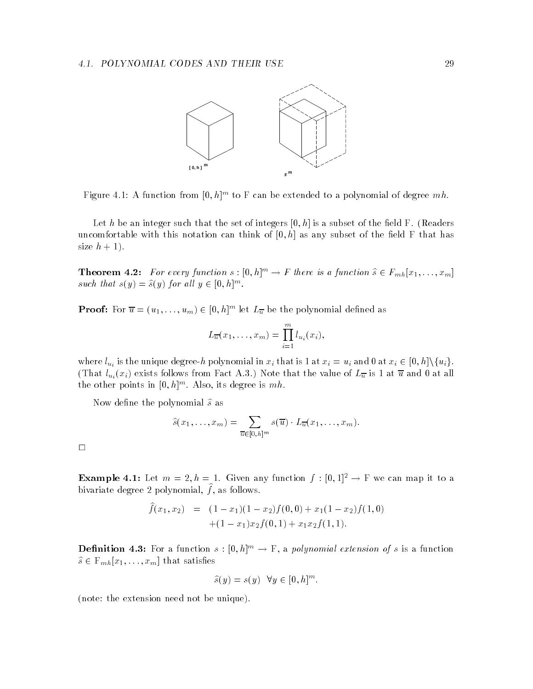

Figure 4.1: A function from  $[0, h]^\sim$  to F can be extended to a polynomial of degree  $mn$ .

 $\mathbf{A}$  is a subset of integers  $\mathbf{A}$  such that the eld  $\mathbf{A}$  subset of the eld F Readers  $\mathbf{A}$ with this notation can think of this notation can think of the eld F that has any subset of the eld F that has a size  $h + 1$ ).

**Theorem 4.2:** For every function  $s: [0, h]^m \to F$  there is a function  $s \in F_{mh}|x_1, \ldots, x_m|$ such that  $s(y) = s(y)$  for all  $y \in [0, h]^m$ .

**Proof:** for  $\overline{u} = (u_1, \ldots, u_m) \in [0, h]^m$  let  $L_{\overline{u}}$  be the polynomial defined as

$$
L_{\overline{u}}(x_1,\ldots,x_m)=\prod_{i=1}^ml_{u_i}(x_i),
$$

where  $l_{u_i}$  is the unique degree-h polynomial in  $x_i$  that is 1 at  $x_i = u_i$  and 0 at  $x_i \in [0, h] \setminus \{u_i\}$ .  $\lambda$  and  $\mu$  exists follows from Fact Australian and  $\mu$ the other points in  $[0, h]$ . Also, its degree is  $mn$ .

Now define the polynomial  $\hat{s}$  as

$$
\widehat{s}(x_1,\ldots,x_m)=\sum_{\overline{u}\in[0,h]^m} s(\overline{u})\cdot L_{\overline{u}}(x_1,\ldots,x_m).
$$

 $\Box$ 

**Example 4.1:** Let  $m = 2, n = 1$ . Given any function  $f : [0,1] \rightarrow F$  we can map it to a  $\alpha$  bivaliate degree  $\alpha$  polynomial,  $\beta$ , as follows.

$$
f(x_1, x_2) = (1 - x_1)(1 - x_2)f(0, 0) + x_1(1 - x_2)f(1, 0)
$$
  
+ (1 - x\_1)x\_2f(0, 1) + x\_1x\_2f(1, 1).

**Definition** 4.3: For a function  $s : [0, n]^{\infty} \to \mathbb{F}$ , a *polynomial extension of s* is a function  $s\in \mathbb{F}_{mh}[x_1,\ldots,x_m]$  that satisfies

$$
\widehat{s}(y) = s(y) \quad \forall y \in [0, h]^m.
$$

(note: the extension need not be unique).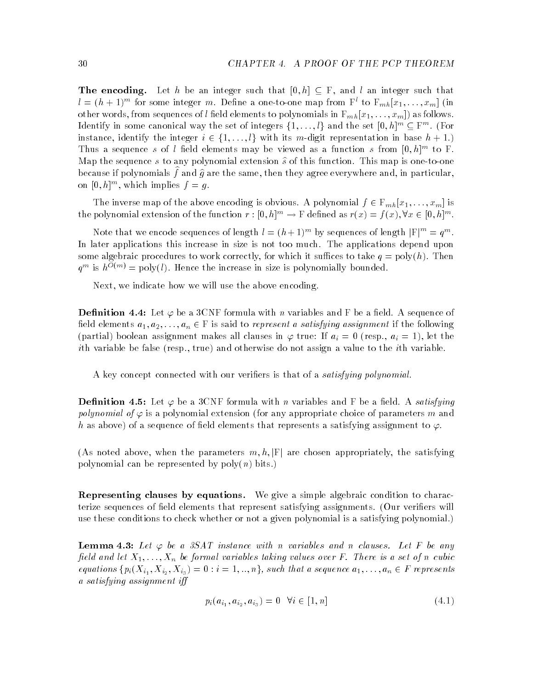**The encoding.** Let h be an integer such that  $[0,h] \subseteq F$ , and l an integer such that  $l = (n + 1)^{n}$  for some integer m. Denne a one-to-one map from Fl to  $\mathbf{r}_{mh}|x_1,\ldots,x_m|$  (in other words-contract to polynomials to polynomials to  $\mathcal{L}$  . The polynomials in Fig. ( ) in Fig. ( ) in Fig. ( ) in Fig. ( ) is not as follows:  $\mathcal{L}$  , and  $\mathcal{L}$  is not as follows:  $\mathcal{L}$  is not as follows:  $\$ Identify in some canonical way the set of integers  $\{1,\ldots,l\}$  and the set  $[0,h]^m\subseteq{\mathcal F}^m.$  (For instance, identify the integer  $i \in \{1, ..., l\}$  with its m-digit representation in base  $h + 1$ .) Thus a sequence s of  $\iota$  neig elements may be viewed as a function s from  $[v, n] = (v, r)$ . Map the sequence s to any polynomial extension  $\hat{s}$  of this function. This map is one-to-one  $\rm\,$  because if polynomials  $\rm\,$  and  $\rm\,$  are the same, then they agree everywhere and, in particular, on  $|0, n|$ , which implies  $f = q$ .

The inverse map of the above encoding is obvious. A polynomial  $f \in F_{mh}[x_1,\ldots,x_m]$  is the polynomial extension of the function  $r: [0, h]^m \to F$  defined as  $r(x) = f(x), \forall x \in [0, h]^m$ .

Note that we encode sequences of length  $l = (h+1)^m$  by sequences of length  $\left|\mathbf{F}\right|^m = q^m.$ In later applications this increase in size is not too much. The applications depend upon some algebraic procedures to work correctly- for which it suces to take q polyh Then  $q^m$  is  $h^{\sigma(m)} = \text{poly}(t)$ . Hence the increase in size is polynomially bounded.

Next- we indicate how we will use the above encoding

— concerted chair contracts and formula with n variables and formula with second process at field elements  $a_1, a_2, \ldots, a_n \in F$  is said to represent a satisfying assignment if the following  $\mathbf{p}$  is a straignment makes all clauses in the contract of air  $\mathbf{p}$  and  $\mathbf{p}$  are in the contract of air  $\mathbf{p}$ ith variable be false resp- true and otherwise do not assign a value to the ith variable

A key concept connected with our verifiers is that of a *satisfying polynomial*.

Denition Let be a CNF formula with n variables and F be a eld A satisfying polynomial of  $\varphi$  is a polynomial extension (for any appropriate choice of parameters m and h as above) of a sequence of field elements that represents a satisfying assignment to  $\varphi$ .

(As noted above, when the parameters  $m,h,|\mathrm{F}|$  are chosen appropriately, the satisfying polynomial can be represented by  $poly(n)$  bits.)

**Representing clauses by equations.** We give a simple algebraic condition to characterize sequences of field elements that represent satisfying assignments. (Our verifiers will use these conditions to check whether or not a given polynomial is a satisfying polynomial

Lemma Let be a SAT instance with n variables and n clauses- Let F be any eld and let  $\mathbf{I}$  and  $\mathbf{I}$  are interesting values over F-resonance  $\mathbf{I}$ equations  $\{p_i(X_{i_1}, X_{i_2}, X_{i_3}) = 0 : i = 1, ..., n\}$ , such that a sequence  $a_1, ..., a_n \in F$  represents a satisfying assignment i

$$
p_i(a_{i_1}, a_{i_2}, a_{i_3}) = 0 \quad \forall i \in [1, n]
$$
\n
$$
(4.1)
$$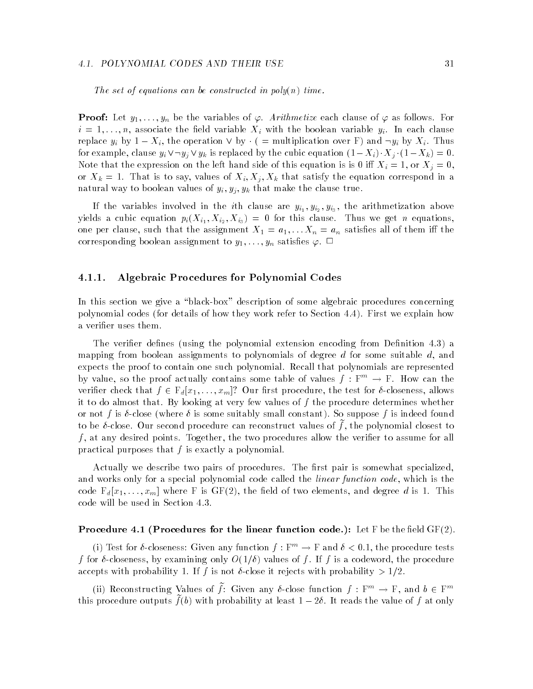The set of equations can be constructed in poly $(n)$  time.

 $\mathcal{V}$  as follows Formulae each clause of  $\mathcal{V}$ i associated the eld variable  $\alpha$  is the boolean variable  $\alpha$  in the boolean variable  $\alpha$ replace  $y_i$  by  $1 - X_i$ , the operation  $\vee$  by  $\cdot$  ( = multiplication over F) and  $\neg y_i$  by  $X_i$ . Thus for example, clause  $y_i \vee \neg y_j \vee y_k$  is replaced by the cubic equation  $(1-X_i) \cdot X_j \cdot (1-X_k) = 0$ . Note that the expression on the left hand side of this equation is is  i Xi - or Xj or  $\tau_{\rm N}$  , and the equation corresponding is the equation corresponding in a satisfy the equation  $\mu$  and the equation corresponding in a set of  $\mu$ natural way to boolean values of yields  $y_i$  and  $y_i$  and  $y_i$  -  $y_i$  -  $y_i$  -  $y_i$  and  $y_i$  and  $y_i$  and  $y_i$  and  $y_i$  and  $y_i$  and  $y_i$  and  $y_i$  and  $y_i$  and  $y_i$  and  $y_i$  and  $y_i$  and  $y_i$  and  $y_i$  and  $y_i$  and  $y_i$  an

 $J_{\ell_1}$  is the arithmetical intervalse are yields are yields are yields are yields as  $J_{\ell_1}$  is the arithmetical intervalse are  $J_{\ell_1}$  is the arithmetical intervalse are  $J_{\ell_1}$  is the arithmetical intervalse an  $\mathcal{N}$  and  $\mathcal{N}$  are the cubic equation pixels we get  $\mathcal{N}$  and  $\mathcal{N}$  and  $\mathcal{N}$  are the contract of  $\mathcal{N}$  and  $\mathcal{N}$  are the contract of  $\mathcal{N}$  and  $\mathcal{N}$  are the contract of  $\mathcal{N}$  and  $\mathcal{N}$  a  $\mathcal{S}$  is the assignment  $\mathcal{S}$  . The assignment  $\mathcal{S}$  are assigned in the assignment  $\mathcal{S}$  . Then if the assignment  $\mathcal{S}$  are assigned in the assignment of the assignment of the assignment of the assignment  $\sim$  yn satisfied  $\sim$  to see the assignment to y<sub>1</sub>,  $\cdots$ , y<sub>n</sub> satisfies  $\sim$ 

### Algebraic Procedures for Polynomial Codes

In this section we give a "black-box" description of some algebraic procedures concerning polynomial codes (for details of how they work refer to Section 4.4). First we explain how a verifier uses them.

The verier denes using the polynomial extension encoding from Denition a mapping from boolean assignments to polynomials of degree d for some suitable d- and expects the proof to contain one such polynomial Recall that polynomials are represented by value, so the proof actually contains some table of values  $f : F^{\infty} \to F$  . How can the verifier check that  $f \in F_d[x_1,\ldots,x_m]$ ? Our first procedure, the test for  $\delta$ -closeness, allows it to do almost that. By looking at very few values of  $f$  the procedure determines whether or not f is  $\delta$ -close (where  $\delta$  is some suitably small constant). So suppose f is indeed found to be *e*-close. Our second procedure can reconstruct values of  $\mu$ , the polynomial closest to f - at any desired points Together- the two procedures allow the verier to assume for all practical purposes that  $f$  is exactly a polynomial.

Actually we describe two pairs of procedures. The first pair is somewhat specialized, and works only for a special polynomial code-called the linear function codes the linear function  $\mathcal{L}$ code Function and where  $\tau$  is eld of the eld of two elements-increased and decay and decay and decay

### **Procedure 4.1 (Procedures for the linear function code.):** Let F be the field  $GF(2)$ .

(1) Lest for  $v$  closeness: Given any function  $\tau : \mathbb{F}^n \to \mathbb{F}$  and  $v < 0.1$ , the procedure tests  $f$  for a codeword-closeness-codeword-closeness-codeword-closeness-codeword-closeness-codeword-closeness-codeword-closeness-codeword-closeness-codeword-closeness-codeword-closeness-codeword-closeness-codeword-closeness-co accepts with probability 1. If f is not  $\delta$ -close it rejects with probability  $> 1/2$ .

(ii) Reconstructing Values of  $f$ : Given any  $\delta$ -close function  $f: \mathbb{F}^m \to \mathbb{F}$ , and  $b \in \mathbb{F}^m$ this procedure outputs  $f(t)$  with probability at least  $1 = 2t$ . It reads the value of  $f$  at only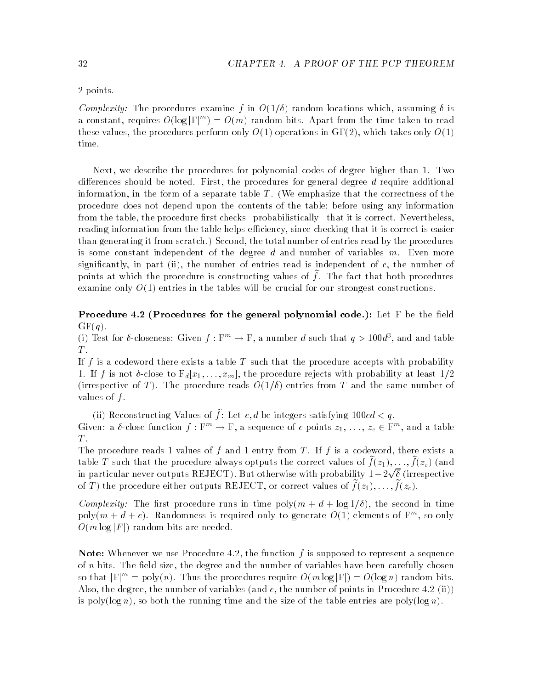2 points.

Complexity The procedures examine f in O random locations which- assuming  is a constant, requires  $O(\log |F|^m) = O(m)$  random bits. Apart from the time taken to read these values-only O operations performance performance performance on the procedures only O operations in GFtime

Next- we describe the procedures for polynomial codes of degree higher than Two dierences should be noted First- the procedures for general degree d require additional information-the form of a separate that the form of the corrections of the correction of the correct of the co procedure does not depend upon the contents of the table; before using any information from the table- the procedure rst checks probabilistically that it is correct Neverthelessreading the transition of the table that it is corrected it is corrected that it is corrected it is easier. than generating it from scratch Second- the total number of entries read by the procedures is some constant independent of the degree  $d$  and number of variables  $m$ . Even more significant is part if  $\mu$  is independent of the number of contribution of the number of the number of points at which the procedure is constructing values of  $f$ . The fact that both procedures examine only  $O(1)$  entries in the tables will be crucial for our strongest constructions.

### Procedure - Procedures for the general polynomial code Let F be the eld  $GF(q)$ .

(1) Lest for  $v$  closeness: Given  $\gamma : \Gamma \longrightarrow \Gamma$ , a number  $a$  such that  $q > 1$ uu $a^{\circ}$ , and and table  $T$ .

If  $f$  is a codeword there exists a table  $T$  such that the procedure accepts with probability if is a contracted to make  $u_1 \cdots$  , with probability at least with probability at least  $\tau_I =$ (irrespective of T). The procedure reads  $O(1/\delta)$  entries from T and the same number of values of  $f$ .

(ii) it reconstructing values of  $f$ . Let  $c, u$  be integers satisfying footh  $\leq q$ .

Given: a  $\delta$ -close function  $f: F^m \to F$ , a sequence of c points  $z_1, \ldots, z_c \in F^m$ , and a table

The procedure reads values of f and entry from T If f is a codeword- there exists a table 1 such that the procedure always optputs the correct values of  $f(z_1), \ldots, f(z_c)$  (and in particular never outputs REJECT). But otherwise with probability  $1-2\sqrt{\delta}$  (irrespective of T  $\mu$  and  $\mu$  in the procedure either outputs REJECT, or correct values of  $f(z_1), \ldots, f(z_c)$ .

 $\mathcal{F} = \mathcal{F} = \mathcal{F} = \mathcal{F} = \mathcal{F} = \mathcal{F} = \mathcal{F} = \mathcal{F} = \mathcal{F} = \mathcal{F} = \mathcal{F} = \mathcal{F} = \mathcal{F} = \mathcal{F} = \mathcal{F} = \mathcal{F} = \mathcal{F} = \mathcal{F} = \mathcal{F} = \mathcal{F} = \mathcal{F} = \mathcal{F} = \mathcal{F} = \mathcal{F} = \mathcal{F} = \mathcal{F} = \mathcal{F} = \mathcal{F} = \mathcal{F} = \mathcal{F} = \mathcal{F} = \mathcal$ poly( $m + a + c$ ). Kandomness is required only to generate  $O(1)$  elements of Fm, so only  $O(m \log |F|)$  random bits are needed.

Note Whenever we use Procedure - the function f is supposed to represent a sequence of n bits The degree and the number of variables have been carefully chosen carefully chosen carefully chosen of so that  $\left|\mathbb{F}\right|^m = \text{poly}(n)$ . Thus the procedures require  $O(m \log |\mathbb{F}|) = O(\log n)$  random bits. Also- the degree- the number of variables and c- the number of points in Procedure ii is polylog n- so both the running time and the size of the table entries are polylog n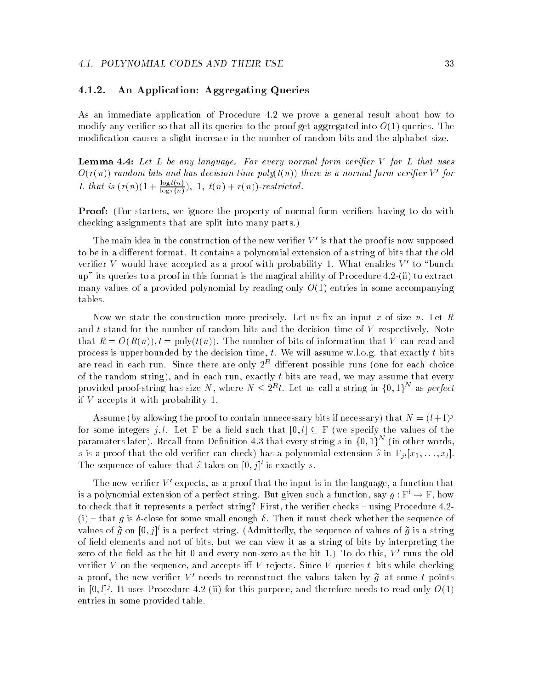### $4.1.2.$ An Application: Aggregating Queries

As an immediate application of Procedure 4.2 we prove a general result about how to modify any verifier so that all its queries to the proof get aggregated into  $O(1)$  queries. The modification causes a slight increase in the number of random bits and the alphabet size.

Lemma Let L be any language- For every normal form verier V for L that uses  $O(r(n))$  random bits and has decision time poly $(t(n))$  there is a normal form verifier V' for L that is  $(r(n)(1+\frac{\cos(\pi n)}{\log r(n)})$ , 1,  $t(n)+r(n)$ )-restricted.

Proof For starters- we ignore the property of normal form veriers having to do with checking assignments that are split into many parts

The main idea in the construction of the new verifier  $V'$  is that the proof is now supposed to be in a different format. It contains a polynomial extension of a string of bits that the old verifier V would have accepted as a proof with probability 1. What enables  $V'$  to "bunch" up" its queries to a proof in this format is the magical ability of Procedure  $4.2$ -(ii) to extract many values of a provided polynomial by reading only  $O(1)$  entries in some accompanying tables

Now we state the construction more precisely. Let us fix an input x of size n. Let R and  $t$  stand for the number of random bits and the decision time of  $V$  respectively. Note that R ORn- t polytn The number of bits of information that <sup>V</sup> can read and process is upperfounded by the decision time-  $\mathbf{t}$  to the decision time-  $\mathbf{t}$  that  $\mathbf{t}$ are read in each run. Since there are only Z – different possible runs (one for each choice – of the random string-term string-term and in each runprovided proof-string has size N, where  $N \leq 2^{R}t$ . Let us call a string in  $\{0,1\}^{N}$  as perfect if  $V$  accepts it with probability 1.

Assume (by allowing the proof to contain unnecessary bits if necessary) that  $N = (l+1)^{j}$ for some integers j,l. Let F be a field such that  $[0, l] \subseteq F$  (we specify the values of the paramaters later). Recall from Definition 4.3 that every string s in  $\{0,1\}^N$  (in other words,  $\sim$  is a proof that the old verifier can check  $\mu$  mas a polynomial extension s in F  $\mu$   $\mu$  i  $\mu$  ,  $\cdots$  ,  $\alpha$  i  $\cdots$ The sequence of values that s takes on  $|0, 7|$  is exactly s.

The new verifier  $V'$  expects, as a proof that the input is in the language, a function that is a polynomial extension of a perfect string. But given such a function, say  $q: \mathbb{F} \to \mathbb{F}$ , now to check that it represents a perfect string First- the verier checks using Procedure (i) – that q is  $\delta$ -close for some small enough  $\delta$ . Then it must check whether the sequence of values of q on  $[0, T]$  is a perfect string. (Admittedly, the sequence of values of q is a string of the string and we can view it as a string of bits-can view it as a string of bits-capture the string the st zero of the field as the bit 0 and every non-zero as the bit 1.) To do this, V' runs the old verier van the sequence van accepts in vergeligt since the since van while the checking a proof, the new verifier V' needs to reconstruct the values taken by  $\tilde{q}$  at some t points In  $[0, t]^{\times}$ . It uses Procedure 4.2-(ii) for this purpose, and therefore needs to read only  $O(1)$ entries in some provided table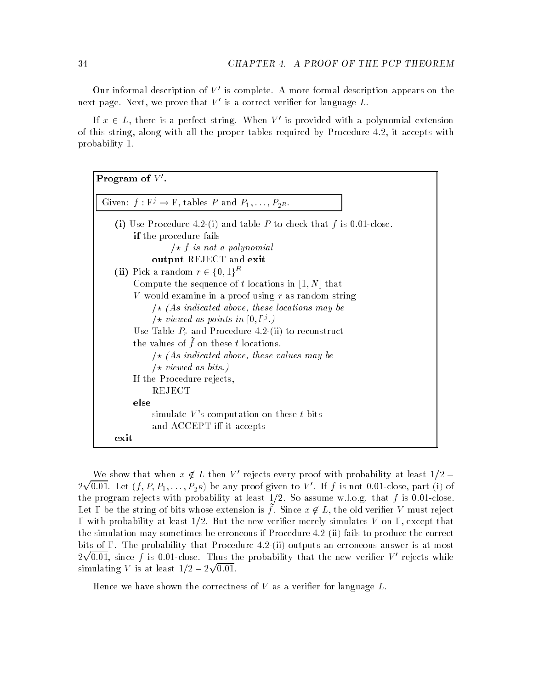Our informal description of V' is complete. A more formal description appears on the next page. Next, we prove that  $V'$  is a correct verifier for language L.

If  $x \in L$ , there is a perfect string. When V' is provided with a polynomial extension of this string-tables required by Proper tables required by Proper tables required by Procedure probability 1.

Program of  $V'$ . Given:  $f: \Gamma' \to \Gamma$ , tables P and  $P_1, \ldots, P_{2^R}$ . (i) Use Procedure 4.2-(i) and table P to check that f is 0.01-close. if the procedure fails  $\rightarrow$  f is not a polynomial output REJECT and exit (ii) Pick a random  $r \in \{0,1\}^R$ Compute the sequence of the second in the sequence of  $\mathcal{L}_{\mathcal{A}}$ V would examine in a proof using  $r$  as random string  $\forall$  As indicated above, these locations may be  $\mu$  viewed as points in  $\mathbf{U}, \mathbf{U}^*$ . Use Table  $P_r$  and Procedure 4.2-(ii) to reconstruct the values of  $\mu$  on these  $\iota$  locations.  $\forall$  As indicated above, these values may be viewed as bits- If the Procedure rejects, REJECT else simulate  $V$ 's computation on these  $t$  bits and ACCEPT iff it accepts exit

We show that when  $x \notin L$  then  $V'$  rejects every proof with probability at least  $1/2$  –  $2\sqrt{0.01}$ . Let  $(f, P, P_1, \ldots, P_{2^R})$  be any proof given to V'. If f is not 0.01-close, part (i) of the program rejects with probability at least  $1/2$ . So assume w.l.o.g. that f is 0.01-close. Let  $\Gamma$  be the string of bits whose extension is  $f.$  Since  $x \not\in L,$  the old verifier  $V$  must reject . with probability at reast replacement that he with the new verifies  $\mathbf{v}_1$  on  $\mathbf{v}_2$  on  $\mathbf{v}_3$  on  $\mathbf{v}_4$ the simulation may sometimes be erroneous if  $P$ rocedure  $4.2$ -(ii) fails to produce the correct bits of  $\Gamma$ . The probability that Procedure 4.2-(ii) outputs an erroneous answer is at most  $2\sqrt{0.01}$ , since f is 0.01-close. Thus the probability that the new verifier  $V'$  rejects while simulating V is at least  $1/2 - 2\sqrt{0.01}$ .

Hence we have shown the correctness of  $V$  as a verifier for language  $L$ .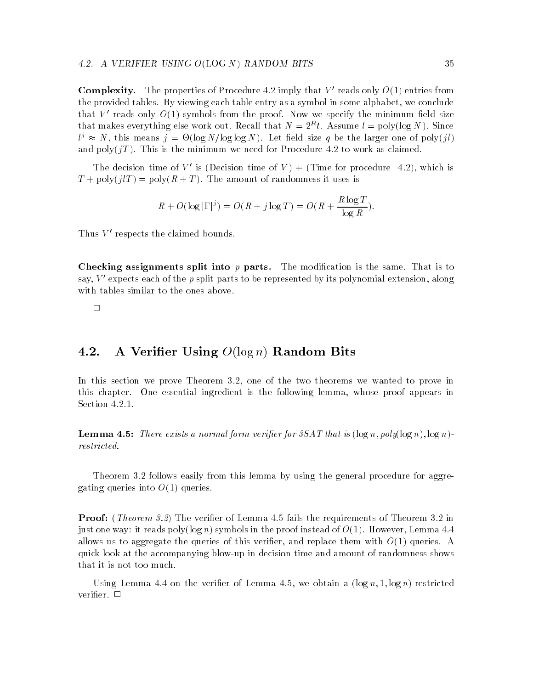**Complexity.** The properties of Procedure 4.2 imply that V' reads only  $O(1)$  entries from the provided tables By viewing each table entry as a symbol in some alphabet- we conclude that V' reads only  $O(1)$  symbols from the proof. Now we specify the minimum field size that makes everything else work out. Recall that  $N = 2<sup>2</sup> t$ . Assume  $t = \text{poly}( \log N)$ . Since  $l^j \approx N$ , this means  $\gamma = \Theta(\log N / \log \log N)$ . Let field size q be the larger one of poly $(\gamma l)$ and poly $(jT)$ . This is the minimum we need for Procedure 4.2 to work as claimed.

The decision time of V' is (Decision time of  $V$ ) + (Time for procedure 4.2), which is  $T + \text{poly}(iT) = \text{poly}(R + T)$ . The amount of randomness it uses is

$$
R + O(\log |\mathcal{F}|^{j}) = O(R + j \log T) = O(R + \frac{R \log T}{\log R}).
$$

Thus  $V'$  respects the claimed bounds.

Checking assignments split into  $p$  parts. The modification is the same. That is to say,  $V'$  expects each of the p split parts to be represented by its polynomial extension, along with tables similar to the ones above

 $\Box$ 

### $4.2.$ a verifier is a sense of the USING OF A Second Department of the USING OF A Second Department of the USING OF

In this section we prove Theorem - one of the two theorems we wanted to prove in this chapter One essential ingredient is the following lemma- whose proof appears in Section 4.2.1.

Lemma There exists a normal form verier for SAT that is log n- polylog n- log n restricted-

Theorem is lemma by using the general procedure for a great procedure for a general procedure for a great procedure for a great procedure for a great procedure for a great procedure for a great procedure for a great proce gating queries into  $O(1)$  queries.

Proof Theorem - The verier of Lemma fails the requirements of Theorem in just one way it reads polylog n symbols in the proof instead of O However- Lemma allows us to aggregate the queries of this verier- and replace them with O queries A quick look at the accompanying blow-up in decision time and amount of randomness shows that it is not too much

Using Billiam of the verificial of Billiam - we obtain a log new property of the log not a log not a log not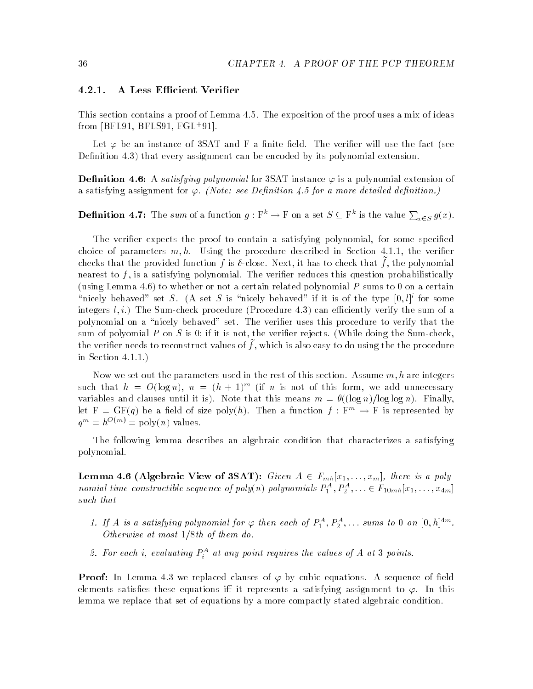### $4.2.1.$ A Less Efficient Verifier

This section contains a proof of Lemma 4.5. The exposition of the proof uses a mix of ideas Irom |BFL91, BFL591, FGL '91|.

Let be an instance of SAT and F a nite eld The verier will use the fact see our that every contract can be encoded by its polynomial extension of the polynomial extension of the contract

— A satisfying polynomial for the satisfying  $\mathcal{P}$  instance  $\mathcal{P}$  is a polynomial extension of  $\mathcal{P}$ a satisfying assignment for Note see Denition 
- for a more detailed denition- 

**Definition 4.7:** The sum of a function  $g: \mathbb{F}^k \to \mathbb{F}$  on a set  $S \subseteq \mathbb{F}^k$  is the value  $\sum_{x \in S} g(x)$ .

The verier expects the proof to contain a satisfying polynomial- for some specied choice of parameters m- h Using the procedure described in Section - the verier checks that the provided function  $f$  is  $v$ -close. Next, it has to check that  $f$  , the polynomial nearest to find the verification polynomial The verification polynomial The verifically reduces the verifical (using Lemma  $4.6$ ) to whether or not a certain related polynomial  $P$  sums to 0 on a certain incely behaved set  $S$ . The set  $S$  is incely behaved if it is of the type  $[0, t]$  for some integers l- i The Sumcheck procedure Procedure can eciently verify the sum of a polynomial on a "nicely behaved" set. The verifier uses this procedure to verify that the sum is picyramics at the great specific most control is proved the management while doing the Sum the verifier heeds to reconstruct varies or  $\mu$ , which is also easy to do using the the procedure in Section  $4.1.1$ .)

Now we set out the parameters used in the rest of this section Assume m- h are integers such that  $h = O(\log n)$ ,  $n = (n + 1)^{n}$  (if n is not of this form, we add unnecessary variables and clauses until it is). Note that this means  $m = \theta((\log n)/\log \log n)$ . Finally, let  $F = GF(q)$  be a field of size poly $(h)$ . Then a function  $f : F<sup>m</sup> \to F$  is represented by  $q^m = h^{O(m)} = \text{poly}(n)$  values.

The following lemma describes an algebraic condition that characterizes a satisfying polynomial

Lemma 4.6 (Algebraic View of 3SAT): Given  $A \in F_{mh}[x_1,\ldots,x_m]$ , there is a polynomial time constructible sequence of poly $(n)$  polynomials  $P_1^A, P_2^A, \ldots \in F_{10mh}[x_1, \ldots, x_{4m}]$ such that

- 1. If A is a satisfying polynomial for  $\varphi$  then each of  $P_1^+, P_2^*, \ldots$  sums to  $\theta$  on  $[\theta, h]^{\ldots}$ .  $\overline{\phantom{a}}$ -Otherwise at most  $1/8$ th of them do.
- z. For each  $i$ , evaluating  $F_i^{\perp}$  at any point requires the values of A at 5 points.

, we replace the contract contract the complete of  $\mathfrak{g}$  , a set of eld and the contract of eld a sequence elements satisfies these equations iff it represents a satisfying assignment to  $\varphi$ . In this lemma we replace that set of equations by a more compactly stated algebraic condition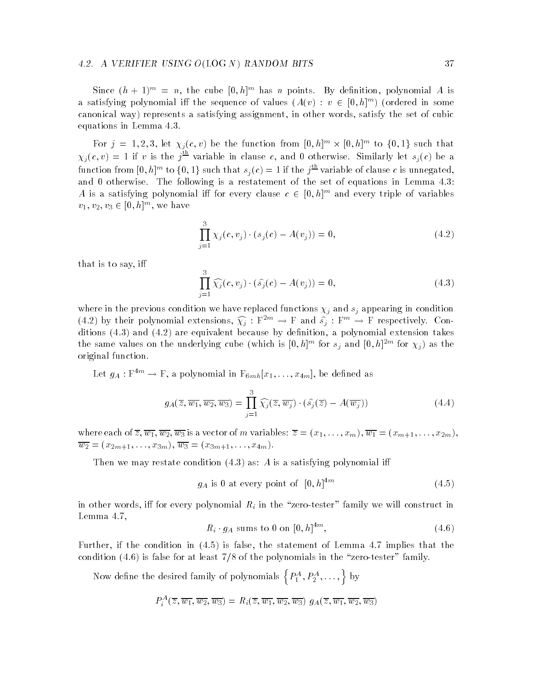### 4.2. A VERIFIER USING  $O($ LOG N ANDOM BITS

Since  $(n + 1)$  = n, the cube  $[0, n]$  - has n points. By denimition, polynomial A is a satisfying polynomial iff the sequence of values  $(A(v): v \in [0,h]^m)$  (ordered in some canonical way represents a satisfying assignment-cubic assignment-cubic control of cubic control of cubic control of cubic control of cubic control of cubic control of cubic control of cubic control of cubic control of cub equations in Lemma and Lemma and Lemma and Lemma and Lemma and Lemma and Lemma and Lemma and Lemma and Lemma

For  $j = 1, 2, 3$ , let  $\chi_j(c, v)$  be the function from  $[0, h]^m \times [0, h]^m$  to  $\{0, 1\}$  such that  $\chi_i(c, v) = 1$  if v is the j<sup>\*\*</sup> variable in clause c, and 0 otherwise. Similarly let  $s_i(c)$  be a function from  $[0,h]^m$  to  $\{0,1\}$  such that  $s_j(c)=1$  if the  $j^{\frac{m}{m}}$  variable of clause c is unnegated, and a construction with following is a restatement of the set of equations in Lemma is  $\alpha$ A is a satisfying polynomial iff for every clause  $c \in [0, h]^m$  and every triple of variables  $v_1, v_2, v_3 \in [0, h]^m$ , we have

$$
\prod_{j=1}^{3} \chi_j(c, v_j) \cdot (s_j(c) - A(v_j)) = 0,
$$
\n(4.2)

that is to say  $\mathcal{L}$  is to say  $\mathcal{L}$  is to say  $\mathcal{L}$ 

$$
\prod_{j=1}^{3} \widehat{\chi_j}(c, v_j) \cdot (\widehat{s_j}(c) - A(v_j)) = 0,
$$
\n(4.3)

where in the previous condition we have replaced functions  $\chi_i$  and  $s_j$  appearing in condition (4.2) by their polynomial extensions,  $\chi_i : F^{\pm m} \to F$  and  $s_i : F^{\pm m} \to F$  respectively. Conare extensions are equivalent by denition-takes by denimial extension takes and there are a the same values on the underlying cube (which is  $[0,n]^m$  for  $s_j$  and  $[0,n]^{-m}$  for  $\chi_j$ ) as the original function

Let  $q_A:$  Find  $\rightarrow$  F, a polynomial in Figmh  $x_1,\ldots,x_{4m}$  , be defined as

$$
g_A(\overline{z}, \overline{w_1}, \overline{w_2}, \overline{w_3}) = \prod_{j=1}^3 \widehat{\chi_j}(\overline{z}, \overline{w_j}) \cdot (\widehat{s_j}(\overline{z}) - A(\overline{w_j}))
$$
(4.4)

we are easily to provide the compart of the compart of the street of the street of the street of the street of w xm- -x-m- w- x-m- -xm

the masses we may restate conditions to the polynomial intervals and the condition of the condition of the condition of the condition of the condition of the condition of the condition of the condition of the condition of

$$
g_A \text{ is 0 at every point of } [0, h]^{4m} \tag{4.5}
$$

in other words-definition  $\mathcal{N}$  for every polynomial Ri in the zerotester family we will construct in the zerotester family we will construct in the zerotester family we will construct in the  $\mathcal{N}$  $Lemma 4.7,$ 

$$
R_i \cdot g_A \text{ sums to 0 on } [0, h]^{4m}, \qquad (4.6)
$$

Further- if the condition in is false- the statement of Lemma implies that the condition  $(4.6)$  is false for at least  $7/8$  of the polynomials in the "zero-tester" family.

Now define the desired family of polynomials  $\left\{P^A_1, P^A_2, \ldots, \right\}$  by

$$
P_i^A(\overline{z}, \overline{w_1}, \overline{w_2}, \overline{w_3}) = R_i(\overline{z}, \overline{w_1}, \overline{w_2}, \overline{w_3}) g_A(\overline{z}, \overline{w_1}, \overline{w_2}, \overline{w_3})
$$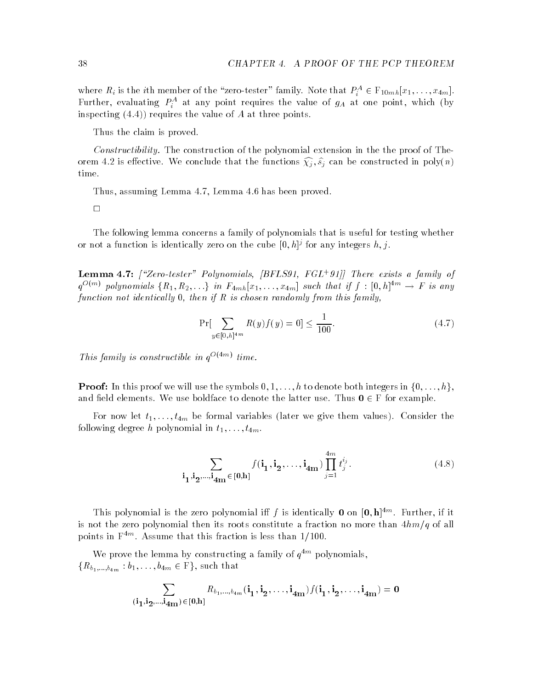where  $R_i$  is the *i*th member of the "zero-tester" family. Note that  $P_i^A \in \mathrm{F}_{10m h}[x_1,\ldots,x_{4m}]$ . Further, evaluating  $F_i$  at any point requires the value of  $g_A$  at one point, which (by inspecting  $(4.4)$  requires the value of A at three points.

Thus the claim is proved

Constructibility- The construction of the polynomial extension in the the proof of The orem the section of the functions chan be functions  $\Lambda_{II}$  , and it point the functions  $\mathbb{P}^{\text{reg}}$  (ii) time

Thus- assuming Lemma - Lemma has been proved

 $\Box$ 

The following lemma concerns a family of polynomials that is useful for testing whether or not a function is identically zero on the cube  $[0, h]^s$  for any integers  $h, \mathcal{T}$ .

**Lemma 4.1:** | Zero-tester Polynomials, |BFLS91, FGL 91|| Inere exists a family of  $q^{O(m)}$  polynomials  $\{R_1, R_2, \ldots\}$  in  $F_{4mh}[x_1, \ldots, x_{4m}]$  such that if  $f : [0,h]^{4m} \to F$  is any function not identically  $0$ , then if R is chosen randomly from this family,

$$
\Pr[\sum_{y \in [0,h]^{4m}} R(y)f(y) = 0] \le \frac{1}{100}.\tag{4.7}
$$

This family is constructible in  $q^{O(4m)}$  time.

**Proof:** In this proof we will use the symbols  $0, 1, \ldots, h$  to denote both integers in  $\{0, \ldots, h\},$ and field elements. We use boldface to denote the latter use. Thus  $0 \in F$  for example.

 $\Box$  i-m tm be formal values  $\Box$ following degree here in the contract of the contract of  $\mathbf{r}$  in the contract of the contract of the contract of the contract of the contract of the contract of the contract of the contract of the contract of the cont

$$
\sum_{\mathbf{i_1}, \mathbf{i_2}, \dots, \mathbf{i_{4m}}} f(\mathbf{i_1}, \mathbf{i_2}, \dots, \mathbf{i_{4m}}) \prod_{j=1}^{4m} t_j^{i_j}.
$$
 (4.8)

I ms polynomial is the zero polynomial in  $\bar{f}$  is identically **U** on  $|\mathbf{U}, \mathbf{n}|^{\text{2m}}$ . Further, if it is not the zero polynomial then its roots constitute a fraction no more than  $4hm/q$  of all points in  $F^{\prime\prime\prime}$ . Assume that this fraction is less than 1/100.

We prove the lemma by constructing a family of  $q^{\mu\nu}$  polynomials,  ${R_{b_1,...,b_{4m}} : b_1, \ldots, b_{4m} \in F}$ , such that

$$
\sum_{(\mathbf{i}_1, \mathbf{i}_2, \dots, \mathbf{i}_{4\mathbf{m}}) \in [\mathbf{0}, \mathbf{h}]} R_{b_1, \dots, b_{4m}}(\mathbf{i}_1, \mathbf{i}_2, \dots, \mathbf{i}_{4\mathbf{m}}) f(\mathbf{i}_1, \mathbf{i}_2, \dots, \mathbf{i}_{4\mathbf{m}}) = \mathbf{0}
$$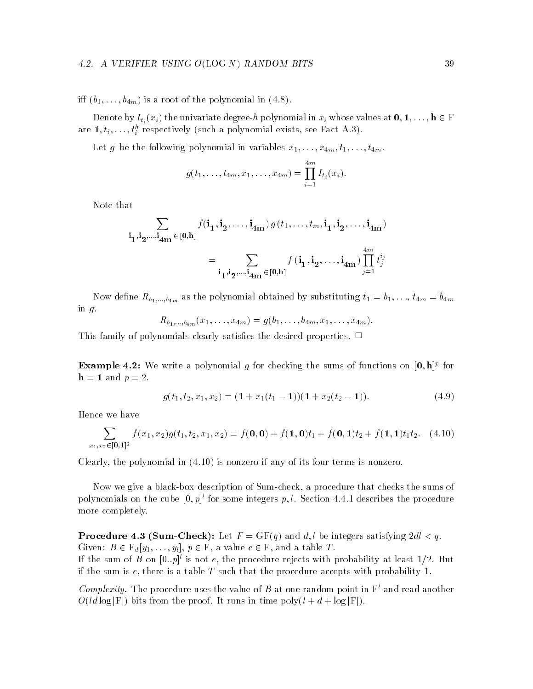### 4.2. A VERIFIER USING  $O($ LOG N ) RANDOM BITS

if because the polynomial intervals of the polynomial intervals of the polynomial intervals of the polynomial intervals of the polynomial intervals of the polynomial intervals of the polynomial intervals of the polynomial

Denote by  $I_{t_i}(x_i)$  the univariate degree- $h$  polynomial in  $x_i$  whose values at  ${\bf 0}, {\bf 1}, \ldots, {\bf h} \in \Gamma$ are  $\bm{1}, t_i, \ldots, t_i$  respectively (such a polynomial exists, see Fact A.3).

Let g be the following polynomial in variables x- -xm- t- - tm

$$
g(t_1,\ldots,t_{4m},x_1,\ldots,x_{4m})=\prod_{i=1}^{4m}I_{t_i}(x_i).
$$

Note that

$$
\sum_{\mathbf{i_1}, \mathbf{i_2}, \dots, \mathbf{i_{4m}}} f(\mathbf{i_1}, \mathbf{i_2}, \dots, \mathbf{i_{4m}}) g(t_1, \dots, t_m, \mathbf{i_1}, \mathbf{i_2}, \dots, \mathbf{i_{4m}})
$$
\n
$$
= \sum_{\mathbf{i_1}, \mathbf{i_2}, \dots, \mathbf{i_{4m}}} f(\mathbf{i_1}, \mathbf{i_2}, \dots, \mathbf{i_{4m}}) \prod_{j=1}^{4m} t_j^{i_j}
$$

 $\mathcal{L} = \{1, \ldots, 04m \}$  is the polynomial obtained by substituting the polynomial obtained by substituting the polynomial of  $\mathcal{L} = \{1, \ldots, 04m \}$ in  $g$ .

$$
R_{b_1,\ldots,b_{4m}}(x_1,\ldots,x_{4m})=g(b_1,\ldots,b_{4m},x_1,\ldots,x_{4m}).
$$

This family of polynomials clearly satisfies the desired properties.  $\Box$ 

**Example 4.2:** We write a polynomial  $q$  for checking the sums of functions on  $[0, n]^r$  for  $h = 1$  and  $p = 2$ .

$$
g(t_1, t_2, x_1, x_2) = (1 + x_1(t_1 - 1))(1 + x_2(t_2 - 1)).
$$
\n(4.9)

Hence we have

$$
\sum_{x_1,x_2 \in [0,1]^2} f(x_1,x_2)g(t_1,t_2,x_1,x_2) = f(\mathbf{0},\mathbf{0}) + f(\mathbf{1},\mathbf{0})t_1 + f(\mathbf{0},\mathbf{1})t_2 + f(\mathbf{1},\mathbf{1})t_1t_2. \tag{4.10}
$$

Clearly- the polynomial in  is nonzero if any of its four terms is nonzero

Now we give a blackbox description of Sumcheck- a procedure that checks the sums of polynomials on the cube  $[0, p]$  for some integers  $p, t$ . Section 4.4.1 describes the procedure more completely

 $\mathbf{S}$  and definition  $\mathbf{S}$  and definition  $\mathbf{S}$  and definition  $\mathbf{S}$  and definition  $\mathbf{S}$ Given:  $B \in \mathbb{F}_d[y_1,\ldots,y_l], p \in \mathbb{F}$ , a value  $c \in \mathbb{F}$ , and a table T. If the sum of  $B$  on  $[0..p]$  is not c, the procedure rejects with probability at least  $1/Z$ . But

if the sum is a table T sum is a table T sum is a table T such that the probability with probability with probability with probability with probability with probability with probability with probability with probability wi Complexity. The procedure uses the value of B at one random point in Fl and read another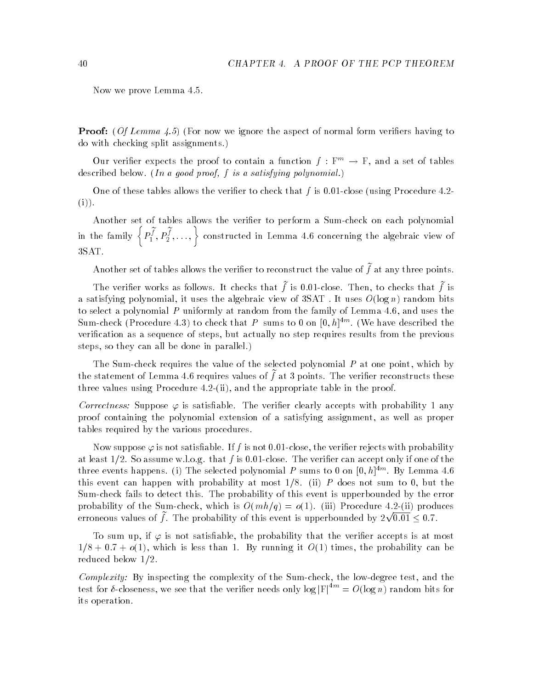Now we prove Lemma

Proof Of Lemma 
- For now we ignore the aspect of normal form veriers having to do with checking split assignments

Our veriner expects the proof to contain a function  $f : F^* \to F$ , and a set of tables described below In a good proof f is a satisfying polynomial-

One of these tables allows the verifier to check that  $f$  is 0.01-close (using Procedure 4.2- $(i)$ ).

Another set of tables allows the verifier to perform a Sum-check on each polynomial in the family  $\left\{P_1^{\widetilde{f}},P_2^{\widetilde{f}}\right\}$  $\{\widetilde{f}, P^{\widetilde{f}}_2, \ldots, \Big\}$  constructed in Lemma 4.6 concerning the algebraic view of

Another set or tables ahows the verifier to reconstruct the value or  $f$  at any three points.  $\blacksquare$ 

The verifier works as follows. It checks that  $f$  is 0.01-close. Then, to checks that  $f$  is a satisfying polynomial- it uses the algebraic view of SAT It uses Olog n random bits to select a polynomial P uniformly at random from the family of Lemma - the family of  $\mathcal{L}$ Sum-check (Procedure 4.3) to check that P sums to 0 on  $[0, n]^{+\infty}$ . (We have described the verication as a sequence of step requires requires requires requires requires requires requires requires requires requires requires requires requires requires requires requires requires requires requires requires requires steps to a limit, and in parallel in parallel in parallel in

the Sum and the Summer the value of the selected polynomials with the point-( ) which  $\beta$ the statement of Lemma  $4.0$  requires values of  $\mu$  at  $\delta$  points. The verifier reconstructs these three values using Procedure ii- and the appropriate table in the proof

Correctness: Suppose  $\varphi$  is satisfiable. The verifier clearly accepts with probability 1 any proof containing the polynomial extension of a satisfying assignment- as well as proper tables required by the various procedures

Now suppose is not satisable If f is not close- the verier rejects with probability at least  $1/2$ . So assume w.l.o.g. that f is 0.01-close. The verifier can accept only if one of the three events happens. (1) I he selected polynomial P sums to 0 on  $[0, h]^{+\infty}$ . By Lemma 4.0 this event can happen with probability at most  $\pi_i$  of  $\pi_j$  , and there are not sum to  $\pi_i$ Sum-check fails to detect this. The probability of this event is upperbounded by the error probability of the Sumcheck-Summer in the Summer in the Summer in the Summer in the Summer in the Summer in th erroneous values of f. The probability of this event is upperbounded by  $2\sqrt{0.01} \leq 0.7$ .

. If it is not satisfact the verified and the probability the verified the verified and the verified that the v of all interests the probability is determined it O times- and the probability can be computed to the probabili reduced below  $1/2$ .

complexity By inserting the complexity of the Summer the Summer test-state testtest for  $\delta$ -closeness, we see that the verifier needs only  $\log |\mathcal{F}|^{4m} = O(\log n)$  random bits for its operation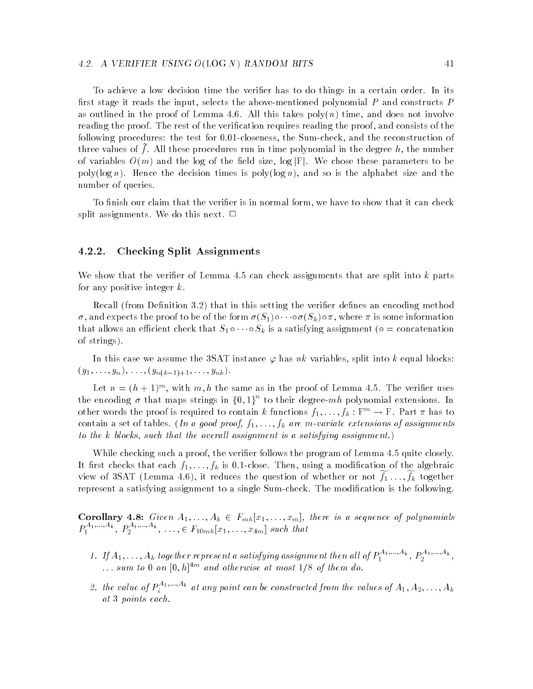To achieve a low decision time the verifier has to do things in a certain order. In its rst stage it reads the input- selects the abovementioned polynomial P and constructs P as outlined in the proof of Lemma All this takes polyn time- and does not involve reading the proof The rest of the verication requires reading the proof- and consists of the following procedures the test for closeness- the Sumcheck- and the reconstruction of three values of  $f$ . All these procedures run in time porynomial in the degree  $n$ , the number of variables  $O(m)$  and the log of the field size, log  $|F|$ . We chose these parameters to be polytog n Hence the decision times is polytog n-1 met the alphabet size and the the alphabet size and number of queries

To nish our claim that the verier is in normal form- we have to show that it can check split assignments. We do this next.  $\square$ 

### Checking Split Assignments

We show that the verifier of Lemma  $4.5$  can check assignments that are split into k parts for any positive integer  $k$ .

Recall from Denition that in this setting the verier denes an encoding method  $\sigma,$  and expects the proof to be of the form  $\sigma(S_1)$ o $\cdots$ o $\sigma(S_k)$ o $\pi,$  where  $\pi$  is some information that allows an efficient check that  $S_1 \circ \cdots \circ S_k$  is a satisfying assignment ( $\circ =$  concatenation of strings

In this case we assume the SAT instance has nk variables- split into k equal blocks ヽ ノ ユ ノ \_ \_ ノ ノ ノ ノ ノ ノ / l l N ━ ユ l ㅜ ユ ノ \_ \_ ノ ノ / l l / / \_ \_ \_ \_ / ノ / l l /

Let  $n = (n + 1)^n$ , with  $m, n$  the same as in the proof of Lemma 4.5. The verifier uses the encoding  $\sigma$  that maps strings in  $\{0,1\}^n$  to their degree-mh polynomial extensions. In other words the proof is required to contain  $\kappa$  functions  $j_1,\ldots,j_k:\mathbf{F}^m\to\mathbf{F}$  . Part  $\pi$  has to contain a set of tables In a good proof, jill and just are contained the contained by decay contained to the k blocks such that the overal l assignment is a satisfying assignment-

While checking such a proof- the verier follows the program of Lemma quite closely  $J=1$  and the algebraic control  $J=0$  . Then  $\alpha$ view of  $\partial \Omega$ . The finition  $\{1, ..., k\}$  to reduces the question of whether of not  $f_1, ..., f_k$  together represent a satisfying assignment to a single Sum-check. The modification is the following.

**Corollary 4.8:** Given  $A_1, \ldots, A_k \in F_{mh}[x_1, \ldots, x_m]$ , there is a sequence of polynomials  $P_1^{A_1, \ldots, A_k}$ ,  $P_2^{A_1, \ldots, A_k}$ , ...,  $\in F_{10mh}[x_1, \ldots, x_{4m}]$  such that

- 1. If  $A_1, \ldots, A_k$  together represent a satisfying assignment then all of  $P_1^{x_1, \ldots, x_k}, P_2^{x_2, \ldots, x_k}$  $\ldots$  sum to  $\mathsf{U}$  on  $\mathsf{U}, h$   $\vdots$  and otherwise at most 1/8 of them do.
- 2. the value of  $P_i^{(1)}$  at any point can be constructed from the values of  $A_1, A_2, \ldots, A_k$ at points each contract of the contract of the contract of the contract of the contract of the contract of the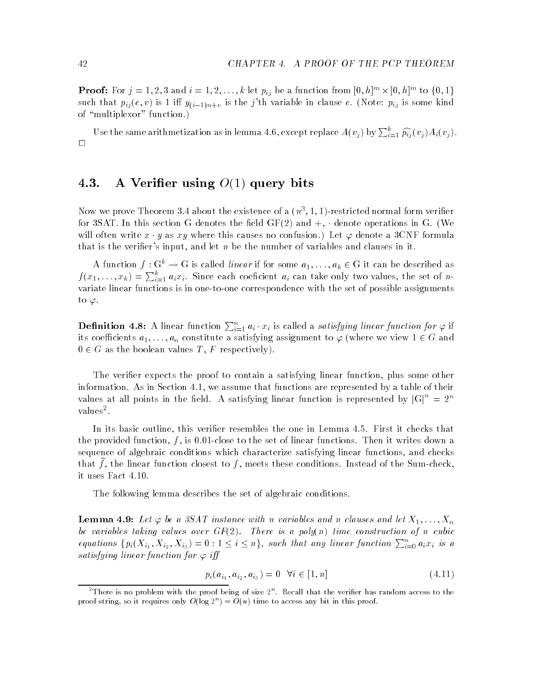**Proof:** For  $j = 1, 2, 3$  and  $i = 1, 2, ..., k$  let  $p_{ij}$  be a function from  $[0, h]^m \times [0, h]^m$  to  $\{0, 1\}$ such that pins  $p$  is the such  $p$  is  $p$  in  $p$  is the some kind  $p$  is some kind  $p$  is some kind. of "multiplexor" function.)

Use the same arithmetization as in lemma 4.6, except replace  $A(v_j)$  by  $\sum_{i=1}^s \widehat{p_{ij}}(v_j)A_i(v_j)$ .  $\Box$ 

## $\mathbf{a}$  ,  $\mathbf{b}$  and  $\mathbf{b}$  and  $\mathbf{b}$  and  $\mathbf{c}$  and  $\mathbf{c}$

Now we prove 1 neorem 3.4 about the existence of a  $(n^*,1,1)$  restricted normal form verifier for op $A$  . In this section  $\alpha$  denotes the neight  $A$  and  $\pm$  , aenote operations in  $\alpha$  , ( we will often write  $x \cdot y$  as  $xy$  where this causes no confusion. Let  $\varphi$  denote a  $\delta$ CNF formula that is the verified and and let not the number of variables in its continuous and clauses in its control

A function  $f: G^{\alpha} \to G$  is called *linear* if for some  $a_1, \ldots, a_k \in G$  it can be described as  $f(x_1, \ldots, x_k) = \sum_{i=1}^k a_i x_i$ . Since each coeficient  $a_i$  can take only two values, the set of nvariate linear functions is in one-to-one correspondence with the set of possible assignments to  $\varphi$ .

**Definition** 4.8: A linear function  $\sum_{i=1}^n a_i \cdot x_i$  is called a *satisfying linear function for*  $\varphi$  if its coefficients  $a_1,\ldots,a_n$  constitute a satisfying assignment to  $\varphi$  (where we view  $1\in G$  and  $0 \in G$  as the boolean values T, F respectively).

The verier expects the proof to contain a satisfying linear function- plus some other information As in Section - we assume that functions are represented by a table of their values at all points in the field. A satisfying linear function is represented by  $|G|^n = 2^n$ values

In its basic outline- this verier resembles the one in Lemma First it checks that ... provided function, I was the set of the set of the set of the set of the set of linear functions  $\alpha$ sequence of algebraic conditions which characterize satisfying linear functions- and checks  $_{\rm{t}}$  rue infear function closest to  $_{l}$ , meets these conditions. Instead of the Sum-check, it uses Fact 

The following lemma describes the set of algebraic conditions

 $\mathbf{L}^j = \begin{bmatrix} 1 & 1 & 1 \end{bmatrix}$ be variables taking values over GF- There is a polyn time construction of n cubic equations  $\{p_i(X_{i_1}, X_{i_2}, X_{i_3}) = 0: 1 \leq i \leq n\}$ , such that any linear function  $\sum_{i=0}^n a_i x_i$  is a satisfying linear function for  $\varphi$  iff

$$
p_i(a_{i_1}, a_{i_2}, a_{i_3}) = 0 \quad \forall i \in [1, n]
$$
\n
$$
(4.11)
$$

 $\tilde{\ }$  There is no problem with the proof being of size 2". Recall that the verifier has random access to the  $\;$ proof string, so it requires only  $O(\log 2^{n}) = O(n)$  time to access any bit in this proof.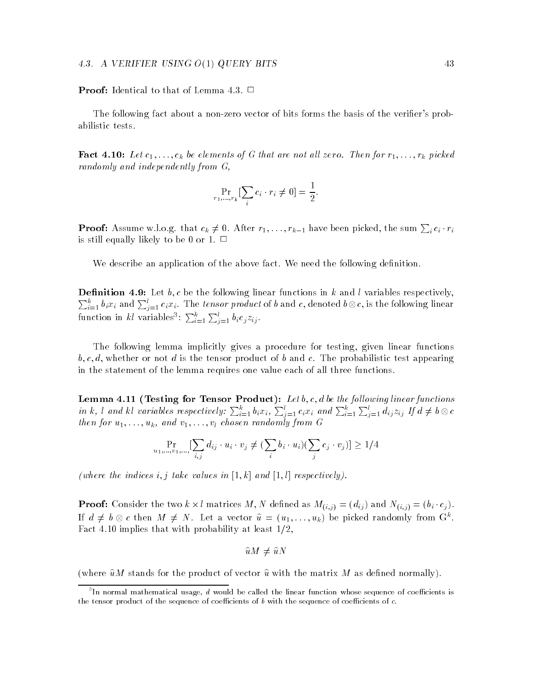The following fact about a non-zero vector of bits forms the basis of the verifier's probabilistic tests

 $\mathbf{F}$  for all  $\mathbf{F}$  are not all  $\mathbf{F}$  are not all  $\mathbf{F}$  are not all  $\mathbf{F}$  are not all  $\mathbf{F}$ randomly and independently from G

$$
\Pr_{r_1,\ldots,r_k}[\sum_i c_i \cdot r_i \neq 0] = \frac{1}{2}.
$$

**Proof:** Assume w.l.o.g. that  $c_k \neq 0$ . After  $r_1,\ldots,r_{k-1}$  have been picked, the sum  $\sum_i c_i \cdot r_i$ is still equally likely to be 0 or 1.  $\Box$ 

We describe an application of the above fact. We need the following definition.

Denition Let b- c be the following linear functions in k and l variables respectively- $\sum_{i=1}^{\kappa} b_i x_i$  and  $\sum_{j=1}^{\kappa} c_i x_j$ . The tensor product of b and c, denoted  $b \otimes c$ , is the following linear function in kl variables<sup>3</sup>:  $\sum_{i=1}^{\kappa}\sum_{j=1}^{\iota}b_{i}c_{j}z_{ij}$ .

The following lemma implicitly gives a procedure for testing- given linear functions or the contract or not do in the tensor product or the model of production test appearing the probability of t in the statement of the lemma requires one value each of all three functions

Lemma Testing for Tensor Product Let b- c- d be the fol lowing linear functions in k, l and kl variables respectively:  $\sum_{i=1}^k b_i x_i$ ,  $\sum_{j=1}^l c_i x_i$  and  $\sum_{i=1}^k \sum_{j=1}^l d_{ij} z_{ij}$  If  $d \neq b \otimes c$ then for unit would be used to the value of the chosen random value of the chosen random value of the chosen r

$$
\Pr_{u_1,\ldots,v_1,\ldots,\big[\sum_{i,j} d_{ij} \cdot u_i \cdot v_j \ne \big(\sum_i b_i \cdot u_i\big)\big(\sum_j c_j \cdot v_j\big)\big] \ge 1/4
$$

where it is taken in the indices in  $\mathcal{U}$ 

**Proof:** Consider the two k  $\times l$  matrices M, N defined as  $M_{(i,j)} = (d_{ij})$  and  $N_{(i,j)} = (b_i \cdot c_j)$ . If  $d \neq b \otimes c$  then  $M \neq N$ . Let a vector  $\hat{u} = (u_1, \ldots, u_k)$  be picked randomly from  $G^k$ . Fact 4.10 implies that with probability at least  $1/2$ ,

$$
\widehat{u}M \neq \widehat{u}N
$$

(where  $\hat{u}M$  stands for the product of vector  $\hat{u}$  with the matrix M as defined normally).

In normal mathematical usage,  $d$  would be called the linear function whose sequence of coefficients is  $\hspace{0.1em}$ the tensor product of the sequence of coefficients of  $b$  with the sequence of coefficients of  $c$ .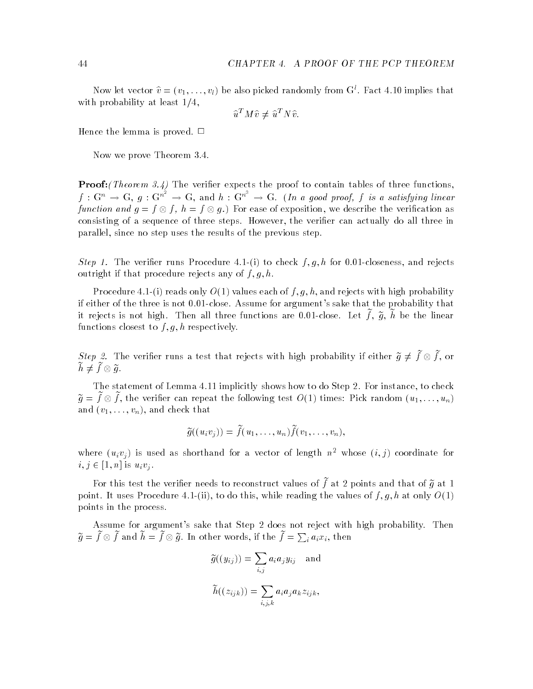Now let vector  $v = (v_1, \ldots, v_l)$  be also picked randomly from G . Fact 4.10 implies that with probability at least  $1/4$ .

$$
\hat{u}^T M \hat{v} \neq \hat{u}^T N \hat{v}.
$$

Hence the lemma is proved.  $\Box$ 

Now we prove Theorem and the proven theorem and the proven theorem and the proven theorem and the proven theorem and the proven theorem and the proven the proven theorem and the proven theorem and the proven theorem and th

ProofTheorem - The verier expects the proof to contain tables of three functions $f: G^n \to G$ ,  $g: G^{n} \to G$ , and  $h: G^{n} \to G$ . (In a good proof, f is a satisfying linear function and  $q = f \otimes f$ ,  $h = f \otimes q$ . For ease of exposition, we describe the verification as consisting of a sequence of the sequence steps However-Can actually do all the verifies  $\sim$ parallel - since the results of the results of the previous step to the previous step to the previous step to

step et electronical electronical che <sub>l</sub>ej transformati inglesie controllente electronicale electronicale in l outright if the procedure rejects any of f-f-f-

. A statistic is the first with the contracted only and the first with the contracted and the probability of t if either of the three is not  $0.01$ -close. Assume for argument's sake that the probability that it refects is not high. Then an three functions are  $0.01$  close. Let  $\mu$ ,  $\mu$  be the finear  $$ functions closest to f- g- h respectively

*Step 2.* The verifier runs a test that rejects with high probability if either  $\widetilde{g} \neq f \otimes f$ , or  $h \neq f \otimes \widetilde{g}$ .

The statement of Lemma implicitly shows how to do Step For instance- to check  $g = f \otimes f$ , the verifier can repeat the following test  $O(1)$  times: Pick random  $(u_1, \ldots, u_n)$ and v-check that is a set of the check that is a set of the check that is a set of the check that is  $v$ 

$$
\widetilde{g}((u_iv_j))=\widetilde{f}(u_1,\ldots,u_n)\widetilde{f}(v_1,\ldots,v_n),
$$

where  $(u_iv_j)$  is used as shorthand for a vector of length  $n^-$  whose  $(i,j)$  coordinate for  $i, j \in [1, n]$  is  $u_i v_j$ .

For this test the verifier needs to reconstruct values or  $\mu$  at  $z$  points and that or  $q$  at  $1$ point it while it is a complete the values of the values of from the values of the values of  $\mathbb{F}_q$ points in the process

Assume for argument's sake that Step 2 does not reject with high probability. Then  $\widetilde{g} = f \otimes f$  and  $h = f \otimes \widetilde{g}$ . In other words, if the  $f = \sum_i a_i x_i$ , then

$$
\widetilde{g}((y_{ij})) = \sum_{i,j} a_i a_j y_{ij} \text{ and}
$$

$$
\widetilde{h}((z_{ijk})) = \sum_{i,j,k} a_i a_j a_k z_{ijk},
$$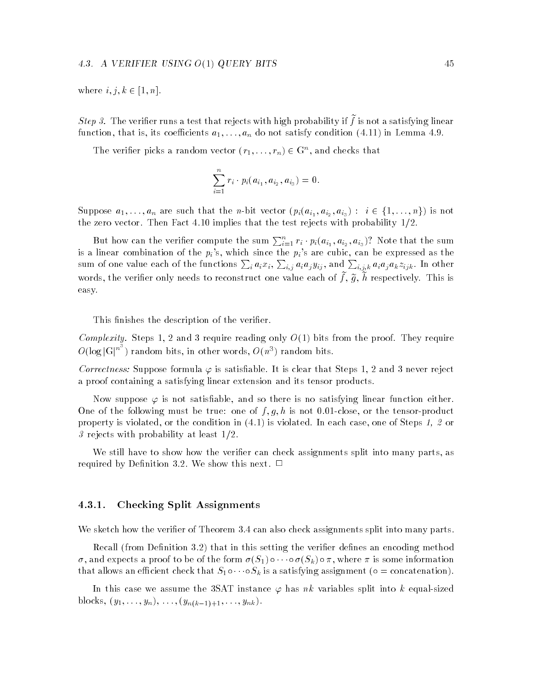where  $i, j, k \in [1, n]$ .

 $Step\; 3.$  The veriner runs a test that rejects with high probability if  $\mu$  is not a satisfying iniear  $\mu$ function- is-coefficient a-model in  $\mathbf{I}$  and  $\mathbf{I}$  are an operation in Lemma in Lemma in Lemma in Lemma in Lemma in Lemma in Lemma in Lemma in Lemma in Lemma in Lemma in Lemma in Lemma in Lemma in Lemma in Lemma in

The verifier picks a random vector  $(r_1,\ldots,r_n)\in \mathbb{G}^n$ , and checks that

$$
\sum_{i=1}^n r_i \cdot p_i(a_{i_1}, a_{i_2}, a_{i_3}) = 0.
$$

Suppose  $a_1, \ldots, a_n$  are such that the *n*-bit vector  $(p_i(a_{i_1}, a_{i_2}, a_{i_3}) : i \in \{1, \ldots, n\})$  is not the zero vector. Then Fact 4.10 implies that the test rejects with probability  $1/2$ .

But how can the verifier compute the sum  $\sum_{i=1}^n r_i \cdot p_i(a_{i_1}, a_{i_2}, a_{i_3})$ ? Note that the sum is a matrix combination of the pi  $\alpha$  since the pixels are cubic-pixels are cubic-pixels as the the pixels of sum of one value each of the functions  $\sum_i a_i x_i, \sum_{i,j} a_i a_j y_{ij},$  and  $\sum_{i,j,k} a_i a_j a_k z_{ijk}.$  In other words, the verifier only needs to reconstruct one value each or  $\mu$ ,  $q$ ,  $\mu$  respectively. This is easy

This finishes the description of the verifier.

e and the proof the proof They require require reading on the proof They require the proof They require the proof  $O(\log |G|^{n^{\circ}})$  random bits, in other words,  $O(n^3)$  random bits.

Correctness Suppose formula is satisable It is clear that Steps - and never reject a proof containing a satisfying linear extension and its tensor products

Now suppose is not satisable- and so there is no satisfying linear function either One of the following must be true one of f- g- h is not close- or the tensorproduct property is violated- or the condition in is violated In each case- one of Steps or referred with probability at least  $\mathbf{r}$ 

where the veriences assignments split into many parts-into many parts-into many parts-into many parts-into many partsrequired by Denition and Street and Street and Street and Street and Street and Street and Street and Street and

### $4.3.1.$ Checking Split Assignments

We sketch how the verier of Theorem can also check assignments split into many parts

Recall from Denition that in this setting the verier denes an encoding method  $\sigma,$  and expects a proof to be of the form  $\sigma(S_1) \circ \cdots \circ \sigma(S_k) \circ \pi,$  where  $\pi$  is some information that allows an efficient check that  $S_1 \circ \cdots \circ S_k$  is a satisfying assignment (  $\circ =$  concatenation).

In this case we assume the SAT instance has nk variables split into <sup>k</sup> equalsized , \J\_\_, ,Jn(), ,\Jn(), \_\_\_\_\_\_, ,Jn(),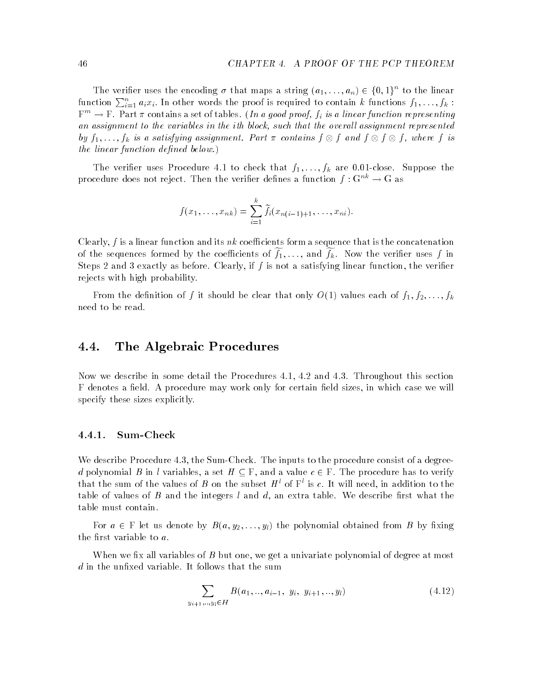The verifier uses the encoding  $\sigma$  that maps a string  $(a_1,\ldots,a_n)\in\{0,1\}^n$  to the linear function  $\sum_{i=1}^n a_i x_i$ . In other words the proof is required to contain k functions  $f_1,\ldots,f_k$ :  $F^m \to F$ . Part  $\pi$  contains a set of tables. (In a good proof,  $f_i$  is a linear function representing an assignment to the variables in the ith block, such that the overall assignment represented by  $f_1,\ldots,f_k$  is a satisfying assignment. Part  $\pi$  contains  $f \otimes f$  and  $f \otimes f \otimes f$ , where f is the linear function density  $\mathbf{I}$  function density  $\mathbf{I}$ 

 $J=1$  are are the contract that for the function  $J=1$  and  $\alpha$ procedure does not reject. Then the verifier defines a function  $f: G^{nk} \to G$  as

$$
f(x_1,...,x_{nk}) = \sum_{i=1}^k \widetilde{f}_i(x_{n(i-1)+1},...,x_{ni}).
$$

clearly- f is a model in the coecients form and its networking form and its concernstation that is the concern of the sequences formed by the coefficients of  $f_1,\ldots,$  and  $f_k$ . Now the verifier uses f in steps = definition, as a serier, certifying parameter is satisfying membership line control. rejects with high probability

From the denition of f it should be clear that only O values each of f- f- -fk need to be read

## The Algebraic Procedures

Now we describe in some detail the Procedures - and Throughout this section F denotes a eld A procedure may work only for certain eld sizes- in which case we will specify these sizes explicitly

### 4.4.1.

We describe Procedure - the SumCheck The inputs to the procedure consist of a degree d polynomial B in l variables, a set  $H \subseteq F$ , and a value  $c \in F$ . The procedure has to verify that the sum of the values of B on the subset  $H^+$  of F is C. It will need, in addition to the table of values of B and the integers l and d- an extra table We describe rst what the table must contain

For  $a \in F$  let us denote by  $B(a, y_2, \ldots, y_l)$  the polynomial obtained from B by fixing the first variable to  $a$ .

when we allow the contracts of B but one-polynomial of polynomial of degree at most  $\alpha$  $d$  in the unfixed variable. It follows that the sum

$$
\sum_{y_{i+1},\dots,y_l\in H} B(a_1,\dots,a_{i-1},\ y_i,\ y_{i+1},\dots,y_l) \tag{4.12}
$$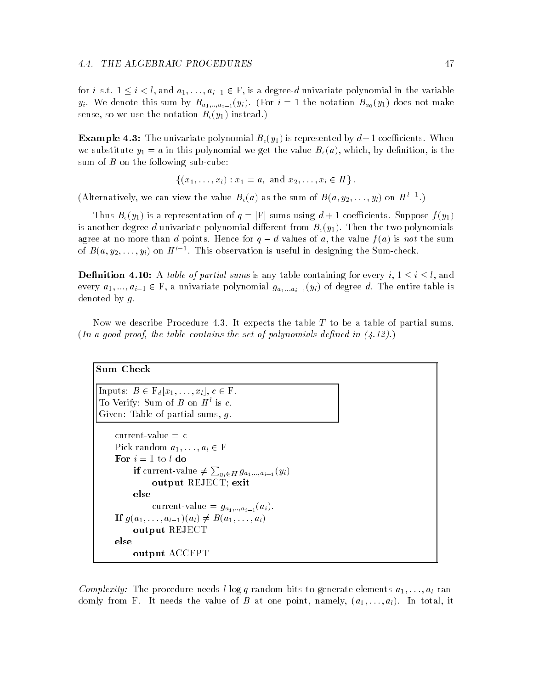for i s.t.  $1 \leq i < l$ , and  $a_1, \ldots, a_{i-1} \in F$ , is a degree-d univariate polynomial in the variable  $y_i$  with denote the notation  $y_i = u_1, ..., u_{i-1} \setminus y_i$  ,  $y_i$  for internal and  $v_i$  and  $u_0 \setminus y_1$  , and are expected sense-instead instead in so we use the notation  $\mathcal{L}(\mathcal{M})$  instead in the notation  $\mathcal{L}(\mathcal{M})$ 

**Example 4.3:** The univariate polynomial  $B_{\epsilon}(y_1)$  is represented by  $d+1$  coefficients. When we substitute the value  $\mathcal{S}$  in this polynomial we get the value  $\mathcal{S}$  is the value  $\mathcal{S}$ sum of  $B$  on the following sub-cube:

 $\{(x_1, \ldots, x_l) : x_1 = a, \text{ and } x_2, \ldots, x_l \in H\}.$ 

(Alternatively, we can view the value  $B_\epsilon(a)$  as the sum of  $B(a, y_2, \ldots, y_l)$  on  $H^{i-1}$ .)

Thus  $B_{\epsilon}(y_1)$  is a representation of  $q = |F|$  sums using  $d + 1$  coefficients. Suppose  $f(y_1)$ is another degree-d univariate polynomial different from  $B_{\epsilon}(y_1)$ . Then the two polynomials agree at no more than  $a$  points. Hence for  $q = a$  values of  $a$ , the value  $f(a)$  is not the sum of  $B(a, y_2, \ldots, y_l)$  on  $H^{i-1}$ . This observation is useful in designing the Sum-check.

**Definition** 4.10: A table of partial sums is any table containing for every i,  $1 \le i \le l$ , and every  $a_1, ..., a_{i-1} \in F$ , a univariate polynomial  $g_{a_1, ..., a_{i-1}}(y_i)$  of degree d. The entire table is denoted by  $q$ .

Now we describe Procedure It expects the table T to be a table of partial sums  $\mathbf{I}$  and the table contains the set of polynomials denominates the set of polynomials denominals denominates and  $\mathbf{I}$ 

| Sum-Check                                                                     |  |
|-------------------------------------------------------------------------------|--|
| Inputs: $B \in \mathbf{F}_d[x_1,\ldots,x_l], c \in \mathbf{F}$ .              |  |
| To Verify: Sum of B on $H^l$ is c.                                            |  |
| Given: Table of partial sums, $q$ .                                           |  |
| $current-value = c$                                                           |  |
| Pick random $a_1, \ldots, a_l \in F$                                          |  |
| For $i = 1$ to l do                                                           |  |
| <b>if</b> current-value $\neq \sum_{y_i \in H} g_{a_1, \ldots, a_{i-1}}(y_i)$ |  |
| output REJECT; exit                                                           |  |
| else                                                                          |  |
| current-value = $g_{a_1a_{i-1}}(a_i)$ .                                       |  |
| <b>If</b> $g(a_1, , a_{l-1})(a_l) \neq B(a_1, , a_l)$                         |  |
| output REJECT                                                                 |  |
| else                                                                          |  |
| output ACCEPT                                                                 |  |

 $\begin{array}{ccc} \text{C} & \text{C} & \text{C} & \text{C} & \text{C} & \text{C} & \text{C} & \text{C} & \text{C} & \text{C} & \text{C} & \text{C} & \text{C} & \text{C} & \text{C} & \text{C} & \text{C} & \text{C} & \text{C} & \text{C} & \text{C} & \text{C} & \text{C} & \text{C} & \text{C} & \text{C} & \text{C} & \text{C} & \text{C} & \text{C} & \text{C} & \text{C} & \text{C} & \text{C} & \text{C} & \text{$ dominate the value of  $\mathbf{F} = \mathbf{F} \mathbf{F} \mathbf{F} \mathbf{F} \mathbf{F} \mathbf{F} \mathbf{F} \mathbf{F} \mathbf{F} \mathbf{F} \mathbf{F} \mathbf{F} \mathbf{F} \mathbf{F} \mathbf{F} \mathbf{F} \mathbf{F} \mathbf{F} \mathbf{F} \mathbf{F} \mathbf{F} \mathbf{F} \mathbf{F} \mathbf{F} \mathbf{F} \mathbf{F} \mathbf{F} \mathbf{F} \mathbf{F} \mathbf{F} \mathbf{F} \mathbf{F$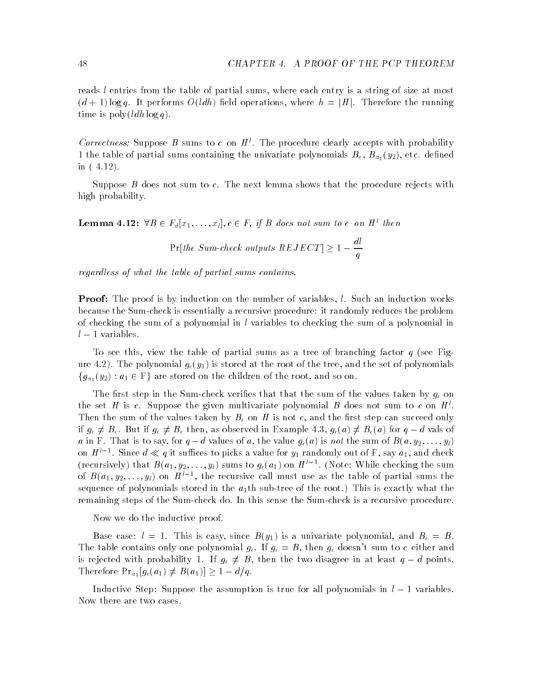reads i correcte of the the table of particles sums-particles them the string of string of string of string of  $(d+1) \log q$ . It performs  $O(ldh)$  field operations, where  $h = |H|$ . Therefore the running time is  $poly(ldh \log q)$ .

Correctness: Suppose B sums to c on  $H^l$ . The procedure clearly accepts with probability the table of partial sums containing the university  $\mathbf{e}_i$  -values  $\mathbf{e}_i$  -values  $\mathbf{e}_i$ in  $(4.12)$ .

Suppose  $B$  does not sum to  $c$ . The next lemma shows that the procedure rejects with high probability

**Lemma 4.12:**  $\forall B \in F_d[x_1, \ldots, x_l], c \in F$ , if B does not sum to c on  $H^l$  then

 $Pr[the Sum-check outputs REJECT] \geq 1$  –  $\rightarrow$  $\sim$  quality  $\sim$   $\sim$   $\sim$   $\sim$   $\sim$ 

regardless of what the table of partial sums contains.

Proof The proof is by induction on the number of variables- l Such an induction works because the Sum-check is essentially a recursive procedure: it randomly reduces the problem of checking the sum of a polynomial in  $l$  variables to checking the sum of a polynomial in  $\iota$  - 1 variables.

To see this-table of partial sums as a tree of branching factor  $\mathbf{u}$  tree of branching factor  $\mathbf{u}$ ure the polynomial gy is stored at the store of the the the the the set of the set of the set of polynomials  ${g_{a_1}(y_2): a_1 \in \mathrm{F}}$  are stored on the children of the root, and so on.

The first step in the Sum-check verifies that that the sum of the values taken by  $q_{\epsilon}$  on the set H is c. Suppose the given multivariate polynomial B does not sum to c on  $H^l$ . Then the sum of the sum of the values taken by B on H is not co-dimensional co-dimensional co-dimensional co-dimensional co-dimensional co-dimensional co-dimensional co-dimensional co-dimensional co-dimensional co-dimensi if  $g_\epsilon \neq B_\epsilon$ . But if  $g_\epsilon \neq B_\epsilon$  then, as observed in Example 4.3,  $g_\epsilon(a) \neq B_\epsilon(a)$  for  $q-d$  vals of  $a$  in F. That is to say, for  $q - a$  values of a, the value  $g_{\epsilon}(a)$  is not the sum of  $D(u, y_2, \ldots, y_l)$ on  $H^{i-1}$ . Since  $d \ll q$  it suffices to picks a value for  $y_1$  randomly out of F, say  $a_1$ , and check (recursively) that  $B(a_1,y_2,\ldots,y_l)$  sums to  $g_\epsilon(a_1)$  on  $H^{*-1}$ . (Note: While checking the sum of  $B(a_1, y_2, \ldots, y_l)$  on  $H^{*-1}$ , the recursive call must use as the table of partial sums the sequence of polynomials stored in the  $a_1$ th sub-tree of the root.) This is exactly what the remaining steps of the Sum-check do. In this sense the Sum-check is a recursive procedure.

Now we do the inductive proof

Base case l This is easy- since By is a univariate polynomial-The table contains only one polynomial  $g_{\epsilon}$ . If  $g_{\epsilon} = B$ , then  $g_{\epsilon}$  doesn't sum to c either and is rejected with probability 1. If  $g_{\epsilon} \neq B$ , then the two disagree in at least  $q-d$  points. Therefore  $Pr_{a_1}[g_{\epsilon}(a_1) \neq B(a_1)] \geq 1-d/q$ .

Inductive step. Suppose the assumption is true for an polynomials in  $\iota = 1$  variables. Now there are two cases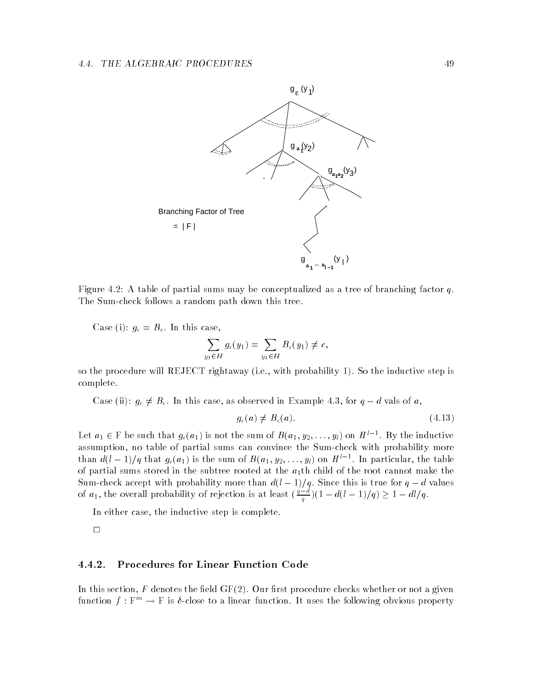

Figure 4.2: A table of partial sums may be conceptualized as a tree of branching factor  $q$ . The Sum-check follows a random path down this tree.

Case (i):  $g_{\epsilon} = B_{\epsilon}$ . In this case,

$$
\sum_{y_1 \in H} g_{\epsilon}(y_1) = \sum_{y_1 \in H} B_{\epsilon}(y_1) \neq c,
$$

so the procedure will REJECT rightaway ie- with probability So the inductive step is complete

Case (ii):  $g_{\epsilon} \neq B_{\epsilon}$ . In this case, as observed in Example 4.3, for  $q-d$  vals of a,

$$
g_{\epsilon}(a) \neq B_{\epsilon}(a). \tag{4.13}
$$

Let  $a_1 \in F$  be such that  $g_{\epsilon}(a_1)$  is not the sum of  $B(a_1, y_2, \ldots, y_l)$  on  $H^{*-1}$ . By the inductive assumption-by-convince of particles cannot can convince the Summer with probability more. than  $d(l-1)/q$  that  $g_{\epsilon}(a_1)$  is the sum of  $B(a_1,y_2,\ldots,y_l)$  on  $H^{*-1}$ . In particular, the table of partial sums stored in the subtree rooted at the  $a_1$ th child of the root cannot make the  $S$ um-check accept with probability more than  $a(t = 1)/q$ . Since this is true for  $q = a$  values of  $a_1$ , the overall probability of rejection is at least  $(\frac{q-a}{q})(1-d(l-1)/q) \geq 1-dl/q$ .

en either case-in either cases in the industry and industry and industry and in

### 4.4.2. Procedures for Linear Function Code

In this section-  $\mathbf{F}$  denotes the eld GF our rest procedure checks where  $\mathbf{F}$ function  $f: \mathbb{F}^m \to \mathbb{F}$  is  $\delta$ -close to a linear function. It uses the following obvious property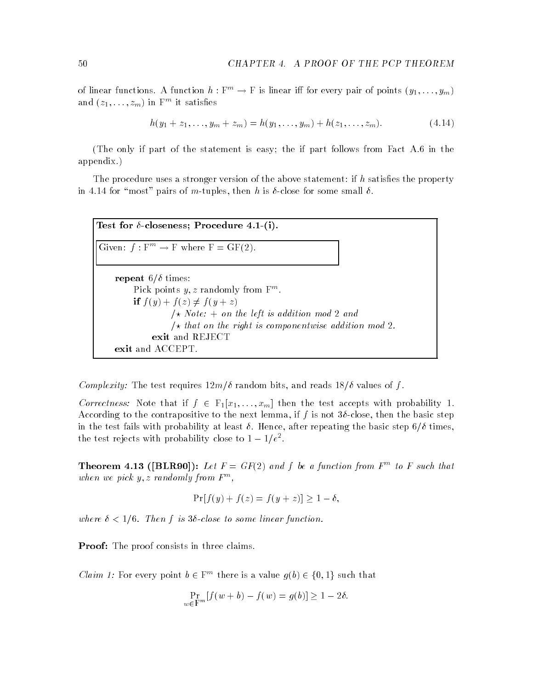of linear functions. A function  $n: \mathbb{F}^m \to \mathbb{F}$  is linear iff for every pair of points  $(y_1, \ldots, y_m)$ and  $(z_1,\ldots,z_m)$  in  ${\bf r}$   $\cdots$  it satisfies

$$
h(y_1 + z_1, \dots, y_m + z_m) = h(y_1, \dots, y_m) + h(z_1, \dots, z_m). \tag{4.14}
$$

The only if part of the statement is easy the if part follows from Fact A in the appendix

The procedure uses a stronger version of the above statement: if h satisfies the property in for most pairs of mtuples- then h is close for some small 



complexity the test requires models, reads and and reads reads they are stated in the

Correctness: Note that if  $f \in F_1 | x_1, \ldots, x_m |$  then the test accepts with probability 1. According to the contrapositive to the next lemma- if f is not close- then the basic step in the test fails with probability at least  Hence- after repeating the basic step  timesthe test rejects with probability close to  $1 - 1/e^2$ .

**Theorem 4.15 (BLR90):** Let  $F = GF(Z)$  and f be a function from  $F$  to F such that when we pick  $y, z$  randomly from  $F^m$ ,

$$
\Pr[f(y) + f(z) = f(y + z)] \ge 1 - \delta,
$$

where  $\sim$  , we can find the function function  $\sim$  . Then functionally contained the contract of the contact of

**Proof:** The proof consists in three claims.

*Claim 1:* For every point  $b \in \mathbb{F}^m$  there is a value  $g(b) \in \{0,1\}$  such that

$$
\Pr_{w \in \mathbb{F}^m} [f(w + b) - f(w) = g(b)] \ge 1 - 2\delta.
$$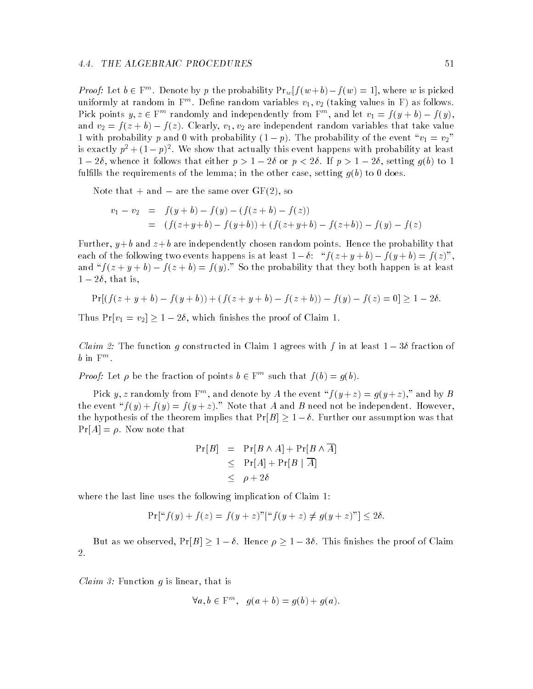### 4.4. THE ALGEBRAIC PROCEDURES

*Proof:* Let  $b \in \mathbb{F}^m$ . Denote by p the probability  $\Pr_w | f(w+b) - f(w) = 1 |$ , where w is picked uniformly at random in Fm. Denne random variables  $v_1, v_2$  (taking values in F) as follows. Pick points  $y, z \in F^m$  randomly and independently from  $F^m$ , and let  $v_1 = f(y + b) - f(y)$ , and  $v_2 = f(x + \sigma) = f(z)$ . Clearly,  $v_1, v_2$  are independent random variables that take value T with probability p and 0 with probability  $(1-p)$ . The probability of the event  $v_1 = v_2$ is exactly  $p^2 + (1-p)^2$ . We show that actually this event happens with probability at least  $1 - 20$ , whence it follows that either  $p > 1 - 20$  or  $p \le 20$ . If  $p > 1 - 20$ , setting  $q(\theta)$  to 1 fullls the requirements of the lemma in the other case- setting gb to  does

rote that  $\pm$  and  $\pm$  are the same over  $\text{or}(\mathcal{Z})$ , so

$$
v_1 - v_2 = f(y + b) - f(y) - (f(z + b) - f(z))
$$
  
= 
$$
(f(z+y+b) - f(y+b)) + (f(z+y+b) - f(z+b)) - f(y) - f(z)
$$

Further- y b and z b are independently chosen random points Hence the probability that each of the following two events happens is at least  $1 = v$ .  $f(x + y + v) = f(y + v) = f(z)$ , and  $f(x + y + b) = f(x + b) = f(y)$ . So the probability that they both happen is at least  $1 - 2v$ , that is,

$$
\Pr[(f(z+y+b)-f(y+b))+(f(z+y+b)-f(z+b))-f(y)-f(z)=0] \ge 1-2\delta.
$$

Thus  $Pr|v_1 = v_2| \geq 1-2\delta$ , which finishes the proof of Claim 1.

Claim  $\omega$ . The function q constructed in Claim 1 agrees with f in at least  $1 = 50$  fraction of  $\mathbf{v}$  in Fm.

*Proof*: Let  $\rho$  be the fraction of points  $b \in F^m$  such that  $f(b) = g(b)$ .

FICK  $y, z$  randomly from Fig. , and denote by A the event  $f(y + z) = g(y + z)$ , and by B the event " $f(y) + f(y) = f(y + z)$ ." Note that A and B need not be independent. However, the hypothesis of the theorem implies that  $Pr[B] \geq 1-\delta$ . Further our assumption was that  $Pr[A] = \rho$ . Now note that

$$
Pr[B] = Pr[B \land A] + Pr[B \land \overline{A}]
$$
  
\n
$$
\leq Pr[A] + Pr[B | \overline{A}]
$$
  
\n
$$
\leq \rho + 2\delta
$$

where the last line uses the following implication of Claim 1:

$$
\Pr[\,^{\alpha} f(y) + f(z) = f(y+z)^n \,]^{\alpha} f(y+z) \neq g(y+z)^n \,]\leq 2\delta.
$$

But as we observed,  $\Pr[B| \geq 1-\delta]$ . Hence  $\rho \geq 1-3\delta$ . This finishes the proof of Claim  $\overline{2}$ .

Claim Function g is linear- that is

$$
\forall a, b \in \mathbb{F}^m, \quad g(a+b) = g(b) + g(a).
$$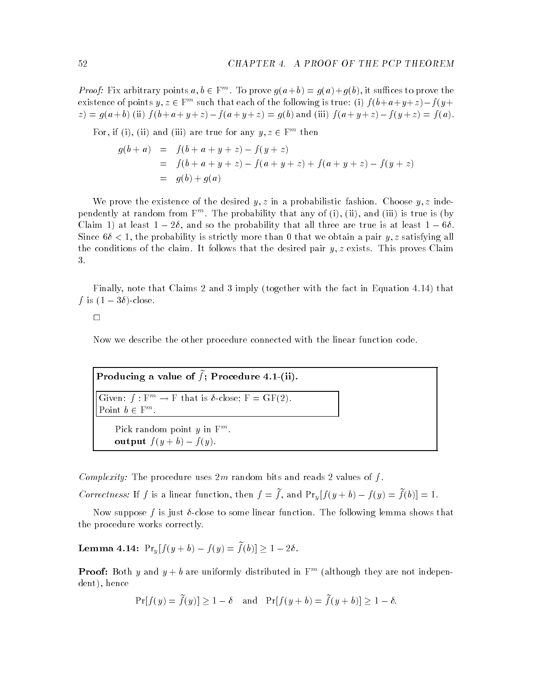*Proof*: Fix arbitrary points  $a, b \in F^m$ . To prove  $q(a+b) = q(a) + q(b)$ , it suffices to prove the existence of points  $y, z \in F^m$  such that each of the following is true: (i)  $f(b+a+y+z) - f(y+z)$  $z \neq 0$  ,  $\alpha + \alpha$  ) iii f to  $\pm a$   $\pm a$  if  $a \pm \alpha + \alpha + \alpha$  in a set  $\alpha$  and in full full function  $\pm a$  if  $\alpha + \alpha + \alpha$  if  $\alpha$  if  $\alpha$ 

For, if (1), (11) and (111) are true for any  $y,z\in F^m$  then

$$
g(b + a) = f(b + a + y + z) - f(y + z)
$$
  
=  $f(b + a + y + z) - f(a + y + z) + f(a + y + z) - f(y + z)$   
=  $g(b) + g(a)$ 

We prove the existence of the desired y- z in a probabilistic fashion Choose y- z inde pendently at random from Fm. The probability that any of (1), (ii), and (iii) is true is (by the probability of Claim 1) at least  $1 - 20$ , and so the probability that all three are true is at least  $1 - 00$ . since it is strictly probability in clearing except control and continues in pairs give collecting the control the conditions of the claim It follows that the desired pair y- z exists This proves Claim

 $\mathcal{L}$  . The that Claims is to the fact in Equation  $\mathcal{L}$  ,  $\mathcal{L}$  ,  $\mathcal{L}$  ,  $\mathcal{L}$  ,  $\mathcal{L}$  ,  $\mathcal{L}$  ,  $\mathcal{L}$  ,  $\mathcal{L}$  ,  $\mathcal{L}$  ,  $\mathcal{L}$  ,  $\mathcal{L}$  ,  $\mathcal{L}$  ,  $\mathcal{L}$  ,  $\mathcal{L}$  ,  $\mathcal{L}$  ,  $\$  $f$  is  $(1 - 30)$  dose.

 $\Box$ 

Now we describe the other procedure connected with the linear function code

I roducing a value of  $\beta$ , I rocedure  $4.1$ - $\beta$ . Given:  $\tau : \mathbf{r} \to \mathbf{r}$  that is  $\mathfrak{o}$ -close;  $\mathbf{r} = \mathbf{G}\mathbf{r}(2)$ . Point  $b \in \mathbb{F}^m$ .

Pick random point  $y$  in  ${\bf r}$  .  $\mathbf{0}$  utput  $f(q + v) = f(q)$ .

Complexity: The procedure uses  $2m$  random bits and reads 2 values of f.

Correctness. If f is a finear function, then  $f = f$ , and  $\Gamma(y | f(y + v) = f(y) - f(v)) = 1$ .

Now suppose f is just  $\delta$ -close to some linear function. The following lemma shows that the procedure works correctly

Lemma 4.14:  $Pr_y[f(y + b) - f(y) = f(b)] \ge 1 - 2\delta$ .

**Proof:** Both  $y$  and  $y + b$  are uniformly distributed in Fm (although they are not independent- hence

 $\Pr[f(y) = f(y)] \geq 1 - \delta$  and  $\Pr[f(y + b) = f(y + b)] \geq 1 - \delta$ .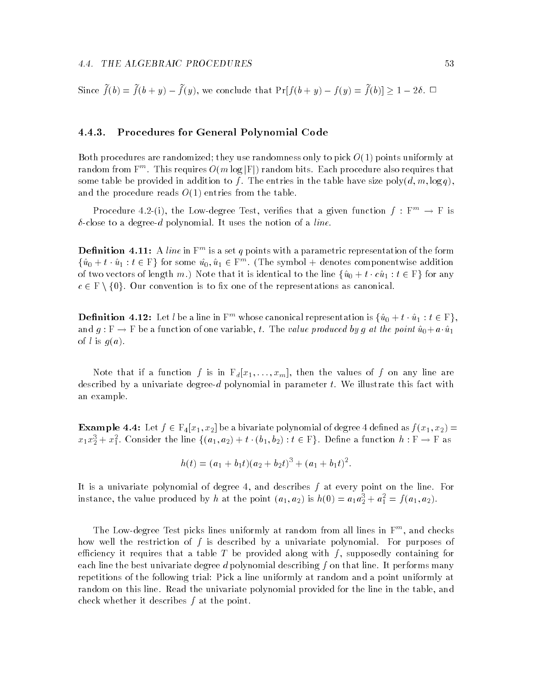Since  $f(b) = f(b + y) - f(y)$ , we conclude that  $Pr[f(b + y) - f(y) = f(b)] \ge 1 - 2\delta$ .

### Procedures for General Polynomial Code

Both procedures are randomized; they use randomness only to pick  $O(1)$  points uniformly at random from F $^m.$  This requires  $O(m\log|\mathcal{F}|)$  random bits. Each procedure also requires that some table be provided in addition to f the entries in the table have size polydand the procedure reads  $O(1)$  entries from the table.

Procedure 4.2-(1), the Low-degree lest, verines that a given function  $\tau: \mathbb{F}^n \to \mathbb{F}$  is  $\delta$ -close to a degree-d polynomial. It uses the notion of a line.

**Definition 4.11:** A *tine* in Fe as set q points with a parametric representation of the form  $\{\hat{u}_0+t\cdot\hat{u}_1:t\in\mathrm{F}\}$  for some  $\hat{u_0},\hat{u}_1\in\mathrm{F}^m$ . (The symbol + denotes componentwise addition of two vectors of length m.) Note that it is identical to the line  $\{\hat{u}_0 + t \cdot c\hat{u}_1 : t \in F\}$  for any  $c \in F \setminus \{0\}$ . Our convention is to fix one of the representations as canonical.

**Definition** 4.12: Let *l* be a line in  $F^m$  whose canonical representation is  $\{\hat{u}_0 + t \cdot \hat{u}_1 : t \in F\},\$ and  $g: F \to F$  be a function of one variable, t. The value produced by g at the point  $\hat{u}_0 + a \cdot \hat{u}_1$ of l is  $q(a)$ .

where the values of  $\alpha$  is in Fig. -  $\alpha$  in  $\alpha$  in  $\alpha$  in  $\alpha$  in  $\alpha$  are values of  $\alpha$  and  $\alpha$ described by a univariate degree- $d$  polynomial in parameter  $t$ . We illustrate this fact with an example

**Example 4.4:** Let  $f \in \Gamma_4[x_1, x_2]$  be a bivariate polynomial of degree 4 defined as  $f(x_1, x_2) =$  $x_1x_2^3+x_1^2$ . Consider the line  $\{(a_1,a_2)+t\cdot(b_1,b_2):t\in \Gamma\}$ . Define a function  $h:\Gamma\to\Gamma$  as

$$
h(t) = (a_1 + b_1t)(a_2 + b_2t)^3 + (a_1 + b_1t)^2.
$$

It is a univariate polynomial of degree - and describes f at every point on the line For instance, the value produced by h at the point  $(a_1, a_2)$  is  $h(0) = a_1 a_2 + a_1 = f(a_1, a_2)$ .

Ine Low-degree Test picks lines uniformly at random from all lines in Fig. , and checks how well the restriction of  $f$  is described by a univariate polynomial. For purposes of eciency it requires that a table T be provided along with f - supposedly containing for each line the best univariate degree d polynomial describing  $f$  on that line. It performs many repetitions of the following trial: Pick a line uniformly at random and a point uniformly at random on this line Read the univariate polynomial provided for the line in the table- and check whether it describes  $f$  at the point.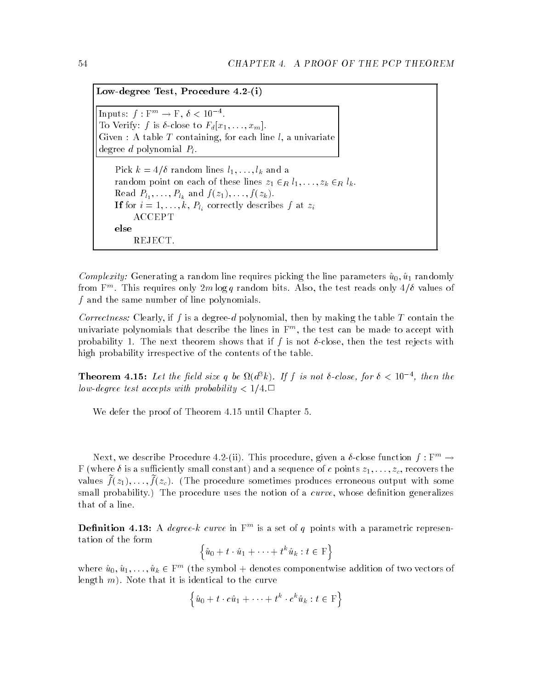Low degree Test Procedure - i Inputs:  $f: F^m \to F$ ,  $\delta < 10^{-4}$ .  $\mathcal{L}$  . To find the following to form  $\mathcal{L}$  is the following the following term  $\mathcal{L}$ Given A table T containing- for each line l- a univariate degree d polynomial  $P_l$ .  $\mathbf{r}$  is a random line line line lines lines lines lines in  $\mathbf{r}$ random point on each of these lines  $z_1 \in_R l_1, \ldots, z_k \in_R l_k$ . 一二 キュリ しょうしん せいしょう フライト・ルノー  $\mathcal{I} = \mathcal{I} = \{ \mathcal{I} = \{ \mathcal{I} \mid \mathcal{I} = \{ \mathcal{I} \} \mid \mathcal{I} = \{ \mathcal{I} \mid \mathcal{I} = \{ \mathcal{I} \mid \mathcal{I} = \{ \mathcal{I} \} \mid \mathcal{I} = \{ \mathcal{I} \mid \mathcal{I} = \{ \mathcal{I} \mid \mathcal{I} = \{ \mathcal{I} \mid \mathcal{I} = \{ \mathcal{I} \mid \mathcal{I} = \{ \mathcal{I} \mid \mathcal{I} = \{ \mathcal{I} \mid \mathcal{I} = \{ \mathcal{$ ACCEPT else REJECT

*Complexity:* Generating a random line requires picking the line parameters  $\hat{u}_0, \hat{u}_1$  randomly from  $\bf r$  . This requires only  $2m\log q$  random bits. Also, the test reads only  $4/\ell$  values of  $f$  and the same number of line polynomials.

Corrective Correction and the table the polynomial-theory making the theory contains the table the t univariate polynomials that describe the lines in  ${\bf r}$  , the test can be made to accept with probability in the next that if f is not the test region  $\mathbb{R}^n$  is not the test rejects with  $\mathbb{R}^n$ high probability irrespective of the contents of the table

**Theorem 4.15:** Let the field size q be  $\Omega(d^{\circ}k)$ . If f is not  $\delta$ -close, for  $\delta < 10^{-4}$ , then the lowdegree test accepts with probability -

We defer the proof of Theorem  $4.15$  until Chapter  $5$ .

Next, we describe Procedure 4.2-(ii). This procedure, given a 0-close function  $\mathcal{T}: \mathbb{F}^n \to$  $\mathcal{F}$  where  $\mathcal{F}$  and a sequence of constant and a sequence of constant and a sequence of constant and a sequence of constant and a sequence of constant and a sequence of constant and a sequence of constant and a se values  $f(z_1),...,f(z_c)$ . The procedure sometimes produces erroneous output with some small probability The procedure uses the notion of a curve- whose denition generalizes that of a line

**Definition** 4.13: A *degree-k curve* in Fm is a set of q points with a parametric representation of the form na ang pangangan na ang pangangan na ang pangangan na ang pangangan na ang pangangan na ang pangangang na ang pangangang na mang pangangang na mang pangangang na mang pangang na mang pangang na mang pangang na mang pangang of the contract of the contract of the contract of the contract of the contract of the contract of the contract of the contract of the contract of the contract of the contract of the contract of the contract of the contrac

$$
\left\{\hat{u}_0+t\cdot\hat{u}_1+\cdots+t^k\hat{u}_k:t\in\mathrm{F}\right\}
$$

where  $\hat{u}_0, \hat{u}_1, \ldots, \hat{u}_k \in \mathbb{F}^m$  (the symbol + denotes componentwise addition of two vectors of length  $m$ ). Note that it is identical to the curve

$$
\left\{\hat{u}_0 + t \cdot c\hat{u}_1 + \dots + t^k \cdot c^k \hat{u}_k : t \in \mathcal{F}\right\}
$$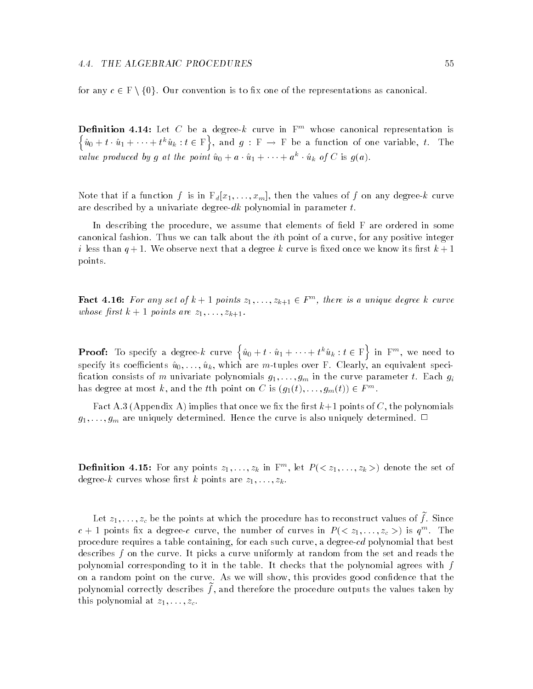for any  $c \in F \setminus \{0\}$ . Our convention is to fix one of the representations as canonical.

**Definition 4.14:** Let  $C$  be a degree- $k$  curve in  $F<sup>m</sup>$  whose canonical representation is  $\{\hat{u}_0 + t \cdot \hat{u}_1 + \cdots + t^k \hat{u}_k : t \in \mathcal{F}\}\$ , and , and  $q: \mathbf{r} \to \mathbf{r}$  be a function of one variable,  $\iota$ . The value produced by g at the point  $\hat{u}_0 + a \cdot \hat{u}_1 + \cdots + a^k \cdot \hat{u}_k$  of C is  $g(a)$ .

 $N$  is the values of the values of the values of the values of the values of the values of the values of the values of the values of the values of the values of the values of the values of the values of the values of the are described by a univariate degree-dk polynomial in parameter  $t$ .

In describing the procedure- we assume that elements of eld F are ordered in some called fashion talk about the ith talk about the ith point of a curve-left any point of any  $\Delta$  . i less than  $q + 1$ . We observe next that a degree k curve is fixed once we know its first  $k + 1$ points

**Fact 4.16:** For any set of  $k+1$  points  $z_1,\ldots,z_{k+1}\in F^m$ , there is a unique degree k curve whose ratio rst contract are zone are zone are zone are zone are zone are zone are zone are zone are zone are

**Proof:** To specify a degree-k curve  $\{\hat{u}_0 + t \cdot \hat{u}_1 + \cdots + t^k \hat{u}_k : t \in \mathbb{F}\}$  in  $\mathbb{F}^m$ , we need to specify its coefficients  $\hat{u}_0, \ldots, \hat{u}_k$ , which are m-tuples over F. Clearly, an equivalent speci $c = c$  and the constant parameter the curve parameter the curve parameter that  $c = c$ has degree at most k, and the tth point on C is  $(g_1(t),\ldots,g_m(t))\in F^m$ .

Fact A Appendix A implies that once we x the rst k points of C- the polynomials g- -gm are uniquely determined Hence the curve is also uniquely determined

**Definition 4.15:** For any points  $z_1, \ldots, z_k$  in F  $\,$  , let  $F( $z_1, \ldots, z_k >$  ) denote the set of$ degree rooms whose rest curves whose rest is a point  $\mathbb{R}^n$  are z-

Let  $z_1,\ldots,z_c$  be the points at which the procedure has to reconstruct values or  $j$  . Since  $c + 1$  points inx a degree-c curve, the number of curves in  $P \, (\leq z_1, \ldots, z_c >)$  is  $q^{\cdots}$ . The procedure requires a table containing, the table curve-that  $\alpha$  and  $\alpha$  are polynomial that best describes f on the curve. It picks a curve uniformly at random from the set and reads the polynomial corresponding to it in the table It checks that the polynomial agrees with f on a random point on the curve as we we will show provide a provides the this the porynomial correctly describes  $\mu$ , and therefore the procedure outputs the values taken by this polynomial at  $\mathbf{1}$  at  $\mathbf{1}$  at  $\mathbf{1}$  at  $\mathbf{1}$  at  $\mathbf{1}$  at  $\mathbf{1}$  at  $\mathbf{1}$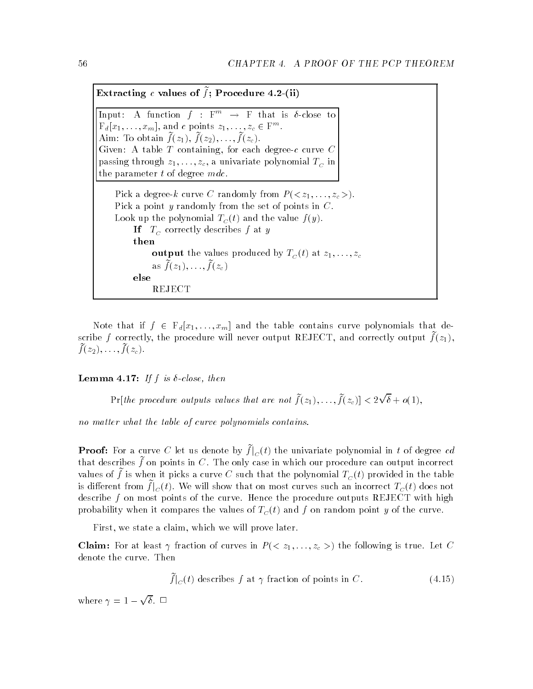Extracting c values of  $\beta$ ; Frocedure 4.2 (ii)

Input: A function  $f : F^m \rightarrow F$  that is  $\delta$ -close to  $\mathbb{F}_d[x_1,\ldots,x_m],$  and c points  $z_1,\ldots,z_c\in\mathbb{F}^m.$ AIIII: 10 ODtain  $f(z_1), f(z_2), \ldots, f(z_c).$ Given A table T containing, the containing containst  $\sim$  ( passing through z- -zc- a univariate polynomial TC in the parameter  $t$  of degree  $mdc$ . Pick a degreek curve C randomly from P z- - zc Pick a point y randomly from the set of points in  $C$ . Look up the polynomial  $T_c(t)$  and the value  $f(y)$ . If  $T_c$  correctly describes f at y then output the values of  $C\setminus I$  at  $T$  at  $C\setminus I$  at  $T$  at  $T$ as  $f(z_1), \ldots, f(z_c)$ else **REJECT** 

Note that if  $f \in F_d[x_1,\ldots,x_m]$  and the table contains curve polynomials that describe  $f$  correctly, the procedure will never output REJECT, and correctly output  $f(z)$ ,  $f\mid \llcorner 2J_1,\ldots, J\mid \llcorner cJ_1$ 

Lemma 4.17: If f is  $\delta$ -close, then

 $\Pr[\text{the procedure outputs values that are not } \tilde{f}(z_1), \ldots, \tilde{f}(z_c)] < 2\sqrt{\delta} + o(1),$ 

no matter what the table of curve polynomials contains.

**Proof:** For a curve  $C$  let us denote by  $f|_C(t)$  the univariate polynomial in  $t$  of degree  $cd$  $\frac{1}{1000}$  describes  $\frac{1}{1000}$  points in  $\bigcirc$  . The only case in which our procedure can output incorrect values of  $f$  is when it picks a curve C such that the polynomial  $T_C(t)$  provided in the table is different from  $f|_{C}(t).$  We will show that on most curves such an incorrect  $T_{C}(t)$  does not describe  $f$  on most points of the curve. Hence the procedure outputs REJECT with high probability when it compares the values of  $T_c(t)$  and f on random point y of the curve.

First- we state a claim- which we will prove later

 $\lambda$  fraction of curves in  $\lambda$  fraction of curves in  $\lambda$  fraction of  $\lambda$  . The following in  $\lambda$  fraction of  $\lambda$ denote the curve. Then

$$
\widetilde{f}|_{C}(t) \text{ describes } f \text{ at } \gamma \text{ fraction of points in } C. \tag{4.15}
$$

where  $\gamma = 1 - \sqrt{\delta}$ .  $\Box$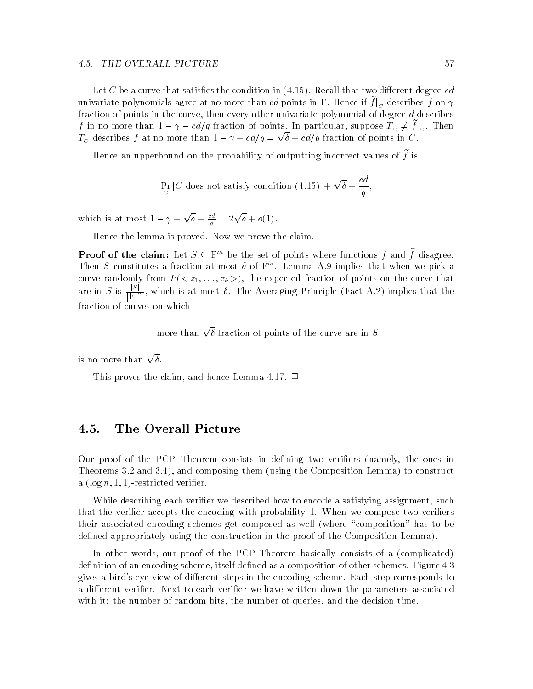### 4.5. THE OVERALL PICTURE

Let C be a curve that satisfies the condition in  $(4.15)$ . Recall that two different degree-cd univariate polynomials agree at no more than  $cd$  points in F. Hence if  $f|_c$  describes  $f$  on  $\gamma$ fraction of points in the curve- then every other univariate polynomial of degree d describes f in no more than  $1-\gamma-cd/q$  fraction of points. In particular, suppose  $T_{\scriptscriptstyle C}\neq f|_{\scriptscriptstyle C}$ . Then  $T_{\scriptscriptstyle C}$  describes  $f$  at no more than  $1-\gamma+cd/q=\sqrt{\delta}+cd/q$  fraction of points in  $C$  .

Hence an upperbound on the probability of outputting incorrect values of  $\mu$  is

$$
\Pr_C[C \text{ does not satisfy condition } (4.15)] + \sqrt{\delta} + \frac{cd}{q},
$$

which is at most  $1 - \gamma + \sqrt{\delta} + \frac{cd}{q} = 2\sqrt{\delta} + o(1)$ .

Hence the lemma is proved. Now we prove the claim.

**Proof of the claim:** Let  $S \subseteq \mathbb{F}^m$  be the set of points where functions f and f disagree. I hen  $S$  constitutes a fraction at most  $v$  of  $F$  . Lemma A.9 implies that when we pick a curve randomly from P  $\mathbf{r}$  -  $\mathbf{r}$  -  $\mathbf{r}$  -  $\mathbf{r}$  -  $\mathbf{r}$  -  $\mathbf{r}$  -  $\mathbf{r}$  -  $\mathbf{r}$  -  $\mathbf{r}$  -  $\mathbf{r}$  -  $\mathbf{r}$  -  $\mathbf{r}$  -  $\mathbf{r}$  -  $\mathbf{r}$  -  $\mathbf{r}$  -  $\mathbf{r}$  -  $\mathbf{r}$  -  $\mathbf{r}$  are in S is  $\frac{|S|}{|\mathbf{F}|^m}$ , which is at most  $\delta$ . The Averaging Principle (Fact A.2) implies that the fraction of curves on which

more than  $\sqrt{\delta}$  fraction of points of the curve are in  $S$ 

is no more than  $\sqrt{\delta}$ .

This proves the claim- which health is climate that the

### The Overall Picture

Our proof of the PCP Theorem consists in dening two veriers namely- the ones in Theorems and - and composing them using the Composition Lemma to construct a log n-leier van die deurste verwerken.

 $M_{\rm e}$  described how to encode a satisfying a satisfying a satisfying a satisfying a satisfying a satisfying a satisfying a satisfying a satisfying a satisfying a satisfying a satisfying a satisfying a satisfying  $M_{\rm e$ that the verifier accepts the encoding with probability 1. When we compose two verifiers their associated encoding schemes get composed as well (where "composition" has to be defined appropriately using the construction in the proof of the Composition Lemma).

In other words- our proof of the PCP Theorem basically consists of a complicated addenition of an encoding scheme-political assumption of other schemes Figures Figure Figure gives a bird's-eye view of different steps in the encoding scheme. Each step corresponds to a different verifier. Next to each verifier we have written down the parameters associated with it the number of random bits-decision time of the number of queries-decision time of queries-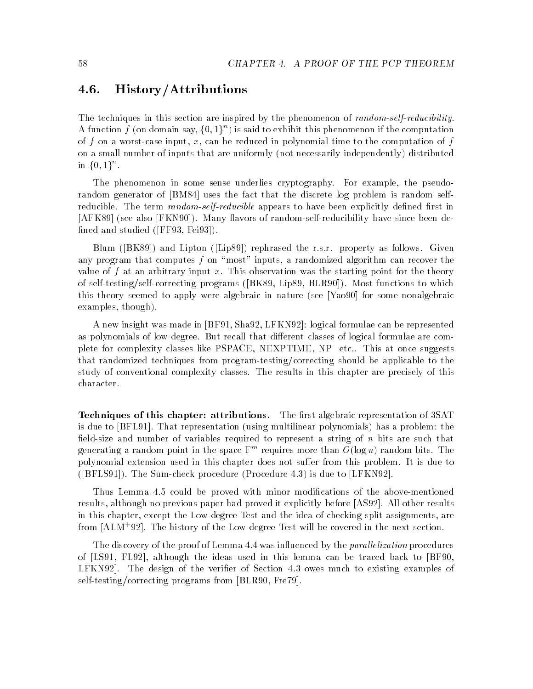## History/Attributions

The techniques in this section are inspired by the phenomenon of *random-self-reducibility*. A function  $f$  (on domain say,  $\{0,1\}^n$ ) is said to exhibit this phenomenon if the computation of f on a worstcase input- x- can be reduced in polynomial time to the computation of f on a small number of inputs that are uniformly (not necessarily independently) distributed in  $\{0,1\}^n$ .

The phenomenon in some sense underlies cryptography For example- the pseudo random generator of [BM84] uses the fact that the discrete log problem is random selfreducible. The term *random-self-reducible* appears to have been explicitly defined first in [AFK89] (see also [FKN90]). Many flavors of random-self-reducibility have since been dened and studied for the studies of the studies of the studies of the studies of the studies of the studies of the studies of the studies of the studies of the studies of the studies of the studies of the studies of the stu

Blum ([BK89]) and Lipton ([Lip89]) rephrased the r.s.r. property as follows. Given any program that computes f on most imputs-understanding algorithm can recover the contract  $\sim$ value of f at an arbitrary input x. This observation was the starting point for the theory of selftestingselfcorrecting programs BK
- Lip
- BLR Most functions to which this theory seemed to apply were algebraic in nature (see  $Ya_0$ ) for some nonalgebraic examples-the-though-

a de instrumente insigned in BF-- in BF-- in BF-- in BF-- in BF-- in BF-- insigned in a station of the represent as polynomials of low degree. But recall that different classes of logical formulae are complete for complexity classes like PSPACE- NEXPTIME- NP etc This at once suggests that randomized techniques from program-testing/correcting should be applicable to the study of conventional complexity classes The results in this chapter are precisely of this character

Techniques of this chapter attributions The rst algebraic representation of SAT is due to [BFL91]. That representation (using multilinear polynomials) has a problem: the field-size and number of variables required to represent a string of n bits are such that generating a random point in the space  ${\bf r}-$ requires more than  $O(\log n)$  random bits. The polynomial extension used in this chapter does not suffer from this problem. It is due to BFLS The Sumcheck procedure Procedure is due to LFKN

Thus Lemma 4.5 could be proved with minor modifications of the above-mentioned results-increase in proved it explicit it explicit that it explicitly before a proved it explicit and results in this chapter- except the Lowdegree Test and the idea of checking split assignments- are from ALM The history of the Lowdegree Test will be covered in the next section

The discovery of the proof of Lemma 4.4 was influenced by the *parallelization* procedures of process the ideas used in the internal can be traced back to be the internal can be the contracted back to LFKN The design of the verier of Section owes much to existing examples of sets the self-correction of the self-correction of  $\mathbb{R}^n$  . The sets that is the self-correction of the sets of  $\mathbb{R}^n$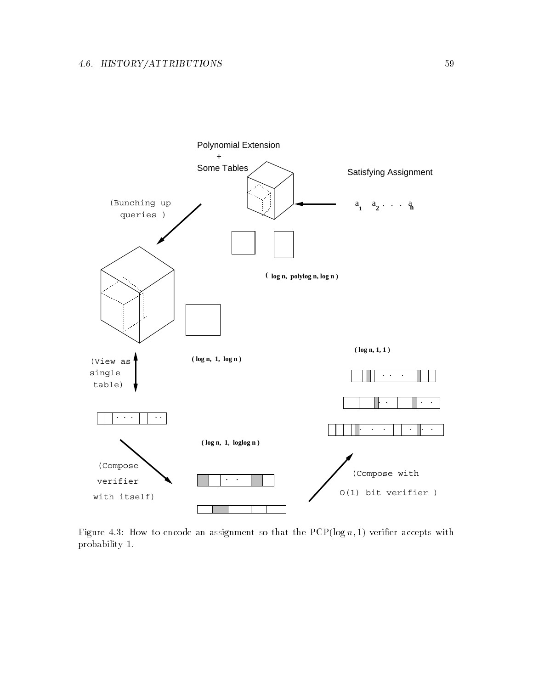

Figure How to encode an assignment so that the PCPlog n- verier accepts with probability 1.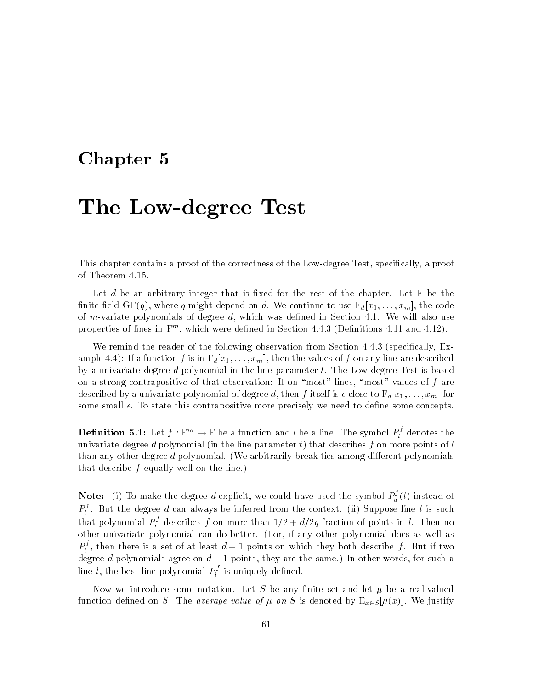# Chapter 5

# The Low-degree Test

This chapter contains a proof of the correctness of the Lowdegree Test- specically- a proof of Theorem 4.15.

Let  $d$  be an arbitrary integer that is fixed for the rest of the chapter. Let  $F$  be the nite eld GFq- where q might depend on d We continue to use Fdx- -xm- the code of mvariate polynomials of degree d- which was dened in Section We will also use properties of fines in Fm, which were defined in Section 4.4.3 (Definitions 4.11 and 4.12).

We remind the reader of the following observation from Section specically- Ex ample is joint the values of  $\mu$  in the value  $\mu$  is in the values of f on any line are described are described as by a univariate degree- $d$  polynomial in the line parameter  $t$ . The Low-degree Test is based on a strong contrapositive of that observation If on most lines- most values of f are described by a university polynomial of degree decomposition is close to form of the Windows William Co some small  $\epsilon$ . To state this contrapositive more precisely we need to define some concepts.

**Definition 5.1:** Let  $f: \mathbb{F}^m \to \mathbb{F}$  be a function and  $t$  be a line. The symbol  $P_l^*$  denotes the univariate degree d polynomial (in the line parameter t) that describes f on more points of  $l$ than any other degree d polynomial. (We arbitrarily break ties among different polynomials that describe  $f$  equally well on the line.)

**Note:** (1) To make the degree d explicit, we could have used the symbol  $P_4^s(t)$  $a \vee b$  instead of  $a \vee b$  $P_l^*$  . But the degree  $d$  can always be inferred from the context. (ii) Suppose line  $l$  is such that polynomial  $P_l^*$  describes f on more than  $1/2 + d/2q$  fraction of points in  $l$ . Then no other univariate polynomial can do better For- if any other polynomial does as well as  $P_l^s$ , then there is a set of at least  $d+1$  points on which they both describe f. But if two degree die polynomials agreement van die polynomials agreement van die same In oords- words- words- words- wordsline  $l$  , the best line polynomial  $P_l^{\ast}$  is uniquely-defined.

Now we introduce some notation. Let S be any finite set and let  $\mu$  be a real-valued function defined on S. The *average value of*  $\mu$  *on S* is denoted by  $E_{x\in S}[\mu(x)]$ . We justify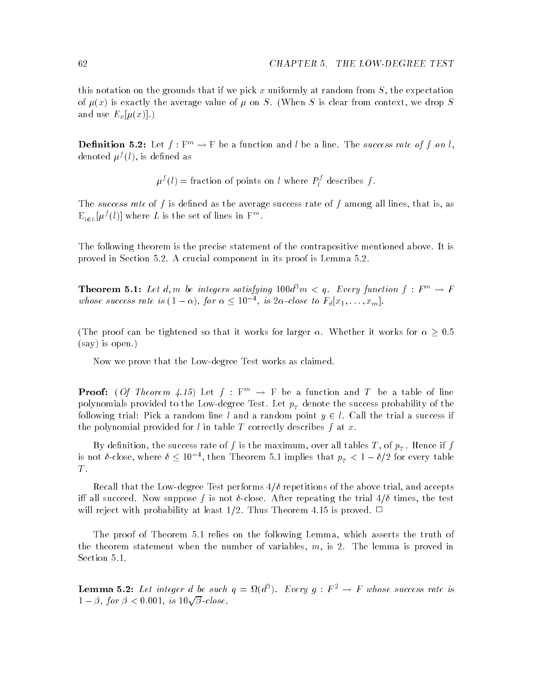this notation on the grounds that if we pick x uniformly at random from S- the expectation of part is exactly the average value of process of the second context from context-second we have produced by and use  $E_x[\mu(x)].$ 

**Definition 5.2:** Let  $f: \mathbb{r}^m \to \mathbb{r}$  be a function and l be a line. The success rate of f on l, denoted  $\mu^{,} \left( \iota \right)$ , is denned as

$$
\mu^f(l)
$$
 = fraction of points on l where  $P_l^J$  describes f.

The success rate of f is denoted as the average success rate of f among all lines-is-denoted and is- $E_{l \in L}$   $[\mu^{\prime}(l)]$  where L is the set of lines in F  $\,$  .

The following theorem is the precise statement of the contrapositive mentioned above It is proved in Section 5.2. A crucial component in its proof is Lemma 5.2.

**Theorem 5.1:** Let a, m be integers satisfying  $100a^m < q$ . Every function f:  $F^m \rightarrow F$ whose success rate is  $(1 - \alpha)$ , for  $\alpha \leq 10^{-4}$ , is  $2\alpha$ -close to  $F_d | x_1, \ldots, x_m |$ .

(The proof can be tightened so that it works for larger  $\alpha$ . Whether it works for  $\alpha > 0.5$  $(sav)$  is open.)

Now we prove that the Low-degree Test works as claimed.

**Prooi:** (*Of Incorem 4.15*) Let  $f : F^m \to F$  be a function and  $I$  be a table of line  ${\bf r}$  and the success probability of the success probability of the success  ${\bf r}$  and  ${\bf r}$ following trial: Pick a random line l and a random point  $y \in l$ . Call the trial a success if the polynomial provided for l in table T correctly describes f at x.

denition- the success rate of f is the maximum-f is the maximum-f is the maximum-f is the maximum-f is the maximum-T is the interest of the  $J$ is not  $\delta$ -close, where  $\delta \leq 10^{-4}$ , then Theorem 5.1 implies that  $p_{_T} < 1 - \delta/2$  for every table  $T$ .

Recall that the Lowdegree Test performs  repetitions of the above trial- and accepts is all succeed Now suppose for a support  $\mathbf{A}$  and the test  $\mathbf{A}$  and the test  $\mathbf{A}$ will reject with probability at least  $1/2$ . Thus Theorem 4.15 is proved.  $\Box$ 

The proof of Theorem relies on the following Lemma- which asserts the truth of the theorem statement when the number of the variables-instance of variables-interesting proved inc Section 5.1.

**Lemma 5.2:** Let integer a be such  $q = \lambda t (a^{\circ})$ . Every  $q : F \rightarrow F$  whose success rate is  $1-\beta$ , for  $\beta < 0.001$ , is  $10\sqrt{\beta}$ -close.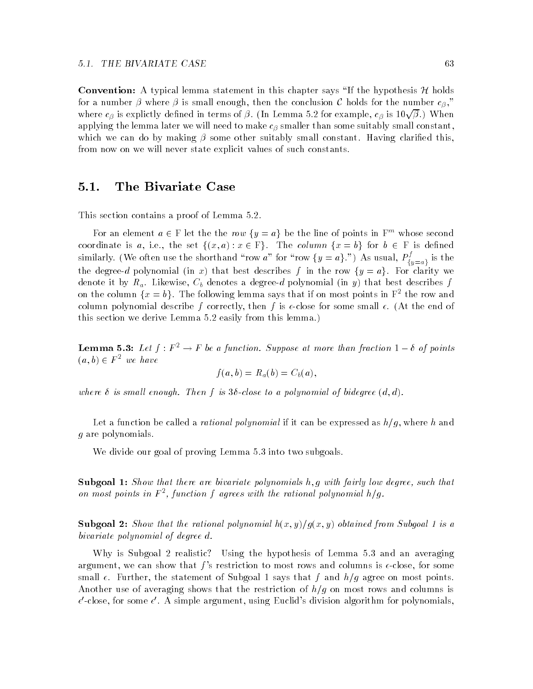**Convention:** A typical lemma statement in this chapter says "If the hypothesis  $H$  holds for a number  $\beta$  where  $\beta$  is small enough, then the conclusion C holds for the number  $c_{\beta}$ ," where  $c_\beta$  is explictly defined in terms of  $\beta$ . (In Lemma 5.2 for example,  $c_\beta$  is  $10\sqrt{\beta}$ .) When applying the lemma later we will need to make  $c_\beta$  smaller than some suitably small constant, which we can do by making  $\beta$  some other suitably small constant. Having clarified this, from now on we will never state explicit values of such constants

## The Bivariate Case

This section contains a proof of Lemma 5.2.

For an element  $a \in F$  let the the row  $\{y = a\}$  be the line of points in  $F^m$  whose second coordinate is a, i.e., the set  $\{(x,a):x\in \mathbb{F}\}$ . The column  $\{x=b\}$  for  $b\in \mathbb{F}$  is defined similarly. (We often use the shorthand "row  $a$ " for "row  $\{y = a\}$ .") As usual,  $P^J_{\{y = a\}}$  is the the degree-d polynomial (in x) that best describes f in the row  $\{y = a\}$ . For clarity we denote it by Ra Likewise- a denotes a degree a degree polynomial in y that best describes for y on the column  $\{x = b\}$ . The following lemma says that if on most points in  $F^2$  the row and column polynomial describe f is correctly-then f is correctly-then f is correctly-the end of some small  $\alpha$ this section we derive Lemma 5.2 easily from this lemma.)

**Lemma 5.3:** Let  $f: F^{\prime} \to F$  be a function. Suppose at more than fraction  $1 - \delta$  of points  $(a, b) \in F^*$  we have

$$
f(a,b) = R_a(b) = C_b(a),
$$

where  $\alpha$  is small limit of bidegree density  $\alpha$  polynomial of bidegree d-close to a polynomial of bidegree d-close

Let a function be called a rational polynomial if it can be expressed as hg- where h and g are polynomials.

we divide our goal of province into the most of the subgoals.

subgoal show that there are bivariated polynomials high with fairly low degree such that on most points in  $F^-$ , function f agrees with the rational polynomial  $n/q$ .

subgoal - show that the rational polynomial hydrogenesis and solven the ration of the ratio of the ratio bivariate polynomial of degree d.

why is Subgoal in Subgoal in Subgoal in the hypothesis of Lemma and an averaging the hypothesis of Lemma and an argumented that finds the form  $\mu$  is columns is columns is columns in the columns is columns is columns. small is statement of Substitutions in the statement of Substitution in most and have a statement of the statement Another use of averaging shows that the restriction of  $h/g$  on most rows and columns is  $\epsilon'$ -close, for some  $\epsilon'$ . A simple argument, using Euclid's division algorithm for polynomials,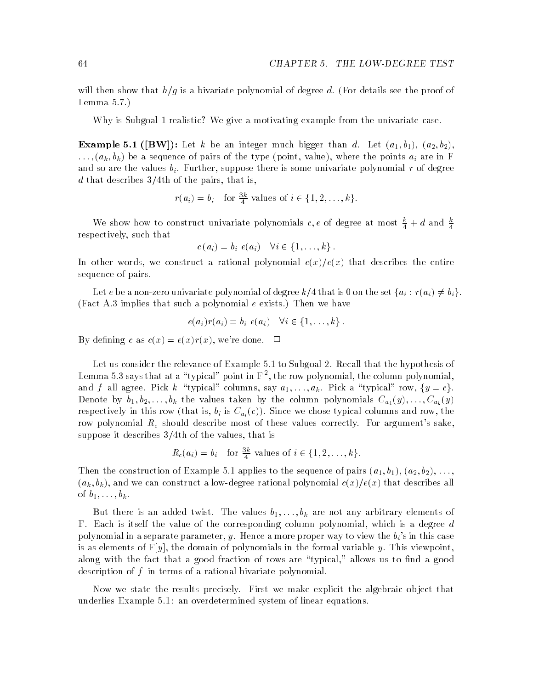will then show that  $h/g$  is a bivariate polynomial of degree d. (For details see the proof of Lemma  $5.7.$ )

Why is Subgoal 1 realistic? We give a motivating example from the univariate case.

Example BW Let k be an integer much bigger than d Let a- b- a- b- $\mathcal{W}$  be a sequence of pairs of the points and points are in Fig. , and the points are in Fig. , and the points ainsi  $\mathcal{W}$  and the points are in Fig. , and the points are in Fig. , and the points are in Fig. , and and so are the values of Further- soldiers there is some universal relatively not have the degree. d that the pairs-correct contract is the pairs-that is the pairs of the pairs of the pairs of the pairs of the

$$
r(a_i) = b_i \quad \text{for } \frac{3k}{4} \text{ values of } i \in \{1, 2, \dots, k\}.
$$

We show how to construct univariate polynomials  $c, e$  of degree at most  $\frac{1}{4} + a$  and  $\frac{1}{4}$ respectively. The such that the such that the such that the such a such a such a such a such a such a such a s

$$
c(a_i) = b_i e(a_i) \quad \forall i \in \{1, \ldots, k\}.
$$

In other words- we construct a rational polynomial cxex that describes the entire sequence of pairs

Let e be a non-zero univariate polynomial of degree  $k/4$  that is 0 on the set  $\{a_i : r(a_i) \neq b_i\}$ .  $\mathbf{F}$  implies that such a polynomial exists Theorem we have the exists Theorem we have the exists Then we have the exists Theorem we have the exists Theorem we have the exists Theorem we have the exists Theorem we have

$$
e(a_i)r(a_i) = b_i e(a_i) \quad \forall i \in \{1, \ldots, k\}.
$$

 $\mathcal{L}$  denotes the domination of  $\mathcal{L}$  as called the domination of  $\mathcal{L}$  . The domination of  $\mathcal{L}$ 

Let us consider the relevance of Example 5.1 to Subgoal 2. Recall that the hypothesis of Lemma 5.3 says that at a "typical" point in F -, the row polynomial, the column polynomial, and f all agrees the column column to the same pick at the say and the columnsand f all agree. Pick k "typical" columns, say  $a_1, \ldots, a_k$ . Pick a "typical" row,  $\{y = c\}$ .<br>Denote by  $b_1, b_2, \ldots, b_k$  the values taken by the column polynomials  $C_{a_1}(y), \ldots, C_{a_k}(y)$  $\mu$  in the values of the column polynomials  $\mu$  and  $\mu$   $\mu$   $\mu$   $\mu$   $\mu$   $\mu$ respectively in this row that is  $\beta$  is a chosen we chosen that is columns and row-section  $\beta$  is the column row polynomial  $R_c$  should describe most of these values correctly. For argument's sake. suppose it describes the values-that is described to the values-that is the values-that is the values-that is the values-

$$
R_c(a_i) = b_i \quad \text{for } \frac{3k}{4} \text{ values of } i \in \{1, 2, \dots, k\}.
$$

The construction of the sequence of pairs and  $\mathbf{r} = \mathbf{r} - \mathbf{r}$  and  $\mathbf{r} = \mathbf{r} - \mathbf{r}$  and  $\mathbf{r} = \mathbf{r} - \mathbf{r}$  $\alpha$  and  $\alpha$  is an order rational polynomial construction and polynomial can be constructed as  $\alpha$ -- - 1, . . . , *- n* . . .

 $\cdots$  there is an additional twist  $\cdots$  and the values  $\cdots$   $\cdots$   $\cdots$  are not any arbitrary elements of  $\cdots$ F Each is itself the value of the corresponding column polynomial- which is a degree d polynomial in a separate parameter-separate parameter-separate parameter-separate parameter-separate parameter is as elements of Fy- the domain of polynomials in the formal variable y This viewpointalong with the fact that a good fraction of rows are typical- allows us to nd a good description of  $f$  in terms of a rational bivariate polynomial.

Now we state the results precisely. First we make explicit the algebraic object that underlies Example  $5.1$ : an overdetermined system of linear equations.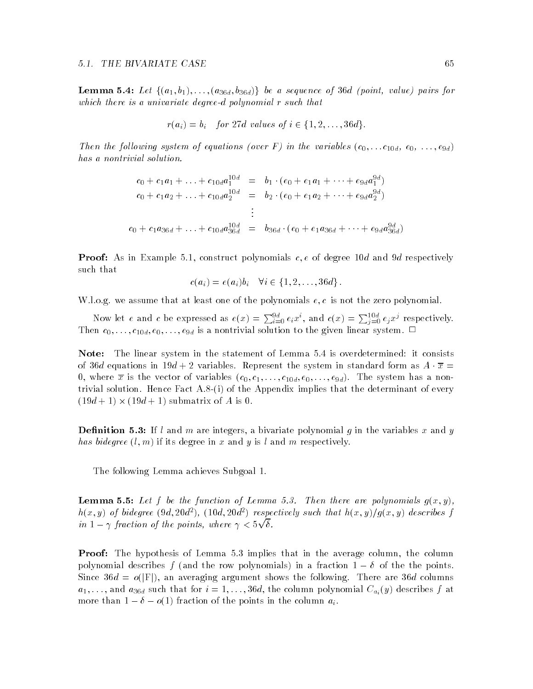**Lemma 5.4:** Let  $\{(a_1, b_1), \ldots, (a_{36d}, b_{36d})\}$  be a sequence of 36d (point, value) pairs for which there is a univariate degree-d polynomial r such that

$$
r(a_i) = b_i
$$
 for 27d values of  $i \in \{1, 2, ..., 36d\}.$ 

, and the following system of the following  $I$  and  $I$  in the variable  $I$  in the variable  $I$ has a nontrivial solution.

$$
c_0 + c_1 a_1 + \ldots + c_{10d} a_1^{10d} = b_1 \cdot (e_0 + e_1 a_1 + \cdots + e_{9d} a_1^{9d})
$$
  
\n
$$
c_0 + c_1 a_2 + \ldots + c_{10d} a_2^{10d} = b_2 \cdot (e_0 + e_1 a_2 + \cdots + e_{9d} a_2^{9d})
$$
  
\n
$$
\vdots
$$
  
\n
$$
c_0 + c_1 a_{36d} + \ldots + c_{10d} a_{36d}^{10d} = b_{36d} \cdot (e_0 + e_1 a_{36d} + \cdots + e_{9d} a_{36d}^{9d})
$$

Proof As in Example - construct polynomials c- e of degree d and d respectively such that

$$
c(a_i) = e(a_i)b_i \quad \forall i \in \{1, 2, \ldots, 36d\}.
$$

Wlog we assume that at least one of the polynomials e- c is not the zero polynomial

Now let e and c be expressed as  $e(x) = \sum_{i=0}^{9a} e_i x^i$ , and  $c(x) = \sum_{i=0}^{10a} e_i x^j$  respectively. Then c- -cd- e- -ed is a nontrivial solution to the given linear system

Note: The linear system in the statement of Lemma 5.4 is overdetermined: it consists of  $\mathfrak{soa}$  equations in  $\mathfrak{soa}+\mathfrak{a}$  variables. Represent the system in standard form as  $A\cdot x=$ et were a contracted the variables of the contracted contracted and contracted the system contracted the system trivial solution. Hence Fact  $A.8-(i)$  of the Appendix implies that the determinant of every  $(19d + 1) \times (19d + 1)$  submatrix of A is 0.

 $\mathbf{I}$  and m are integers-dimensional g integers-dimensional g in the variables  $\mathbf{I}$ has bidegree later later in the later in the contract of the second state in the second state in the second state of

The following Lemma achieves Subgoal

 $\mathcal{L}$  are polynomials gauge of Lemma -  $\mathcal{L}$  are polynomials gauge of  $\mathcal{L}$  $h(x, y)$  of biaeqree  $(ya, zba^{-})$ , (10a, 20a<sup>-</sup>) respectively such that  $h(x, y)/q(x, y)$  aescribes f in  $1-\gamma$  fraction of the points, where  $\gamma < 5\sqrt{\delta}$ .

Proof The hypothesis of Lemma implies that in the average column- the column porynomial describes  $\beta$  (and the row porynomials) in a fraction  $1 - v$  of the the points. Since 36d =  $o(|F|)$ , an averaging argument shows the following. There are 36d columns a- - and a-<sup>d</sup> such that for <sup>i</sup> - - d- the column polynomial Cai y describes <sup>f</sup> at more than  $1 - v - o(1)$  if action of the points in the column  $u_i$ .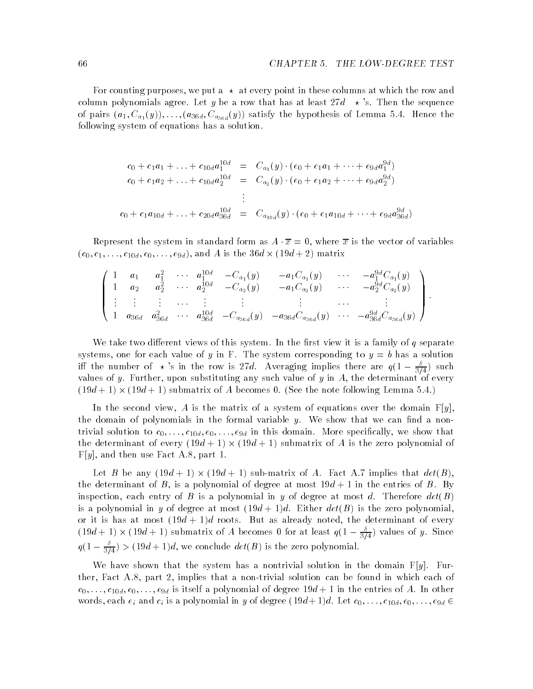For counting purposes- we put a at every point in these columns at which the row and column polynomials agree. Let y be a row that has at least  $27d \times$ 's. Then the sequence  $\mathbf{r}$  are called the hypothesis of  $\mathbf{r}$  and  $\mathbf{r}$  and  $\mathbf{r}$  and  $\mathbf{r}$  are called the  $\mathbf{r}$  and  $\mathbf{r}$  and  $\mathbf{r}$  are called the  $\mathbf{r}$  and  $\mathbf{r}$  and  $\mathbf{r}$  are called the  $\mathbf{r}$  and  $\mathbf{r}$ following system of equations has a solution

$$
c_0 + c_1 a_1 + \ldots + c_{10d} a_1^{10d} = C_{a_1}(y) \cdot (e_0 + e_1 a_1 + \cdots + e_{9d} a_1^{9d})
$$
  
\n
$$
c_0 + c_1 a_2 + \ldots + c_{10d} a_2^{10d} = C_{a_2}(y) \cdot (e_0 + e_1 a_2 + \cdots + e_{9d} a_2^{9d})
$$
  
\n
$$
\vdots
$$
  
\n
$$
c_0 + c_1 a_{10d} + \ldots + c_{20d} a_{36d}^{10d} = C_{a_{10d}}(y) \cdot (e_0 + e_1 a_{10d} + \cdots + e_{9d} a_{36d}^{9d})
$$

 $R$ epresent the system in standard form as  $A: x = 0$ , where x is the vector of variables  $(c_0, c_1, \ldots, c_{10d}, e_0, \ldots, e_{9d})$ , and A is the 36d  $\times$  (19d + 2) matrix

$$
\begin{pmatrix}\n1 & a_1 & a_1^2 & \cdots & a_1^{10d} & -C_{a_1}(y) & -a_1C_{a_1}(y) & \cdots & -a_1^{9d}C_{a_1}(y) \\
1 & a_2 & a_2^2 & \cdots & a_2^{10d} & -C_{a_2}(y) & -a_1C_{a_2}(y) & \cdots & -a_2^{9d}C_{a_2}(y) \\
\vdots & \vdots & \vdots & \ddots & \vdots & \vdots & \vdots & \vdots \\
1 & a_{36d} & a_{36d}^2 & \cdots & a_{36d}^2 & -C_{a_{36d}}(y) & -a_{36d}C_{a_{36d}}(y) & \cdots & -a_{36d}^{9d}C_{a_{36d}}(y)\n\end{pmatrix}
$$

We take two different views of this system. In the first view it is a family of  $q$  separate systems- one for each value of y in F The system corresponding to y b has a solution in the number of  $\star$  's in the row is 27*a*. Averaging implies there are  $q(1-\frac{1}{3/4})$  such values of y Further- upon substituting any such value of y in A- the determinant of every  $(19d+1) \times (19d+1)$  submatrix of A becomes 0. (See the note following Lemma 5.4.)

In the second view- A is the matrix of a system of equations over the domain Fythe domain of polynomials in the formal variable  $y$ . We show that we can find a non- $\mathbf{v}_1$  in this domain  $\mathbf{v}_2$  and  $\mathbf{v}_3$  is dominated to the special more specialist  $\mathbf{v}_1$ the determinant of every  $( 19d + 1) \times ( 19d + 1)$  submatrix of A is the zero polynomial of Fy- and then use Fact A
- part

Let B be any  $(19d + 1) \times (19d + 1)$  sub-matrix of A. Fact A.7 implies that  $det(B)$ , the determinant of  $\mathbf{B}$ -deferee at most d  $\mathbf{B}$ inspection- each entry of B is a polynomial in y of degree at most d Therefore detB is a polynomial in y of degree at most  $(19d + 1)d$ . Either  $det(B)$  is the zero polynomial. or it is has at most d d roots But as already noted- the determinant of every  $(19d + 1) \times (19d + 1)$  submatrix of A becomes 0 for at least  $q(1-\frac{1}{3/4})$  values of y. Since  $q(1-\frac{1}{374}) > (19a+1)a$ , we conclude  $det(B)$  is the zero polynomial.

We have shown that the system has a nontrivial solution in the domain  $F[y]$ . Fur-...., and there, part a, nonpole that a nontrivial solution can be found in which when  $\cdots$  $\mathbf{U}$  is its induced a polynomial of degree distribution of  $\mathbf{U}$  and  $\mathbf{U}$  are entries of  $\mathbf{U}$ words, each  $e_i$  and  $c_i$  is a polynomial in y of degree (19d + 1)d. Let  $c_0, \ldots, c_{10d}, e_0, \ldots, e_{9d} \in$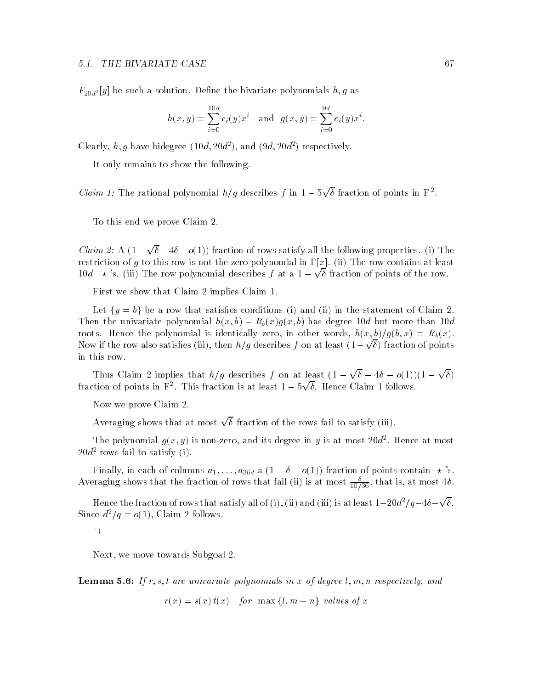$\sim$   $_{20a}$ - $_{1g}$  , so such a solution. Denite the bivariate polynomials  $n$ ,  $g$  as

$$
h(x, y) = \sum_{i=0}^{10d} c_i(y) x^i
$$
 and  $g(x, y) = \sum_{i=0}^{9d} e_i(y) x^i$ .

Clearly,  $n, q$  have bidegree (10*a*, 20*a*<sup>-</sup>), and (9*a*, 20*a*<sup>-</sup>) respectively.

It only remains to show the following

*Claim 1:* The rational polynomial  $h/g$  describes f in  $1-5\sqrt{\delta}$  fraction of points in  $F^2$ .

To this end we prove Claim

*Claim 2:* A  $(1 - \sqrt{\delta} - 4\delta - o(1))$  fraction of rows satisfy all the following properties. (i) The restriction of g to this row is not the zero polynomial in  $F[x]$ . (ii) The row contains at least  $10d \rightarrow$ 's. (iii) The row polynomial describes f at a  $1-\sqrt{\delta}$  fraction of points of the row.

First we show that Claim 2 implies Claim 1.

Let  $\{y = b\}$  be a row that satisfies conditions (i) and (ii) in the statement of Claim 2. Then the univariate polynomial  $h(x, y) = h_b(x)g(x, y)$  has degree fou but more than fou roots Hence the polynomial is in the polynomial is in the polynomial is in the polynomial in the service of th Now if the row also satisfies (iii), then  $h/g$  describes f on at least  $(1-\sqrt{\delta})$  fraction of points in this row

Thus Claim 2 implies that  $h/q$  describes f on at least  $(1 - \sqrt{\delta} - 4\delta - o(1))(1 - \sqrt{\delta})$ fraction of points in  $\mathrm{F}^2$ . This fraction is at least  $1-5\sqrt{\delta}$ . Hence Claim 1 follows.

Now we prove Claim 2.

Averaging shows that at most  $\sqrt{\delta}$  fraction of the rows fail to satisfy (iii).

I he polynomial  $q(x, y)$  is non-zero, and its degree in y is at most zua - . Hence at most  $20a^-$  rows fail to satisfy  $(1)$ .

Finally, in each of columns  $u_1,\ldots,u_{36d}$  a  $(1-v-v(1))$  fraction of points contain  $\star$  s. Averaging snows that the fraction of rows that fall (ii) is at most  $\frac{10/36}{10/36}$ , that is, at most 40.

Hence the fraction of rows that satisfy all of (i), (ii) and (iii) is at least  $1\!-\!20d^2/q\!-\!4\delta\!-\!\sqrt{\delta}.$ Since  $a^-/q = o(1)$ , Claim 2 follows.

 $\Box$ 

next-subgoal and subgoal and subgoal and subgoal and subgoal and subgoal and subgoal and subgoal and subgoal a

Lemma If r- s- t are univariate polynomials in x of degree l- m- n respectively and

 $r(x) = s(x) t(x)$  for max  $\{l, m+n\}$  values of x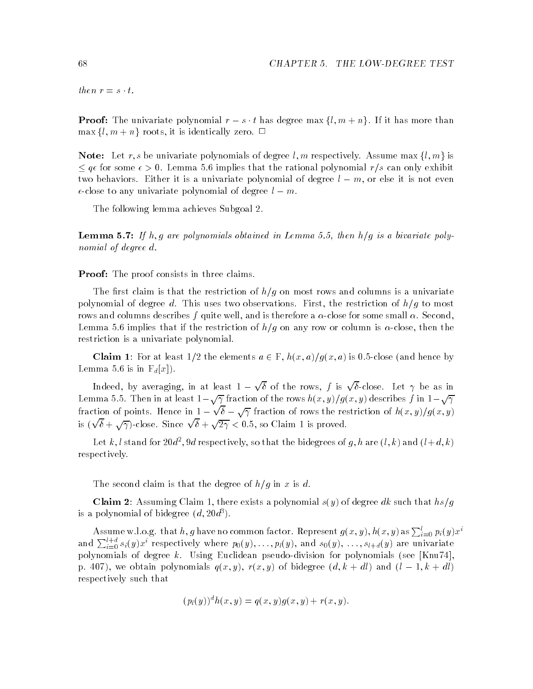then  $r = s \cdot t$ .

**Proof:** The univariate polynomial  $r - s \cdot t$  has degree max  $\{l, m + n\}$ . If it has more than  $\max\{l, m+n\}$  roots, it is identically zero.  $\Box$ 

**Note:** Let r, s be univariate polynomials of degree l, m respectively. Assume max  $\{l,m\}$  is  $\leq q\epsilon$  for some  $\epsilon > 0$ . Lemma 5.6 implies that the rational polynomial r/s can only exhibit two behaviors. Either it is a univariate porynomial or degree  $\ell = m$ , or else it is not even  $\epsilon$ -close to any univariate polynomial of degree  $\epsilon = m$ .

The following lemma achieves Subgoal

Lemma If h- g are polynomials obtained in Lemma - then hg is a bivariate poly nomial of degree d.

**Proof:** The proof consists in three claims.

The first claim is that the restriction of  $h/g$  on most rows and columns is a univariate polynomial of degree d This uses two observations First- the restriction of hg to most rows and columns describes f quite well- and is therefore a close for some small Second-Lemma implies that if the restriction of hg on any row or column is close- then the restriction is a univariate polynomial

**Claim 1:** For at least  $1/2$  the elements  $a \in F$ ,  $h(x, a)/g(x, a)$  is 0.5-close (and hence by Lemma 5.6 is in  $F_d[x]$ ).

Indeed, by averaging, in at least  $1-\sqrt{\delta}$  of the rows,  $f$  is  $\sqrt{\delta}$ -close. Let  $\gamma$  be as in Lemma 5.5. Then in at least  $1-\sqrt{\gamma}$  fraction of the rows  $h(x,y)/g(x,y)$  describes  $f$  in  $1-\sqrt{\gamma}$ fraction of points. Hence in  $1-\sqrt{\delta}-\sqrt{\gamma}$  fraction of rows the restriction of  $h(x,y)/g(x,y)$ is  $(\sqrt{\delta} + \sqrt{\gamma})$ -close. Since  $\sqrt{\delta} + \sqrt{2\gamma} < 0.5,$  so Claim 1 is proved.

Let  $\kappa$ ,  $\iota$  stand for 20a-, 9a respectively, so that the bidegrees of  $q$ ,  $n$  are  $(\iota, \kappa)$  and  $(\iota + a, \kappa)$ respectively

The second claim is that the degree of  $h/g$  in x is d.

claim - there exists a polynomial system of the such that  $\mathcal{C}(\mathcal{A})$  , and degree distribution  $\mathcal{C}(\mathcal{A})$ is a polynomial of bidegree  $(a, 20a^{\circ}).$ 

Assume w.l.o.g. that  $h,g$  have no common factor. Represent  $g(x,y), h(x,y)$  as  $\sum_{i=0}^{\iota} p_i(y) x^i$ and  $\sum_{i=0}^{t+a} s_i(y)x^i$  respectively where  $p_0(y),\ldots,p_l(y),$  and  $s_0(y),$   $\ldots,s_{l+d}(y)$  are univariate polynomials of degree  $k$ . Using Euclidean pseudo-division for polynomials (see [Knu74],  $p$ . For  $j$ , we obtain polynomials  $q(x, y)$ ,  $r(x, y)$  or bluegree  $(u, v + u)$  and  $(u - 1, v + u)$ respectively such that

$$
(p_l(y))^a h(x, y) = q(x, y)g(x, y) + r(x, y).
$$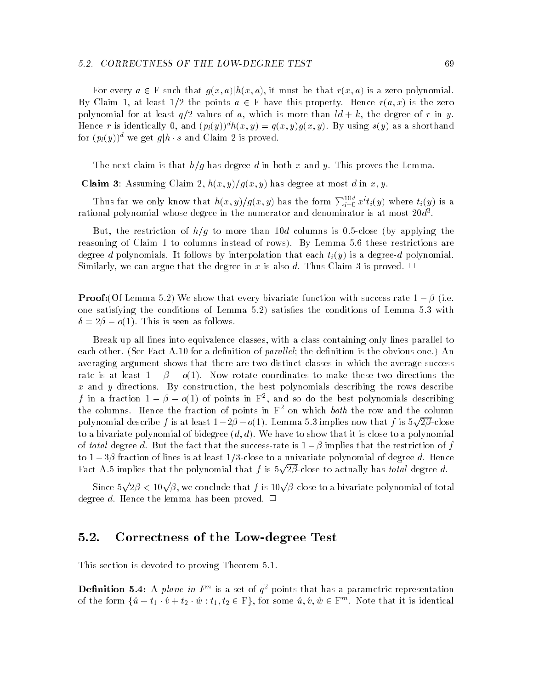For every  $a \in F$  such that  $g(x,a)|h(x,a)$ , it must be that  $r(x,a)$  is a zero polynomial. By Claim 1, at least  $1/2$  the points  $a \in F$  have this property. Hence  $r(a,x)$  is the zero polynomial for at least q values of a- which is more than ld k- the degree of r in y Hence r is identically 0, and  $(p_l(y))$   $n(x, y) = q(x, y)g(x, y)$ . By using  $s(y)$  as a shorthand for  $(p_l(y))^d$  we get  $g|h \cdot s$  and Claim 2 is proved.

The next claim is that  $h/g$  has degree d in both x and y. This proves the Lemma.

Claim Assuming Claim - hx- ygx- y has degree at most d in x- y

Thus far we only know that  $h(x,y)/g(x,y)$  has the form  $\sum_{i=0}^{10} x^i t_i(y)$  where  $t_i(y)$  is a rational polynomial whose degree in the numerator and denominator is at most  $20a^{\circ}$ .

But- the restriction of hg to more than d columns is close by applying the reasoning of Claim 1 to columns instead of rows). By Lemma 5.6 these restrictions are degree d polynomials. It follows by interpolation that each  $t_i(y)$  is a degree-d polynomial. similarly we can argue that the degree in also discussed in a man continue of the proved in the common common

**I** LOOT(Of Bentina 0.2) We show that every bivariate function with success rate  $I = \beta$  (i.e. one satisfying the conditions of Lemman , by conditions the conditions of Lemman , the conditions  $\sigma = 2\rho = o(1)$ . This is seen as follows.

Break up all lines into equivalence classes- with a class containing only lines parallel to each other. (See Fact A.10 for a definition of *parallel*; the definition is the obvious one.) An averaging argument shows that there are two distinct classes in which the average success rate is at reast  $1 - \beta - o(1)$ . Thow rotate coordinates to make these two directions the x and y directions By construction- the best polynomials describing the rows describe  $\eta$  in a fraction  $1 - \beta - o(1)$  of points in F<sup>-</sup>, and so do the best polynomials describing the columns. Hence the fraction of points in  $F^2$  on which both the row and the column polynomial describe  $f$  is at least  $1-2\beta-o(1)$ . Lemma 5.3 implies now that  $f$  is  $5\sqrt{2\beta}$ -close to a bivariate polynomial of bidegree  $\{v_i\}$  , the matrix of bides to a polynomial  $\{v_i\}$ of *total* degree  $a$ . But the fact that the success-rate is  $1 - \beta$  findines that the restriction or  $\beta$ to  $1 - \partial \rho$  had to the lines is at least  $1/\partial$ -dose to a univariate polynomial of degree  $a$ . Hence Fact A.5 implies that the polynomial that  $f$  is  $5\sqrt{2\beta}$  close to actually has *total* degree  $d$ .

Since  $5\sqrt{2\beta} < 10\sqrt{\beta},$  we conclude that  $f$  is  $10\sqrt{\beta}$ -close to a bivariate polynomial of total degree d. Hence the lemma has been proved.  $\Box$ 

### Correctness of the Low-degree Test

This section is devoted to proving Theorem 5.1.

**Definition 5.4:** A *plane in F*<sup>m</sup> is a set of  $q$ -points that has a parametric representation of the form  $\{\hat{u} + t_1 \cdot \hat{v} + t_2 \cdot \hat{w} : t_1, t_2 \in \mathbb{F}\}$ , for some  $\hat{u}, \hat{v}, \hat{w} \in \mathbb{F}^m$ . Note that it is identical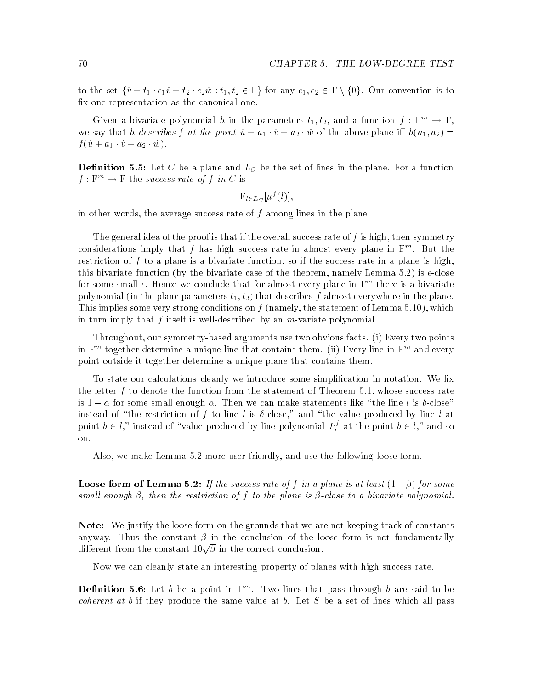to the set  $\{\hat{u} + t_1 \cdot c_1 \hat{v} + t_2 \cdot c_2 \hat{w} : t_1, t_2 \in F\}$  for any  $c_1, c_2 \in F \setminus \{0\}$ . Our convention is to fix one representation as the canonical one.

Given a bivariate polynomial  $n$  in the parameters  $t_1, t_2,$  and a function  $f: \mathbb{F}^n \to \mathbb{F},$ we say that h describes f at the point  $\hat{u} + a_1 \cdot \hat{v} + a_2 \cdot \hat{w}$  of the above plane iff  $h(a_1, a_2) =$  $f(\hat{u} + a_1 \cdot \hat{v} + a_2 \cdot \hat{w}).$ 

**Definition 5.5:** Let C be a plane and  $L_C$  be the set of lines in the plane. For a function  $f: \mathbf{F}^m \to \mathbf{F}$  the success rate of f in C is

$$
\mathrm{E}_{l\in L_C}[\mu^f(l)],
$$

in average words- the average success rate of f among meters in the planets.

The general idea of the proof is that if the proof is that if the overall success rate of  $\mathcal{F}$ considerations imply that  $\bar{t}$  has high success rate in almost every plane in  ${\bf r}$  . But the restriction of f to a plane is a bivariate function- so if the success rate in a plane is highthis bivariate function by the bivariate case of the theorem-case of the theorem-case of the theoremfor some small  $\epsilon$  . Hence we conclude that for almost every plane in Fracture is a bivariate polynomial in the plane parameters t-control in the plane parameters  $f$  almost every where  $f$  almost  $\alpha$ This implies some very strong conditions on f namely-different order on f namely-different of Lemma -  $\mu$  n in turn imply that f itself is well-described by an *m*-variate polynomial.

<u>ration, arguments arguments is the symmetry two observed arguments in Europe that the points in Europe and</u> in Fig. together determine a unique line that contains them. (ii) Every line in Fig. and every point outside it together determine a unique plane that contains them

To state our calculations cleanly we introduce some simplification in notation. We fix the letter f to denote the function from the statement of Theorem - whose success rate is  $1 - \alpha$  for some small enough  $\alpha$ . Then we can make statements like the line  $\iota$  is  $\iota$ -close instead of the restriction of f to line l is close- and the value produced by line l at point  $b \in l$ ," instead of "value produced by line polynomial  $P_l^i$  at the point  $b \in l$ ," and so on

....., we make more and use the following loose form and userfriendly-

**Loose form of Lemma 5.2:** If the success rate of f in a plane is at least  $(1 - \beta)$  for some small enough  $\beta$ , then the restriction of f to the plane is  $\beta$ -close to a bivariate polynomial.  $\Box$ 

Note: We justify the loose form on the grounds that we are not keeping track of constants anyway. Thus the constant  $\beta$  in the conclusion of the loose form is not fundamentally different from the constant  $10\sqrt{\beta}$  in the correct conclusion.

Now we can cleanly state an interesting property of planes with high success rate

**Demition 5.6:** Let  $\theta$  be a point in Fm. Two lines that pass through  $\theta$  are said to be *coherent at b* if they produce the same value at b. Let S be a set of lines which all pass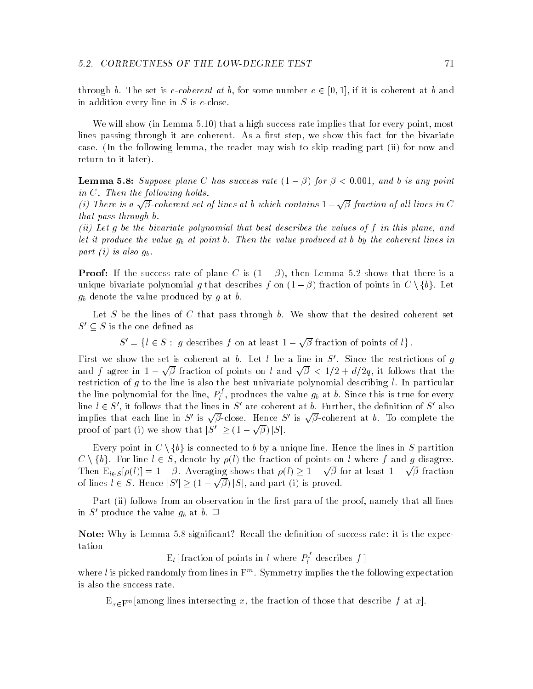through b. The set is c-coherent at b, for some number  $c \in [0,1]$ , if it is coherent at b and in addition every line in  $S$  is  $c$ -close.

where  $\mathcal{N}$  is the show in Lemma in Lemma in Lemma in that for every point-for every point-form  $\mathcal{N}$ lines passing through it are coherent As a rst step- we show this fact for the bivariate case In the reader many continued case is the following to state and part in the second case of the state of th return to it later

**Deminia 5.8.** Duppose plane  $\cup$  has success rate  $(1 - \beta)$  for  $\beta \leq 0.001$ , and b is any point in C-1 methods in the following holds-then

(i) There is a  $\sqrt{\beta}$ -coherent set of lines at b which contains  $1-\sqrt{\beta}$  fraction of all lines in C that pass through  $b$ .

(ii) Let g be the bivariate polynomial that best describes the values of f in this plane, and let it produce the value gb at point b- Then the value produced at b by the coherent lines in part (i) is also  $q_b$ .

**I** foot. If the success rate of plane C is  $(T - \beta)$ , then Bennina 0.2 shows that there is a unique bivariate polynomial g that describes f on  $(1 - \beta)$  fraction of points in  $C \setminus \{b\}$ . Let  $g_b$  denote the value produced by  $g$  at  $b$ .

Let S be the lines of C that pass through  $b$ . We show that the desired coherent set  $S' \subseteq S$  is the one defined as

> $S' = \{l \in$  $\{l \in S : g \text{ describes } f \text{ on at least } 1 - \sqrt{\beta} \text{ fraction of points of } l \}.$

First we show the set is coherent at b. Let l be a line in  $S'$ . Since the restrictions of q and f agree in  $1-\sqrt{\beta}$  fraction of points on l and  $\sqrt{\beta} < 1/2 + d/2q$ , it follows that the restriction of  $g$  to the line is also the best univariate polynomial describing  $l$ . In particular the line polynomial for the line,  $P_l^*$  , produces the value  $g_b$  at b. Since this is true for every line  $l \in S'$ , it follows that the lines in S' are coherent at b. Further, the definition of S' also implies that each line in  $S'$  is  $\sqrt{\beta}$ -close. Hence  $S'$  is  $\sqrt{\beta}$ -coherent at  $b$ . To complete the proof of part (i) we show that  $|S'| \geq (1 - \sqrt{\beta}) |S|$ .

Every point in  $C \setminus \{b\}$  is connected to b by a unique line. Hence the lines in S partition  $C \setminus \{b\}$ . For line  $l \in S$ , denote by  $\rho(l)$  the fraction of points on l where f and g disagree. Then  $E_{l\in S}[\rho(l)] = 1 - \beta$ . Averaging shows that  $\rho(l) \geq 1 - \sqrt{\beta}$  for at least  $1 - \sqrt{\beta}$  fraction of lines  $l \in S$ . Hence  $|S'| \geq (1 - \sqrt{\beta}) |S|$ , and part (i) is proved.

Part ii follows from an observation in the rst para of the proof- namely that all lines in  $S'$  produce the value  $g_b$  at  $b$ .  $\Box$ 

Note: Why is Lemma 5.8 significant? Recall the definition of success rate: it is the expectation

 $\mathbb{E}_l$  [fraction of points in  $l$  where  $P_l^*$  describes  $f$  ]

where *t* is picked randomly from lines in Fm. Symmetry implies the the following expectation is also the success rate

 $E_x \in \mathbb{F}$  among lines intersecting  $\omega$ , the fraction of those that describe f at  $\omega$ .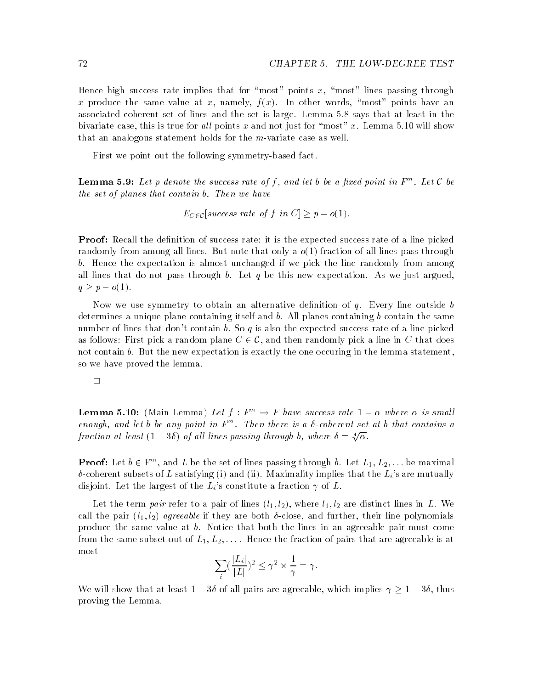Hence high success rate implies that for most points x- most lines passing through , produce the same value at  $x \leftarrow y$  most points in the same and a same and a point most of  $\alpha$ associated coherent set of lines and the set is large. Lemma 5.8 says that at least in the  $\mathbf{f}$  this is true for all points  $\mathbf{f}$  and not just for most  $\mathbf{f}$  and not just for most  $\mathbf{f}$ that an analogous statement holds for the  $m$ -variate case as well.

First we point out the following symmetry-based fact.

**Lemma 5.9:** Let p denote the success rate of f, and let b be a fixed point in  $F^m$ . Let C be the set of planes that contain b- Then we have

 $E_{C \in \mathcal{C}}$  success rate of f in  $C \geq p - o(1)$ .

**Proof:** Recall the definition of success rate: it is the expected success rate of a line picked randomly from among all lines. But note that only a  $o(1)$  fraction of all lines pass through b. Hence the expectation is almost unchanged if we pick the line randomly from among all lines that do not pass through b. Let q be this new expectation. As we just argued,  $q \geq p - o(1)$ .

Now we use symmetry to obtain an alternative definition of  $q$ . Every line outside  $b$ determines a unique plane containing itself and b. All planes containing b contain the same number of lines that don't contain b. So q is also the expected success rate of a line picked as follows: First pick a random plane  $C \in \mathcal{C}$ , and then randomly pick a line in C that does not contain b. But the new expectation is exactly the one occuring in the lemma statement, so we have proved the lemma

 $\Box$ 

**Lemma 5.10:** (Main Lemma) Let  $\tau : F^* \to F$  have success rate  $1 - \alpha$  where  $\alpha$  is small enough, and let  $\bm{o}$  be any point in  $\bm{r}$  . Then there is a  $\bm{o}$ -coherent set at  $\bm{o}$  that contains  $\bm{a}$ fraction at least  $(1-3\delta)$  of all lines passing through b, where  $\delta = \sqrt[4]{\alpha}$ .

**Proof:** Let  $b \in \mathbb{F}^m$ , and L be the set of lines passing through b. Let  $L_1, L_2, \ldots$  be maximal  $\delta$ -coherent subsets of L satisfying (i) and (ii). Maximality implies that the  $L_i$ 's are mutually disjoint. Let the largest of the  $L_i$ 's constitute a fraction  $\gamma$  of L.

Let the term pair refer to a pair refer to a pair of lines lines in Let  $\alpha$ call the pair lilling and close-if they are close-if their polynomials and further-match polynomials and produce the same value at b. Notice that both the lines in an agreeable pair must come for  $\mathbf{H} = \mathbf{H} \mathbf{H}$  and  $\mathbf{H} = \mathbf{H} \mathbf{H}$  are agreement is at a transformation of pairs that are agreement is at a function of pairs that are agreement is at a function of pairs that are agreement in  $\mathbf{H}$ most

$$
\sum_{i} \left( \frac{|L_i|}{|L|} \right)^2 \le \gamma^2 \times \frac{1}{\gamma} = \gamma.
$$

We will show that at least  $1-3\delta$  of all pairs are agreeable, which implies  $\gamma \geq 1-3\delta$ , thus proving the Lemma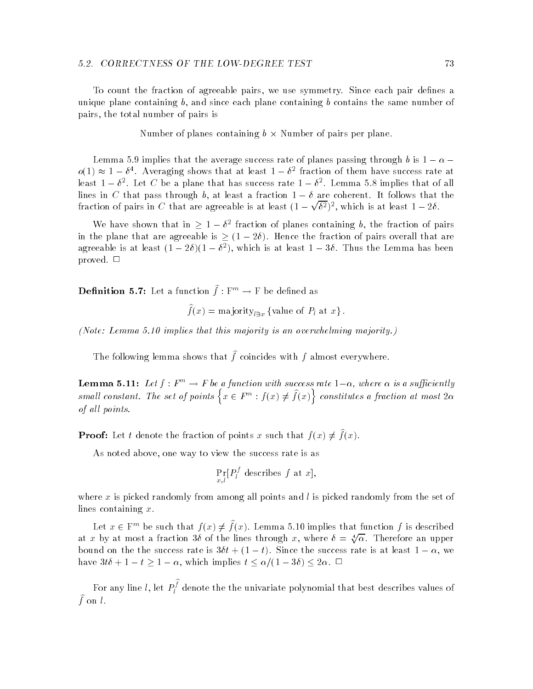To count the fraction of agreeable pairs- we use symmetry Since each pair denes a unique plane containing by and since plane planes the same number of containing b contains the same number of parameters in the total number of pairs-total number of pairs-total number of pairs is the total number of pairs is

Number of planes containing  $b \times$  Number of pairs per plane.

Lemma  $\sigma$  s implies that the average success rate or planes passing through  $\sigma$  is  $1-\alpha$   $$  $o(1) \approx 1 - \delta^2$ . Averaging shows that at least  $1 - \delta^2$  fraction of them have success rate at least 1 —  $\mathfrak{o}$  . Let  $C$  be a plane that has success rate 1 —  $\mathfrak{o}$  . Lemma 5.8 implies that of all  $\min$ es in  $\cup$  that pass through  $v,$  at least a fraction  $1-v$  are coherent. It follows that the fraction of pairs in C that are agreeable is at least  $(1-\sqrt{\delta^2})^2$ , which is at least  $1-2\delta$ .

We have shown that in  $\geq 1-\delta^2$  fraction of planes containing b, the fraction of pairs in the plane that are agreeable is  $\geq (1-2\delta)$ . Hence the fraction of pairs overall that are agreeable is at least (1  $-$  20)(1  $-$  0°), which is at least 1  $-$  30. Thus the Lemma has been proved.  $\Box$ 

**Denmition 5.7:** Let a function  $f : F^* \to F$  be denied as

 $f(x) = \text{majority}_{l \ni x}$  {value of  $P_l$  at  $x$  }.

Note Lemma - implies that this majority is an overwhelming majority- 

I he following femma shows that f coincides with f almost everywhere.

**Lemma 5.11:** Let  $\mathfrak{f}: \mathfrak{f}^m \to \mathfrak{f}$  be a function with success rate  $1-\alpha$ , where  $\alpha$  is a sufficiently small constant. The set of points  $\{x \in F^m : f(x) \neq \hat{f}(x)\}$  constitutes a fraction at most  $2\alpha$ of all points.

**Proof:** Let t denote the fraction of points x such that  $f(x) \neq f(x)$ .

 $\mathcal{A}$  noted above-dabove-success rate is assumed above-success rate is assumed as  $\mathcal{A}$ 

$$
\Pr_{x,l}[P_l^f\text{ describes }f\text{ at }x],
$$

where  $x$  is picked randomly from among all points and  $l$  is picked randomly from the set of lines containing  $x$ .

Let  $x \in F^m$  be such that  $f(x) \neq f(x)$ . Lemma 5.10 implies that function f is described at x by at most a fraction 38 of the lines through x, where  $\delta = \sqrt[4]{\alpha}$ . Therefore an upper bound on the the success rate is  $\partial u \uparrow (1 = u)$ . Since the success rate is at least  $1 = u$ , we have  $3t\delta + 1 - t \geq 1 - \alpha$ , which implies  $t \leq \alpha/(1 - 3\delta) \leq 2\alpha$ .

For any line  $l,$  let  $P_l^j$  denote the the univariate polynomial that best describes values of f on  $i$ .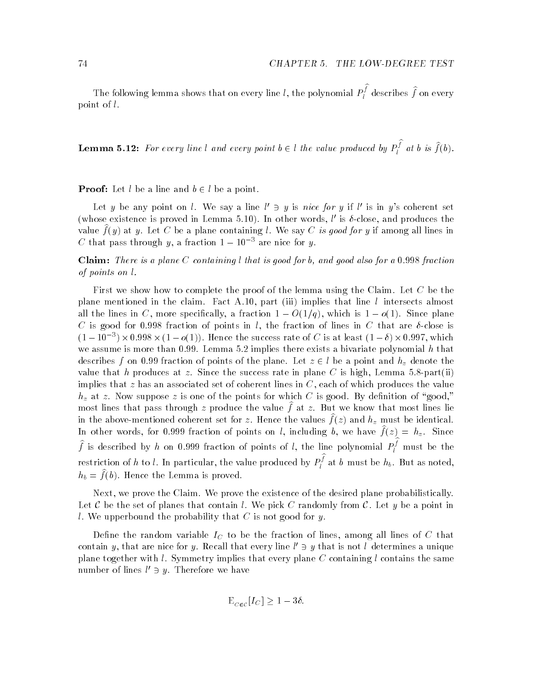The following lemma shows that on every line l, the polynomial  $P_l^j$  describes f on every point of l

**Lemma 5.12:** For every line l and every point  $b \in l$  the value produced by  $P_l^j$  at b is  $f(b)$ .

**Proof:** Let l be a line and  $b \in l$  be a point.

Let y be any point on l. We say a line  $l' \ni y$  is nice for y if l' is in y's coherent set (whose existence is proved in Lemma 5.10). In other words,  $l'$  is  $\delta$ -close, and produces the value  $f(y)$  at  $y$ . Let  $C$  be a plane containing i. We say  $C$  is good for y if among all lines in C that pass through y, a fraction  $1-10^{-5}$  are nice for y.

Claim: There is a plane  $C$  containing  $l$  that is good for  $b$ , and good also for a 0.998 fraction of points on l-

First we show how to complete the proof of the lemma using the Claim. Let  $C$  be the parties and mentioned in the carriers and claim fact in the claim fact intersects almost interests almost the an the lines in  $\cup$ , intrie specifically, a fraction  $\Gamma = \mathcal{O}(1/q)$ , which is  $\Gamma = \mathcal{O}(1)$ . Since plane case and for the fraction of points in the fraction of the fraction of the contract of the contract  $\mathbf{r}_i$  $(1-10^{-5})\times0.998\times(1-o(1))$ . Hence the success rate of C is at least  $(1-o)\times0.997$ , which we assume is more than 0.99. Lemma 5.2 implies there exists a bivariate polynomial  $h$  that describes f on 0.99 fraction of points of the plane. Let  $z \in l$  be a point and  $h_z$  denote the value that is produced at 20 since the success rate in planet C is higher measured for planet implies that z has an associated set of coherent lines in C- each of which produces the value has at zero suppose it is one of the points for which  $\sigma$  an  $\sigma$  at  $\sigma$  which can be  $\sigma$  and  $\sigma$ most lines that pass through  $z$  produce the value  $\mu$  at  $z$ . Dut we know that most lines he in the above-inentioned coherent set for z. Hence the values  $f(z)$  and  $n_z$  must be identical. In other words, for 0.999 fraction or points on  $i$ , including  $v$ , we have  $f(z) = u_z$ . Since f is described by h on 0.999 fraction of points of l, the line polynomial  $P_l^{\prime}$  must be the restriction of h to l. In particular, the value produced by  $P_l^j$  at h must be  $h_b$ . But as noted,  $h_b = f(\sigma)$ . Hence the Lemma is proved.

Next- we prove the Claim We prove the existence of the desired plane probabilistically Let C be the set of planes that contain l. We pick C randomly from C. Let y be a point in l. We upperbound the probability that  $C$  is not good for  $y$ .

Dene the random variable IC to be the fraction of lines- among all lines of C that contain y, that are nice for y. Recall that every line  $l' \ni y$  that is not l determines a unique plane together with l. Symmetry implies that every plane  $C$  containing l contains the same number of lines  $l' \ni y$ . Therefore we have

$$
\mathcal{E}_{c \in c}[I_C] \ge 1 - 3\delta.
$$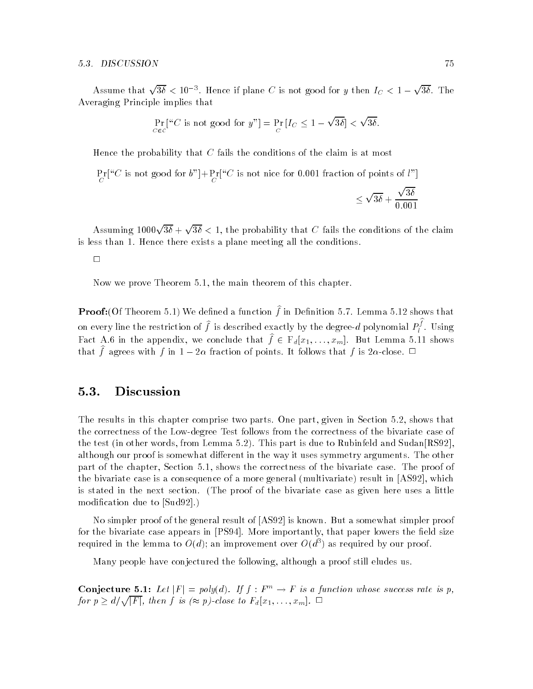### 5.3. DISCUSSION

Assume that  $\sqrt{3\delta} < 10^{-3}$ . Hence if plane C is not good for y then  $I_C < 1 - \sqrt{3\delta}$ . The Averaging Principle implies that

$$
\Pr_{C \in \mathcal{C}}[{}^{\omega}C \text{ is not good for } y"\rbrack = \Pr_{C}[I_C \le 1 - \sqrt{3\delta}] < \sqrt{3\delta}.
$$

Hence the probability that  $C$  fails the conditions of the claim is at most

 $\overline{C}$  is not give the  $\overline{C}$  is not not not not not not point of  $\overline{P}$ 

$$
\leq \sqrt{3\delta} + \frac{\sqrt{3\delta}}{0.001}
$$

Assuming  $1000\sqrt{3\delta} + \sqrt{3\delta} < 1$ , the probability that C fails the conditions of the claim is less than 1. Hence there exists a plane meeting all the conditions.

 $\Box$ 

Now we prove Theorem - the main theorem of this chapter

**I** LOOF(A) Theorem 9.1) Are denned a function T in Denimaton 9.1 Femina 9.17 shows that on every line the restriction of  $f$  is described exactly by the degree- $d$  polynomial  $P_l^\tau$  . Using Fact A.6 in the appendix, we conclude that  $f \in \mathbb{F}_d[x_1,\ldots,x_m]$ . But Lemma 5.11 shows that f agrees with f in  $1 - 2\alpha$  fraction of points. It follows that f is z $\alpha$ -close.  $\Box$ 

### Discussion

The results in this chapter comprise two parts One part- given in Section - shows that the correctness of the Low-degree Test follows from the correctness of the bivariate case of the test in other words- from Lemma This part is due to Rubinfeld and SudanRSalthough our proof is somewhat different in the way it uses symmetry arguments. The other part of the chapter, we consider the correction - and the proof of the bivariate case proof of the proof of th the bivariate case is a consequence of a more general multivariate result in AS-  $\sim$ is stated in the next section. (The proof of the bivariate case as given here uses a little modification due to [Sud92].)

No simpler proof of the general result of  $[{\rm AS} 92]$  is known. But a somewhat simpler proof for the bivariate case appears in PS More importantly- that paper lowers the eld size required in the lemma to  $O(a)$ ; an improvement over  $O(a^*)$  as required by our proof.

Many people have conjectured the following- although a proof still eludes us

**Conjecture 5.1:** Let  $|F| = poly(d)$ . If  $f : F<sup>m</sup> \to F$  is a function whose success rate is p, for  $p \geq d/\sqrt{|F|}$ , then f is  $(\approx p)$ -close to  $F_d[x_1, \ldots, x_m]$ .  $\Box$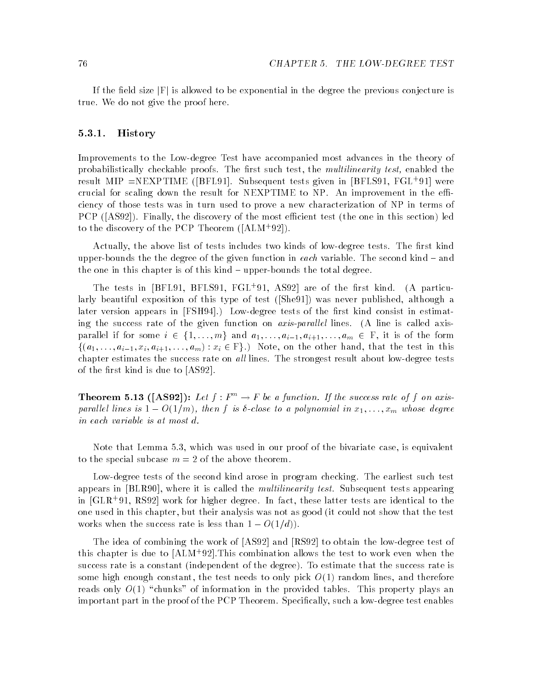If the field size  $|F|$  is allowed to be exponential in the degree the previous conjecture is true. We do not give the proof here.

### $5.3.1.$ History

Improvements to the Lowdegree Test have accompanied most advances in the theory of probabilistically checked provided the multiplication test-contentium test, the multiplication test the multip result MIP =NEAPTIME (|BFL91|. Subsequent tests given in |BFLS91, FGL'91| were crucial for scaling down the result for NEXPTIME to NP. An improvement in the efficiency of those tests was in turn used to prove a new characterization of NP in terms of PCP AS Finally- the discovery of the most ecient test the one in this section led to the discovery of the PUP Theorem ([ALM '92]).

 $\mathcal{L}$ upper-bounds the the degree of the given function in each variable. The second kind  $-$  and the one in this chapter is of this kind  $-$  upper-bounds the total degree.

Ine tests in [BFL91, BFL591, FGL+91, A592] are of the first kind. (A particularly beautiful exposition of this type of test She was never published- although a later version appears in [FSH94].) Low-degree tests of the first kind consist in estimating the success rate of the given function on *axis-parallel* lines. (A line is called axisparallel if for some  $i \in \{1, ..., m\}$  and  $a_1, ..., a_{i-1}, a_{i+1}, ..., a_m \in F$ , it is of the form  $\{(a_1,\ldots,a_{i-1},x_i,a_{i+1},\ldots,a_m):x_i\in F\}$ .) Note, on the other hand, that the test in this chapter estimates the success rate on all lines. The strongest result about low-degree tests of the first kind is due to  $[AS92]$ .

**Theorem 5.15** ([AS92]): Let  $f : F^* \to F$  be a function. If the success rate of f on axisparametrines is  $1 - O(1/m)$ , then f is v-close to a polynomial in  $x_1, \ldots, x_m$  unose acgree in each variable is at most  $d$ .

Note that Lemma - which was used in our proof of the bivariate case- is equivalent to the special subcase  $m = 2$  of the above theorem.

Low-degree tests of the second kind arose in program checking. The earliest such test appears in BLRs - where it is called the multiplier in Subsection test Subsequent test Subsequent tests appearing tests appearing to the multiplier of the multiplier of the multiplier of the multiplier of the multiplier o in [GLR 91, R592] work for migher degree. In fact, these fatter tests are identical to the one was an this chapter, was not as analysis was not as good it could not as a good it could not the test works when the success rate is less than  $1 - O(1/a)$ .

The idea of combining the work of  $[AS92]$  and  $[RS92]$  to obtain the low-degree test of this chapter is que to |ALM +92|.1 his combination allows the test to work even when the success rate is a constant (independent of the degree). To estimate that the success rate is some independent constant the test needs to only pick O random lines-to only picked the therefore reads only  $O(1)$  "chunks" of information in the provided tables. This property plays an important part in the proof of the PCP Theorem Specically- such a lowdegree test enables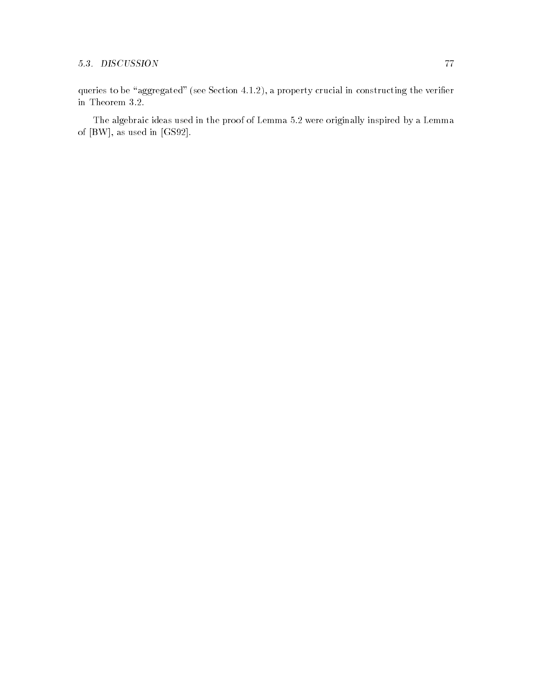queries to be aggregated see Section - the construction - the verified of the verified the verified of the verified of the verified of the verified of the verified of the verified of the verified of the verified of the ver

The algebraic ideas used in the proof of Lemma 5.2 were originally inspired by a Lemma of BW-S-Second in GS-Second in GS-Second in GS-Second in GS-Second in GS-Second in GS-Second in GS-Second in G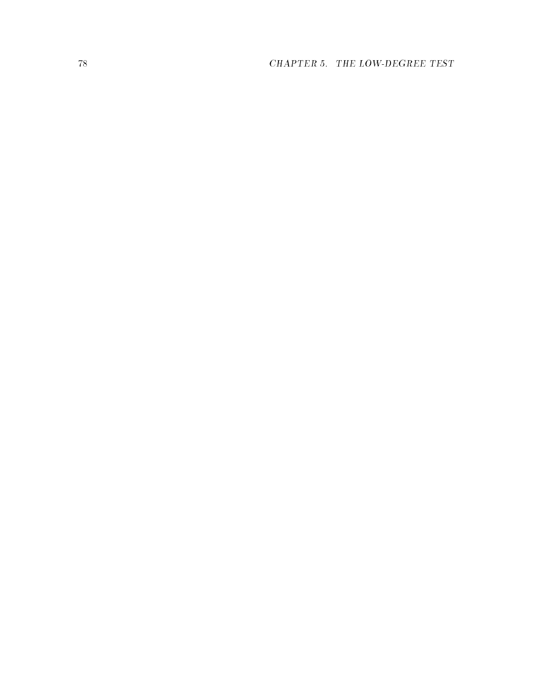# THE LOW-DEGREE TEST CHAPTER 5. THE LOW-DEGREE TEST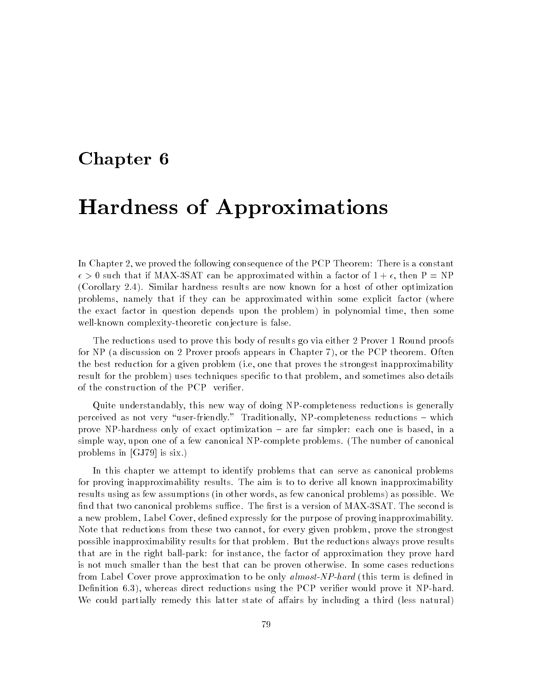# Chapter 6

# Hardness of Approximations

In Chapter - we proved the following consequence of the PCP Theorem There is a constant such that is made that if the approximation of the cannot consider the process of  $\mathcal{L}_1$  , and  $\mathcal{L}_2$ (Corollary 2.4). Similar hardness results are now known for a host of other optimization problems- namely that if they can be approximated within some explicit factor where the exact factor in question depends upon the problem in polynomial time- then some well-known complexity-theoretic conjecture is false.

The reductions used to prove this body of results go via either 2 Prover 1 Round proofs for NP a discussion on Prover proofs appears in Chapter - or the PCP theorem Often the best reduction for a given problem ie- one that proves the strongest inapproximability result for the problem uses techniques specific to that problem, which sometimes also details of the construction of the PCP verifier.

quite new way of doing the standard above the standard complete reductions is a generally of the standard of  $\alpha$ perceived as not very userfriendly Traditionally- NPcompleteness reductions which prove the monocontract only of exact optimization are far simplers contract on a simpler of  $\alpha$ simple way- upon one of a few canonical NPcomplete problems The number of canonical problems in  $[GJ79]$  is six.)

In this chapter we attempt to identify problems that can serve as canonical problems for proving inapproximability results. The aim is to to derive all known inapproximability results using the few assumptions in other words-continued the second problems problems as possible Western We nd that two canonical problems suce The rst is a version of MAX SAT The second is a new problems, which is the purpose of the purpose of provincing inapproximately provincing in the provincing Note that reductions from these two cannot- for every given problem- prove the strongest possible inapproximability results for that problem But the reductions always prove results that are in the right ballpark for instance- the factor of approximation they prove hard is not much smaller than the best that can be proven otherwise In some cases reductions from Label Cover prove approximation to be only *almost-NP-hard* (this term is defined in Denition - whereas direct reductions using the PCP verier would prove it NPhard We could partially remedy this latter state of affairs by including a third (less natural)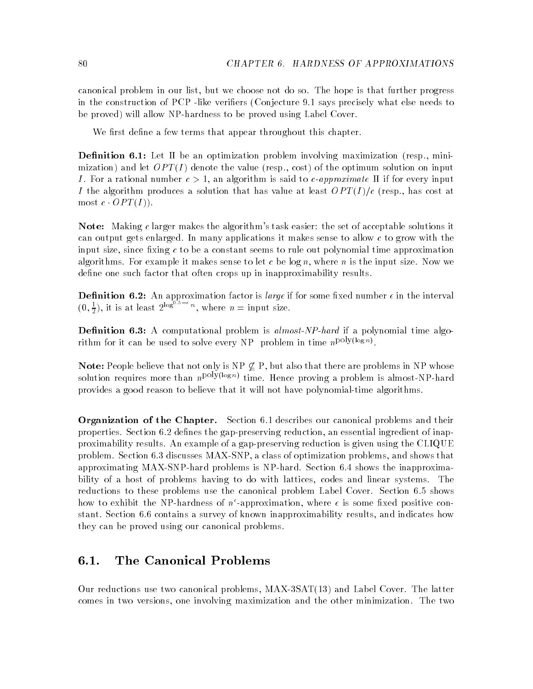canonical problem in our list, which is the further is the source problem is the further progress in the construction of PCP -like verifiers (Conjecture 9.1 says precisely what else needs to be proved) will allow NP-hardness to be proved using Label Cover.

We first define a few terms that appear throughout this chapter.

<u> de de de la de de la de la de la de la de la de la de la de la de la de la de la de la de la de la de la de l</u> mization and let OP T I denote the value resp- cost of the optimum solution on input In algorithm is satisfactor and number c  $\mathcal{L}$  for every input  $\mathcal{L}$  for every input  $\mathcal{L}$ I the algorithm produces a solution that has value at least OP T I c resp- has cost at most  $c \cdot OPT(I)$ .

**Note:** Making c larger makes the algorithm's task easier: the set of acceptable solutions it can output gets enlarged. In many applications it makes sense to allow  $c$  to grow with the input size- since xing c to be a constant seems to rule out polynomial time approximation algorithms For example it makes sense to let c be log n- where n is the input size Now we define one such factor that often crops up in inapproximability results.

Denition - An approximation factor is large if for some xed number in the interval  $(0, \frac{1}{2})$ , it is at least  $2^{\log^{800}}$ , where  $n =$  input size.

— computation is a computation problem in all times in a polynomial time algo rithm for it can be used to solve every  $\Lambda$ P problem in time  $n_{\rm F}$  is not negative.

**Note:** People believe that not only is NP  $\not\subseteq$  P, but also that there are problems in NP whose solution requires more than  $n^{poly(log n)}$  time. Hence proving a problem is almost-NP-hard provides a good reason to believe that it will not have polynomial-time algorithms.

Organization of the Chapter. Section 6.1 describes our canonical problems and their properties section in essential includes the gappreserving reduction, and the expression-ingredient procession proximability results. An example of a gap-preserving reduction is given using the  $CLIQUE$ problem Section discusses MAXSNP- a class of optimization problems- and shows that approximating MAX-SNP-hard problems is  $NP$ -hard. Section  $6.4$  shows the inapproximability of a host of problems having to do with lattices- codes and linear systems The reductions to these problems use the canonical problem Label Cover. Section 6.5 shows how to exhibit the NP-hardness of  $n$  -approximation, where  $\epsilon$  is some fixed positive constant Section in the survey of the contains in and indicated proximation in the indicates for the indicates ho they can be proved using our canonical problems

# The Canonical Problems

Our reductions use two canonical problems- MAX SAT and Label Cover The latter comes in two versions- one involving maximization and the other minimization The two

-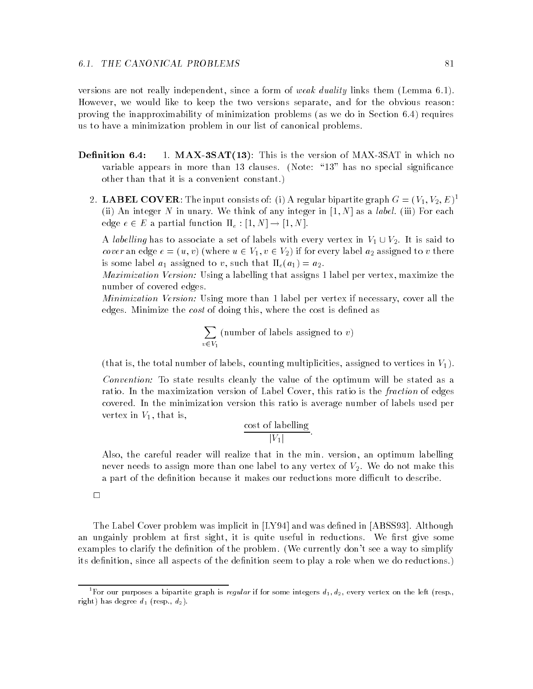versions are not really independent, and a form of weak duality manual them provided the since  $\mathcal{L}$ However- we would like to keep the two versions separate- and for the obvious reason proving the inapproximability of minimization problems (as we do in Section  $6.4$ ) requires us to have a minimization problem in our list of canonical problems

- Definition 6.4:  $\mathcal{M}=\{1,2,3,4,5\}$  is the version of  $\mathcal{M}=\{1,3,4,5\}$  is the version of  $\mathcal{M}=\{1,3,4,5\}$ variable appears in more than clauses Note has no special signicance other than that it is a convenient constant
	- 2. LABEL COVER: The input consists of: (1) A regular bipartite graph  $G = (V_1, V_2, E)^*$ ii An integer N integer and any integer in  $\mathcal{N}$  and any integer in  $\mathcal{N}$  and as a label in  $\mathcal{N}$ edge  $e \in E$  a partial function  $\Pi_e : [1, N] \to [1, N]$ .

A *labelling* has to associate a set of labels with every vertex in  $V_1 \cup V_2$ . It is said to *cover* an edge  $e = (u, v)$  (where  $u \in V_1, v \in V_2$ ) if for every label  $a_2$  assigned to v there is some man as all mendements to vil

 $\frac{Maximization\ Version: Using a labelling that assigns 1 label per vertex, maximize the$ number of covered edges

Minimization Version Using more than label per vertex if necessary- cover all the edges Minimize the cost of doing the cost of doing the cost of doing the cost is denoted as  $\mathcal{M}$ 

$$
\sum_{v \in V_1}
$$
 (number of labels assigned to  $v$ )

that is the total number of labels-induced to vertices in  $\Omega$  . The counting multiplicities in  $\Omega$ 

Convention: To state results cleanly the value of the optimum will be stated as a ratio In the maximization version of Label Cover- this ratio is the fraction of edges covered In the minimization version this ratio is average number of labels used per vertex in V- that is-

$$
\frac{\text{cost of labelling}}{|V_1|}.
$$

Also- the careful reader will realize that in the min version- an optimum labelling never needs to assign more than one label to any vertex of  $V_2$ . We do not make this a part of the definition because it makes our reductions more difficult to describe.

 $\Box$ 

The Label Cover problem was implicited in LY and was denoted in Ly and was denoted in ABSS and was denoted in an ungainly problem at rst significant problem at reductions We reductions We reductions We reductions We reduc examples to clarify the definition of the problem. (We currently don't see a way to simplify ... since all aspects of the denition seem to the denition and the play at role when we do reductions,

fror our purposes a bipartite graph is *reqular* if for some integers  $d_1, d_2$ , every vertex on the left (resp., right and degree distribution and a respect to the set of the set of the set of the set of the set of the set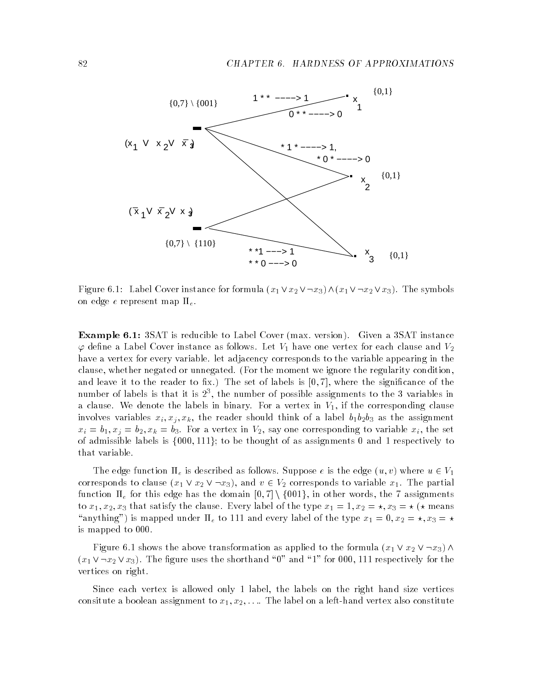

Figure 6.1: Label Cover instance for formula  $(x_1 \vee x_2 \vee \neg x_3) \wedge (x_1 \vee \neg x_2 \vee x_3)$ . The symbols on edge e represent map  $\Pi_e$ .

Example SAT is reducible to Label Cover max version Given a SAT instance dene a Label Cover instance as follows Let  $\mu$ have a vertex for every variable. let adjacency corresponds to the variable appearing in the clause-moment is a clause-moment we ignore the moment we ignore the moment we ignore the regularity conditionand leave it to the leavest the sheet, where the set of labels is the significance of the significance of the number of labels is that it is  $2\degree$ , the number of possible assignments to the 3 variables in a corresponding in binary Formulae and a vertex in the corresponding  $\mathcal{F}_1$  in the corresponding corresponding involves variables  $\mathbf{r}$  - the assignment of a label bb -  $\mathbf{r}$  $x \mapsto \pm 1$  in  $\pm 1$  and the set of the set  $\pm 2$  , the set of the set of the set one corresponding to  $\pm 1$ of admissible labels is  $\{000, 111\}$ ; to be thought of as assignments 0 and 1 respectively to that variable

The edge function  $\Pi_e$  is described as follows. Suppose e is the edge  $(u,v)$  where  $u \in V_1$ corresponds to clause  $(x_1 \vee x_2 \vee \neg x_3)$ , and  $v \in V_2$  corresponds to variable  $x_1$ . The partial function  $\Pi_e$  for this edge has the domain  $[0,7] \setminus \{001\},$  in other words, the 7 assignments to x- x- x- that satisfy the clause Every label of the type x - x - x- means any thing is mapped under the top control of the type  $\alpha$  -  $\alpha$  ,  $\beta$  ,  $\alpha$  ,  $\alpha$  ,  $\alpha$  ,  $\alpha$ is mapped to 

Figure 6.1 shows the above transformation as applied to the formula  $(x_1 \vee x_2 \vee \neg x_3) \wedge$  $(x_1 \vee \neg x_2 \vee x_3)$ . The figure uses the shorthand "0" and "1" for 000, 111 respectively for the vertices on right

Since each vertex is allowed only label- the labels on the right hand size vertices  $\mathbf{1}$  assignment to  $\mathbf{1}$  assignment to  $\mathbf{1}$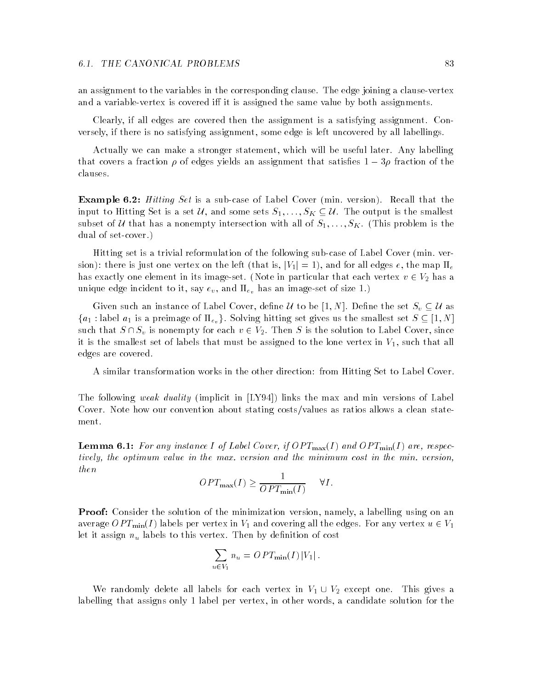an assignment to the variables in the corresponding clause. The edge joining a clause-vertex and a variable-vertex is covered iff it is assigned the same value by both assignments.

clearly-the covered the assignment theory is a satisfying assignment control the assignment control of the control of the control of the control of the control of the control of the control of the control of the control of if there is no satisfy  $i$  there is a satisfying assignment-different by all labellings  $i$  there is a satisfying  $i$  the satisfying  $i$  the satisfying  $i$  the satisfying  $i$  the satisfying  $i$  the satisfying  $i$  the sati

 $\mathcal{A}$ that covers a fraction  $\rho$  of edges yields an assignment that satisfies  $\Gamma = \partial \rho$  fraction of the clauses

Example - Hitting Set is a subcase of Label Cover min version Recall that the input to Hitting Set is a set  $\mathcal{U}$ , and some sets  $S_1, \ldots, S_K \subseteq \mathcal{U}$ . The output is the smallest subset of U that has a nonempty intersection with all of  $S_1, \ldots, S_K$ . (This problem is the dual of set-cover.)

Hitting set is a trivial reformulation of the following sub-case of Label Cover (min. version): there is just one vertex on the left (that is,  $|V_1|=1$ ), and for all edges  $e,$  the map  $\Pi_e$ has exactly one element in its image-set. (Note in particular that each vertex  $v \in V_2$  has a  $\mathbf{1}$ uni $\mathbf{0}$  and even in size  $\mathbf{1}$  , size  $\mathbf{1}$  and  $\mathbf{1}$  and  $\mathbf{1}$  and  $\mathbf{1}$  and  $\mathbf{1}$  and  $\mathbf{1}$  and  $\mathbf{1}$  and  $\mathbf{1}$  and  $\mathbf{1}$  and  $\mathbf{1}$  and  $\mathbf{1}$  and  $\mathbf{1}$  and  $\mathbf{1}$  and

Given such an instance of Label Cover, define  $\mathcal U$  to be  $[1,N].$  Define the set  $S_v \subseteq \mathcal U$  as  $\{a_1:$  label  $a_1$  is a preimage of  $\Pi_{e_v}\}$ . Solving hitting set gives us the smallest set  $S\subseteq [1,N]$ such that  $S \cap S_v$  is nonempty for each  $v \in V_2$ . Then  $S$  is the solution to Label Cover, since it is the smallest set of labels that must be assigned to that must be assigned to the lone vertex in  $\Omega$ edges are covered

A similar transformation works in the other direction from Hitting Set to Label Cover

The following weak duality (implicit in  $[LY94]$ ) links the max and min versions of Label Cover. Note how our convention about stating costs/values as ratios allows a clean statement

Lemma For any instance I of Label Cover if OP TmaxI and OP TminI are respec tively the optimum value in the max- version and the minimum cost in the min- version then

$$
OPT_{\max}(I) \ge \frac{1}{OPT_{\min}(I)} \quad \forall I.
$$

Proof Consider the solution of the minimization version- namely- a labelling using on an average  $OPT_{\text{min}}(I)$  labels per vertex in  $V_1$  and covering all the edges. For any vertex  $u \in V_1$ let it assign  $n_u$  labels to this vertex. Then by definition of cost

$$
\sum_{u \in V_1} n_u = OPT_{\min}(I) |V_1|.
$$

We randomly delete all labels for each vertex in  $V_1 \cup V_2$  except one. This gives a labelling that assigns only label per vertex- in other words- a candidate solution for the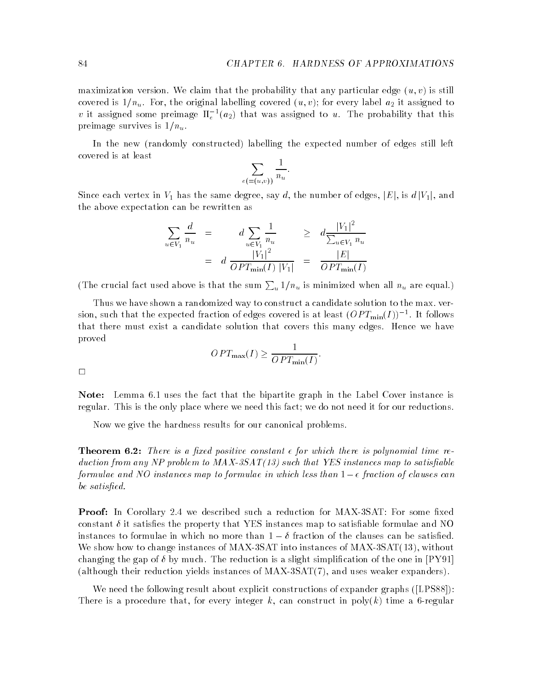maximization we consider we consider that the probability that any particular edge uses that a covered is numbered in the original labelling covered up and the cover labelling to mandate to v it assigned some preimage  $\prod_{\epsilon}^{-1}(a_2)$  that was assigned to u. The probability that this preimage survives is  $1/n_u$ .

In the new (randomly constructed) labelling the expected number of edges still left covered is at least

$$
\sum_{e\, (\equiv (u,v))} \frac{1}{n_u}.
$$

Since each vertex in  $V_1$  has the same degree, say  $d$ , the number of edges,  $|E|$ , is  $d\, |V_1|$ , and the above expectation can be rewritten as

$$
\sum_{u \in V_1} \frac{d}{n_u} = d \sum_{u \in V_1} \frac{1}{n_u} \geq d \frac{|V_1|^2}{\sum_{u \in V_1} n_u}
$$
  
=  $d \frac{|V_1|^2}{OPT_{\min}(I) |V_1|} = \frac{|E|}{OPT_{\min}(I)}$ 

(The crucial fact used above is that the sum  $\sum_u 1/n_u$  is minimized when all  $n_u$  are equal.)

Thus we have shown a randomized way to construct a candidate solution to the max ver sion, such that the expected fraction of edges covered is at least  $(OPT_{\min}(I))^{-1}$ . It follows that there must exist a candidate solution that covers this many edges. Hence we have proved

$$
OPT_{\max}(I) \ge \frac{1}{OPT_{\min}(I)}.
$$

 $\Box$ 

Note: Lemma 6.1 uses the fact that the bipartite graph in the Label Cover instance is regular. This is the only place where we need this fact; we do not need it for our reductions.

Now we give the hardness results for our canonical problems

Theorem - There is a xed positive constant for which there is polynomial time re duction from any NP problem to MAX problem to MAX problem to Satisfacture map to satisfacture map to satisfact formulae and NO instances map to formulae in which less than fraction of clauses can be satisfied.

Proof In Corollary we described such a reduction for MAX SAT For some xed constant  $\delta$  it satisfies the property that YES instances map to satisfiable formulae and NO instances to formulae in which no more than  $1 = v$  fraction of the clauses can be satisfied. with the state in the same in the change instance of MAX and the MAX and the MAX and the MAX and the MAX and changing the gap of  $\delta$  by much. The reduction is a slight simplification of the one in [PY91] although their reduction yields instances of MAX SAT- and uses weaker expanders

We need the following result about explicit constructions of expander graphs ( $[LPSS8]$ ): There is a procedure that- for every integer k- can construct in polyk time a regular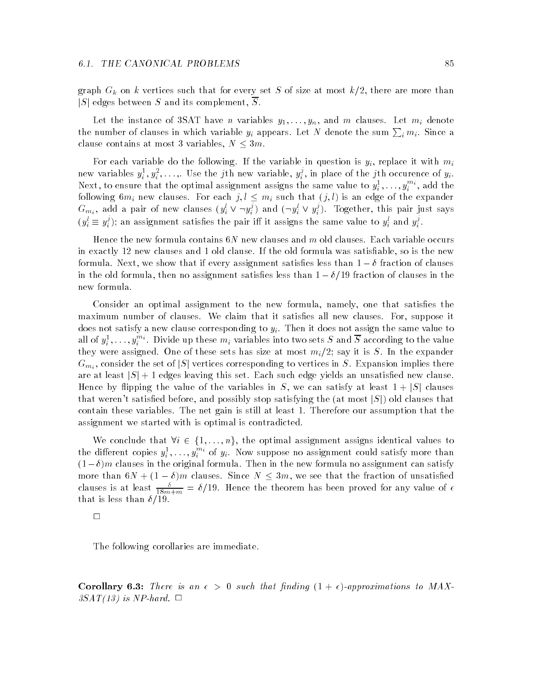$\alpha$  are are the contract that there are the size  $\alpha$  of size at most  $\alpha$  of  $\alpha$  , there are more than  $\alpha$  $|S|$  edges between S and its complement, S.

 $\mathcal{L}$  , and instance of instance  $\mathcal{L}$  ,  $\mathcal{L}$  ,  $\mathcal{L}$  ,  $\mathcal{L}$  ,  $\mathcal{L}$  ,  $\mathcal{L}$  ,  $\mathcal{L}$  ,  $\mathcal{L}$  ,  $\mathcal{L}$  ,  $\mathcal{L}$  ,  $\mathcal{L}$  ,  $\mathcal{L}$  ,  $\mathcal{L}$  ,  $\mathcal{L}$  ,  $\mathcal{L}$  ,  $\mathcal{L}$  ,  $\mathcal{L}$  the number of clauses in which variable  $y_i$  appears. Let  $N$  denote the sum  $\sum_i m_i.$  Since a clause contains at most 3 variables,  $N \leq 3m$ .

For each variable dominate it with  $\mathcal{P}^{(k)}$  the variable in  $\mathcal{P}^{(k)}$ new variables  $y_i^*, y_i^*, \ldots,$  Use the jth new variable,  $y_i^*,$  ii  $i$  ,  $j$  if it is a function of  $j$  in place of  $j$  in place of  $j$  in the function of  $j$  is a function of  $j$  is a function of  $j$  is a function of  $j$  is a function of  $j$  is a function of  $j$  is a function of  $j$  is Next, to ensure that the optimal assignment assigns the same value to  $y_i^*,\ldots,y_i^{m},$  add the following 6 $m_i$  new clauses. For each  $j, l \leq m_i$  such that  $(j, l)$  is an edge of the expander  $G_{m_i}$ , add a pair of new clauses  $(y_i^t \vee \neg y_i^t)$  and  $(\neg y_i^t \vee y_i^t)$ . Together, this pair just says  $(y_i^* \equiv y_i^*)$ ; an assignment satisfies the pair iff it assigns the same value to  $y_i^*$  and  $y_i^*$  .

Hence the new formula contains  $6N$  new clauses and  $m$  old clauses. Each variable occurs in the statistic contracts and if the old formula was satisfactored the old formula was satisfactored the new s  $_{10111111a}$ . гедт, we show that if every аззіgніпент затізнез тезз тнан т $_{\rm 0}$  ггастіон ог стадзез  $_{\rm 0}$ in the old formula, then no assignment satisfies less than  $1-v/15$  fraction of clauses in the first new formula

consider and optimized assignment to the new formula-satisfy formula-satisfy the satisfied the satisfy maximum number of clauses We claim that it satises all new clauses For- suppose it does not satisfy a new clause corresponding to  $y_i$ . Then it does not assign the same value to all of  $y_i^*,\ldots,y_i^*$  . Divide up these  $m_i$  variables into two sets  $S$  and  $S$  according to the value they were assigned. One of these sets has size at most  $m_i/2$ ; say it is S. In the expander  $G_{m_i},$  consider the set of  $\lvert S \rvert$  vertices corresponding to vertices in  $S.$  Expansion implies there are at least  $|S| + 1$  edges leaving this set. Each such edge yields an unsatisfied new clause. Hence by flipping the value of the variables in  $S,$  we can satisfy at least  $1+\left|S\right|$  clauses that weren't satisfied before, and possibly stop satisfying the (at most  $|S|$ ) old clauses that contain these variables. The net gain is still at least 1. Therefore our assumption that the assignment we started with is optimal is contradicted

We conclude that  $\forall i \in \{1, ..., n\}$ , the optimal assignment assigns identical values to the different copies  $y_i^*,\ldots,y_i^{m}$  of  $y_i.$  Now suppose no assignment could satisfy more than  $(1 - v) m$  clauses in the original formula. Then in the new formula no assignment can satisfy more than  $6N + (1 - \delta)m$  clauses. Since  $N \leq 3m$ , we see that the fraction of unsatisfied clauses is at least  $\frac{18m+m}{18m+m} = o/19$ . Hence the theorem has been proved for any value of  $\epsilon$ that is less than  $\delta/19$ .

 $\Box$ 

The following corollaries are immediate

restance is a corollary and in the corollary that is an interesting that is a such that  $\alpha$ satisfied in the second contract of the second contract of the second contract of the second contract of the s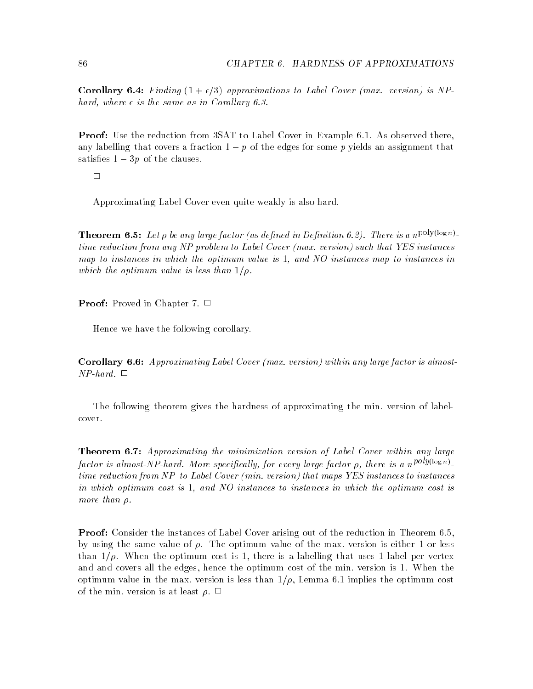Corollary Finding approximations to Label Cover max- version is NP hard where is the same as in Corol lary - -

Proof Use the reduction from SAT to Label Cover in Example As observed thereany labelling that covers a fraction  $1 = p$  of the edges for some  $p$  yields an assignment that satisfies  $1 - 3p$  of the clauses.

 $\Box$ 

Approximating Label Cover even quite weakly is also hard

**Theorem 6.3:** Let  $\rho$  be any large factor (as defined in Definition 6.2). There is a  $n_1^{p+1}$ time reduction from any NP problem to Label Cover maximum such that YES instances may be such that YES instances map to instances in which the optimum value is  $1$ , and  $NO$  instances map to instances in which the optimum value is less than  $1/\rho$ .

**Proof:** Proved in Chapter 7.  $\Box$ 

Hence we have the following corollary

. A proximation is a proximative matrix of the factor is almost the second covered factor is almost the complete

The following theorem gives the hardness of approximating the min. version of labelcover.

Theorem Approximating the minimization version of Label Cover within any large factor is almost-NP-hard. More specifically, for every large factor  $\rho$ , there is a  $n^{p\cdot s}$  singletime reduction from NP to  $\Gamma$  to instance to instances to instances to instances to instances to instances to instances to instances to instances to instances to instances to instances to instances to instances to instan in which optimum cost is  $1$ , and  $NO$  instances to instances in which the optimum cost is more than  $\rho$ .

**Proof:** Consider the instances of Label Cover arising out of the reduction in Theorem 6.5, by using the same value of  $\rho$ . The optimum value of the max version is either 1 or less than When the optimum cost is - there is a labelling that uses label per vertex and and covers and the edges-produce the spinness cost of the minutes is the minimum cost of the minimum cost optimum value in the max version is less than - Lemma implies the optimum cost of the min. version is at least  $\rho$ .  $\Box$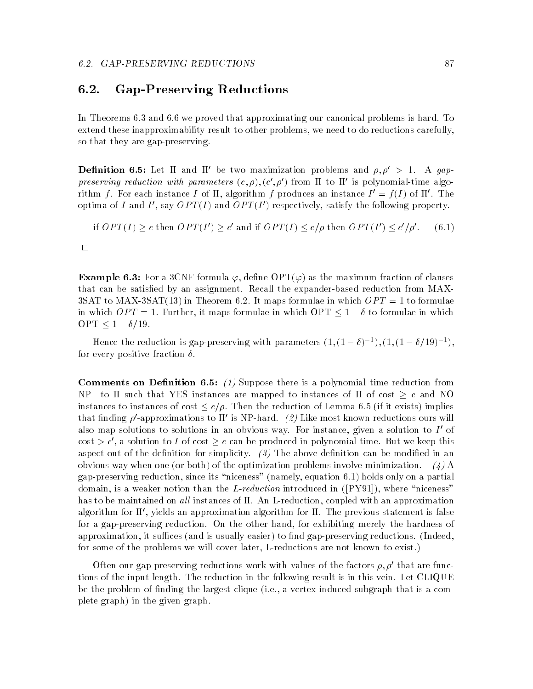## Gap-Preserving Reductions

In Theorems and we proved that approximating our canonical problems is hard To extend these inapproximability result to other problems- we need to do reductions carefullyso that they are gap-preserving.

**Definition 6.5:** Let  $\Pi$  and  $\Pi'$  be two maximization problems and  $\rho, \rho' > 1$ . A gappreserving reduction with parameters  $(c, \rho)$ ,  $(c', \rho')$  from  $\Pi$  to  $\Pi'$  is polynomial-time algorithm f. For each instance I of  $\Pi$ , algorithm f produces an instance  $I' = f(I)$  of  $\Pi'$ . The optima of I and I', say  $OPT(I)$  and  $OPT(I')$  respectively, satisfy the following property.

if 
$$
OPT(I) \ge c
$$
 then  $OPT(I') \ge c'$  and if  $OPT(I) \le c/\rho$  then  $OPT(I') \le c'/\rho'$ . (6.1)

 $\Box$ 

Example For a CNF formula - dene OPT as the maximum fraction of clauses that can be satisfied by an assignment. Recall the expander-based reduction from MAX- SAT to MAX SAT in Theorem It maps formulae in which OP T to formulae in which  $OPT = 1$ . Further, it maps formulae in which  $OPT \leq 1-\delta$  to formulae in which OPT  $\leq 1-\delta/19$ .

Hence the reduction is gap-preserving with parameters  $(1,(1-\delta)^{-1}), (1,(1-\delta/19)^{-1}),$ for every positive fraction  $\delta$ .

comments on Denition in Denition from Denition from the comments of the comments of the comments of the comments of NP to  $\Pi$  such that YES instances are mapped to instances of  $\Pi$  of cost  $\geq c$  and NO instances to instances of cost  $\leq c/\rho$ . Then the reduction of Lemma 6.5 (if it exists) implies that finding  $\rho'$ -approximations to  $\Pi'$  is NP-hard. (2) Like most known reductions ours will also map solutions to solutions in an obvious way. For instance, given a solution to  $I'$  of  $\text{cost} > c'$ , a solution to I of cost  $\geq c$  can be produced in polynomial time. But we keep this aspect out of the denimities for simplicity,  $\mid$  , which is a denition can be modificed in an out obvious way when one (or both) of the optimization problems involve minimization.  $\ell_4$ ) A gap preserving reduction-preserving and the international particles in particle and a particle domain-than than the Lreduction introduced in PY-1 and the Lreduction introduced in PY-1 and the Lreduction in has to be maintained on al l instances of An Lreduction- coupled with an approximation algorithm for  $\Pi'$ , yields an approximation algorithm for  $\Pi$ . The previous statement is false for a gappreserving reduction On the other hand- for exhibiting merely the hardness of approximation-it such and it suces and it such and it such and gappreserving reductions index and it such a su for some of the problems we will cover later- Lreductions are not known to exist

Often our gap preserving reductions work with values of the factors  $\rho$ ,  $\rho'$  that are functions of the input length. The reduction in the following result is in this vein. Let CLIQUE be the problem of nding the largest clique ie- a vertexinduced subgraph that is a com plete graph) in the given graph.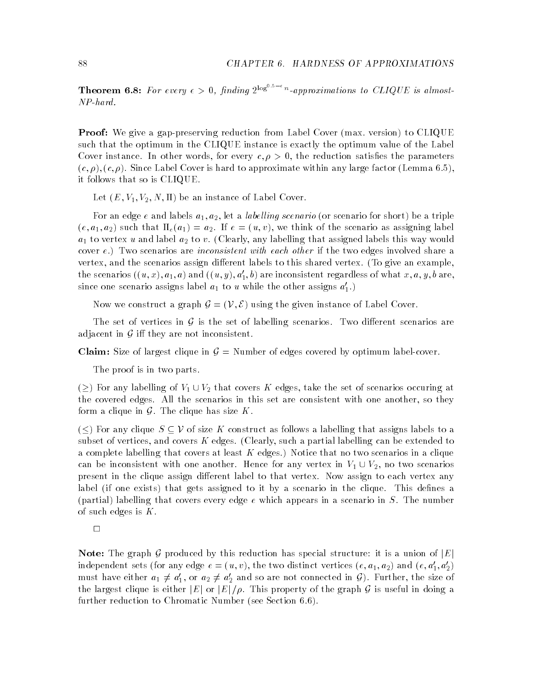**Theorem 6.8:** For every  $\epsilon > 0$ , finding  $2^{\log^{n-1} n}$ -approximations to CLIQUE is almost- $NP$ -hard.

**Proof:** We give a gap-preserving reduction from Label Cover (max. version) to CLIQUE such that the optimum in the CLIQUE instance is exactly the optimum value of the Label Cover instance In other words- for every c- - the reduction satises the parameters c- - c- Since Label Cover is hard to approximate within any large factor Lemma it follows that so is CLIQUE

Let E- V- V-N- be an instance of Label Cover

For an edge e and labels a- a- let a label ling scenario or scenario for short be a triple e- a- a such that ea a If e u- v- we think of the scenario as assigning label a to vertex u any nord that a to village any labelling that assigned labels that would the complete  $\alpha$ cover  $e$ .) Two scenarios are *inconsistent with each other* if the two edges involved share a vertee, word to scenarios assign die shared van the this shared vertex To give an example, the scenarios  $((u, x), a_1, a)$  and  $((u, y), a'_1, b)$  are inconsistent regardless of what  $x, a, y, b$  are, since one scenario assigns label  $a_1$  to u while the other assigns  $a'_1$ .)

Now we construct a graph  $\mathcal{G} = (\mathcal{V}, \mathcal{E})$  using the given instance of Label Cover.

The set of vertices in  $\mathcal G$  is the set of labelling scenarios. Two different scenarios are adjacent in  $G$  iff they are not inconsistent.

Claim: Size of largest clique in  $G =$  Number of edges covered by optimum label-cover.

The proof is in two parts

 $($   $\geq$   $)$  For any labelling of  $V_1 \cup V_2$  that covers K edges, take the set of scenarios occuring at  $\mathbf{A}$ form a clique in  $G$ . The clique has size  $K$ .

 $(<)$  For any clique  $S \subset V$  of size K construct as follows a labelling that assigns labels to a subset of vertices, which are covered to covers, a mean or particular and the covered to a complete labelling that covers at least  $K$  edges.) Notice that no two scenarios in a clique can be inconsistent with one another. Hence for any vertex in  $V_1 \cup V_2$ , no two scenarios present in the clique assign different label to that vertex. Now assign to each vertex any label (if one exists) that gets assigned to it by a scenario in the clique. This defines a (partial) labelling that covers every edge  $e$  which appears in a scenario in  $S$ . The number of such edges is  $K$ .

 $\Box$ 

**Note:** The graph G produced by this reduction has special structure: it is a union of  $|E|$ independent sets (for any edge  $e = (u, v)$ , the two distinct vertices  $(e, a_1, a_2)$  and  $(e, a'_1, a'_2)$ must have either  $a_1 \neq a'_1$ , or  $a_2 \neq a'_2$  and so are not connected in G). Further, the size of the largest clique is either  $|E|$  or  $|E|/\rho$ . This property of the graph G is useful in doing a further reduction to Chromatic Number (see Section 6.6).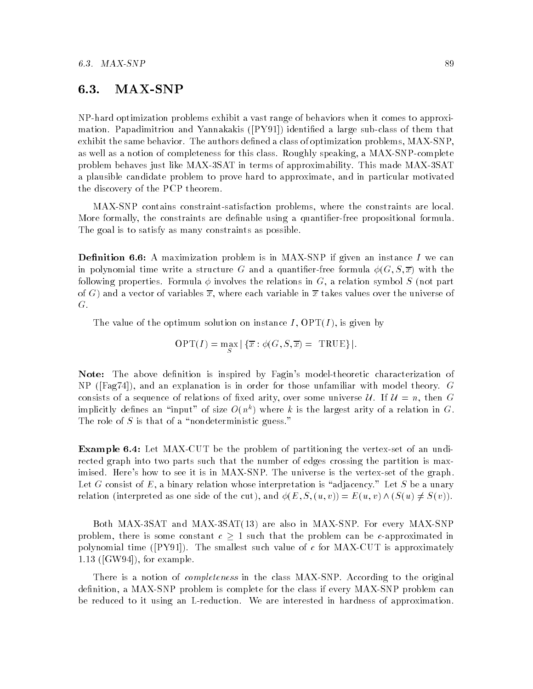### MAX-SNP

NPhard optimization problems exhibit a vast range of behaviors when it comes to approxi mation. Papadimitriou and Yannakakis  $([PY91])$  identified a large sub-class of them that exhibit the same behavior The authors dened a class of optimization problems- MAXSNPas well as a motor of completeness for this completent completely speaking, we complete the complete problem behaves just like MAX SAT in terms of approximability This made MAX SAT a plausible candidate problem to prove hard to approximate- and in particular motivated the discovery of the PCP theorem

MAXSNP contains constraintsatisfaction problems- where the constraints are local More formally- the constraints are denable using a quantierfree propositional formula The goal is to satisfy as many constraints as possible

— concernition is indicated in Max is in Max in Max in the Instance I we can be a second in the case of the ca in polynomial time write a structure G and a quantierfree formula G- S- x with the following properties Formula involves the relations in G- a relation symbol S not part of G and a vector of variables x-values  $\mathcal{A}$  $G$ .

The value of the optimum solution of the optimum solution on instance I  $\mathcal{A}$  -  $\mathcal{A}$  -  $\mathcal{A}$  -  $\mathcal{A}$ 

$$
\text{OPT}(I) = \max_{S} |\{\overline{x} : \phi(G, S, \overline{x}) = \text{TRUE}\}|.
$$

Note: The above definition is inspired by Fagin's model-theoretic characterization of NP Fag- and an explanation is in order for those unfamiliar with model theory G consists of a sequence of relations of fixed arity, over some universe U. If  $\mathcal{U} = n$ , then G implicitly defines an input of size  $O(n^*)$  where k is the largest arity of a relation in  $G$ . The role of  $S$  is that of a "nondeterministic guess."

example is a the second of the problem of partitioning the vertex of an undiverted rected graph into two parts such that the number of edges crossing the partition is max imised. Here's how to see it is in MAX-SNP. The universe is the vertex-set of the graph. Let G consist of E- a binary relation whose interpretation is adjacency Let S be a unary relation (interpreted as one side of the cut), and  $\phi(E, S, (u, v)) = E(u, v) \wedge (S(u) \neq S(v)).$ 

are also in Maxs and Maxs in Maxs, we were the mail of the state  $\alpha$  and  $\beta$ problem, there is some constant  $c \geq 1$  such that the problem can be c-approximated in polynomial time ( $[PY91]$ ). The smallest such value of c for MAX-CUT is approximately  $\blacksquare$  for example, the example of the example of the example of the example of the example of the example of the example of the example of the example of the example of the example of the example of the example of the ex

There is a notion of *completeness* in the class MAX-SNP. According to the original denition- a MAXSNP problem is complete for the complete for the class if every MAXSNP problem can be complete be reduced to it using an L-reduction. We are interested in hardness of approximation.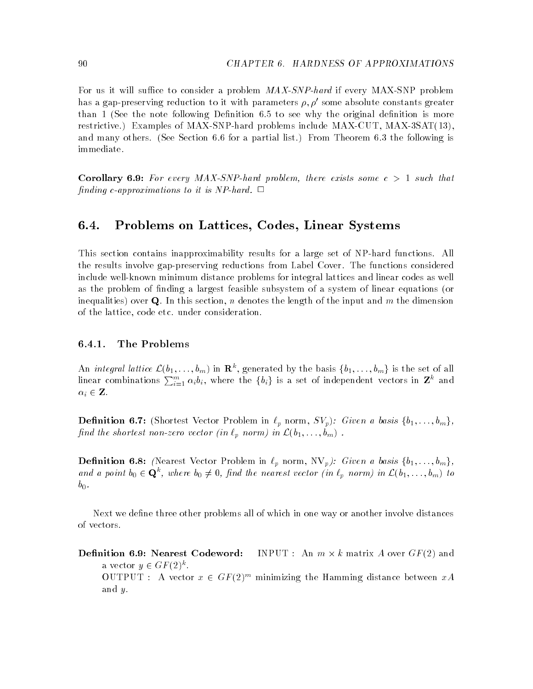For us it will suffice to consider a problem  $MAX-SNP$ -hard if every MAX-SNP problem has a gap-preserving reduction to it with parameters  $\rho$ ,  $\rho'$  some absolute constants greater than 1 (See the note following Definition  $6.5$  to see why the original definition is more restrictive Examples of MAXSNPhard problems include MAXCUT- MAX SAT and many statist (see Section its for a partial many Theorem Theorem Theorem Islam Theorem Theorem Islam immediate

Corollary For every MAXSNPhard problem there exists some c such that nding capproximations to it is NPhard-

## Problems on Lattices Codes Linear Systems

This section contains inapproximability results for a large set of NP-hard functions. All the results involve gap-preserving reductions from Label Cover. The functions considered include well-known minimum distance problems for integral lattices and linear codes as well as the problem of finding a largest feasible subsystem of a system of linear equations (or inequalities over Q In this section- n denotes the length of the input and m the dimension of the lattice-lattice-lattice-lattice-lattice-lattice-lattice-lattice-lattice-lattice-lattice-lattice-lattice

### 6.4.1. The Problems

An *integral lattice*  $\mathcal{L}(b_1,\ldots,b_m)$  in  $\mathbf{R}^k,$  generated by the basis  $\{b_1,\ldots,b_m\}$  is the set of all linear combinations  $\sum_{i=1}^m \alpha_i b_i,$  where the  $\{b_i\}$  is a set of independent vectors in  $\mathbf{Z}^k$  and  $\alpha_i \in \mathbf{Z}$ .

**Definition 6.7:** (Shortest Vector Problem in  $\ell_p$  norm,  $SV_p$ ): Given a basis  $\{b_1, \ldots, b_m\}$ , find the shortest non-zero vector (in  $\ell_p$  norm) in  $\mathcal{L}(b_1,\ldots,b_m)$ .

**Definition 6.8:** (Nearest Vector Problem in  $\ell_p$  norm,  $\text{NV}_p$ ): Given a basis  $\{b_1, \ldots, b_m\}$ , and a point  $b_0 \in \mathbf{Q}^k$ , where  $b_0 \neq 0$ , find the nearest vector (in  $\ell_p$  norm) in  $\mathcal{L}(b_1,\ldots,b_m)$  to  $b_{0}$ .

Next we define three other problems all of which in one way or another involve distances of vectors

Definition 6.9: Nearest Codeword: INPUT : An  $m \times k$  matrix A over  $GF(2)$  and a vector  $y \in GF(2)^{\kappa}$ . OUTPUT : A vector  $x \in GF(2)^m$  minimizing the Hamming distance between  $xA$ and  $y$ .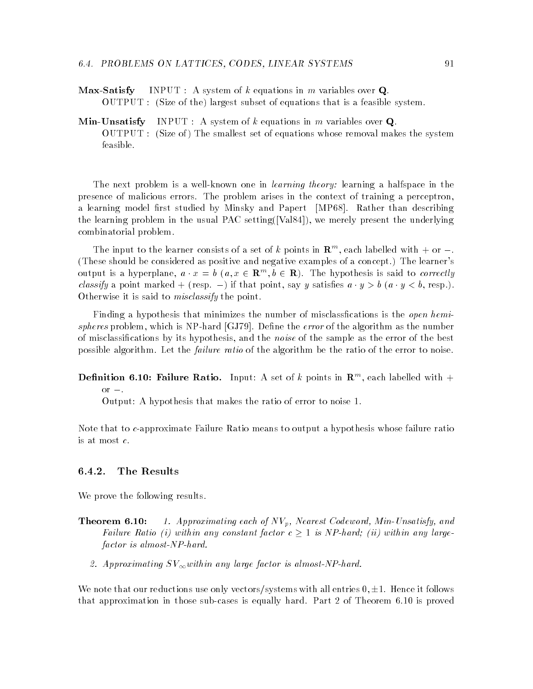- Max-Satisfy INPUT : A system of k equations in m variables over  $Q$ .  $\text{OUTPUT}:$  (Size of the) largest subset of equations that is a feasible system.
- **Min-Unsatisfy** INPUT : A system of k equations in m variables over  $Q$ .  $\text{OUTPUT}:$  (Size of) The smallest set of equations whose removal makes the system feasible

The next problem is a well-known one in *learning theory*: learning a halfspace in the presence of malicious errors. The problem arises in the context of training a perceptron, a learning model first studied by Minsky and Papert [MP68]. Rather than describing the learning problem in the usual PAC settingVal
- we merely present the underlying combinatorial problem

The input to the learner consists of a set of k points in  $\mathbf{R}$ , each labelled with  $+$  or  $-$ . (These should be considered as positive and negative examples of a concept.) The learner's output is a hyperplane,  $a \cdot x = b \ (a, x \in \mathbb{R}^m, b \in \mathbb{R})$ . The hypothesis is said to *correctly* classify a point-indired  $\pm$  (resp.  $\pm$ ) if that point, say y satisfies  $a \cdot y > b$  ( $a \cdot y < b$ , resp.). Otherwise it is said to *misclassify* the point.

Finding a hypothesis that minimizes the number of misclassfications is the *open hemi*spheres problem- which is NPhard GJ Dene the error of the algorithm as the number of misclassications by its hypothesis-the noise of the sample as the sample as the sample as the sample of the possible algorithm. Let the *failure ratio* of the algorithm be the ratio of the error to noise.

**Definition 6.10: Failure Katio.** Input: A set of k points in **K**, each labelled with  $+$  $or -$ 

Output: A hypothesis that makes the ratio of error to noise 1.

Note that to c-approximate Failure Ratio means to output a hypothesis whose failure ratio is at most c

### 6.4.2. The Results

We prove the following results.

- 1. Approximating each of  $NV_p$ , Nearest Codeword, Min-Unsatisfy, and Failure Ratio (i) within any constant factor  $c \geq 1$  is NP-hard; (ii) within any largefactor is almost-NP-hard.
	- $\sim$  11 pproximating  $\sim$   $\infty$  within any large factor to almost 11 narra.

We note that our reductions use only vectors/systems with all entries  $0, \pm 1$ . Hence it follows that approximation in those sub-cases is equally hard. Part 2 of Theorem 6.10 is proved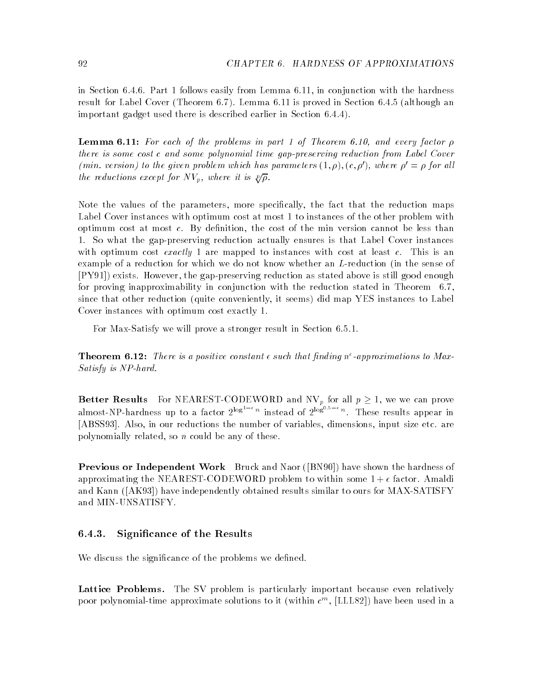in Section - Lemma - in contract the hardness easily from Lemma - in complete with the section with the hardnes result for Label Cover (Theorem  $6.7$ ). Lemma  $6.11$  is proved in Section  $6.4.5$  (although an important gadget used there is described earlier in Section 6.4.4).

Lemma For each of the problems in part of Theorem - and every factor there is some cost c and some polynomial time gap-preserving reduction from Label Cover (min. version) to the given problem which has parameters  $(1, \rho)$ ,  $(c, \rho')$ , where  $\rho' = \rho$  for all the reductions except for  $NV_p$ , where it is  $\sqrt[p]{\rho}$ .

Note the values of the parameters- more specically- the fact that the reduction maps Label Cover instances with optimum cost at most 1 to instances of the other problem with optimum cost at most cost at minimum cost of the minimum cannot be less than  $\mathcal{A}$ 1. So what the gap-preserving reduction actually ensures is that Label Cover instances with optimum cost exactly 1 are mapped to instances with cost at least c. This is an example of a reduction for which we do not know whether an  $L$ -reduction (in the sense of PY exists However- the gappreserving reduction as stated above is still good enough for proving inapproximability in conjunction with the reduction stated in Theorem 6.7, since that other reduction quite conveniently- it seems did map YES instances to Label Cover instances with optimum cost exactly

For Max-Satisfy we will prove a stronger result in Section 6.5.1.

**Theorem 6.12:** There is a positive constant  $\epsilon$  such that phaing n -approximations to Max-Satisfy is NP-hard.

**Better Results** For NEAREST-CODEWORD and NV<sub>p</sub> for all  $p \ge 1$ , we we can prove almost-NP-hardness up to a factor  $2^{\log^{1-\epsilon} n}$  instead of  $2^{\log^{0.5-\epsilon} n}$ . These results appear in , is a commutation that is a contract of variables the contract of variables are the commutationspolynomially related- so n could be any of these

Previous or Independent Work Bruck and Naor ([BN90]) have shown the hardness of approximating the NEAREST-CODEWORD problem to within some  $1 + \epsilon$  factor. Amaldi and Kannon (1988), the independently similarly similar to ourselve the similar to ourselve in the similar to o and MIN-UNSATISFY.

### 6.4.3. Significance of the Results

We discuss the significance of the problems we defined.

Lattice Problems. The SV problem is particularly important because even relatively poor polynomial-time approximate solutions to it (within  $c^+$ , [LLL $\circ$ 2]) have been used in a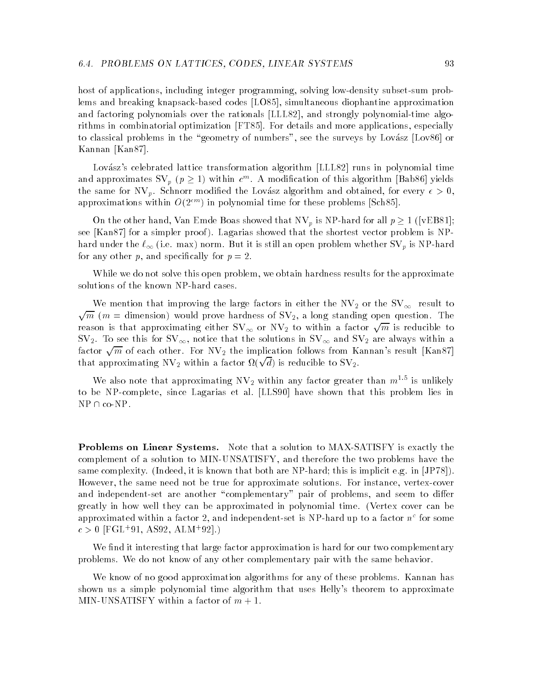host of applications- including integer programming- solving lowdensity subsetsum prob lems and breaking knapsackbased codes LO
- simultaneous diophantine approximation and factoring polynomials over the rationals LLL
- and strongly polynomialtime algo rithms in combinatorial optimization FT
 For details and more applications- especially to consider problems in the geometry of numbers- (see the surveys by Holling (Holling) in Kannan [Kan87].

Lovász's celebrated lattice transformation algorithm [LLL82] runs in polynomial time and approximates  $SV_p$  ( $p \geq 1$ ) within  $c<sup>m</sup>$ . A modification of this algorithm [Bab86] yields the same for  $\mu$  same for modified the Love as  $\sim$ approximations within  $O(2^{\epsilon m})$  in polynomial time for these problems [Sch85].

On the other hand, Van Emde Boas showed that NV<sub>p</sub> is NP-hard for all  $p \geq 1$  ([vEB81]; see [Kan87] for a simpler proof). Lagarias showed that the shortest vector problem is NPhard under the  $\ell_{\infty}$  (i.e. max) norm. But it is still an open problem whether SV<sub>p</sub> is NP-hard for any other p-matrix for p-matrix for p-matrix for p-matrix for p-matrix for p-matrix for p-matrix for p-matrix for p-matrix for p-matrix for p-matrix for p-matrix for p-matrix for p-matrix for p-matrix for p-matrix for

we obtain the model we obtain the solve the problem-this collection approximate the approximate the approximate of solutions of the known NP-hard cases.

We include that improving the large factors in either the NV<sub>2</sub> or the SV<sub>00</sub> result to  $\sqrt{m}$   $(m=$  dimension) would prove hardness of  $\mathrm{SV}_2,$  a long standing open question. The reason is that approximating either  $SV_{\infty}$  or  $NV_2$  to within a factor  $\sqrt{m}$  is reducible to  $S$  , to see this for  $S$  to  $\infty$ , houre that the solutions in  $S$  to and  $S$  if  $\chi$  are always within a factor  $\sqrt{m}$  of each other. For NV<sub>2</sub> the implication follows from Kannan's result [Kan87] that approximating NV<sub>2</sub> within a factor  $\Omega(\sqrt{d})$  is reducible to SV<sub>2</sub>.

We also note that approximating NV<sub>2</sub> within any factor greater than  $m^{++}$  is unlikely to be not always the since all Lagarias in the problem limits the this this problem and the same  $NP \cap co-NP$ .

**Problems on Linear Systems.** Note that a solution to MAX-SATISFY is exactly the complement of a solution to MINUNSATISFY-TO MINUNSATISFY-TO MINUNSATISFY-TO MINUNSATISFY-TO MINUNSATISFY-TO MI same complexity Indeed- it is known that both are NPhard this is implicit eg in JP However- the same need not be true for approximate solutions For instance- vertexcover and independent are and another complementary pair of problems-pair and seem to different greatly in how well they can be approximated in polynomial time. (Vertex cover can be approximated within a factor 2, and independent-set is NP-hard up to a factor  $n$  -for some  $c > 0$  |FGL '91, A592, ALM '92].)

We find it interesting that large factor approximation is hard for our two complementary problems. We do not know of any other complementary pair with the same behavior.

We know of no good approximation algorithms for any of these problems. Kannan has shown us a simple polynomial time algorithm that uses Helly's theorem to approximate MIN-UNSATISFY within a factor of  $m+1$ .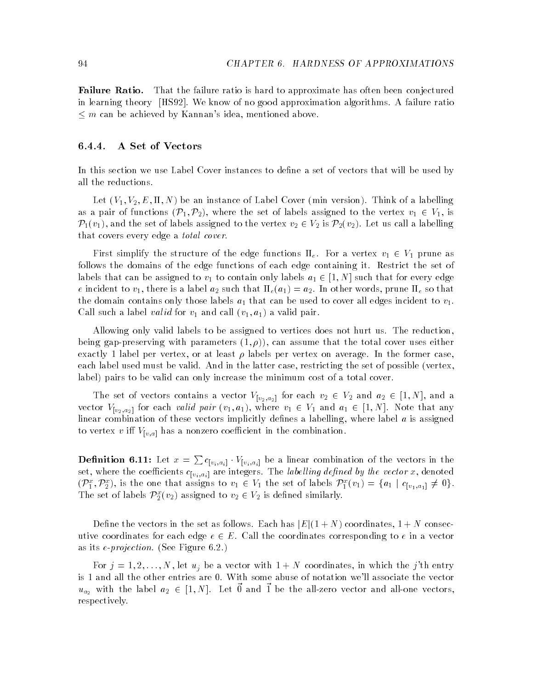Failure Ratio. That the failure ratio is hard to approximate has often been conjectured in learning theory [HS92]. We know of no good approximation algorithms. A failure ratio  $\leq m$  can be achieved by Kannan's idea, mentioned above.  $\overline{\phantom{a}}$ 

### 6.4.4. A Set of Vectors

In this section we use Label Cover instances to define a set of vectors that will be used by all the reductions

Let V- V-E- - N be an instance of Label Cover min version Think of a labelling as a pair of functions  $(\mathcal{P}_1, \mathcal{P}_2)$ , where the set of labels assigned to the vertex  $v_1 \in V_1$ , is  $P_1(v_1)$ , and the set of labels assigned to the vertex  $v_2 \in V_2$  is  $P_2(v_2)$ . Let us call a labelling that covers every edge a *total cover*.

First simplify the structure of the edge functions  $\Pi_{\varepsilon}$ . For a vertex  $v_1 \in V_1$  prune as follows the domains of the edge functions of each edge containing it Restrict the set of labels that can be assigned to  $v_1$  to contain only labels  $a_1 \in [1, N]$  such that for every edge e includent to vij words- in a nords- of on other words- in  $\mathcal{L}(\mathbb{C}[t])$  . That each control words- is and that each control the domain contains only those labels a that can be used to cover all edges incident to vertex  $\mathbf{d}$ Call such a label valid for v and call v- aavalid pair

Allowing only valid labels to be assigned to vertices does not hurt us. The reduction, being gappreserving with parameters - - can assume that the total cover uses either exactly a sactive per vertex, is at stacking percent per vertex average sactions serves and fo each label used must be valid And in the latter case- restricting the set of possible vertexlabel) pairs to be valid can only increase the minimum cost of a total cover.

The set of vectors contains a vector  $V_{[v_2,a_2]}$  for each  $v_2 \in V_2$  and  $a_2 \in [1,N]$ , and a vector  $V_{[v_2,a_2]}$  for each valid pair  $(v_1,a_1)$ , where  $v_1 \in V_1$  and  $a_1 \in [1,N]$ . Note that any linear combination of these vectors implicitly denes a labelling- where label a is assigned to vertex v i  $V_{\alpha}$  variance coefficient in the combination in the combination in the combination in the combination in the combination of  $V_{\alpha}$ 

**Definition 6.11:** Let  $x = \sum c_{[v_i, a_i]} \cdot V_{[v_i, a_i]}$  be a linear combination of the vectors in the set, where the coecients c $\vert v_i, a_i \vert$  are integers The label ling degiting  $\sigma$  and vector  $\sigma$  , where  $\sigma$  $(\mathcal{P}_1^x, \mathcal{P}_2^x)$ , is the one that assigns to  $v_1 \in V_1$  the set of labels  $\mathcal{P}_1^x(v_1) = \{a_1 \mid c_{[v_1, a_1]} \neq 0\}$ . The set of labels  $\mathcal{P}_2^x(v_2)$  assigned to  $v_2 \in V_2$  is defined similarly.

Define the vectors in the set as follows. Each has  $|E|(1+N)$  coordinates,  $1+N$  consecutive coordinates for each edge  $e \in E$ . Call the coordinates corresponding to e in a vector as its *e-projection*. (See Figure 6.2.)

re j and in which the state with the state with the statement of the state with  $j$  and the j is 1 and all the other entries are 0. With some abuse of notation we'll associate the vector  $u_{a_2}$  with the label  $a_2 \in [1, N]$ . Let 0 and 1 be the all-zero vector and all-one vectors, respectively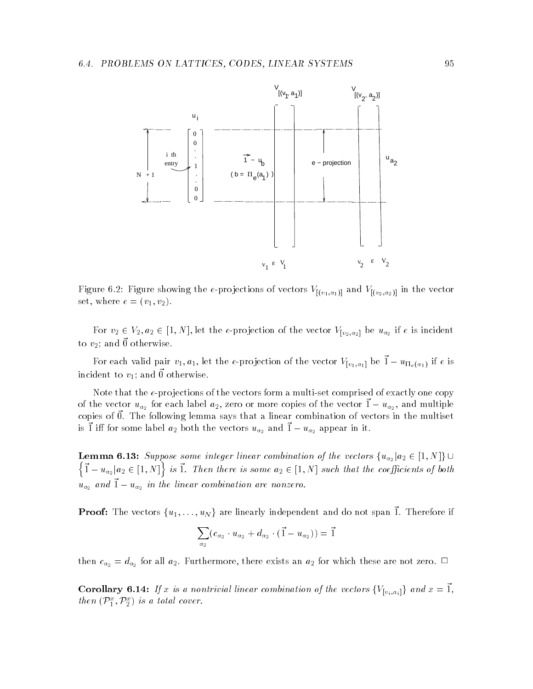

 $\mathcal{F}$  in the epocal contract of vectors of vectors  $\mathcal{F}$  in the vectors  $\mathcal{F}$  in the vectors  $\mathcal{F}$  in the vectors of vectors  $\mathcal{F}$  in the vectors of vectors  $\mathcal{F}$  in the vectors of vectors  $\mathcal{F}$  in th set- where e v- v

For  $v_2 \in V_2, a_2 \in [1, N]$ , let the e-projection of the vector  $V_{[v_2, a_2]}$  be  $u_{a_2}$  if e is incident to  $v_2$ ; and  $\vec{0}$  otherwise.

For each valid pair  $v_1, u_1$ , let the e-projection or the vector  $v_{[v_1, a_1]}$  be  $1 - u_{\prod_e(a_1)}$  if  $e$  is incident to  $v_1$ ; and  $\vec{0}$  otherwise.

Note that the  $e$ -projections of the vectors form a multi-set comprised of exactly one copy of the vector  $u_{a_2}$  for each label  $u_2$ , zero or more copies of the vector  $1 - u_{a_2}$ , and multiple copies of  $\vec{0}$ . The following lemma says that a linear combination of vectors in the multiset is 1 in for some label  $u_2$  both the vectors  $u_{a_2}$  and  $1 - u_{a_2}$  appear in it.

**Lemma 6.13:** Suppose some integer linear combination of the vectors  $\{u_{a_2} | a_2 \in [1, N]\} \cup$ ng ang pangalang pangalang pangalang pangalang pangalang pangalang pangalang pangalang pangalang pangalang pan  $\vec{1} - u_{a_2} | a_2 \in [1, N]$  is  $\vec{1}$ . Then there is some  $a_2 \in [1, N]$  such that the coefficients of both  $u_{a_2}$  and  $1 - u_{a_2}$  in the linear combination are nonzero.

**Proof:** The vectors  $\{u_1, \ldots, u_N\}$  are linearly independent and do not span 1. Therefore if

$$
\sum_{a_2} (c_{a_2} \cdot u_{a_2} + d_{a_2} \cdot (\vec{1} - u_{a_2})) = \vec{1}
$$

then  $\alpha_2$  and  $\alpha_2$  for all a form and a form there exists are not zero. The set  $\alpha_2$ 

**Corollary 6.14:** If x is a nontrivial linear combination of the vectors  $\{V_{[v_i, a_i]}\}\$  and  $x = 1$ , then  $(\mathcal{P}_1^x, \mathcal{P}_2^x)$  is a total cover.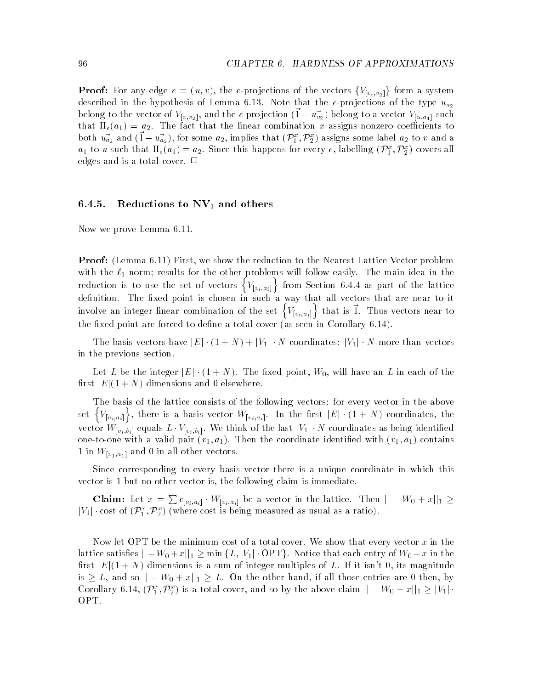**Proof:** For any edge  $e = (u, v)$ , the e-projections of the vectors  $\{V_{[v_i, a_2]}\}$  form a system described in the hypothesis of Lemma class class chain the eproperties of the type up, belong to the vector of  $V_{[v,a_2]}$ , and the e-projection  $(1 - u_{a_2})$  belong to a vector  $V_{[u,a_1]}$  such that  $\Pi_e(a_1) = a_2$ . The fact that the linear combination x assigns nonzero coefficients to both  $u_{a_2}^2$  and  $(1 - u_{a_2}^2)$ , for some  $a_2$ , implies that  $(\mathcal{P}_1^x, \mathcal{P}_2^x)$  assigns some label  $a_2$  to v and a  $a_1$  to  $u$  such that  $\Pi_e(a_1)=a_2.$  Since this happens for every  $e,$  labelling  $(\mathcal{P}_1^x, \mathcal{P}_2^x)$  covers all edges and is a total-cover.  $\Box$ 

### Reductions to NV and others

Now we prove Lemma  $6.11$ .

Proof Lemma First- we show the reduction to the Nearest Lattice Vector problem with the specifical problems for the other problems will follow easily The main idea in the main reduction is to use the set of vectors  ${V_{[v_i, a_i]}}$  from Section 6.4.4 as part of the lattice denition The xed point is chosen in suchaway that all vectors that are near to it involve an integer linear combination of the set  $\left\{V_{[v_i, a_i]}\right\}$  that is  $\vec{1}$ . Thus vectors near to the fixed point are forced to define a total cover (as seen in Corollary  $6.14$ ).

The basis vectors have  $|E| \cdot (1+N) + |V_1| \cdot N$  coordinates:  $|V_1| \cdot N$  more than vectors in the previous section

Let L be the integer  $|E| \cdot (1+N)$ . The fixed point,  $W_0$ , will have an L in each of the first  $|E|(1+N)$  dimensions and 0 elsewhere.

The basis of the lattice consists of the following vectors: for every vector in the above set  $\left\{V_{[v_i,a_i]}\right\}$ , there is a basis vector  $W_{[v_i,a_i]}$ . In the first  $|E|\cdot(1+N)$  coordinates, the vector  $W_{[v_i,b_i]}$  equals  $L\cdot V_{[v_i,b_i]}$ . We think of the last  $|V_1|\cdot N$  coordinates as being identified oneto a the valid pair valid pair v-light pair valid pair valid mente identified with v-light pair valid pair  $\alpha$  and  $\alpha$  all other vectors vectors vectors.

Since corresponding to every basis vector there is a unique coordinate in which this vector is defined as  $\mathbf{f}$  in the following claim is immediately claim is immediately constructed at  $\mathbf{f}$ 

**Claim:** Let  $x = \sum c_{[v_i, a_i]} \cdot W_{[v_i, a_i]}$  be a vector in the lattice. Then  $|| - W_0 + x||_1 \ge$  $|V_1|\cdot {\rm cost}$  of  $(\mathcal{P}^x_1, \mathcal{P}^x_2)$  (where cost is being measured as usual as a ratio).

Now let OPT be the minimum cost of a total cover. We show that every vector  $x$  in the lattice satisfies  $||-W_0+x||_1\geq \min{\{L,|V_1|\cdot \text{OPT}\}}.$  Notice that each entry of  $W_0-x$  in the first  $|E|(1+N)$  dimensions is a sum of integer multiples of L. If it isn't 0, its magnitude is  $\geq L$ , and so  $|| - W_0 + x||_1 \geq L$ . On the other hand, if all those entries are 0 then, by Corollary 6.14,  $(\mathcal{P}_1^x, \mathcal{P}_2^x)$  is a total-cover, and so by the above claim  $|| - W_0 + x||_1 \geq |V_1|$ . OPT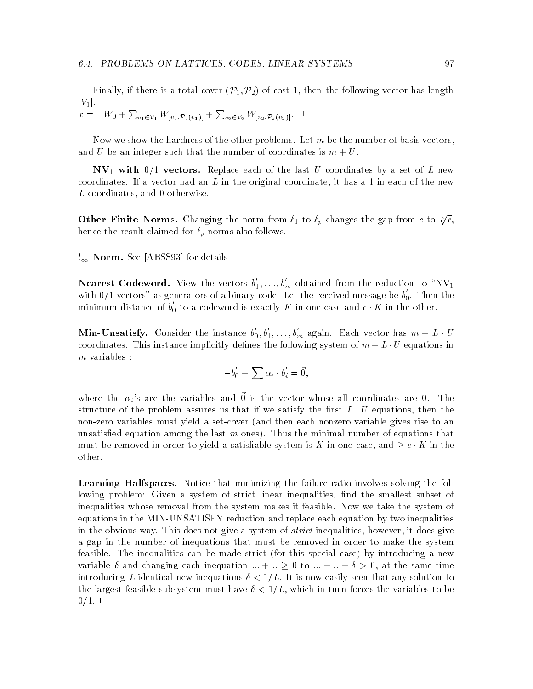Finally, if there is a total-cover  $(\mathcal{P}_1, \mathcal{P}_2)$  of cost 1, then the following vector has length  $|V_1|$ .  $x = -W_0 + \sum_{v_1 \in V_1} W_{[v_1, \mathcal{P}_1(v_1)]} + \sum_{v_2 \in V_2} W_{[v_2, \mathcal{P}_2(v_2)]}$ .

Now we show the hardness of the other problems. Let  $m$  be the number of basis vectors, and U be an integer such that the number of coordinates is  $m + U$ .

NV with  vectors Replace each of the last <sup>U</sup> coordinates by a set of <sup>L</sup> new coordinates If a vector and a coordinate original coordinates in the coordinate original coordinates in the new L coordinates- and  otherwise

**Other Finite Norms.** Changing the norm from  $\ell_1$  to  $\ell_p$  changes the gap from c to  $\sqrt[p]{c}$ , hence the result claimed for  $\ell_p$  norms also follows.

 $\epsilon_{\infty}$  rorm. See  $\mu$ DSSSS for details

**Nearest-Codeword.** View the vectors  $b_1, \ldots, b_m$  obtained from the reduction to "NV<sub>1</sub> with  $0/1$  vectors" as generators of a binary code. Let the received message be  $b_0$ . Then the minimum distance of  $b_0$  to  $_0$  to a codeword is exactly  $K$  in one case and  $c \cdot K$  in the other.

**Min-Unsatisfy.** Consider the instance  $b_0, b_1, \ldots, b_m$  again. Each vector has  $m + L \cdot U$ coordinates. This instance implicitly defines the following system of  $m + L \cdot U$  equations in  $m$  variables :

$$
-b_0^{'}+\sum \alpha_i\cdot b_i^{'}=\vec{0},
$$

where the  $\alpha_i$ 's are the variables and  $\vec{0}$  is the vector whose all coordinates are 0. The structure of the problem assures us that if we satisfy the first  $L \cdot U$  equations, then the non-zero variables must yield a set-cover (and then each nonzero variable gives rise to an unsatisfied equation among the last m ones). Thus the minimal number of equations that must be removed in order to yield a satisfiable system is K in one case, and  $\geq c \cdot K$  in the other

Learning Halfspaces. Notice that minimizing the failure ratio involves solving the following problem Given a system of strict linear inequalities- nd the smallest subset of inequalities whose removal from the system makes it feasible. Now we take the system of equations in the MIN-UNSATISFY reduction and replace each equation by two inequalities in the obvious way, where note the give a system of strict inequalities are constraint in the give a gap in the number of inequations that must be removed in order to make the system feasible. The inequalities can be made strict (for this special case) by introducing a new variable  $\delta$  and changing each inequation  $\ldots + \ldots \geq 0$  to  $\ldots + \ldots + \delta > 0$ , at the same time introducting a identical new inequations ( ) , a part at any solution to the control of the solution of  $\mathcal{L}$  . The largest feasible subsystem must have variable substitution for  $\mathcal{L}$  $0/1.$   $\Box$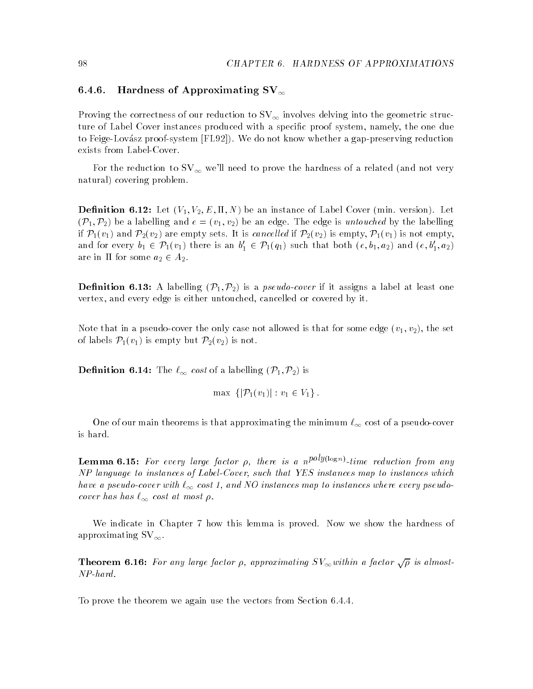### 6.4.6. Hardness of Approximating  $\mathrm{SV}_{\infty}$

Proving the correctness of our reduction to  $SV_{\infty}$  involves delving into the geometric structure of Label Cover instances produced with a specific proof system, course, the one due to Feige-Lovász proof-system [FL92]). We do not know whether a gap-preserving reduction exists from Label-Cover.

For the reduction to SV $_{\infty}$  we'll need to prove the hardness of a related (and not very natural) covering problem.

Denition - Let V- V-E- - N be an instance of Label Cover min version Let  $(\mathcal{P}_1, \mathcal{P}_2)$  be a labelling and  $e = (v_1, v_2)$  be an edge. The edge is *untouched* by the labelling if  $\mathcal{P}_1(v_1)$  and  $\mathcal{P}_2(v_2)$  are empty sets. It is *cancelled* if  $\mathcal{P}_2(v_2)$  is empty,  $\mathcal{P}_1(v_1)$  is not empty, and for every  $b_1 \in \mathcal{P}_1(v_1)$  there is an  $b'_1 \in \mathcal{P}_1(q_1)$  such that both  $(e, b_1, a_2)$  and  $(e, b'_1, a_2)$ are in II for some  $a_2 \in A_2$ .

**Definition 6.13:** A labelling  $(\mathcal{P}_1, \mathcal{P}_2)$  is a *pseudo-cover* if it assigns a label at least one vertex, which is equipment is extended by its experiment or covered or  $\mathfrak{p}$  and

Note that in a pseudocover the only case not allowed is the only case not allowed is that for some edge v-range vof labels  $\mathcal{P}_1(v_1)$  is empty but  $\mathcal{P}_2(v_2)$  is not.

**Definition 6.14:** The  $\ell_{\infty}$  cost of a labelling  $(\mathcal{P}_1, \mathcal{P}_2)$  is

$$
\max \{|\mathcal{P}_1(v_1)| : v_1 \in V_1\}.
$$

One of our main theorems is that approximating the minimum  $\ell_{\infty}$  cost of a pseudo-cover is hard

**Lemma 6.15:** For every large factor  $\rho$ , there is a n<sup>polyprocept</sup>-time reauction from any NP language to instances of Label-Cover, such that YES instances map to instances which have a pseudo-cover with  $\ell_{\infty}$  cost 1, and NO instances map to instances where every pseudocover has has  $\ell_{\infty}$  cost at most  $\rho$ .

We indicate in Chapter 7 how this lemma is proved. Now we show the hardness of approximating  $SV_{\infty}$ .

**Theorem 6.16:** For any large factor  $\rho$ , approximating  $SV_\infty$  within a factor  $\sqrt{\rho}$  is almost- $NP$ -hard.

To prove the theorem we again use the vectors from Section 6.4.4.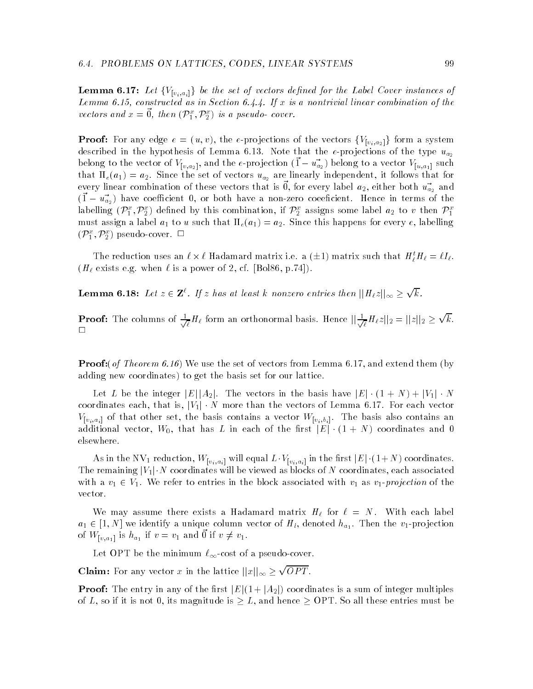**Lemma 6.17:** Let  $\{V_{[v_i, a_i]}\}$  be the set of vectors defined for the Label Cover instances of Lemma - constructed as in Section --- If x is a nontrivial linear combination of the vectors and  $x = 0$ , then  $(\mathcal{P}_1^x, \mathcal{P}_2^x)$  is a pseudo-cover. --

**Proof:** For any edge  $e = (u, v)$ , the e-projections of the vectors  $\{V_{[v_i, a_2]}\}$  form a system described in the hypothesis of Lemma class class chain the eproperties of the type up, belong to the vector of  $V_{[v,a_2]}$ , and the e-projection  $(1 - u_{a_2})$  belong to a vector  $V_{[u,a_1]}$  such that each early independent with the set of vectors  $\mathbf{u}_2$  are linearly independent-form of  $\mathbf{u}_2$  $\epsilon$ very linear combination of these vectors that is 0, for every label  $a_2$ , either both  $u_{a_2}$  and  $(1 - u_{a_2})$  have coefficient 0, or both have a non-zero coefficient. Hence in terms of the labelling  $(\mathcal{P}_1^x, \mathcal{P}_2^x)$  defined by this combination, if  $\mathcal{P}_2^x$  assigns some label  $a_2$  to  $v$  then  $\mathcal{P}_1^x$ must assign a label a to use that every expect that each term  $\alpha$  is the evening of every expected to the even  $(\mathcal{P}_1^x, \mathcal{P}_2^x)$  pseudo-cover.  $\Box$ -

The reduction uses an  $\ell \times \ell$  Hadamard matrix i.e. a  $(\pm 1)$  matrix such that  $H_{\ell}^t H_{\ell} = \ell I_{\ell}.$ ا المرات المستقدم المستقدم المستقدم المستقدم المستقدم المستقدم المستقدم المستقدم المستقدم المستقدم المستقدم ال

**Lemma 6.18:** Let  $z \in \mathbf{Z}^{\ell}$ . If  $z$  has at least  $k$  nonzero entries then  $||H_{\ell}z||_{\infty} \geq \sqrt{k}$ .

**Proof:** The columns of  $\frac{1}{\sqrt{\ell}}H_{\ell}$  form an orthonormal basis. Hence  $||\frac{1}{\sqrt{\ell}}H_{\ell}z||_2=||z||_2\geq \sqrt{k}$ .  $\Box$ 

Proofof Theorem - We use the set of vectors from Lemma - and extend them by adding new coordinates) to get the basis set for our lattice.

Let L be the integer  $|E||A_2|$ . The vectors in the basis have  $|E| \cdot (1+N) + |V_1| \cdot N$ coordinates each, that is,  $|V_1|\cdot N$  more than the vectors of Lemma 6.17. For each vector  $\{v_i, a_i\}$  . The basis contains a vector  $\alpha$  vector  $\alpha$  vector  $\alpha$  is  $\{v_i, a_i\}$  . The basis also contains and additional vector,  $W_0,$  that has  $L$  in each of the first  $|E|\cdot (1+N)$  coordinates and  $0$ elsewhere

As in the NV<sub>1</sub> reduction,  $W_{[v_i,a_i]}$  will equal  $L \cdot V_{[v_i,a_i]}$  in the first  $|E| \cdot (1+N)$  coordinates. The remaining  $|V_1|\cdot N$  coordinates will be viewed as blocks of  $N$  coordinates, each associated with a  $v_1 \in V_1$ . We refer to entries in the block associated with  $v_1$  as  $v_1$ -projection of the vector

We may assume there exists a Hadamard matrix  $H_{\ell}$  for  $\ell = N$ . With each label  $a_1 \in [1, N]$  we identify a unique column vector of  $H_l$ , denoted  $h_{a_1}$ . Then the  $v_1$ -projection of  $W_{[v,a_1]}$  is  $h_{a_1}$  if  $v = v_1$  and 0 if  $v \neq v_1$ .

Let OPT be the minimum  $\ell_{\infty}$ -cost of a pseudo-cover.

**Claim:** For any vector x in the lattice  $||x||_{\infty} \ge \sqrt{OPT}$ .

**Proof:** The entry in any of the first  $|E|(1 + |A_2|)$  coordinates is a sum of integer multiples of L, so if it is not 0, its magnitude is  $\geq L$ , and hence  $\geq$  OPT. So all these entries must be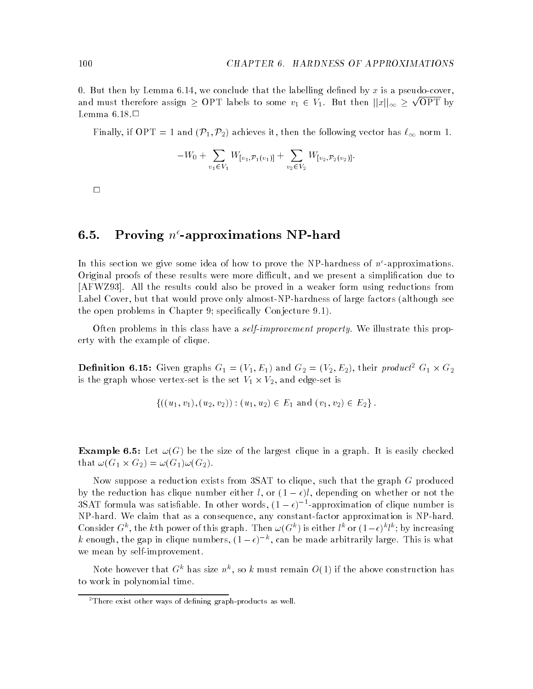, we are concluded that the labelling density of the labelling density of the labelling density of  $\alpha$ and must therefore assign  $\geq$  OPT labels to some  $v_1\,\in V_1$ . But then  $||x||_{\infty}\geq \sqrt{\text{OPT}}$  by Lemma  $6.18.\Box$ 

Finally, if OPT = 1 and  $(\mathcal{P}_1, \mathcal{P}_2)$  achieves it, then the following vector has  $\ell_{\infty}$  norm 1.

$$
-W_0+\sum_{v_1\in V_1}W_{[v_1,\mathcal{P}_1(v_1)]}+\sum_{v_2\in V_2}W_{[v_2,\mathcal{P}_2(v_2)]}.
$$

 $\Box$ 

### Proving  $n^{\epsilon}$ -approximations NP-hard

In this section we give some idea of how to prove the NP-hardness of  $n^{\epsilon}$ -approximations. Original proofs of these results were more dicult- and we present a simplication due to AFWZ All the results could also be proved in a weaker form using reductions from Label Cover- but that would prove only almostNPhardness of large factors although see the open problems in Chapter 9; specifically Conjecture  $9.1$ ).

Often problems in this class have a *self-improvement property*. We illustrate this property with the example of clique

**Definition 6.15:** Given graphs  $G_1 = (V_1, E_1)$  and  $G_2 = (V_2, E_2)$ , their product  $G_1 \times G_2$ is the graph whose vertex-set is the set  $V_1 \times V_2,$  and edge-set is

$$
\{((u_1, v_1), (u_2, v_2)) : (u_1, u_2) \in E_1 \text{ and } (v_1, v_2) \in E_2\}.
$$

Example Let G be the size of the largest clique in a graph It is easily checked that  $\omega(G_1 \times G_2) = \omega(G_1) \omega(G_2)$ .

Now suppose a reduction exists from SAT to clique- such that the graph G produced by the reduction has chque number either  $t$ , or  $t \perp = e \mu$ , depending on whether or not the 3SAT formula was satisfiable. In other words,  $(1-\epsilon)^{-1}$ -approximation of clique number is NPhard We claim that as a consequence- any constantfactor approximation is NPhard Consider G , the kth power of this graph. Then  $\omega(G)$  is either later  $(G \mid T - \epsilon)$  if youncreasing k enough, the gap in clique numbers,  $(1-\epsilon)^{-\kappa}$ , can be made arbitrarily large. This is what we mean by self-improvement.

Note however that  $G^+$  has size  $n^*$ , so k must remain  $O(1)$  if the above construction has to work in polynomial time

 $\degree$  There exist other ways of defining graph-products as well.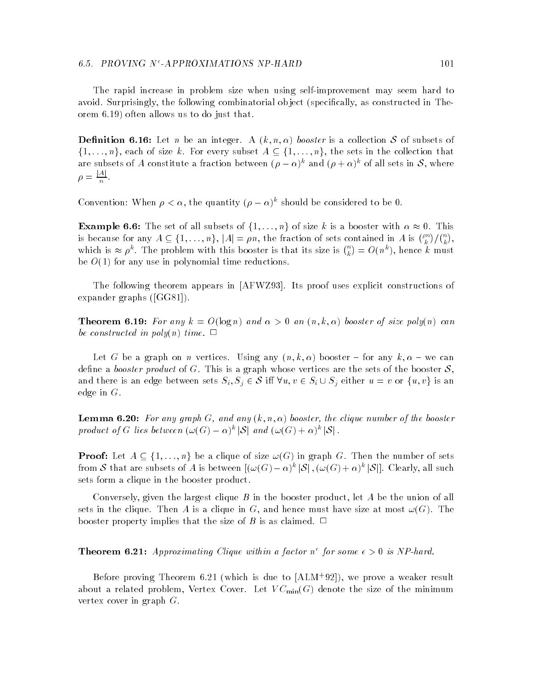The rapid increase in problem size when using self-improvement may seem hard to avoid Surprisingly- the following combinations of ject (specific), we combine in The Surprising in The orem  $6.19$ ) often allows us to do just that.

**Definition 6.16:** Let n be an integer. A  $(k, n, \alpha)$  booster is a collection S of subsets of  $\{1,\ldots,n\},$  each of size k. For every subset  $A\subseteq\{1,\ldots,n\},$  the sets in the collection that are subsets of A constitute a fraction between  $(\rho - \alpha)^k$  and  $(\rho + \alpha)^k$  of all sets in S, where  $\rho=\frac{|A|}{n}$ .

Convention: when  $\rho < \alpha$ , the quantity  $(\rho - \alpha)$  -should be considered to be  $0$ .

**Example 6.6:** The set of all subsets of  $\{1,\ldots,n\}$  of size k is a booster with  $\alpha \approx 0$ . This is because for any  $A\subseteq \{1,\ldots,n\}, |A|=\rho n,$  the fraction of sets contained in  $A$  is  $\binom{\rho n}{k}\binom{n}{k},$ which is  $\approx \rho^k$ . The problem with this booster is that its size is  $\binom{n}{k} = O(n^k)$ , hence k must be  $O(1)$  for any use in polynomial time reductions.

The following theorem appears in AFWZ Its proof uses explicit constructions of expander graphs  $(GG81)$ .

Theorem For any k Olog n and  an n- k- booster of size polyn can be constructed in polyn time-

Let G be a graph on n vertices Using any n- k- booster for any k- we can define a booster product of G. This is a graph whose vertices are the sets of the booster  $S$ . and there is an edge between sets  $S_i, S_j \in \mathcal{S}$  iff  $\forall u, v \in S_i \cup S_j$  either  $u = v$  or  $\{u, v\}$  is an edge in  $G$ .

Lemma - For any graph G and any k- n- booster the clique number of the booster product of G lies between  $(\omega(G) - \alpha)^k |\mathcal{S}|$  and  $(\omega(G) + \alpha)^k |\mathcal{S}|$ .

**Proof:** Let  $A \subseteq \{1, ..., n\}$  be a clique of size  $\omega(G)$  in graph G. Then the number of sets from  $\mathcal S$  that are subsets of  $A$  is between  $[(\omega(G)-\alpha)^k\,|\mathcal S| \, , (\omega(G)+\alpha)^k\,|\mathcal S|].$  Clearly, all such sets form a clique in the booster product

Conversely- given the largest clique B in the booster product- let A be the union of all sets in the compact winting in G-2 is and here we can compare in G-2 in G-2 is a most size at most G Theory C booster property implies that the size of B is as claimed.  $\Box$ 

**Theorem 6.21:** Approximating Cuque within a factor n for some  $\epsilon > 0$  is NP-hard.

Before proving Ineorem 6.21 (which is due to  $|\mathrm{ALM}$  92]), we prove a weaker result about a relation-denote the size of the minimum denotes  $\mathcal{L}$  cover  $\mathcal{L}$  and  $\mathcal{L}$  and  $\mathcal{L}$  and  $\mathcal{L}$  and  $\mathcal{L}$  and  $\mathcal{L}$  and  $\mathcal{L}$  and  $\mathcal{L}$  and  $\mathcal{L}$  and  $\mathcal{L}$  and  $\mathcal{L}$  and  $\mathcal{L}$ vertex cover in graph  $G$ .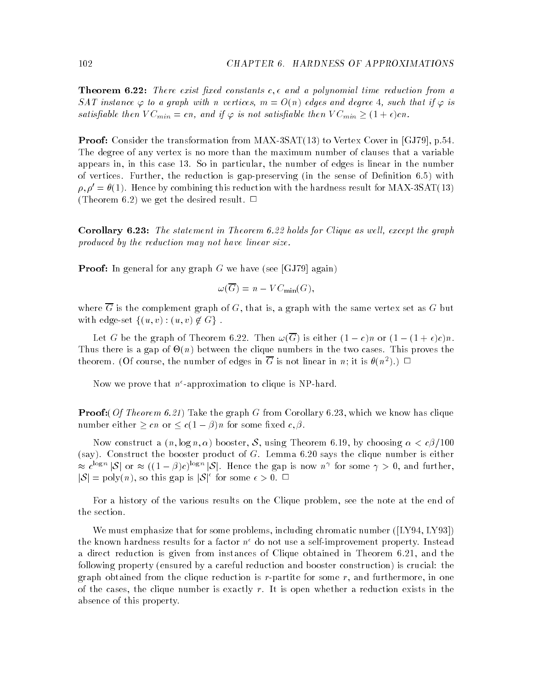Theorem -- There exist xed constants c- and a polynomial time reduction from a SAT instance  $\varphi$  to a graph with n vertices,  $m = O(n)$  edges and degree 4, such that if  $\varphi$  is satisfiable then  $VC_{min} = cn$ , and if  $\varphi$  is not satisfiable then  $VC_{min} \ge (1+\epsilon)cn$ .

Proof Consider the transformation from MAX SAT to Vertex Cover in GJ- p The degree of any vertex is no more than the maximum number of clauses that a variable appears in-case in-distribution in-case is linear in-case is linear in the number of the number of the number of the number of the number of the number of the number of the number of the number of the number of the number of vertices Further, the reduction is gup preserving in the sense of Pennish is gapping in the sense of  $\mu$  $\rho$ ,  $\rho' = \theta(1)$ . Hence by combining this reduction with the hardness result for MAX-3SAT(13) (Theorem 6.2) we get the desired result.  $\Box$ 

Corollary - The statement in Theorem - holds for Clique as well except the graph produced by the reduction may not have linear size.

**Proof:** In general for any graph G we have (see [GJ79] again)

$$
\omega(\overline{G}) = n - VC_{\min}(G),
$$

where G is the complement graph of G- that is- a graph with the same vertex set as G but with edge-set  $\{(u, v) : (u, v) \notin G\}$ .

Let  $\alpha$  be the graph of Theorem 0.22. Then  $\omega(\alpha)$  is either  $(T-\epsilon)n$  or  $(T-\epsilon)\epsilon+n$ . Thus there is a gap of  $\Theta(n)$  between the clique numbers in the two cases. This proves the theorem. (Of course, the number of edges in G is not linear in n; it is  $\theta(n^+)$ .)  $\Box$ 

Now we prove that  $n^{\epsilon}$ -approximation to clique is NP-hard.

ProofOf Theorem - Take the graph G from Corollary - which we know has clique number either  $\geq cn$  or  $\leq c(1-\beta)n$  for some fixed  $c, \beta$ .

Now construct a  $(n, \log n, \alpha)$  booster, S, using Theorem 6.19, by choosing  $\alpha < c\beta/100$ (say). Construct the booster product of  $G$ . Lemma 6.20 says the clique number is either  $\approx c^{\log n} |\mathcal{S}|$  or  $\approx ((1-\beta)c)^{\log n} |\mathcal{S}|$ . Hence the gap is now  $n^{\gamma}$  for some  $\gamma > 0$ , and further,  $|\mathcal{S}| = \text{poly}(n)$ , so this gap is  $|\mathcal{S}|^{\epsilon}$  for some  $\epsilon > 0$ .  $\Box$ 

For a history of the various results on the Clique problem- see the note at the end of the section

we must example that for some problems-including chromatic must be completed by more types and  $\mathcal{L}_1$ the known hardness results for a factor  $n^{\epsilon}$  do not use a self-improvement property. Instead a direct reduction is given from instances of  $\mathbf{C}$ following property (ensured by a careful reduction and booster construction) is crucial: the graph obtained from the chique reduction is rparties for some reduction is reduction in the some of the cases- the clique number is exactly r It is open whether a reduction exists in the absence of this property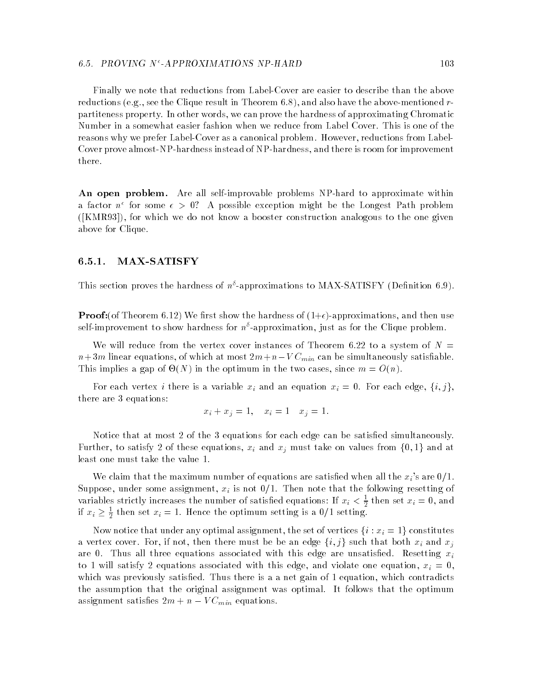Finally we note that reductions from Label-Cover are easier to describe than the above reductions and clique result in Theorem and also have result in Theorem and also have the abovement of the above partiteness property In other words- we can prove the hardness of approximating Chromatic Number in a somewhat easier fashion when we reduce from Label Cover This is one of the reasons why we prefer move as a canonical problem problem However-Cover and However-Cover and Movement and Cover prove almostNPhardness instead of NPhardness- and there is room for improvement there

An open problem. Are all self-improvable problems NP-hard to approximate within a factor  $n$  for some  $\epsilon > 0$ . A possible exception might be the Longest Path problem KMR - for which we do not know a booster construction analogous to the one given above for Clique

#### $6.5.1.$

This section proves the hardness of  $n$  -approximations to MAX-SATISFY (Dennition 0.9).

Proofof Theorem We rst show the hardness of approximations- and then use  $\frac{1}{100}$  self-improvement to show hardness for  $n$  -approximation, just as for the Chique problem.

We will reduce from the vertex cover instances of Theorem 6.22 to a system of  $N =$  $n + \beta m$  intear equations, or which at most  $2m + n - v \cup_{min}$  can be simultaneously satisfiable. This implies a gap of &N in the optimum in the two cases- since m On

For each vertex i there is a variable  $x_i$  and an equation  $x_i = 0$ . For each edge,  $\{i, j\},$ there is not constructed and the construction of the construction of the construction of the construction of the construction of the construction of the construction of the construction of the construction of the construct

$$
x_i + x_j = 1, \quad x_i = 1 \quad x_j = 1.
$$

 $N$ Further, to satisfy 2 of these equations,  $x_i$  and  $x_j$  must take on values from  $\{0,1\}$  and at least one must take the value

We claim that the maximum number of equations are satisfied when all the  $x_i$ 's are  $0/1$ . Suppose- under some assignment- xi is not  Then note that the following resetting of variables strictly increases the number of satisfied equations: If  $x_i < \frac{1}{2}$  then set  $x_i = 0$ , and if  $x_i \geq \frac{1}{2}$  then set  $x_i = 1$ . Hence the optimum setting is a  $0/1$  setting.

Now notice that under any optimal assignment, the set of vertices  $\{i : x_i = 1\}$  constitutes a vertex cover. For, if not, then there must be be an edge  $\{i,j\}$  such that both  $x_i$  and  $x_j$ are 0. Thus all three equations associated with this edge are unsatisfied. Resetting  $x_i$ to e will satisfy early military military control with the edge) with the streets and squares and via and the which was previously satisfactor  $\bullet$  and there is a a net gain of  $\bullet$  of  $\bullet$  which contradicts the assumption that the original assignment was optimal It follows that the optimum assignment satisfies  $2m + n - v \cup_{min}$  equations.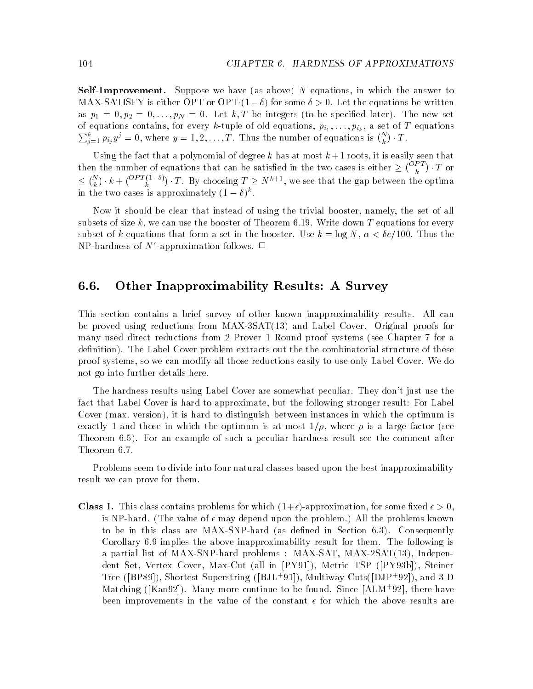self improvement suppose we have as above to a provement the answer to a large to the answer to answer to  $MAA$ -SATISFT is either OFT of OFT  $(1-\theta)$  for some  $\theta \geq 0$ . Let the equations be written  $\mathbf{p}$  is a proposition of the new set  $\mathbf{p}$ of equations contains- for every ktuple of old equations- pi - -pik - a set of T equations  $\sum_{j=1}^k p_{i_j}y^j = 0$ , where  $y = 1, 2, ..., T$ . Thus the number of equations is  $\binom{N}{k} \cdot T$ .

Using the fact that a polynomial of degree  $\alpha$  most k it is easily to at  $\alpha$  at  $\alpha$ then the number of equations that can be satisfied in the two cases is either  $\geq \binom{OPI}{k} \cdot T$  or  $n \leq {N \choose k} \cdot k + {O+1(1-\sigma) \choose k} \cdot T$ . By choosing  $T \geq N^{k+1}$ , we see that the gap between the optima In the two cases is approximately  $(1 - \theta)^{+}$ .

Now it should be clear that instead of using the trivial booster- namely- the set of all subsets of size k-booster of size k-booster of Theorem Write down T equations for every  $\mathcal{A}$ subset of the form a set in the booster USE in the booster USE in the booster USE in the booster USE in the booster USE in the booster USE in the booster USE in the booster USE in the booster USE in the booster USE in the NP-hardness of  $N^{\epsilon}$ -approximation follows.  $\Box$ 

#### Other Inapproximability Results: A Survey

This section contains a brief survey of other known inapproximability results All can be proved using reductions from MAX SAT and Label Cover Original proofs for many used direct reductions from 2 Prover 1 Round proof systems (see Chapter 7 for a definition). The Label Cover problem extracts out the the combinatorial structure of these proof systems- so we can modify all those reductions easily to use only Label Cover We do not go into further details here

The hardness results using Label Cover are somewhat peculiar. They don't just use the fact that Label Cover is hard to approximate- but the following stronger result For Label Cover max version- it is hard to distinguish between instances in which the optimum is exactly a new issues in which the optimum is at most -  $\mathbb{F}_t$  , which  $\mathbb{F}_t$  are not analyzed factor see Theorem 6.5). For an example of such a peculiar hardness result see the comment after Theorem 6.7.

Problems seem to divide into four natural classes based upon the best inapproximability result we can prove for them

Class I This class contains problems for which approximation- for some xed is NP-hard. (The value of  $\epsilon$  may depend upon the problem.) All the problems known to be in this consequent as dense in the matrix  $\mathbf{r}_1$  and the section  $\mathbf{r}_2$  , we have  $\mathbf{r}_1$  as dense  $\mathbf{r}_2$ Corollary  $6.9$  implies the above inapproximability result for them. The following is a partial list of MAXSNPhard problems MAXSAT- MAXSAT - Indepen dent Set- (Steiner Steiner Steiner Steiner der der Steiner unter der Steiner der Steiner Steiner der Steiner S Tree ([BP89]), Shortest Superstring ([BJL '91]), Multiway Cuts([DJP '92]), and 3-D Matching ([Kan92]). Many more continue to be found. Since [ALM '92], there have been improvements in the value of the constant  $\epsilon$  for which the above results are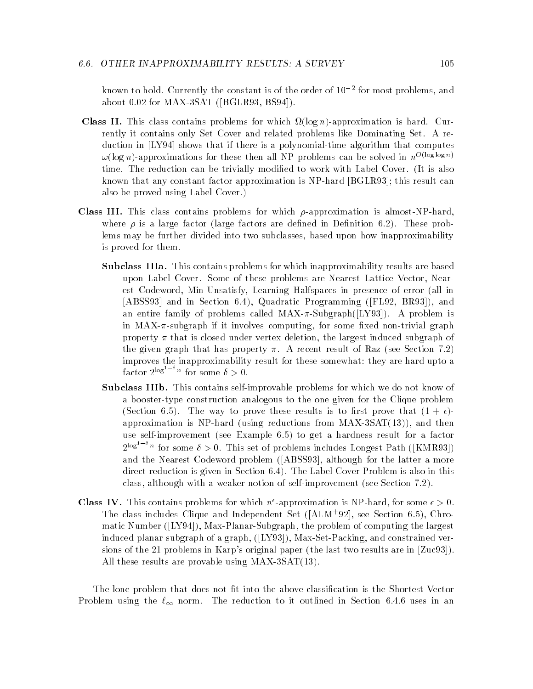known to hold. Currently the constant is of the order of  $10^{-2}$  for most problems, and about  for MAX SAT BGLR - BS

- **Class II.** This class contains problems for which  $\Omega(\log n)$ -approximation is hard. Currently it contains only Set Cover and related problems like Dominating Set A re duction in  $[LY94]$  shows that if there is a polynomial-time algorithm that computes  $\omega(\log n)$ -approximations for these then all NP problems can be solved in  $n^{O(\log \log n)}$ time. The reduction can be trivially modified to work with Label Cover. (It is also known that any constant factor approximation is NPhard BGLR this result can also be proved using Label Cover
- **Class III.** This class contains problems for which  $\rho$ -approximation is almost-NP-hard, where  $\rho$  is a large factor (large factors are defined in Definition 6.2). These problems may be further divided into two subclasses- based upon how inapproximability is proved for them
	- Subclass IIIa. This contains problems for which inapproximability results are based upon Label Cover Some of these static problems are nearest Lattice Vector-Cover ( est codeword-education-controllery, distribution-presence of error all in presence of error all in the control ABSS and in Section - Quadratic Programming FL- BR - and an entire family of problems called MAXSUbgraph and MAXSUbgraphLY and MAXSUbgraphLY and MAXSUbgraphLY and MAXSU in Maxsub is a magnetic involves computing, it is a some more computing the some  $\Delta$  and  $\Delta$ property that is closed under vertex deletion- the largest induced subgraph of the given graph that has property  $\pi$ . A recent result of Raz (see Section 7.2) improves the inapproximability result for these somewhat: they are hard upto a factor  $2^{\log^2 n}$  for some  $\delta > 0$ .
	- Subclass IIIb. This contains self-improvable problems for which we do not know of a boostertype construction analogous to the one given for the Clique problem (Section 6.5). The way to prove these results is to first prove that  $(1 + \epsilon)$ approximation is NPhard using reductions from MAX SAT - and then use self-improvement (see Example 6.5) to get a hardness result for a factor  $2^{\log^2 n}$  for some  $\delta > 0$ . This set of problems includes Longest Path ([KMR93]) and the Nearest Codeword problem ABSS - although for the latter a more direct reduction is given in Section  $6.4$ ). The Label Cover Problem is also in this class- although with a weaker notion of self-independent provement section of  $\mathcal{C}$
- Class IV. This contains problems for which  $n$  -approximation is NP-hard, for some  $\epsilon > 0$ . The class includes Unque and Independent Set ([ALM | 92], see Section 6.5), Unromatic Islamic II (problem of computing the largest problem of computing the largest  $\sim$ induced planar subgraph of a graph-of and constraints and constraints of a graph-of and constraints and constraints of a graph-of and constraints and constraints and constraints are a graph-of and constraints and constrain sions of the problems in Karp s original paper the last two results are in Zuc all these results are province using matrix and  $\mathbf{y} = \mathbf{y}$

The lone problem that does not fit into the above classification is the Shortest Vector Problem using the  $\ell_{\infty}$  norm. The reduction to it outlined in Section 6.4.6 uses in an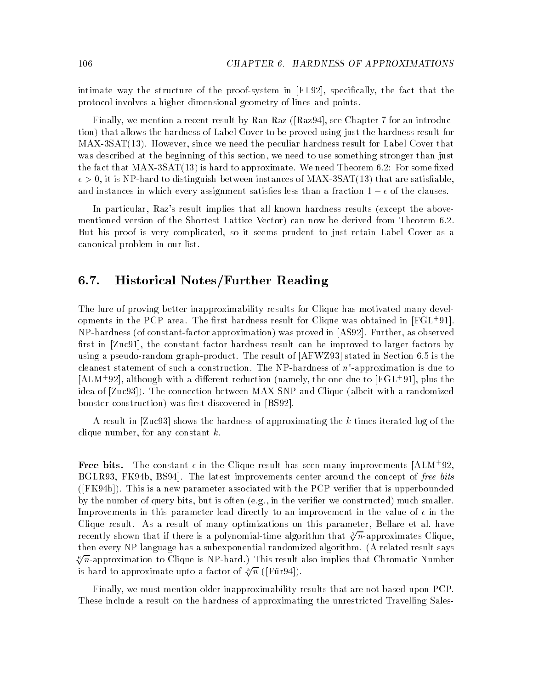intimate way the structure of the proofsystem in FL--at-FL-specially-the full that the the the protocol involves a higher dimensional geometry of lines and points

Finally- we mention a recent result by Ran Raz Raz- see Chapter for an introduc tion) that allows the hardness of Label Cover to be proved using just the hardness result for MAX SAT However- since we need the peculiar hardness result for Label Cover that was described at the beginning of this section, we heard to use something stronger than just the fact that MAX SAT is hard to approximate We need Theorem For some xed - it is NPhard to distinguish between instances of MAX SAT that are satisableand instances in which every assignment satisfies less than a fraction  $1-\epsilon$  of the clauses.

... particular- all that is the successive that all the second that all known particular particular and above mentioned version of the Shortest Lattice Vector) can now be derived from Theorem 6.2. But his proof is very complicated- so it seems prudent to just retain Label Cover as a canonical problem in our list

#### Historical Notes/Further Reading

The lure of proving better inapproximability results for Clique has motivated many devel opments in the PCP area. The first hardness result for Clique was obtained in FGL+91]. NPhardness of constantfactor approximation was proved in AS Further- as observed rst in Zuc- the constant factor hardness result can be improved to larger factors by using a pseudorandom graph pseudorandom graphic Theorem and AFWZ stated in Section 4. Afw Z stated in Section A cleanest statement of such a construction. The NP-hardness of  $n^{\epsilon}$ -approximation is due to ALM - although with a dierent reduction namely- the one due to FGL - plus the idea of Zuc The connection between MAXSNP and Clique albeit with a randomized booster construction) was first discovered in [BS92].

A result in Zuc shows the hardness of approximating the k times iterated log of the case, and any constant constant and constant constant and constant constant any constant constant of the constant of  $\sim$ 

**Free bits.** The constant  $\epsilon$  in the Clique result has seen many improvements  $|{\rm ALM}|\,{}^{\rm t}92,$ BGLR - FKb- BS The latest improvements center around the concept of free bits ( $[FK94b]$ ). This is a new parameter associated with the PCP verifier that is upperbounded  $b$  the number of  $b$  and  $b$  is often equencies. In the verificial much smaller we constructed much smaller we constructed much smaller we constructed much smaller we constructed much smaller we constructed much smaller Improvements in this parameter lead directly to an improvement in the value of  $\epsilon$  in the Clique result As a result of many optimizations on this parameter- Bellare et al have recently shown that if there is a polynomial-time algorithm that  $\sqrt[3]{n}$ -approximates Clique, then every NP language has a subexponential randomized algorithm. (A related result says  $\sqrt[6]{n}$ -approximation to Clique is NP-hard.) This result also implies that Chromatic Number is hard to approximate upto a factor of  $\sqrt[5]{n}$  ([Für94]).

Finally- we must mention older inapproximability results that are not based upon PCP These include a result on the hardness of approximating the unrestricted Travelling Sales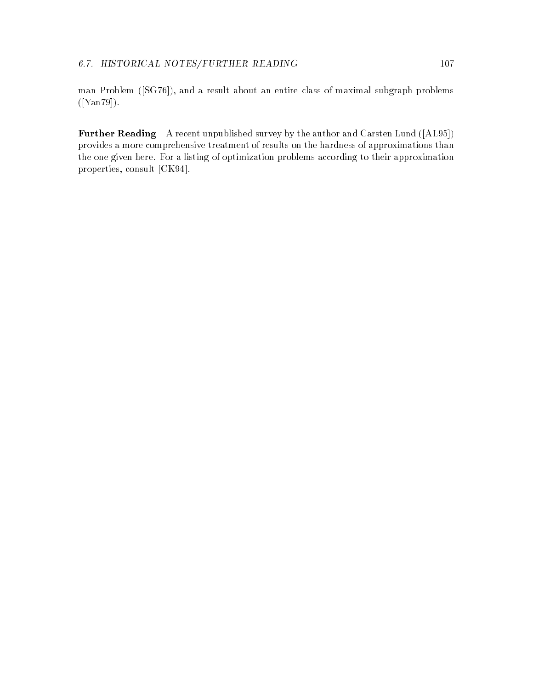man Problem SG- and SG- and and and about and all class of maximal substitutions of maximal problems and  $([Yan 79]).$ 

Further Reading A recent unpublished survey by the author and Carsten Lund ([AL95]) provides a more comprehensive treatment of results on the hardness of approximations than the one given here. For a listing of optimization problems according to their approximation properties to consult consult consults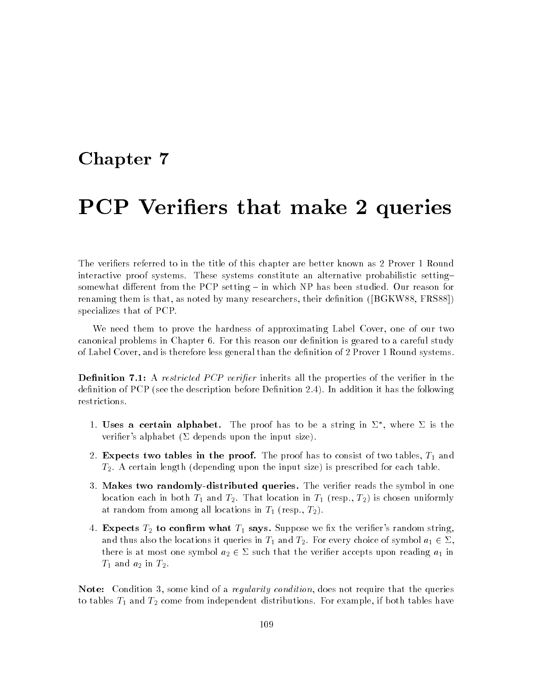## Chapter 7

# PCP Verifiers that make 2 queries

The verifiers referred to in the title of this chapter are better known as 2 Prover 1 Round interactive proof systems These systems constitute an alternative probabilistic setting somewhat different from the PCP setting  $-$  in which NP has been studied. Our reason for renaming them is that- as noted by many researchers- their denition BGKW

- FRS specializes that of PCP

We need them to prove the hardness of approximating Label Cover- one of our two canonical problems in Chapter 6. For this reason our definition is geared to a careful study of  $\mathbf{A}$ 

**Definition 7.1:** A restricted PCP verifier inherits all the properties of the verifier in the definition of PCP (see the description before Definition 2.4). In addition it has the following restrictions

- 1. Uses a certain alphabet. The proof has to be a string in  $\Sigma^*$ , where  $\Sigma$  is the verifier's alphabet ( $\Sigma$  depends upon the input size).
- expects to the third the proof the proof the proof the proof the problem is to consist of the proof of the proof  $T_2$ . A certain length (depending upon the input size) is prescribed for each table.
- $\mathcal{M}$  and verient reads two randomly in our reads the verier reads the symbol in one symbol in one symbol in one symbol in one symbol in our reads the symbol in one symbol in one symbol in one symbol in one symbol in o location each in both T and T That location in T resp- T is chosen uniformly at random from a set  $\mathbf{r}$  random from a set  $\mathbf{r}$
- Expects T to construct T says Suppose we may say that  $\mathbb{P}^1$  says Suppose we construct the verified  $\mathbb{P}^1$ and thus also the locations it queries in  $T_1$  and  $T_2$ . For every choice of symbol  $a_1 \in \Sigma$ , there is at most one symbol  $a_2 \in \Sigma$  such that the verifier accepts upon reading  $a_1$  in T and a in T

Note Condition - some kind of a regularity condition- does not require that the queries to tables T and T come from independent distributions For example- if both tables have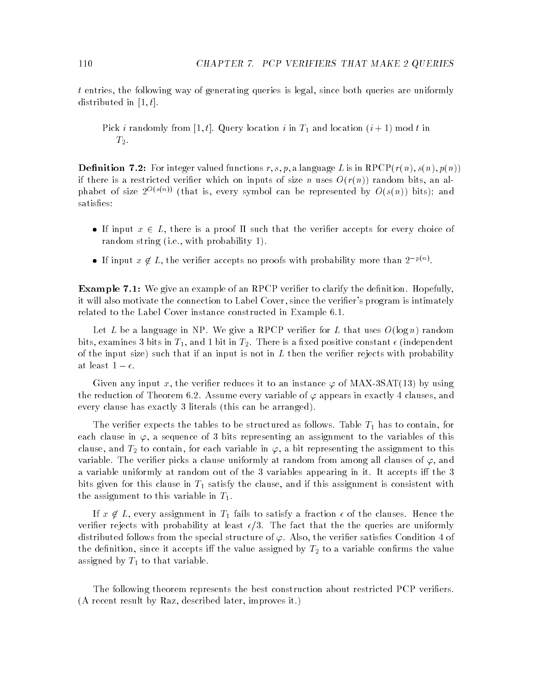the following way of the following queries is legal-time queries are uniformly to the uniformly distributed in - t

Pick i randomly from - t Query location i in T and location i mod tin  $T<sub>2</sub>$ .

, a language language language language language language language language language language language languag if there is a restricted verier which on inputs of size n uses Orn random bits- an al phabet of size  $2^{-(\kappa_1,\kappa_2)}$  (that is, every symbol can be represented by  $O(s(n))$  bits); and satisfies:

- If input  $x \in L$ , there is a proof II such that the verifier accepts for every choice of random string ie-eil with probability of the
- If input  $x \notin L$ , the verifier accepts no proofs with probability more than  $2^{-p(n)}$ .

**Example 7.1:** We give an example of an RPCP verifier to clarify the definition. Hopefully, it will also motivate the connection to Label Cover-Cover-Cover-Cover-Cover-Cover-Cover-Cover-Coverrelated to the Label Cover instance constructed in Example 6.1.

Let L be a language in NP. We give a RPCP verifier for L that uses  $O(\log n)$  random bits-in T-mines in T-mines in T-mines in T-mines in T-mines in T-mines in T-mines in T-mines in T-mines in T-m of the input size) such that if an input is not in  $L$  then the verifier rejects with probability  $a_{i}$  least  $1 - \epsilon$ .

Given any input  $\alpha$  into contact the matrix it to an instance  $\beta$  it to an interpretation  $\beta$  and  $\beta$ the reduction of Theorem Assume every variable of appears in exactly clauses- and every clause has exactly literals this can be arranged

The verier expects the tables to be structured as follows Table T has to contain- for each clause in -p particular and assignment to the variables of the variables of the variables of the variable clause-to-contain-to-contain-to-contain-to-contain-to-contain-to-contain-to-contain-to-contain-to-contain-to-co variable The verier picks a clause uniformly at random from among all clauses of - and a variable uniformly at random out of the state of the state in producing in rate  $\alpha$  is the state in the state  $\alpha$ diven for this clause in T satisfy the clause-in this assignment with the consistent  $\alpha$ the assignment to this variable in  $T_1$ 

If  $x \not\in L$ , every assignment in  $T_1$  fails to satisfy a fraction  $\epsilon$  of the clauses. Hence the verier rejects with probability at least The fact that the the queries are uniformly distributed follows from the special structure of Also- the verier satises Condition of the denition-density independent in the value assigned by T to a value assigned by T to a value assigned by T to a value assigned by T to a value of  $\mu$ assigned by T to that variables by T to that variables by T to that variables by T to that variables by T to t

The following theorem represents the best construction about restricted PCP verifiers. A recent result by Raz- described later- improves it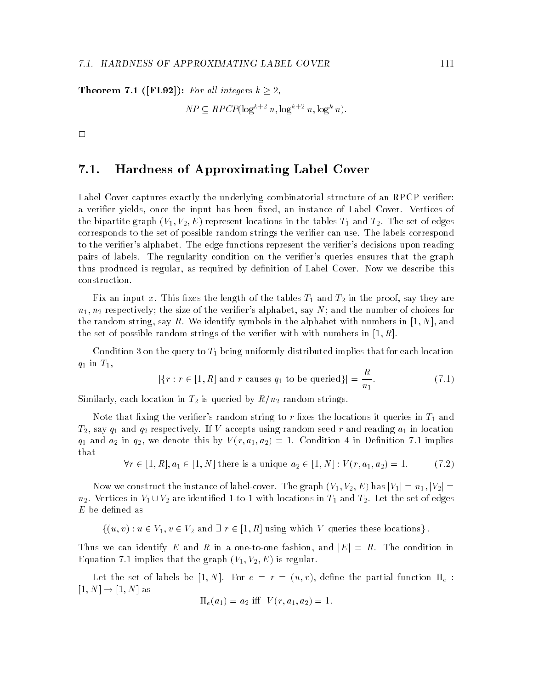**Theorem 7.1 (|FL92|):** For all integers  $k \geq 2$ ,

$$
NP \subseteq RPCP(\log^{k+2} n, \log^{k+2} n, \log^k n).
$$

 $\Box$ 

### Hardness of Approximating Label Cover

Label Cover captures exactly the underlying combinatorial structure of an RPCP verifier: a veries yields- once the imput has been xelled in instance in instance of Label Cover Vertices of the bipartite graph V-1) (2) and tables the tables T and The tables T and T  $\mu$  and The tables T and T corresponds to the set of possible random strings the verifier can use. The labels correspond to the verifier's alphabet. The edge functions represent the verifier's decisions upon reading pairs of labels. The regularity condition on the verifier's queries ensures that the graph thus produced is regular- as required by denition of Label Cover Now we describe this construction

Fix an input x This xes the length of the tables T and T in the proof- say they are n-1975 and the size of the size of the verificial say number of the size of the same choices for the number of the random string-term string-term symbols in the alphabet with numbers in the alphabet with numbers in - N-A the set of possible random strings of the verier with with numbers in - R

Condition on the query to T being uniformly distributed implies that for each location  $\mathbf{u}$  in T-1.

$$
|\{r : r \in [1, R] \text{ and } r \text{ causes } q_1 \text{ to be queried}\}| = \frac{R}{n_1}.\tag{7.1}
$$

similarly-strings-contraction in T is queried by Rey to a contraction contract of

Note that xing the verier s random string to r xes the locations it queries in T and TA SAY QI AND QA RANDARING IN SAY ACCEPTS USING RANDOM SEED RANDOM SEEDING AT IN LOCATION TO PROPERTY AND IN que denote the quality of the interest and we denote this by V results by V results and the density of the condition of the second complete the second second second second second second second second second second second s that

 $\forall r \in [1, R], a_1 \in [1, N]$  there is a unique  $a_2 \in [1, N]$ :  $V(r, a_1, a_2) = 1.$  (7.2)

Now we construct the instance of label-cover. The graph  $(V_1,V_2,E)$  has  $\left| V_1 \right|=n_1, \left| V_2 \right|=1$  $n_2$ . Vertices in  $V_1 \cup V_2$  are identified 1-to-1 with locations in  $T_1$  and  $T_2$ . Let the set of edges  $E$  be defined as

 $\{(u, v): u \in V_1, v \in V_2 \text{ and } \exists r \in [1, R] \text{ using which } V \text{ queries these locations}\}.$ 

Thus we can identify E and R in a one-to-one fashion, and  $|E| = R$ . The condition in Equation implies that the graph V- V- E is regular

Let the set of labels be - N For e r u- v- dene the partial function e  $|1, N| \rightarrow |1, N|$  as

$$
\Pi_e(a_1) = a_2 \text{ iff } V(r, a_1, a_2) = 1.
$$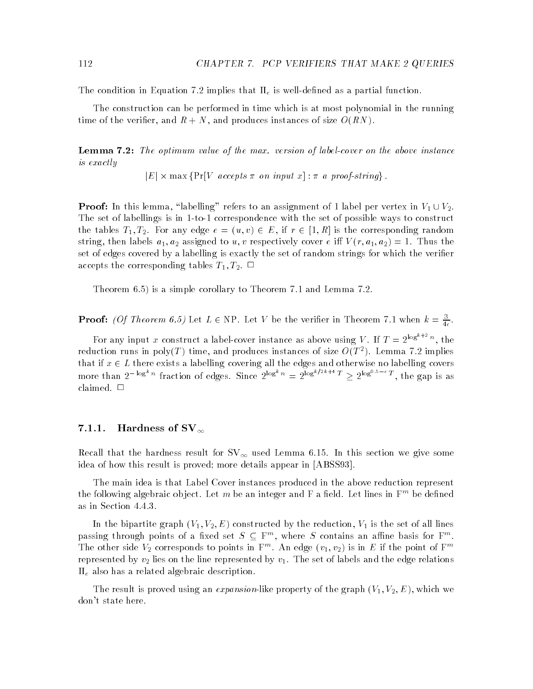$-$ 

The condition in Equation 7.2 implies that  $\Pi_e$  is well-defined as a partial function.

The construction can be performed in time which is at most polynomial in the running time of the verificial control of the produces instances of the produces  $\alpha$ 

Lemma - The optimum value of the max- version of labelcover on the above instance is exactly

 $|E| \times \max \{Pr[V \text{ accepts } \pi \text{ on input } x] : \pi \text{ a proof-string}\}.$ 

**Proof:** In this lemma, "labelling" refers to an assignment of 1 label per vertex in  $V_1 \cup V_2$ . The set of labellings is in  $1$ -to-1 correspondence with the set of possible ways to construct the tables  $T_1, T_2$ . For any edge  $e = (u, v) \in E$ , if  $r \in [1, R]$  is the corresponding random string-to-u-labels a-matrix a-matrix a-matrix a-matrix  $\mathcal{L}$  respectively cover expectively cover experimental cover experiments and the intervals a-matrix a-matrix a-matrix a-matrix a-matrix a-matrix a-matrix a-matrix set of edges covered by a labelling is exactly the set of random strings for which the verifier  $\alpha$  copies the corresponding tables  $\pm$   $\pm$   $\pm$   $\pm$ 

Theorem  $6.5$ ) is a simple corollary to Theorem 7.1 and Lemma 7.2.

**Proof:** (Of Theorem 6.5) Let  $L \in NP$ . Let V be the verifier in Theorem 7.1 when  $k = \frac{2}{L}$ .

For any input x construct a label-cover instance as above using V. If  $T = 2^{\log^{n} + n}$ , the reduction runs in poly $(T)$  time, and produces instances of size  $O(T^*)$ . Lemma 1.2 implies that if  $x \in L$  there exists a labelling covering all the edges and otherwise no labelling covers more than  $2^{-\log^n n}$  fraction of edges. Since  $2^{\log^n n} = 2^{\log^{n} n+1} \ge 2^{\log^{n} n}$ , the gap is as claimed.  $\Box$ 

#### Hardness of  $\mathrm{SV}_\infty$

Recall that the hardness result for  $\text{SV}_{\infty}$  used Lemma 6.15. In this section we give some idea of how this result is proved more details appear in ABSS

The main idea is that Label Cover instances produced in the above reduction represent the following algebraic object. Let  $m$  be an integer and F a held. Let lines in F  $\,$  be defined  $\,$ 

in the bipartite graph I-11 is the reduction-set of all lines to make the set of all lines with the set of all passing through points of a fixed set  $S \subseteq F^m$ , where S contains an affine basis for  $F^m$ . The other side  $v_2$  corresponds to points in Fermion and edge  $(v_1, v_2)$  is in Eq. if the point of F represented by v lies on the line represented by v The set of labels and the edge relations  $\Pi_e$  also has a related algebraic description.

The result is proved using an expansionlike property of the graph V- V- E- which we don't state here.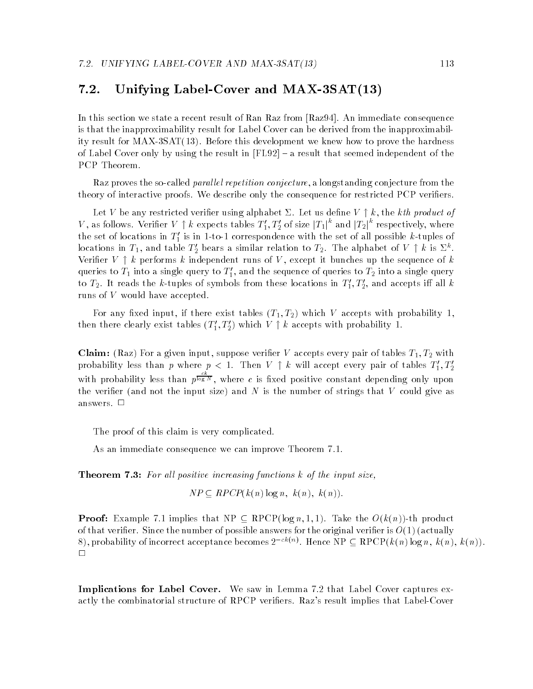#### Unifying Label-Cover and  $MAX-3SAT(13)$

In this section we state a recent result of Ran Raz from  $[Raz94]$ . An immediate consequence is that the inapproximability result for Label Cover can be derived from the inapproximabil ity result for MAX SAT Before this development we knew how to prove the hardness of Label Cover only by using the result in  $[FL92]$  – a result that seemed independent of the PCP Theorem

Raz proves the socalled paral lel repetition conjecture- a longstanding conjecture from the theory of interactive proofs. We describe only the consequence for restricted PCP verifiers.

Let  $V$  be any restricted verifier using alphabet  $\Sigma.$  Let us define  $V\restriction k,$  the  $k\,th\, product\;of$ V, as follows. Verifier  $V\restriction k$  expects tables  $T_1',T_2'$  of size  $|T_1|^k$  and  $|T_2|^k$  respectively, where the set of locations in  $T_1'$  is in 1-to-1 correspondence with the set of all possible k-tuples of locations in  $T_1,$  and table  $T_2'$  bears a similar relation to  $T_2.$  The alphabet of  $V\restriction k$  is  $\Sigma^k.$ Verifier  $V\uparrow k$  performs  $k$  independent runs of  $V,$  except it bunches up the sequence of  $k$ queries to  $T_1$  into a single query to  $T_1^\prime,$  and the sequence of queries to  $T_2$  into a single query to  $T_2$ . It reads the k-tuples of symbols from these locations in  $T_1', T_2',$  and accepts iff all k runs of  $V$  would have accepted.

For any xed input- if there exist tables T- T which V accepts with probability then there clearly exist tables  $(T'_1, T'_2)$  which  $V \uparrow k$  accepts with probability 1.

claim Raz For a given input-of tables terms to meet a celebrate pair of the support of the support of the suppo probability less than p where  $p < 1$ . Then  $V \uparrow k$  will accept every pair of tables  $T_1', T_2'$ with probability less than probability is the probability of the probability of the probability of the probabi  $\overline{\log N}$ , where c is fixed positive constant depending only upon the verifier (and not the input size) and N is the number of strings that V could give as answers.  $\Box$ 

The proof of this claim is very complicated

As an immediate consequence we can improve Theorem 7.1.

**Theorem 7.3:** For all positive increasing functions  $k$  of the input size,

$$
NP \subseteq RPCP(k(n)\log n, k(n), k(n)).
$$

**Proof:** Example 7.1 implies that NP  $\subseteq$  RPCP(log n, 1, 1). Take the  $O(k(n))$ -th product of that verifier. Since the number of possible answers for the original verifier is  $O(1)$  (actually 8), probability of incorrect acceptance becomes  $2^{-ck(n)}$ . Hence NP  $\subseteq$  RPCP( $k(n)$ log n,  $k(n)$ ,  $k(n)$ ).  $\Box$ 

Implications for Label Cover. We saw in Lemma 7.2 that Label Cover captures exactly the combinatorial structure of RPCP verifiers. Raz's result implies that Label-Cover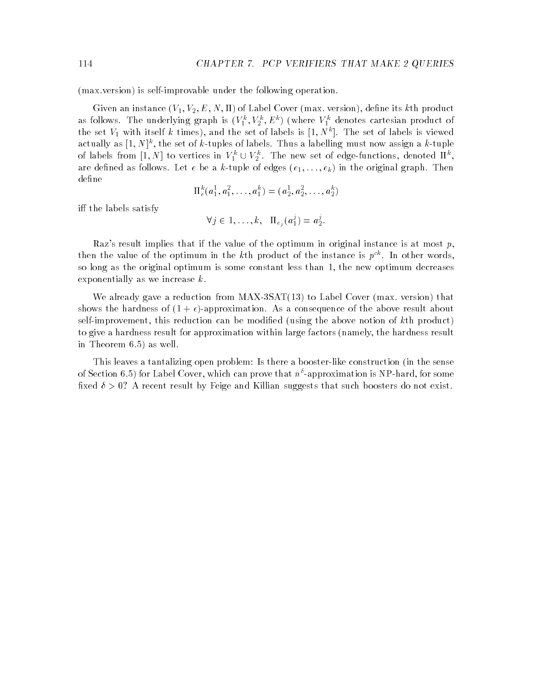$(max.version)$  is self-improvable under the following operation.

Given an instance V-U-V-D-U-V-U-V-D-U-V-U-V-Label Cover max version-label cover max version-label cover the st as follows. The underlying graph is  $(V_1^*, V_2^*, E^*)$  (where  $V_1^*$  denotes cartesian product of the set  $V_1$  with itself k times), and the set of labels is  $[1, N]$ . The set of labels is viewed actually as  $[1, N]$ , the set of  $\kappa$ -tuples of labels. Thus a labelling must now assign a  $\kappa$ -tuple of labels from  $[1, N]$  to vertices in  $V_1^{\kappa} \cup V_2^{\kappa}$ . The new set of edge-functions, denoted  $\mathbb{H}^{\kappa}$ , are denoted as follows Let estimate as follows as follows as  $\alpha$  and  $\alpha$  expected as  $\alpha$ define

$$
\Pi_e^k(a_1^1, a_1^2, \ldots, a_1^k) = (a_2^1, a_2^2, \ldots, a_2^k)
$$

iff the labels satisfy

$$
\forall j \in 1, \ldots, k, \quad \Pi_{e_j}(a_1^j) = a_2^j.
$$

Raz's result implies that if the value of the optimum in original instance is at most  $p$ , then the value of the optimum in the kth product of the instance is  $p^{ck}$ . In other words, so long as the original optimum is some constant less than - the new optimum decreases exponentially as we increase  $k$ .

we also the cover may be already to the maximum maximum and max version that the cover may version that the co shows the hardness of  $(1+\epsilon)$ -approximation. As a consequence of the above result about selfimprovement- this reduction can be modied using the above notion of kth product to give a hardness result for approximation within large factors namely- the hardness result in Theorem  $6.5$ ) as well.

This leaves a tantalizing open problem: Is there a booster-like construction (in the sense of Section  $\sigma$  of tor Label Cover, which can prove that  $n$  -approximation is NP-hard, for some fixed  $\delta > 0$ ? A recent result by Feige and Killian suggests that such boosters do not exist.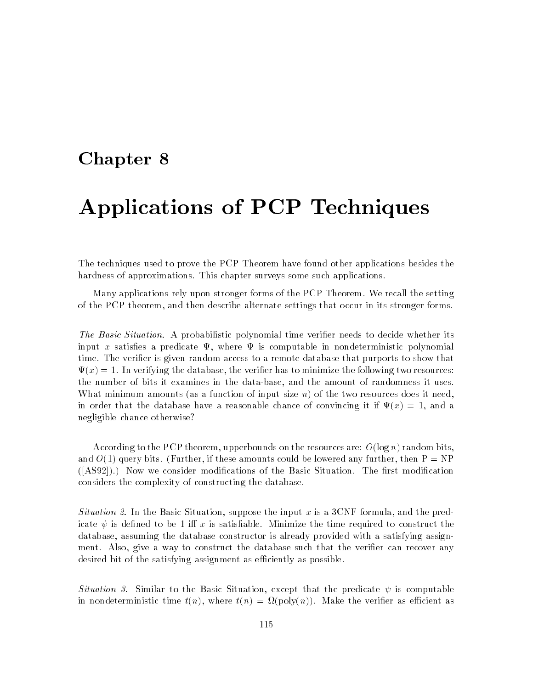### Chapter 8

# Applications of PCP Techniques

The techniques used to prove the PCP Theorem have found other applications besides the hardness of approximations. This chapter surveys some such applications.

Many applications rely upon stronger forms of the PCP Theorem We recall the setting of the PCP theorems then there is the settings the settings that its stronger forms that  $\alpha$ 

The Basic Situation- A probabilistic polynomial time verier needs to decide whether its input x satises a predicate )- where ) is computable in nondeterministic polynomial time. The verifier is given random access to a remote database that purports to show that  $\mathcal{N}$  in a large-database-database-database-database-database-database-database-database-database-database-databasethe number of bits it examines in the database-database-database-database-database-database-database-database-What minimum amounts (as a function of input size  $n$ ) of the two resources does it need, in order that the database have a reasonable chance of convincing it is  $\mathbf{z}^T \mathbf{w} = \mathbf{z}^T \mathbf{w}$ negligible chance otherwise

according to the PCP theorem, upperson the resources are on the resources are  $\alpha$ and O query bits furthermore and the lower bits further-distributed below the lowered and the lowered and the  $([A S 92])$ .) Now we consider modifications of the Basic Situation. The first modification considers the complexity of constructing the database

situation at the model with the input way the international computer of the indicate the input  $\alpha$ icate  $\psi$  is defined to be 1 iff x is satisfiable. Minimize the time required to construct the assuming the database construction is already to database provided with a satisfying the satisfying and ment Also- giveaway to construct the database such that the verier can recover any desired bit of the satisfying assignment as efficiently as possible.

Situation - Similar to the Basic Situation- except that the predicate is computable in nondeterministic time tn- where tn \$polyn Make the verier as ecient as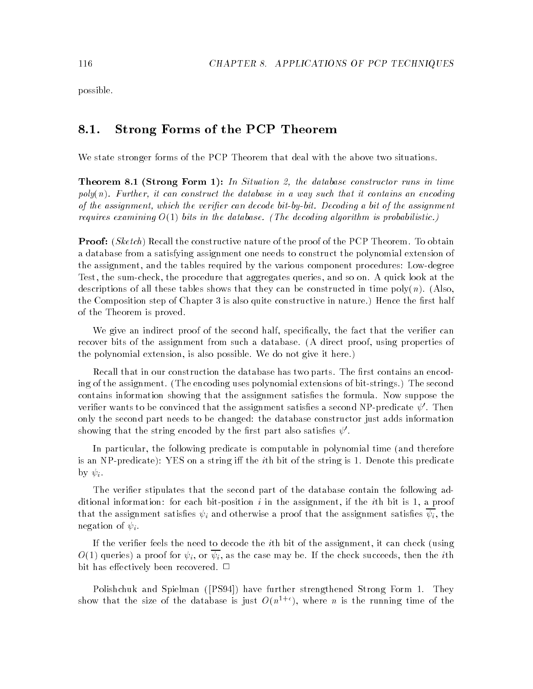possible

#### Strong Forms of the PCP Theorem

We state stronger forms of the PCP Theorem that deal with the above two situations.

**Theorem 8.1 (Strong Form 1):** In Situation 2, the database constructor runs in time polyn- Further it can construct the database in a way such that it contains an encoding of the assignment which the verifier can decode bit of the world a bit of the assignment. requires examining O bits in the database- The decoding algorithm is probabilistic- 

**Proof:** (*Sketch*) Recall the constructive nature of the proof of the PCP Theorem. To obtain a database from a satisfying assignment one needs to construct the polynomial extension of the assignment- and the tables required by the various component procedures Lowdegree the summer that aggregates  $t$  and  $t$  and  $t$  aggregates  $t$  and  $t$  at the procedure that  $t$ descriptions of all these tables shows that they can be constructed in time poly $(n)$ . (Also, the Composition step of Chapter is also quite constructive in nature Hence the rst half of the Theorem is proved

we give an indirect proof of the second half-that the second half-that the verier can be verified that the verier can be verified to the verified that the verified that the verified that the verified that the verified that recover bits of the assignment from such a database A direct proof- using properties of the polynomial extension, is also possible it it here  $\Delta$  . It is also if

Recall that in our construction the database has two parts. The first contains an encoding of the assignment. (The encoding uses polynomial extensions of bit-strings.) The second contains information showing that the assignment satisfies the formula. Now suppose the verifier wants to be convinced that the assignment satisfies a second NP-predicate  $\psi^\prime$ . Then only the second part needs to be changed: the database constructor just adds information showing that the string encoded by the first part also satisfies  $\psi^\prime.$ 

In particular- the following predicate is computable in polynomial time and therefore is an NP-predicate): YES on a string iff the *i*th bit of the string is 1. Denote this predicate by  $\psi_i$ .

The verifier stipulates that the second part of the database contain the following additional information for each bit is easy of the item in the item in the item in the item in the item in the i that the assignment satisfactor is considered that the assignment satisfactor is the assignment satisfactor in  $\mathcal{U}$ negation of  $\psi_i$ .

If the verience the iteration is decode the iteration of the iteration is decode the assignmentof a processed a proof for  $\lambda$  () if  $\lambda$  () are the ithro-ither  $\lambda$  and ith case may be ithered it is a control of  $\lambda$ bit has effectively been recovered.  $\Box$ 

Polishchuk and Spielman ([PS94]) have further strengthened Strong Form 1. They show that the size of the database is just  $O(n^{1+\varepsilon})$ , where n is the running time of the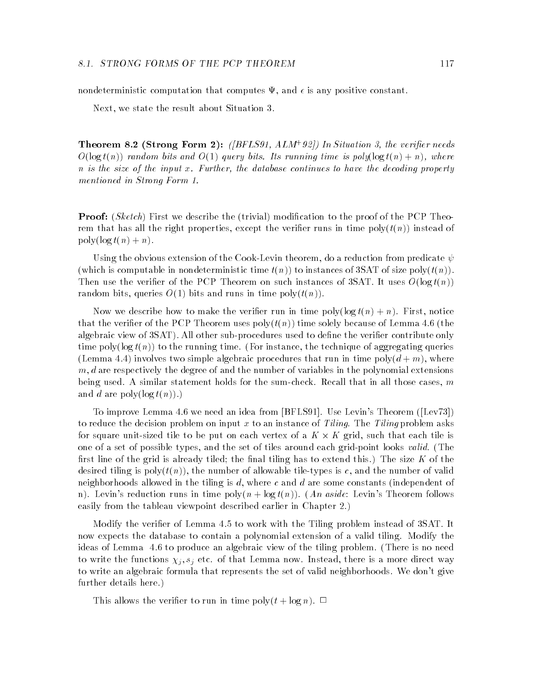nondeterministic computation that computes )- and is any positive constant

<u>state, we state that the met file about Situation</u> Situation

**Theorem 8.2 (Strong Form 2):** ([BFLS91, ALM | 92]) In Suvation 3, the verifier needs O the production is the state of the polynomial time is controlled that is polylogically in which we have the n is the size of the input will showed the database continues to have the decoding property in mentioned in Strong Form  $1$ .

**Proof:** (*Sketch*) First we describe the (trivial) modification to the proof of the PCP Theorem that has all the right properties- except the verier runs in time polytn instead of  $poly(\log t(n) + n).$ 

Using the obvious extension of the Cook Cook Levin theorem, as a reduction from predicate  $\gamma$ which is computable in the international computation of the time that the size of size polytic polytic polytic Then use the verier of the PCP Theorem on such instances of SAT It uses Olog tn random bits-and queries o do bits-and runs in time polytically and runs in time polytically and and

Now we describe how to make the verier run in time polylog tn n First- notice that the verifier of the PCP Theorem uses  $poly(t(n))$  time solely because of Lemma 4.6 (the algebra ic view of  $\mathcal{S}$ time polylog tn to the running time For instance- the technique of aggregating queries Lemma involves two simple algebraic procedures that run in time polyd m- where m- d are respectively the degree of and the number of variables in the polynomial extensions being used as similar statement of the summer statement in all the summer cases-cases-cases-cases-cases-casesand d are poly(log  $t(n)$ ).

To improve Accounts in an idea from the from BFLS Use And In a from BFLS Use Levin Theorem Levin Levin Theorem to reduce the decision problem on input x to an instance of Tiling. The Tiling problem asks for square unit-sized tile to be put on each vertex of a  $K$   $\times$   $K$  grid, such that each tile is one of a set of possible types, and the set of the set of the set of tiles point looks valid the set first line of the grid is already tiled; the final tiling has to extend this.) The size K of the desired tiling is polytn- the number of allowable tiletypes is c- and the number of valid neighborhoods allowed in the tilit tiling is definite is different of all the constants independent of n). Levin's reduction runs in time  $\text{poly}(n + \log t(n))$ . (An aside: Levin's Theorem follows easily from the tableau viewpoint described earlier in Chapter 2.)

modify the verified of Modified in the Within the Time Modified problem instead of the Tili now expects the database to contain a polynomial extension of a valid tiling. Modify the ideas of Lemma 4.6 to produce an algebraic view of the tiling problem. (There is no need  $\lambda_{\rm{L}}$  is a more direct way insteadto write an algebraic formula that represents the set of valid neighborhoods. We don't give further details here

This allows the verifier to run in time poly $(t + \log n)$ .  $\Box$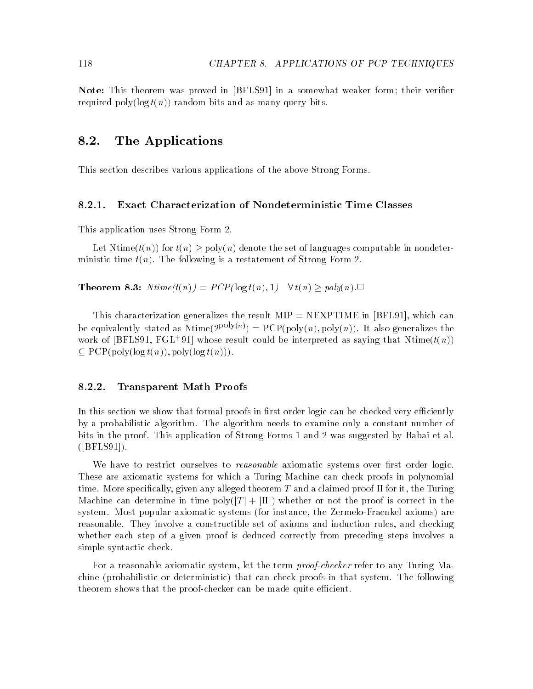Note: This theorem was proved in [BFLS91] in a somewhat weaker form; their verifier required poly( $log t(n)$ ) random bits and as many query bits.

#### The Applications

This section describes various applications of the above Strong Forms

#### $8.2.1.$ Exact Characterization of Nondeterministic Time Classes

This application uses Strong Form 2.

Let Ntime( $t(n)$ ) for  $t(n) > \text{poly}(n)$  denote the set of languages computable in nondeterministic time  $t(n)$ . The following is a restatement of Strong Form 2.

**Theorem 8.3:**  $Ntime(t(n)) = PCP(\log t(n), 1)$   $\forall t(n) \geq poly(n). \Box$ 

this characterization generalizes the result mixtures the result missing in BFL-- and the results of the canon be equivalently stated as Ntime( $Z^{P(S)}(P) = P \cup P(poly(n), poly(n))$ . It also generalizes the work of  $\texttt{BFLS91}, \texttt{FGL\_91} \texttt{ W}$ nose result could be interpreted as saying that Ntime( $\textit{l}(n)$ )  $\subseteq$  PCP(poly(log  $t(n)$ ), poly(log  $t(n)$ )).

#### 8.2.2. Transparent Math Proofs

In this section we show that formal proofs in first order logic can be checked very efficiently by a probabilistic algorithm The algorithm needs to examine only a constant number of bits in the proof. This application of Strong Forms 1 and 2 was suggested by Babai et al.  $([BFLS91]).$ 

We have to restrict ourselves to *reasonable* axiomatic systems over first order logic. These are axiomatic systems for which a Turing Machine can check proofs in polynomial time and any alleged theorem  $\mu$  and any alleged theorem theorem T and a construction proof it and a construction Machine can determine in time  $poly(|T| + |\Pi|)$  whether or not the proof is correct in the system Most popular axiomatic systems for instance- the ZermeloFraenkel axioms are reasonable They involve a constructible set of axioms and induction rules- and checking whether each step of a given proof is deduced correctly from preceding steps involves a simple syntactic check

For a reasonable axiomatic system- let the term proofchecker refer to any Turing Ma chine (probabilistic or deterministic) that can check proofs in that system. The following theorem shows that the proof-checker can be made quite efficient.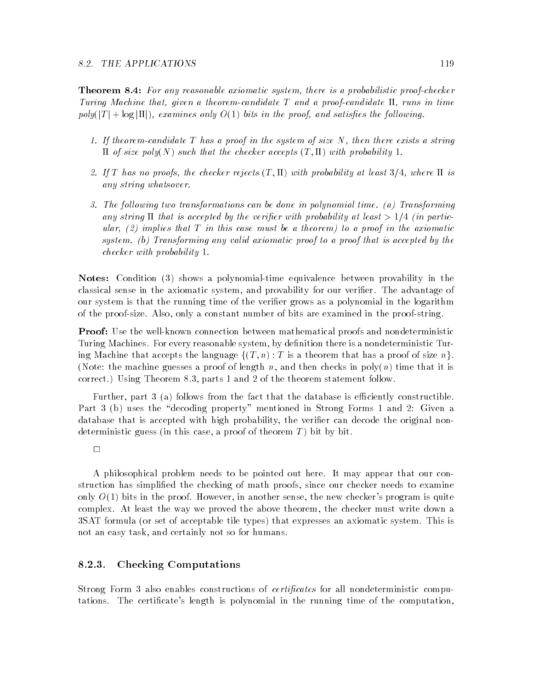**Theorem 8.4:** For any reasonable axiomatic system, there is a probabilistic proof-checker Turing Machine that, given a theorem-candidate T and a proof-candidate  $\Pi$ , runs in time  $poly(|T| + \log |\Pi|)$ , examines only  $O(1)$  bits in the proof, and satisfies the following.

- If theoremcandidate T has a proof in the system of size N then there exists a string of size polynch and that the checker accepts  $\mathcal{A} = \{x_i\}$  and  $\mathcal{B} = \{x_i\}$
- If T has no proofs the checker rejects T with probability at least where is any string whatsover.
- of the following two transformations can be done in polynomial time-  $\vert$  w/ to distingany string  $\Pi$  that is accepted by the verifier with probability at least  $> 1/4$  (in particular,  $(2)$  implies that T in this case must be a theorem) to a proof in the axiomatic system, i.e. the transforming any value and the proof to a proof that is accepted by the c  $checker with probability 1.$

Notes Condition shows a polynomialtime equivalence between provability in the classical sense in the axiomatic system, when provides, for our veries, who we want  $\pi$ our system is that the running time of the verifier grows as a polynomial in the logarithm of the proofsize Also- only a constant number of bits are examined in the proofstring

**Proof:** Use the well-known connection between mathematical proofs and nondeterministic Turing Machines For every reasonable system- by denition there is a nondeterministic Tur ing Machine that accepts the language  $\{(T,n): T$  is a theorem that has a proof of size  $n\}$ . Note the machine guesses a proof of length n- and then checks in polyn time that it is correct Using Theorem - parts and of the theorem statement follow

Further- part a follows from the fact that the database is eciently constructible Part b uses the decoding property mentioned in Strong Forms and Given a database that is accepted with high probability- the verier can decode the original non deterministic guess in this case-bit by bit by bit by bit by bit by bit by bit by bit by bit by bit by bit by bit by bit by bit by bit by bit by bit by bit by bit by bit by bit by bit by bit by bit by bit by bit by bit by

 $\Box$ 

A philosophical problem needs to be pointed out here It may appear that our con struction has simplicated the checking of math proofs-checking our checking our checker needs to examine  $\Gamma$ only O the new check provision in another sense-of the new checker sense-of the new checker sense-of the new ch complexed at least the way we proved the above the checker must write down above the above the ch SAT formula or set of acceptable tile types that expresses an axiomatic system This is not an easy task- and certainly not so for humans

#### 8.2.3. Checking Computations

Strong Form also enables constructions of certicates for all nondeterministic compu tations. The certificate's length is polynomial in the running time of the computation,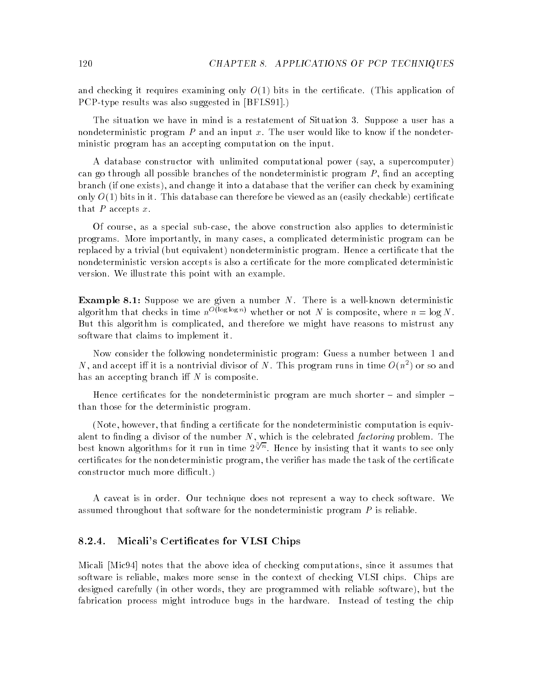and checking it requires examining only  $O(1)$  bits in the certificate. (This application of PCP-type results was also suggested in  $[BFLS91]$ .)

The situation we have in mind is a restatement of Situation Suppose a user has a nondeterministic program  $P$  and an input  $x$ . The user would like to know if the nondeterministic program has an accepting computation on the input

A database constructor with unlimited computational power say- a supercomputer can go through all possible all and an acception program P - quality and accepting branch if one exists- and change it into a database that the verier can check by examining only  $O(1)$  bits in it. This database can therefore be viewed as an (easily checkable) certificate that  $P$  accepts  $x$ .

. The above construction and the above construction also applies to deterministic to deterministic applies to the programs more importantly, in more, cases, a complication cases in program case of replaced by a trivial (but equivalent) nondeterministic program. Hence a certificate that the nondeterministic version accepts is also a certificate for the more complicated deterministic version. We illustrate this point with an example.

**Example 8.1:** Suppose we are given a number N. There is a well-known deterministic algorithm that checks in time  $n^{\mathcal{O}(\log \log n)}$  whether or not N is composite, where  $n = \log N$ . But this algorithm is complicated- and therefore we might have reasons to mistrust any software that claims to implement it

Now consider the following nondeterministic program: Guess a number between 1 and  $N$  , and accept iff it is a nontrivial divisor of  $N$  . This program runs in time  $O(n^+)$  or so and has an accepting branch iff  $N$  is composite.

Hence certificates for the nondeterministic program are much shorter  $-$  and simpler  $$ than those for the deterministic program

, which are not the nondeterministic computation is equivalent and a computation is equivalent in the nonalent to nding a divisor of the number N- which is the celebrated factoring problem The best known algorithms for it run in time  $2^{\sqrt[3]{n}}$ . Hence by insisting that it wants to see only certicates for the nondeterministic program, we certify the task of the task of the task of the task of the c constructor much more difficult.)

A caveat is in order. Our technique does not represent a way to check software. We assumed throughout that software for the nondeterministic program  $P$  is reliable.

#### 8.2.4. Micali's Certificates for VLSI Chips

Micali Mic notes that the above idea of checking computations- since it assumes that software is reliable-processed in the context of context of checking values chips Chips are the designed carefully in other words- they are programmed with reliable software- but the fabrication process might introduce bugs in the hardware Instead of testing the chip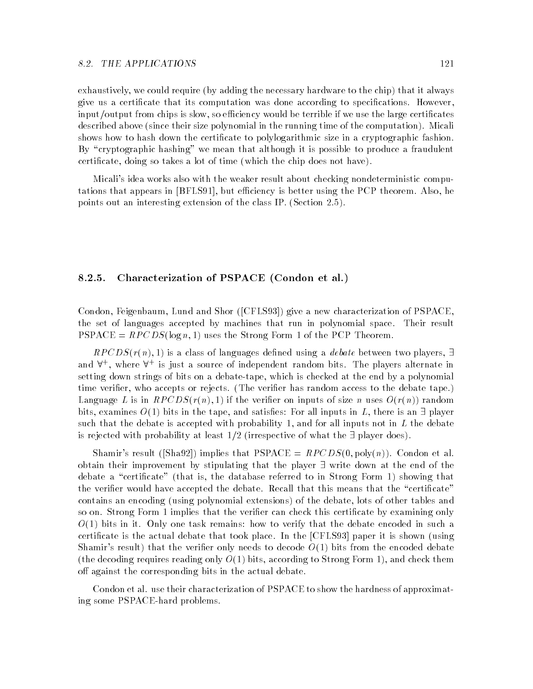exhaustive later that the necessary the necessary that the necessary hardware the chip that it always that it a give us a certificate that its computation was done according to specifications. However, inputoutput from chips is slow- so eciency would be terrible if we use the large certicates described above (since their size polynomial in the running time of the computation). Micali shows how to hash down the certificate to polylogarithmic size in a cryptographic fashion. By "cryptographic hashing" we mean that although it is possible to produce a fraudulent certicates so takes a lot of time which the chip does not to the chip does not the chip of the chip of the chi

Micali s idea works also with the weaker result about checking nondeterministic compu tations that appears in BFLS-C and also-controlled the PCP theorem Also-controlled the PCP theorem Alsopoints out an interesting extension of the class IP. (Section  $2.5$ ).

#### 8.2.5. Characterization of PSPACE (Condon et al.)

Condon- Feigenbaum- Lund and Shor CFLS give a new characterization of PSPACEthe set of languages accepted by machines that run in polynomial space Their result PSPACE RP CDSlog n- uses the Strong Form of the PCP Theorem

 $RPCDS(r(n),1)$  is a class of languages defined using a *debate* between two players,  $\exists$ and  $\forall^+$ , where  $\forall^+$  is just a source of independent random bits. The players alternate in setting down strings of bits on a debatetape- which is checked at the end by a polynomial time veries or redship or regects the verifies the verifies the verifies the verifies tape the verifies the de Language L is in RP CDSrn- if the verier on inputs of size n uses Orn random bits, examines  $O(1)$  bits in the tape, and satisfies: For all inputs in L, there is an  $\exists$  player such that the debate is accepted with probability - all induction and for all the debate in Linux Co is rejected with probability at least  $1/2$  (irrespective of what the  $\exists$  player does).

shamir condon (point significant control condon - ave to motor property conditions in the obtain their improvement by stipulating that the player  $\exists$  write down at the end of the debate a certificate that is an above referred to in Strong Form I, which is a strong form of the verifier would have accepted the debate. Recall that this means that the "certificate" contains an encoding using polynomial extensions of the debate- lots of other tables and so on. Strong Form 1 implies that the verifier can check this certificate by examining only  $O(1)$  bits in it. Only one task remains: how to verify that the debate encoded in such a certicate is the actual debate that to the place In the Latin place In the CFLS when  $\alpha$ Shamir's result) that the verifier only needs to decode  $O(1)$  bits from the encoded debate the decoding requires requires reading  $r$  in the check them according to Strong Form -  $r$ off against the corresponding bits in the actual debate.

Condon et al. use their characterization of PSPACE to show the hardness of approximating some PSPACE-hard problems.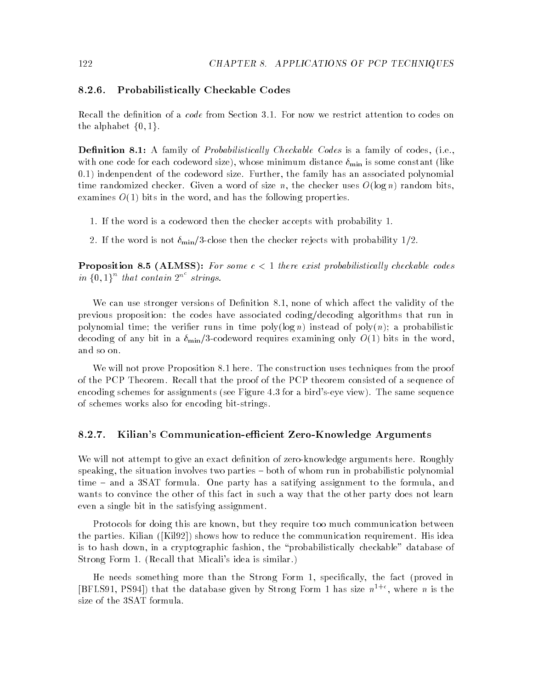#### 8.2.6. Probabilistically Checkable Codes

the alphabet  $\{0,1\}$ .

— **codesce** Probabilistically of Probabilities is a family of codes in the codes in family of codes,  $\mathbf{r}$ with one code for each codeword size-  $\mu$  whose minimum distance  $\mu$  . Hill so codes code codes  $\mu$  indenpendent of the codeword size Further- the family has an associated polynomial time randomized checker Given a word of size n- the checker uses Olog n random bitsexamines o properties are word-word-mand-mand-mand-mand-properties.

- 1. If the word is a codeword then the checker accepts with probability 1.
- $\blacksquare$  . The word is not the checker region of the checker rejects with probability with probability  $\blacksquare$

. Proposition is the existence of the codes in the codes of the codes in the codes in the codes of the codes in in  $\{0,1\}^n$  that contain  $2^{n^c}$  strings.

We can use stronger versions of Denition 
- none of which aect the validity of the previous proposition: the codes have associated coding/decoding algorithms that run in polynomial time; the verifier runs in time poly $(\log n)$  instead of poly $(n)$ ; a probabilistic decoding of any bit in a codeword requires examining only  $\alpha$  and  $\alpha$  bits in the word-bits in the word-bits in the word-bits in the word-bits in the word-bits in the word-bits in the word-bits in the word-bits in the w and so on

We will not prove Proposition 8.1 here. The construction uses techniques from the proof of the PCP Theorem Recall that the proof of the PCP theorem consisted of a sequence of encoding schemes for assignments see Figure for a bird seye view The same sequence of schemes works also for encoding bit-strings.

#### Kilians Communication ecient Zero Knowledge Arguments

We will not attempt to give an exact definition of zero-knowledge arguments here. Roughly speaking- the situation involves two parties both of whom run in probabilistic polynomial time and a satificant organisation of the party measurement to the formula-satification of the formulawants to convince the other of this fact in such a way that the other party does not learn even a single bit in the satisfying assignment

Protocols for doing this are known- but they require too much communication between the parties. Kilian ([Kil 92]) shows how to reduce the communication requirement. His idea is to down-the cryptographic fashion-checkable database of the controller checkable database of the checkable da Strong Form 1. (Recall that Micali's idea is similar.)

He needs something more than the Strong Form - specically- the fact proved in  $|{\rm Bf\, L}$ 591, P594 $|$ ) that the database given by Strong Form 1 has size  $n^{++}$ , where n is the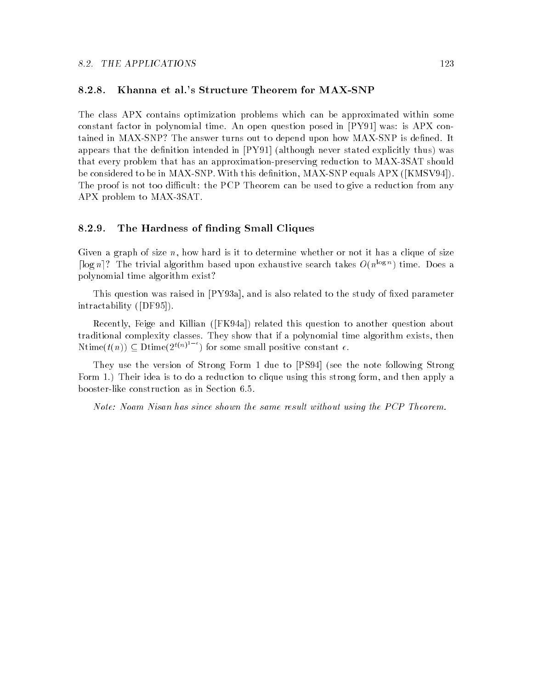The class APX contains optimization problems which can be approximated within some constant factor in polynomial time. An open question posed in  $[PY91]$  was: is APX contained in MAX-SNP? The answer turns out to depend upon how MAX-SNP is defined. It appears that the definition intended in  $[PY91]$  (although never stated explicitly thus) was that every problem that has an approximationpreserving reduction to MAX SAT should be considered to be in MAXS with this denimity and this denimity with the polynomial  $\mathcal{L}^{\text{max}}$ The proof is not too difficult: the PCP Theorem can be used to give a reduction from any APX problem to MAX problem to MAX problem to MAX problem to MAX problem to MAX problem to MAX problem to MAX p

#### 8.2.9. The Hardness of finding Small Cliques

Given a graph of size n- how hard is it to determine whether or not it has a clique of size [log n]? The trivial algorithm based upon exhaustive search takes  $O(n^{\log n})$  time. Does a polynomial time algorithm exist

This question was raised in PY a- and is also related to the study of xed parameter intractability ( $[DF95]$ ).

Recently- Feige and Killian FKa related this question to another question about traditional complexity classes They show that if a polynomial time algorithm exists- $Ntime(t(n)) \subseteq Dtime(2^{t(n)-\epsilon})$  for some small positive constant  $\epsilon$ .

They use the version of Strong Form 1 due to [PS94] (see the note following Strong Form Their idea is to do a reduction to clique using this strong form- and then apply a booster-like construction as in Section 6.5.

Note: Noam Nisan has since shown the same result without using the PCP Theorem.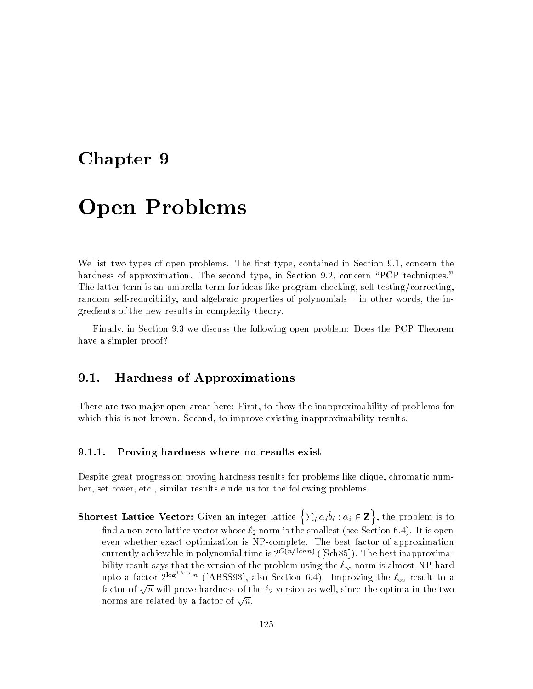### Chapter 9

# Open Problems

We list two types of open problems The rst type- contained in Section - concern the hardness of approximation The second type- in Section - concern PCP techniques <u>the latter term is an umbrelland term for ideas like programme the ideas is the ideas for  $\Delta t$ </u> random selfreducibility- and algebraic properties of polynomials in other words- the in gredients of the new results in complexity theory

Finally-section  $\mathbb{R}^n$  . Section  $\mathbb{R}^n$  the following open problem problem problem  $\mathbb{R}^n$ have a simpler proof?

### Hardness of Approximations

. There are two many is the internal method of the inapproximating problems for problems for the individual of which there is not there were a this is not prove the compact  $\sim$  to improve existing  $\sim$  the model  $\sim$ 

#### Proving hardness where no results exist

Despite great progress on proving hardness results for problems like clique- chromatic num ber, ber-en-ber, bron, beenhouse were similar the following problems.

Shortest Lattice Vector: Given an integer lattice  $\{\sum_i \alpha_i \hat{b}_i:$  $\hat{b}_i: \alpha_i \in \mathbf{Z} \big\}, \text{ the }$ -the problem is the problem is to be problem in the problem in the problem is to be a set of the problem in the problem in the problem in the problem in the problem in the problem in the problem in the problem in the probl nd a nonzero lattice vector whose  $\cdot$  is the smallest section is  $\cdot$  is the smallest section  $\cdot$  is open. even whether exact optimization is NP-complete. The best factor of approximation currently achievable in polynomial time is  $2^{O(n/\log n)}$  ([Sch85]). The best inapproximability result says that the version of the problem using the  $\ell_{\infty}$  norm is almost-NP-hard upto a factor  $2^{\log^{n-1} n}$  ([ABSS93], also Section 6.4). Improving the  $\ell_{\infty}$  result to a factor of  $\sqrt{n}$  will prove hardness of the  $\ell_2$  version as well, since the optima in the two norms are related by a factor of  $\sqrt{n}$ .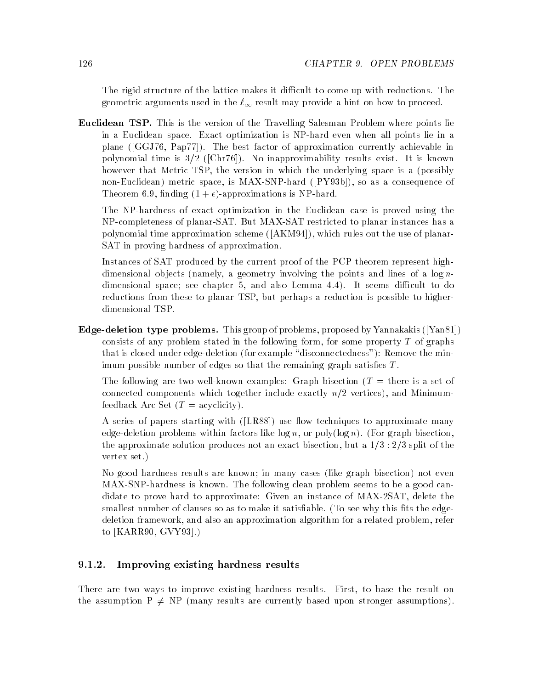The rigid structure of the lattice makes it difficult to come up with reductions. The geometric arguments used in the  $\ell_{\infty}$  result may provide a hint on how to proceed.

**Euclidean TSP.** This is the version of the Travelling Salesman Problem where points lie in a Euclidean space. Exact optimization is NP-hard even when all points lie in a plane GGJ- Pap The best factor of approximation currently achievable in polynomial time is  $j = \{1, 2, \ldots, r\}$  , we suppose the second second computer  $r$  is the second of  $r$ however that Metric TSP-space is a possible that Metric TSP-space is a possible space is a possible space is a non Euclidean metric space-en-based and the metric space-en-based and the so as a consequence of the so as a co Theorem - not not define the production is not all the set of the set of the set of the set of the set of the s

The NP-hardness of exact optimization in the Euclidean case is proved using the NP-completeness of planar-SAT. But MAX-SAT restricted to planar instances has a polynomial time approximation scheme AKM-1, planaries of  $\mu$  which is also one of planaries of plan SAT in proving hardness of approximation

Instances of SAT produced by the current proof of the PCP theorem represent high dimensional observation involving the points and lines of a log namely-dimensional  $\mathcal{A}$ dimensional space see chapter - and also Lemma It seems dicult to do reductions from these to planar TSP- but perhaps a reduction is possible to higher dimensional TSP

Edge deletion type problems This group of problems- proposed by Yannakakis Yan constant in the following form- form- form- form- form- form- form- form- form- form- form- form- form- formthat is closed under edge-deletion (for example "disconnectedness"): Remove the minimum possible number of edges so that the remaining graph satisfies  $T$ .

The following are two well-known examples: Graph bisection  $(T =$  there is a set of connected components which together include exactly n vertices- and Minimum feedback Arc Set  $(T = \text{acyclicity}).$ 

A series of papers starting with  $($ [LR88]) use flow techniques to approximate many edgedeletion problems within factors like log n- or polylog n For graph bisectionthe approximate solution produces not an exact bisection-  $\mathcal{L}_{\mathcal{D}}$ vertex set

No good hardness results are known; in many cases (like graph bisection) not even MAX-SNP-hardness is known. The following clean problem seems to be a good candidate to prove hard to approximate Given an instance of MAXSAT- delete the smallest number of clauses so as to make it satisfiable. (To see why this fits the edgedeletion framework-framework-framework-framework-framework-framework-framework-framework-framework-framework-framework-framework-framework-framework-framework-framework-framework-framework-framework-framework-framework-fra to Karro and the Karro and the Karro and the  $\mathbf{r}$ 

#### $9.1.2.$ Improving existing hardness results

There are two ways to improve existing hardness results  $\mathbf{F}$  is the result on  $\mathbf{F}$ the assumption  $P \neq NP$  (many results are currently based upon stronger assumptions).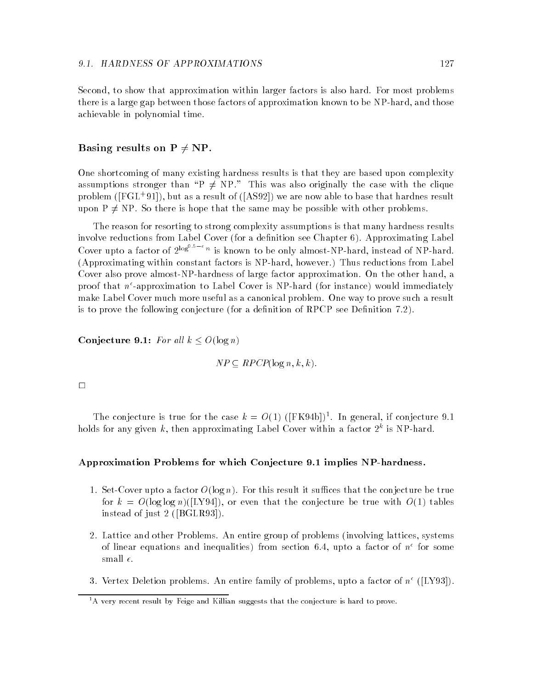second-condect is that approximation with any  $\Delta$  is also that is also hard Formula For most problems is there is a large gap between those factors of approximation in the second state of and those  $\alpha$ achievable in polynomial time

#### Basing results on P - NP

One shortcoming of many existing hardness results is that they are based upon complexity assumptions stronger than "P  $\neq$  NP." This was also originally the case with the clique problem (  $\left[{\rm{r}}\,{\rm{G}}{\rm{L}}\right]$   $\left\{ 91\right\}$  , but as a result of (  $\left[{\rm{A}}\,{\rm{S}}\,{\rm{S}}{\rm{Z}}\right]$  ) we are now able to base that hardnes result  $\left\{ 1\right\}$ upon  $P \neq NP$ . So there is hope that the same may be possible with other problems.

The reason for resorting to strong complexity assumptions is that many hardness results involve reductions from Label Cover (for a definition see Chapter  $6$ ). Approximating Label Cover upto a factor of  $2^{\log^{n} n}$  is is known to be only almostNPhard-Approximating with  $\mathcal{A}$  and  $\mathcal{A}$  is NPhard-Label factors is NPhard-Label from Label from Label from Label from Label from Label from Label from Label from Label from Label from Label from Label from Label from Lab Cover also prove almostNPhardness of large factor approximation On the other hand- a proof that  $n^{\epsilon}$ -approximation to Label Cover is NP-hard (for instance) would immediately make Label Cover much more useful as a canonical problem. One way to prove such a result is to prove the following conjecture (for a definition of RPCP see Definition  $7.2$ ).

Conjecture 9.1: For all  $k \leq O(\log n)$ 

$$
NP \subseteq RPCP(\log n, k, k).
$$

 $\Box$ 

I ne conjecture is true for the case  $\kappa = O(1)$  (if N94b)). In general, if conjecture 9.1 holds for any given  $\kappa$ , then approximating Label Cover within a factor  $Z^*$  is NP-hard.

#### Approximation Problems for which Conjecture 9.1 implies NP-hardness.

- 1. Set-Cover upto a factor  $O(\log n)$ . For this result it suffices that the conjecture be true for k Olog log nLY- or even that the conjecture be true with O tables instead of just BGLR
- Lattice and other Problems An entire group of problems involving lattices- systems of finear equations and inequalities) from section  $0.4$ , upto a factor of  $n$  for some small  $\epsilon$ .
- 3. Vertex Deletion problems. An entire family of problems, upto a factor of  $n$  ([EY95]).

 $^1$ A very recent result by Feige and Killian suggests that the conjecture is hard to prove.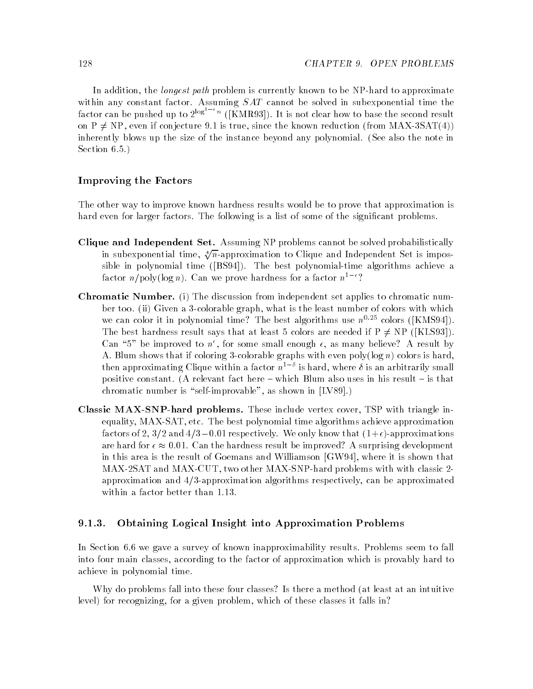In addition- the longest path problem is currently known to be NPhard to approximate within any constant factor. Assuming  $SAT$  cannot be solved in subexponential time the factor can be pushed up to  $2^{\log^2}$   $\in$  " ([KMR93]). It is not clear how to base the second result on P  $\neq$  NP, even if conjecture 9.1 is true, since the known reduction (from MAX-3SAT(4))  $$ inherently blows up the size of the instance beyond any polynomial. (See also the note in Section 6.5.)

#### Improving the Factors

The other way to improve known hardness results would be to prove that approximation is hard even for larger factors. The following is a list of some of the significant problems.

- Clique and Independent Set. Assuming NP problems cannot be solved probabilistically in subexponential time,  $\sqrt[4]{n}$ -approximation to Clique and Independent Set is impossible in polynomial time  $([B S 94])$ . The best polynomial-time algorithms achieve a factor  $n/poly(\log n)$ . Can we prove hardness for a factor  $n^{1-\epsilon}$ ?
- Chromatic Number. (i) The discussion from independent set applies to chromatic num- $\mathbf{f}$ we can color it in polynomial time? The best algorithms use  $n^{0.25}$  colors ([KMS94]). The best hardness result says that at least 5 colors are needed if  $P \neq NP$  ([KLS93]). Can a be improved to  $n$  , for some small enough  $\epsilon$ , as many believe: A result by  $\mathcal{C}$  and if coloring that if coloring  $\mathcal{C}$  is hard-definition is hard-definition is hard-definition is hard-definition in  $\mathcal{C}$ then approximating Clique within a factor  $n^{1-\sigma}$  is hard, where  $\delta$  is an arbitrarily small positive constant. (A relevant fact here  $-$  which Blum also uses in his result  $-$  is that chromatic number is self-in the selfime in LV and the self-in LV  $\vert\cdot\vert$
- Classic MAX SNP hard problems These include vertex cover- TSP with triangle in equality-polynomial time algorithms are polynomial time algorithms achieve approximation and algorithms achiev  $\frac{1}{2}$  and  $\frac{1}{2}$  and  $\frac{1}{2}$  ,  $\frac{1}{2}$  ,  $\frac{1}{2}$  , the controllerge only know that  $\frac{1}{2}$  ,  $\frac{1}{2}$  , approximations are hard for  $\epsilon \approx 0.01$ . Can the hardness result be improved? A surprising development in this area is the result of Goemans and Williamson GW- where it is shown that maxsa maxsar maxsara oo millaa andara maxsara maxsara paramementa maxsara maxsara m approximation and approximation algorithms respectively- can be approximated

#### Obtaining Logical Insight into Approximation Problems  $9.1.3.$

In Section 6.6 we gave a survey of known inapproximability results. Problems seem to fall into four main classes- according to the factor of approximation which is provably hard to achieve in polynomial time

Why do problems fall into these four classes? Is there a method (at least at an intuitive level for recognizing- for a given problem- which of these classes it falls in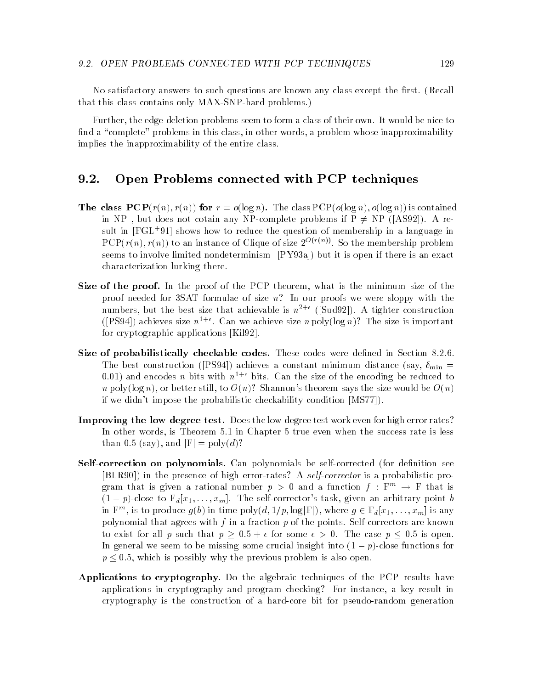No satisfactory answers to such questions are known any class except the first. (Recall that this class contains only MAX-SNP-hard problems.)

Further- the edgedeletion problems seem to form a class of their own It would be nice to nd a complete problems in this class- in other words- a problem whose inapproximability implies the inapproximability of the entire class

### Open Problems connected with PCP techniques

- The class PCPrn- rn for r olog n The class PCPolog n- olog n is contained in NP , but does not cotain any NP-complete problems if  $P \neq NP$  ([AS92]). A result in FGL shows how to reduce the question of membership in a language in  $P \cup P(T(n), T(n))$  to an instance of Clique of size  $2^{O(V(N))}$ . So the membership problem seems to involve minism it is non-treatment pyramidial pyramidial in the interest of the it is an exact the i characterization lurking there
- size of the proof in the proof is the PCP theorem, when is the minimum size of the minimum proof needed for SAT formulae of size n In our proofs we were sloppy with the numbers, but the best size that achievable is  $n^{-1}$  (  $\beta$ ud92]). A tighter construction (TS94) achieves size  $n^{++}$ . Can we achieve size  $n$  poly(log  $n$ ): The size is important for cryptographic applications  $[Ki192]$ .
- Size of probabilistically checkable codes. These codes were defined in Section 8.2.6.  $\mathcal{L}$  and best constant  $\{ \mathcal{L} \}$  and  $\{ \mathcal{L} \}$  are constant minimum distance says from  $\{ \mathcal{L} \}$  ,  $\{ \mathcal{L} \}$ 0.01) and encodes n bits with  $n^{1+\epsilon}$  bits. Can the size of the encoding be reduced to n polytog n-1, still-stille still, is only if the size would be a size would be a size would be only the size if we didn't impose the probabilistic checkability condition  $[MST7]$ ).
- Improving the low-degree test. Does the low-degree test work even for high error rates? In other words- is Theorem in Chapter true even when the success rate is less than 0.5 (say), and  $|F| = poly(d)$ ?
- Self-correction on polynomials. Can polynomials be self-corrected (for definition see  $[BLR90]$  in the presence of high error-rates? A self-corrector is a probabilistic program that is given a rational number  $p > 0$  and a function  $f : F^m \to F$  that is  $(1 - p)$ -close to  $\Gamma_d | u_1, \ldots, u_m$ . The self-corrector s task, given an arbitrary point  $\sigma$ in  $F^m$ , is to produce  $g(b)$  in time  $\text{poly}(d, 1/p, \log |F|)$ , where  $g \in F_d[x_1, \ldots, x_m]$  is any polynomial that agrees with  $f$  in a fraction  $p$  of the points. Self-correctors are known to exist for all p such that  $p \geq 0.5 + \epsilon$  for some  $\epsilon > 0$ . The case  $p \leq 0.5$  is open. In general we seem to be missing some crucial insight into  $(T - p)$ -crose functions for  $p \leq 0.5$ , which is possibly why the previous problem is also open.
- Applications to cryptography. Do the algebraic techniques of the PCP results have applications in cryptography and program checking For instance- a key result in cryptography is the construction of a hard-core bit for pseudo-random generation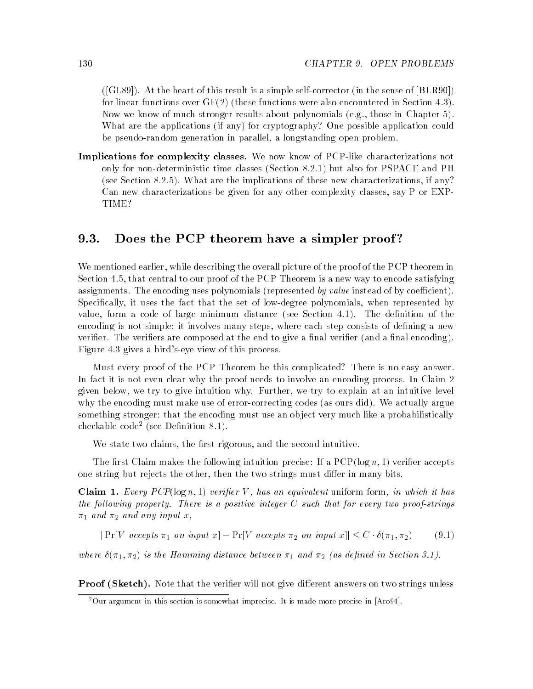( $[GL89]$ ). At the heart of this result is a simple self-corrector (in the sense of  $[BLR90]$ ) for linear functions over GF these functions were also encountered in Section Now we know of much stronger results about polynomials eg- those in Chapter What are the applications (if any) for cryptography? One possible application could be pseudorandom generation in parallel- a longstanding open problem

Implications for complexity classes. We now know of PCP-like characterizations not only for non-deterministic time classes (Section 8.2.1) but also for PSPACE and PH see Section  $\mathbb{R}^n$ can new characterizations be given for any other complexity complexity of any  $\sim$  P or Experimental complexity complexity of the complexity of the complexity complexity of the complexity of the complexity of the complexit TIME

### Does the PCP theorem have a simpler proof?

while describing the overall the overall pictures of the proof of the proof of the PCP theorem in the PCP theorem in Section - that central to our proof of the PCP Theorem is a new way to encode satisfying assignments. The encoding uses polynomials (represented by value instead of by coefficient). Specically- it uses the fact that the set of lowdegree polynomials- when represented by value- form a code of large minimum distance see Section The denition of the encoding is not simple it involves many steps- where each step consists of dening a new verifier. The verifiers are composed at the end to give a final verifier (and a final encoding).  $\mathbf{f}$  figure a bird of this process a bird of this process a bird of this process are processed in this process and  $\mathbf{f}$ 

Must every proof of the PCP Theorem be this complicated? There is no easy answer. In fact it is not even clear why the proof needs to involve an encoding process. In Claim 2 given below-to try to give intuition why Further- to the component at an intuitive level why the encoding must make use of error-correcting codes (as ours did). We actually argue something stronger: that the encoding must use an object very much like a probabilistically checkable code- (see Denmtion 8.1).

we state two claims-two claims-two claims-two claims-two claims-two claims-two claims-two claims-two claims-two c

The rst Claim makes the following intuition precise If a PCPlog n- verier accepts one string but rejects the others, there the two strings means must be the two strings must

claim every post of  $\{x \cdot \mu\}$  , it has an equivalent measurement in which it has an extending  $\mu$ the following property-following property-formation integer controlled integer controlled integer controlled in and and any input x and any input x and any input x and any input x and any input x and any input x and any in

 $|\Pr[V \text{ accepts } \pi_1 \text{ on input } x] - \Pr[V \text{ accepts } \pi_2 \text{ on input } x] | \leq C \cdot \delta(\pi_1, \pi_2)$  (9.1)

 $\begin{array}{ccc} \textbf{\textit{i}} & \textbf{\textit{ii}} & \textbf{\textit{iii}} & \textbf{\textit{iii}} & \textbf{\textit{iv}} & \textbf{\textit{iii}} & \textbf{\textit{iv}} & \textbf{\textit{iv}} & \textbf{\textit{iv}} & \textbf{\textit{iv}} & \textbf{\textit{iv}} & \textbf{\textit{iv}} & \textbf{\textit{iv}} & \textbf{\textit{iv}} & \textbf{\textit{iv}} & \textbf{\textit{iv}} & \textbf{\textit{iv}} & \textbf{\textit{iv}} & \textbf{\textit{iv}} & \textbf{\textit{iv}} & \textbf{\textit{iv}} & \textbf{\$ 

Proof (Sketch). Note that the verifier will not give different answers on two strings unless

<sup>&</sup>lt;sup>-</sup>Our argument in this section is somewhat imprecise. It is made more precise in [Aro94].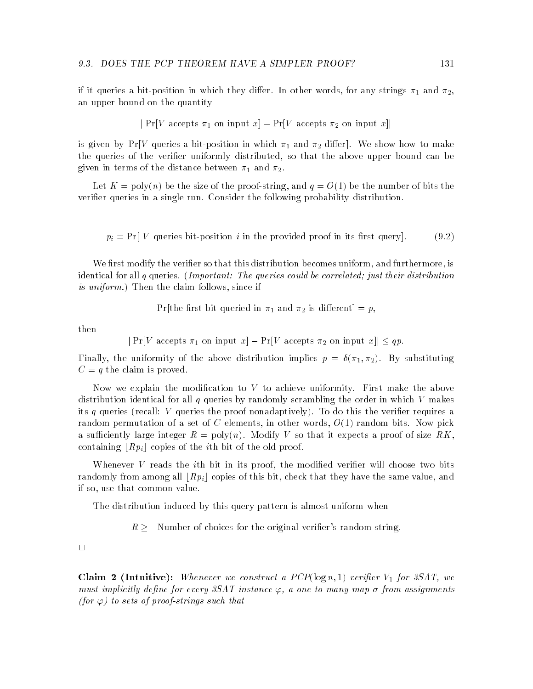if it due to a bit position in which they different in other words-up the strings of the model wordsan upper bound on the quantity

$$
|\Pr[V \text{ accepts } \pi_1 \text{ on input } x] - \Pr[V \text{ accepts } \pi_2 \text{ on input } x]|
$$

is given by PrV queries a bitposition in which and dier We show how to make the queries of the verier uniformly distributed- so that the above upper bound can be  $\alpha$  is the distance between  $\alpha$  the distance between  $\alpha$  and  $\alpha$  and  $\alpha$ 

and and polynthe the size of the proofstring of the size of the size of the size of the size of the  $\alpha$ verifier queries in a single run. Consider the following probability distribution.

 $p_i = Pr[V$  queries bit-position i in the provided proof in its first query. (9.2)

We rst modify the verier so that this distribution becomes uniform- and furthermore- is identical for all q queries. (Important: The queries could be correlated; just their distribution is uniform-the community follows-community for the community of the community of the community of the community

Prthe rst bit queried in and is dierent p-

then

$$
Pr[V \text{ accepts } \pi_1 \text{ on input } x] - Pr[V \text{ accepts } \pi_2 \text{ on input } x] \leq qp.
$$

Finally- the uniformity of the above distribution implies p - By substituting  $C = q$  the claim is proved.

Now we explain the modification to V to achieve uniformity. First make the above distribution identical for all q queries by randomly scrambling the order in which V makes its q queries (recall: V queries the proof nonadaptively). To do this the verifier requires a random permutation of a set of C elements- in other words- O random bits Now pick a sufficiently large integer  $R = poly(n)$ . Modify V so that it expects a proof of size RK, containing  $|Rp_i|$  copies of the *i*th bit of the old proof.

whenever verified the ith bit its proof-proof-the modified verified verified verified verified verified verifi randomly from among all  $\lfloor Rp_i \rfloor$  copies of this bit, check that they have the same value, and if so-use that common values of the common values of the common values of the common values of the common values

The distribution induced by this query pattern is almost uniform when

 $R \geq$  Number of choices for the original verifier's random string.

claim - International Monternation and the Claim - PCPlog national Section and International Action of the PCP must implicitly dene for every SAT instance a onetomany map from assignments (for  $\varphi$ ) to sets of proof-strings such that

 $\Box$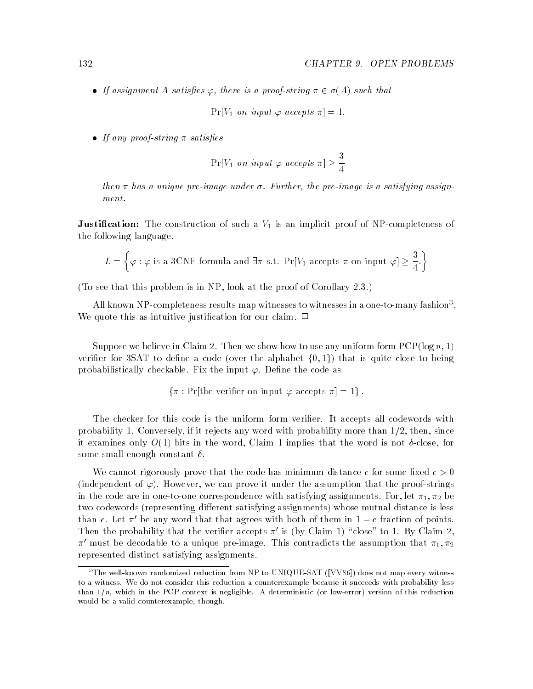• If assignment A satisfies  $\varphi$ , there is a proof-string  $\pi \in \sigma(A)$  such that

Providence and including the interval and the contract of the contract of the contract of the contract of the

 $\bullet$  If any proof-string  $\pi$  satisfies

$$
\Pr[V_1 \text{ on input } \varphi \text{ accepts } \pi] \ge \frac{3}{4}
$$

then a unique present assignment assignment assignment assignment assignment assignment assignment assignment assignment assignment assignment assignment assignment assignment assignment assignment assignment assignment as ment.

Justication The construction of such a V is an implicit proof of NPcompleteness of the following language

$$
L = \left\{\varphi: \varphi \text{ is a 3CNF formula and } \exists \pi \text{ s.t. } \Pr[V_1 \text{ accepts } \pi \text{ on input } \varphi] \geq \frac{3}{4}. \right\}
$$

To see that this problem is the problem is in NP-  $\Gamma$  -corollary is in NP-  $\Gamma$ 

All known NP-completeness results map witnesses to witnesses in a one-to-many fashion- . We quote this as intuitive justification for our claim.  $\Box$ 

Suppose we believe in Claim Then we show how to use any uniform form PCPlog n verifier for 3SAT to define a code (over the alphabet  $\{0,1\}$ ) that is quite close to being probabilistically checkable. Fix the input  $\varphi$ . Define the code as

$$
\{\pi : \Pr[\text{the verifier on input } \varphi \text{ accepts } \pi] = 1\}.
$$

The checker for this code is the uniform form verifier. It accepts all codewords with probability is in the conversely-through the conversely-through the converse of the converse of the converse of the converse of the converse of the converse of the converse of the converse of the converse of the converse o it examines that of the word-the word-claims is the past that the word-the state of the word some small enough constant  $\delta$ .

We cannot rigorously prove that the code has minimum distance c for some fixed  $c > 0$ independent of However- we can prove it under the assumption that the proofstrings in the code are in one correspondence with satisfying assignments  $\mathbf{B} = \mathbf{B} \mathbf{B}$  assignments  $\mathbf{B} = \mathbf{B} \mathbf{B}$ two codewords (representing different satisfying assignments) whose mutual distance is less than c. Let  $\pi'$  be any word that that agrees with both of them in  $1-c$  fraction of points. Then the probability that the verifier accepts  $\pi'$  is (by Claim 1) "close" to 1. By Claim 2,  $\pi'$  must be decodable to a unique pre-image. This contradicts the assumption that  $\pi_1, \pi_2$ represented distinct satisfying assignments

 ${}^{3}$ The well-known randomized reduction from NP to UNIQUE-SAT ([VV86]) does not map every witness to a witness We do not consider this reduction a counterexample because it succeeds with probability less than  $1/n$ , which in the PCP context is negligible. A deterministic (or low-error) version of this reduction would be a valid counterexample, though.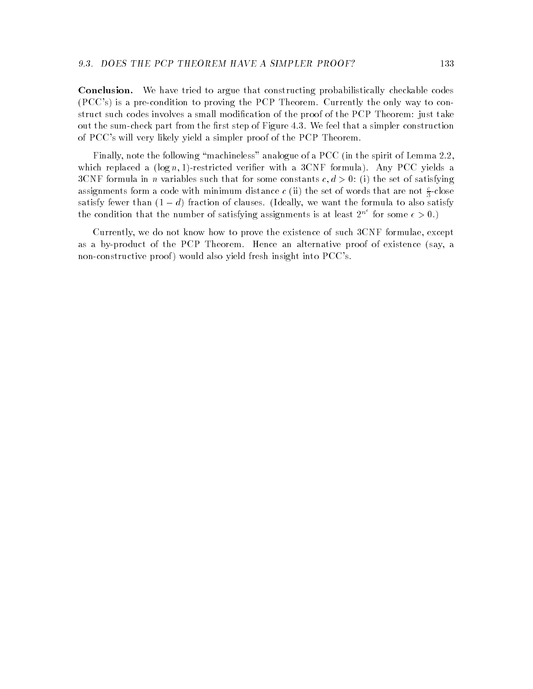Conclusion. We have tried to argue that constructing probabilistically checkable codes  $(PCC's)$  is a pre-condition to proving the PCP Theorem. Currently the only way to construct such codes involves a small modification of the proof of the PCP Theorem: just take out the sumcheck part from the rst step of Figure We feel that a simpler construction of PCC's will very likely yield a simpler proof of the PCP Theorem.

Finally- note the following machineless analogue of a PCC in the spirit of Lemma which replaced a log n-mula Any PCC yields a log n-mula Any PCC yields a log n-mula Any PCC yields a log n-mula come allowed in the such that formula is the some constants constants completely into the set of satisfying th assignments form a code with minimum distance  $c$  (ii) the set of words that are not  $\frac{1}{3}$ -close satisfy fewer than  $(1-d)$  fraction of clauses. (Ideally, we want the formula to also satisfy the condition that the number of satisfying assignments is at least  $2^{n^{\epsilon}}$  for some  $\epsilon > 0$ .)

rently-the existence of the existence of such a such a such a such a such a such a such a such a such a such a as a product of the PCP Theorem Hence and alternative and alternative proof of existence says a non-constructive proof) would also yield fresh insight into  $PCC$ 's.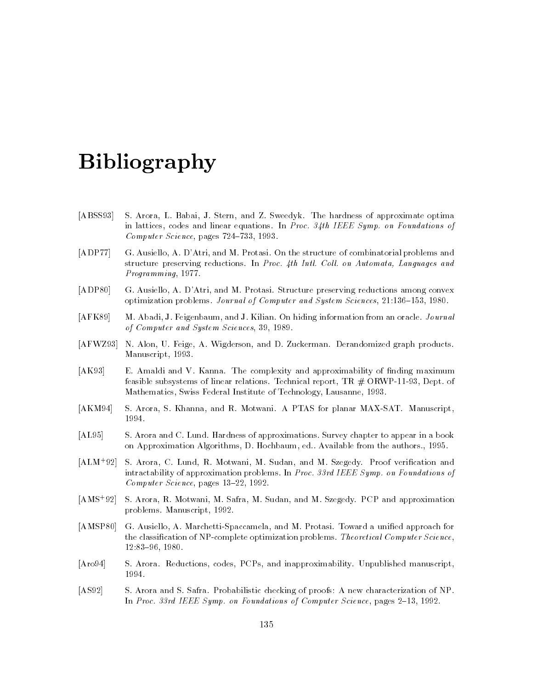# Bibliography

- $[ABSS93]$ S. Arora, L. Babai, J. Stern, and Z. Sweedyk. The hardness of approximate optima in lattices codes and linear equations In Proc- th IEEE Symp- on Foundations of Computer Computer pages reserved end on
- $[ADP77]$ G. Ausiello, A. D'Atri, and M. Protasi. On the structure of combinatorial problems and structure preserving reductions in Process post-wood and alleged the International Mongoletics and the collect Programming, 1977.
- $[ADP80]$ G. Ausiello, A. D'Atri, and M. Protasi. Structure preserving reductions among convex optimization problems. Journal of Computer and System Sciences, 21:136-153, 1980.
- [AFK89] M. Abadi, J. Feigenbaum, and J. Kilian. On hiding information from an oracle. *Journal* of Computer and System Sciences
- $[{\rm AFWZ93}]$ N. Alon, U. Feige, A. Wigderson, and D. Zuckerman. Derandomized graph products. Manuscript, 1993.
- $[AK93]$ E. Amaldi and V. Kanna. The complexity and approximability of finding maximum feasible subsystems of linear relations. Technical report,  $TR \# ORWP-11-93$ , Dept. of Mathematics, Swiss Federal Institute of Technology, Lausanne, 1993.
- S. Arora, S. Khanna, and R. Motwani. A PTAS for planar MAX-SAT. Manuscript, -AKM 1994.
- $[AL95]$ S. Arora and C. Lund. Hardness of approximations. Survey chapter to appear in a book on Approximation Algorithms, D. Hochbaum, ed.. Available from the authors., 1995.
- $|ALM + 94|$ S. Arora, C. Lund, R. Motwani, M. Sudan, and M. Szegedy. Proof verification and intractability of approximation problems In Proc- rd IEEE Symp- on Foundations of Computer Science, pages 13-22, 1992.
- $|AMD + 9Z|$ S. Arora, R. Motwani, M. Safra, M. Sudan, and M. Szegedy. PCP and approximation problems. Manuscript, 1992.
- $[AMSP80]$ G. Ausiello, A. Marchetti-Spaccamela, and M. Protasi. Toward a unified approach for the classification of NP-complete optimization problems. Theoretical Computer Science.  $12:83-96, 1980.$
- -Aro S. Arora. Reductions, codes, PCPs, and inapproximability. Unpublished manuscript,
- $[AS92]$ S. Arora and S. Safra. Probabilistic checking of proofs: A new characterization of NP.  $\mathcal{A}$  is procedure to  $\mathcal{A}$  is a symp-dimensional page symp-dimensional pages  $\mathcal{A}$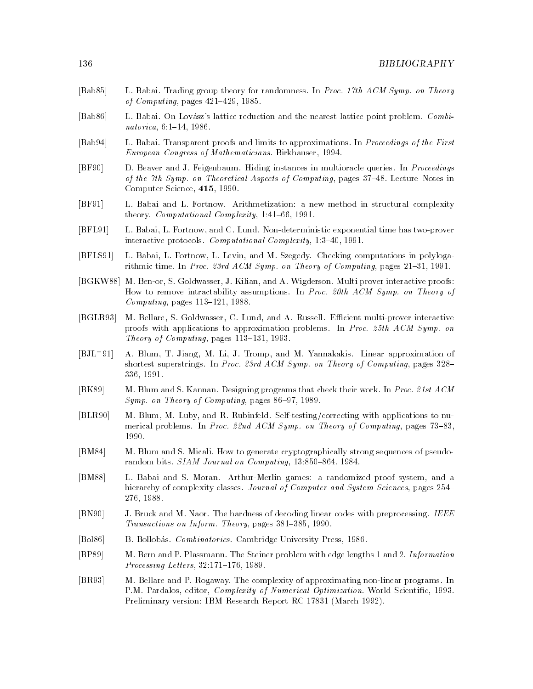- $[Bab85]$ Babai Trading Group theory for randomness In Process In Process Symp- for Process of of computing pages computer parties.
- $[Bab86]$ L. Babai. On Lovász's lattice reduction and the nearest lattice point problem.  $Comb_i$ natorical city was access
- ------L. Babai. Transparent proofs and limits to approximations. In *Proceedings of the First* European Congress of Mathematicians Birkhauser
- [BF90] D. Beaver and J. Feigenbaum. Hiding instances in multioracle queries. In Proceedings of the this symplectic Aspects of Computing pages in Theoretical Aspects of Computing pages in the Computing C Computer Computer - Computer - Computer -
- $[BF91]$ L. Babai and L. Fortnow. Arithmetization: a new method in structural complexity theory Computation Computation of the computation of the computation of the computation of the computation of the computation of the computation of the computation of the computation of the computation of the computation o
- $[BFL91]$ L. Babai, L. Fortnow, and C. Lund. Non-deterministic exponential time has two-prover interactive protocols  $\mathcal{L}$  interactive protocols  $\mathcal{L}$  is a complexity protocols  $\mathcal{L}$
- $[BFLS91]$ L. Babai, L. Fortnow, L. Levin, and M. Szegedy. Checking computations in polylogarithmic time I accelerate In Process and Acceleration and Achievement and Theory of Computing pages are an I a
- -BGKW M Benor S Goldwasser J Kilian and A Wigderson Multi prover interactive proofs How to remove intractability assumptions In Proc- th ACM Symp- on Theory of  $Computing$ , pages 113-121, 1988.
- $[BGLR93]$ M. Bellare, S. Goldwasser, C. Lund, and A. Russell. Efficient multi-prover interactive province with approximations to approximation problems in Problems In Province In Property In Pro Theory of Computing, pages  $113-131$ , 1993.
- $|DT|$ ,  $\lambda$  $1|$ A. Blum, T. Jiang, M. Li, J. Tromp, and M. Yannakakis. Linear approximation of shortest superstrings In Processed In Processed pages In Processed pages In Processed pages In Processed Proces 336, 1991.
- $[BK89]$  $B = B \cdot B$  S  $B \cdot B$  and  $B \cdot B$  in  $B$ Symp- on Theory of Computing pages
- $[BLR90]$ M. Blum, M. Luby, and R. Rubinfeld. Self-testing/correcting with applications to numerical problems In Proc- nd ACM Symp- on Theory of Computing pages 1990.
- $-$  M Blum and S Micali How to generate cryptographically strong sequences of pseudo random bits Sinten Journal on Computing the Computing of the Single
- [BM88] L. Babai and S. Moran. Arthur-Merlin games: a randomized proof system, and a hierarchy of complexity classes Journal of Computer and System Sciences pages 276, 1988.
- [BN90] J. Bruck and M. Naor. The hardness of decoding linear codes with preprocessing. IEEE Theory pages of  $T$  is a straight of  $T$  informations on  $T$  is a straight of  $T$
- $[Bo186]$ B. Bollobás. Combinatorics. Cambridge University Press, 1986.
- $[BP89]$ M. Bern and P. Plassmann. The Steiner problem with edge lengths 1 and 2. Information  $Processing Letters, 32:171-176, 1989.$
- [BR93] M. Bellare and P. Rogaway. The complexity of approximating non-linear programs. In P.M. Pardalos, editor, Complexity of Numerical Optimization. World Scientific, 1993. Preliminary version: IBM Research Report RC 17831 (March 1992).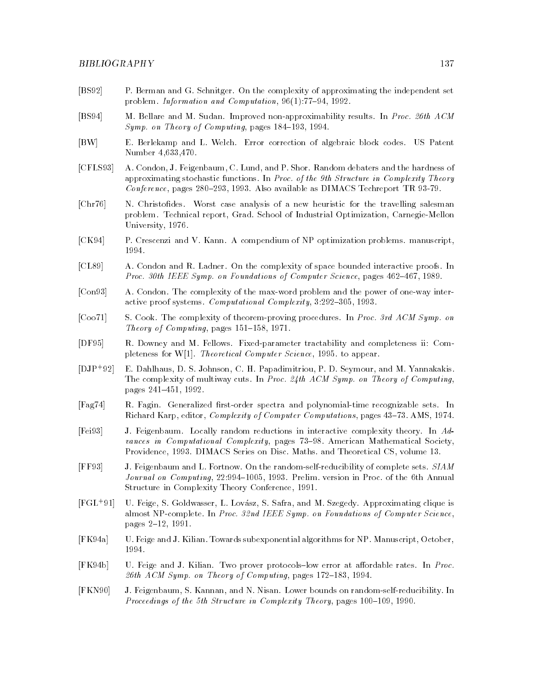- [BS92] P. Berman and G. Schnitger. On the complexity of approximating the independent set problem Information and Computation
- -BS , which is control that the substitute and proved none the procession in the second control of the control of  $\alpha$ ware the theory of computing pages to the thorough
- $[BW]$ E. Berlekamp and L. Welch. Error correction of algebraic block codes. US Patent Number of the contract of the contract of the contract of the contract of the contract of the contract of the
- $[CFLS93]$ A. Condon, J. Feigenbaum, C. Lund, and P. Shor. Random debaters and the hardness of approximating stochastic functions In Process In Process In Process In Process In Process Process In  $Conference$ , pages  $280-293$ , 1993. Also available as DIMACS Techreport TR 93-79.
- $[Chr76]$ N. Christofides. Worst case analysis of a new heuristic for the travelling salesman problem. Technical report, Grad. School of Industrial Optimization, Carnegie-Mellon University, 1976.
- -CK P. Crescenzi and V. Kann. A compendium of NP optimization problems. manuscript, 1994.
- $[CL89]$ A. Condon and R. Ladner. On the complexity of space bounded interactive proofs. In e the IEEE Symperities of Computer Science and The Process of Computer Science and Annual Science of Computer
- $[Con93]$ A. Condon. The complexity of the max-word problem and the power of one-way interactive proof systems. Computational Complexity,  $3:292-305$ , 1993.
- $[Coo71]$ cooking the cooking theorems in the cool of provincial procedures in Provincial Cooking Symp- in the cool of the cool Theory of Computing, pages  $151-158$ , 1971.
- $[DF95]$ R. Downey and M. Fellows. Fixed-parameter tractability and completeness ii: Completenes for the property control of the part of the state of the spectrum of the state  $\alpha$
- $|$ DJF  $|$  94 $|$ E. Dahlhaus, D. S. Johnson, C. H. Papadimitriou, P. D. Seymour, and M. Yannakakis. th complexity of multiplexity of multiplexity of computing  $\mathcal{L}$ pages and pages of the control of the control of the control of the control of the control of the control of the control of the control of the control of the control of the control of the control of the control of the cont
- -Fag R. Fagin. Generalized first-order spectra and polynomial-time recognizable sets. In Richard Karp editor Complexity of Computer Computations pages AMS
- $[Fei93]$ J. Feigenbaum. Locally random reductions in interactive complexity theory. In  $Ad$ vances in Computational Complexity, pages 73-98. American Mathematical Society, Providence, 1993. DIMACS Series on Disc. Maths. and Theoretical CS, volume 13.
- [FF93] J. Feigenbaum and L. Fortnow. On the random-self-reducibility of complete sets.  $SIAM$  $\mathcal P$  , and  $\mathcal P$  and  $\mathcal P$  and  $\mathcal P$  and the the th  $\mathcal P$ Structure in Complexity Theory Conference, 1991.
- $|LPT|$  ,  $\lambda$  T $|$ U. Feige, S. Goldwasser, L. Lovász, S. Safra, and M. Szegedy. Approximating clique is almost NPcomplete In Proc- nd IEEE Symp- on Foundations of Computer Science pages 2-12, 1991.
- $-$ U. Feige and J. Kilian. Towards subexponential algorithms for NP. Manuscript, October, 1994.
- -FK U. Feige and J. Kilian. Two prover protocols-low error at affordable rates. In Proc. th ACM Symp- on Theory of Computing pages
- [FKN90] J. Feigenbaum, S. Kannan, and N. Nisan. Lower bounds on random-self-reducibility. In Proceedings of the 5th Structure in Complexity Theory, pages 100-109, 1990.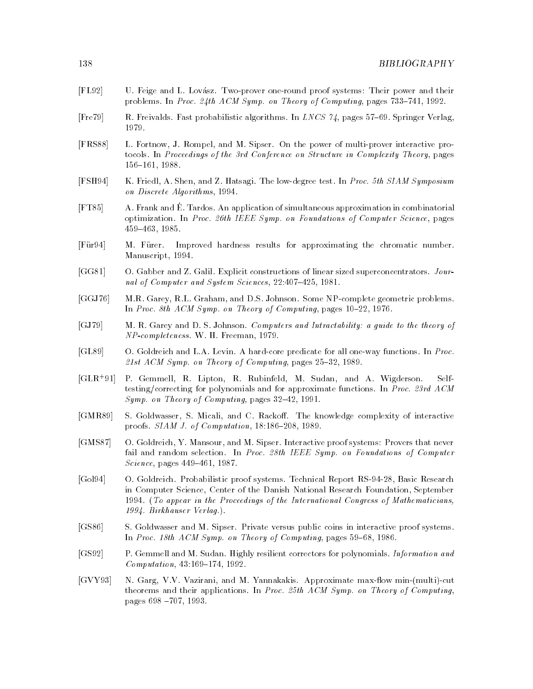- [FL92] U. Feige and L. Lovász. Two-prover one-round proof systems: Their power and their problems in Process in Process pages in Process and Process pages in Processes and
- $[Fe79]$ R. Freivalds. Fast probabilistic algorithms. In  $LNCS$   $\mathcal{I}_4$ , pages 57–69. Springer Verlag, 1979.
- [FRS88] L. Fortnow, J. Rompel, and M. Sipser. On the power of multi-prover interactive protocols. In Proceedings of the 3rd Conference on Structure in Complexity Theory, pages  $156 - 161$ , 1988.
- -FSH  $K$  -friedly and  $K$  -friedly  $\mathcal{A}$  -friedly and  $\mathcal{A}$  -friedly and  $\mathcal{A}$  -friedly and  $\mathcal{A}$ on  $\mathcal{L}$  and  $\mathcal{L}$  are the  $\mathcal{L}$  -discrete Algorithms and  $\mathcal{L}$
- $[FT85]$ A. Frank and É. Tardos. An application of simultaneous approximation in combinatorial optimization is the computer of the IEEE Sympatric Processes of Computer Sections pages of --- ---, --- - -
- -Fur M. Fürer. Improved hardness results for approximating the chromatic number. Manuscript
- $[GG81]$ O. Gabber and Z. Galil. Explicit constructions of linear sized superconcentrators.  $Jour$ nal of Computer and System Sections and Section Sections and Section
- $[GGJ76]$ M.R. Garey, R.L. Graham, and D.S. Johnson. Some NP-complete geometric problems. In Processes and Account pages and Account pages are a series of Computing pages and Account pages are a series
- $[GJ79]$ M. R. Garey and D. S. Johnson. Computers and Intractability: a guide to the theory of NP-completeness. W. H. Freeman, 1979.
- $[GL89]$ O. Goldreich and L.A. Levin. A hard-core predicate for all one-way functions. In Proc. state and the purpose of the computing pages as a state of the state of  $\alpha$
- P. Gemmell, R. Lipton, R. Rubinfeld, M. Sudan, and A. Wigderson. Self- $|G\Gamma U| > 1$ testing, correcting for polynomials and for approximate functions in Process In Process. wanier on Theory of Computing pages of the Theory
- [GMR89] S. Goldwasser, S. Micali, and C. Rackoff. The knowledge complexity of interactive province single computation, research province the property of  $\mathcal{L}_{\mathcal{A}}$
- [GMS87] O. Goldreich, Y. Mansour, and M. Sipser. Interactive proof systems: Provers that never fail and random selection In Proc- th IEEE Symp- on Foundations of Computer Science pages and the set of the set of the set of the set of the set of the set of the set of the set of the
- -Gol o Goldreich Probabilistic probabilistic technical Report Report Report Report Report Report Report Report Report R in Computer Science Center of the Danish National Research Foundation September  To appear in the Proceedings of the International Congress of Mathematicians - Birkhauser Verlag-
- $[GS86]$ S. Goldwasser and M. Sipser. Private versus public coins in interactive proof systems. In Proc- th ACM Symp- on Theory of Computing pages
- [GS92] P. Gemmell and M. Sudan. Highly resilient correctors for polynomials. Information and computered to the computation of the computation of the computation of the computation of the computation of the computation of the computation of the computation of the computation of the computation of the computation of
- [GVY93] N. Garg, V.V. Vazirani, and M. Yannakakis. Approximate max-flow min-(multi)-cut theorems and the symp-size in Processes In Processes In Processes In Processes In Account 2013, the Computing In pages 698-707, 1993.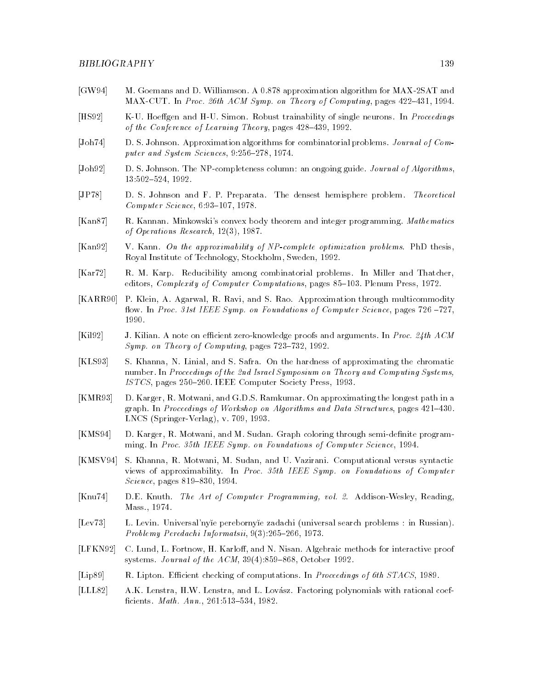- -GW M. Goemans and D. Williamson. A 0.878 approximation algorithm for MAX-2SAT and maxcut in the computing pages of the symp- and the computing pages and the computing pages of the computing pag
- [HS92] K-U. Hoeffgen and H-U. Simon. Robust trainability of single neurons. In *Proceedings* of the Conference of Learning Theory pages III and Learn
- -Joh D. S. Johnson. Approximation algorithms for combinatorial problems. Journal of Computer and System Sciences
- $[John92]$ D. S. Johnson. The NP-completeness column: an ongoing guide. Journal of Algorithms,
- $[JP78]$ D. S. Johnson and F. P. Preparata. The densest hemisphere problem. Theoretical Computer Science, 6:93-107, 1978.
- $[Kan87]$ R. Kannan. Minkowski's convex body theorem and integer programming. Mathematics of Operations Research,  $12(3)$ , 1987.
- $[Kan92]$ V. Kann. On the approximability of  $NP$ -complete optimization problems. PhD thesis, Royal Institute of Technology, Stockholm, Sweden, 1992.
- $[Kar72]$ R. M. Karp. Reducibility among combinatorial problems. In Miller and Thatcher, editors,  $Complexity$  of Computer Computations, pages 85-103. Plenum Press, 1972.
- $KARR90$ P. Klein, A. Agarwal, R. Ravi, and S. Rao. Approximation through multicommodity ow In Processe Sympered Processes and Processes of Computer Sections (Processes ) — . 1990.
- [Kil92] Kil J Kilian A note on ecient zeroknowledge proofs and arguments In Proc- th ACM wan proposed to the computing pages in the series of the computing pages of the computing page of the computation of the computation of the computation of the computation of the computation of the computation of the comput
- [KLS93] S. Khanna, N. Linial, and S. Safra. On the hardness of approximating the chromatic number. In Proceedings of the 2nd Israel Symposium on Theory and Computing Systems.  $ISTCS$ , pages  $250-260$ . IEEE Computer Society Press, 1993.
- [KMR93] D. Karger, R. Motwani, and G.D.S. Ramkumar. On approximating the longest path in a  $\alpha$  in Proceedings of Workshop on Algorithms and Data Structures pages pages pages pages pages pages pages pages pages pages pages pages pages pages pages pages pages pages pages pages pages pages pages pages pages pages  $LNCS$  (Springer-Verlag), v. 709, 1993.
- -KMS D. Karger, R. Motwani, and M. Sudan. Graph coloring through semi-definite programming In Proc- th IEEE Symp- on Foundations of Computer Science
- -KMSV S. Khanna, R. Motwani, M. Sudan, and U. Vazirani. Computational versus syntactic views of approximability In Proc- th IEEE Symp- on Foundations of Computer Science pages
- -Knu de Computer Programming voltage Programming voltage and the Computer Programming volmass mass in the second contract of the second contract of the second contract of the second contract of the s
- $[Lev73]$ L. Levin. Universal'nyie perebornyie zadachi (universal search problems : in Russian). Problemy Peredachi Informatsii,  $9(3)$ :265-266, 1973.
- $[LFKN92]$ C. Lund, L. Fortnow, H. Karloff, and N. Nisan. Algebraic methods for interactive proof systems Journal of the ACM (July 2007) July 2007 October 2002.
- $[Lips9]$ R. Lipton. Efficient checking of computations. In Proceedings of 6th STACS, 1989.
- $[LLL82]$ A.K. Lenstra, H.W. Lenstra, and L. Lovász. Factoring polynomials with rational coefcients Mathematics Mathematics Mathematics Mathematics Mathematics Mathematics Mathematics Math-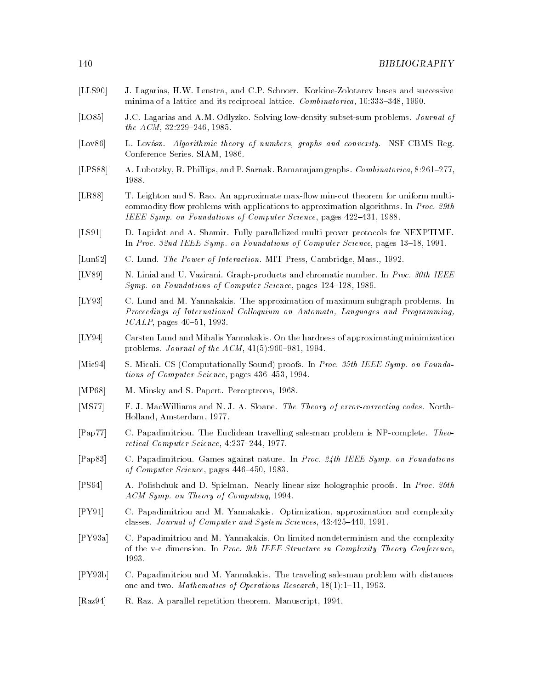| [LLS90] J. Lagarias, H.W. Lenstra, and C.P. Schnorr. Korkine-Zolotarev bases and successive |  |
|---------------------------------------------------------------------------------------------|--|
| minima of a lattice and its reciprocal lattice. <i>Combinatorica</i> , 10:333-348, 1990.    |  |

- $[LO85]$ J.C. Lagarias and A.M. Odlyzko. Solving low-density subset-sum problems. Journal of the ACM
- $[Low86]$ L. Lovász. Algorithmic theory of numbers, graphs and convexity. NSF-CBMS Reg. Conference Series. SIAM, 1986.
- [LPS88] A. Lubotzky, R. Phillips, and P. Sarnak. Ramanujam graphs. *Combinatorica*, 8:261–277. 1988.
- [LR88] T. Leighton and S. Rao. An approximate max-flow min-cut theorem for uniform multicommodity over the commodity of the commodity of the commodity of the commodity of the commodity of the commodi IEEE Symp- on Foundations of Computer Science pages
- $[LS91]$ D. Lapidot and A. Shamir. Fully parallelized multi prover protocols for NEXPTIME.  $\mathbf{I}$  is procedure to  $\mathbf{I}$  in Foundations of Computer Science pages  $\mathbf{I}$
- $\lceil \text{Lun92} \rceil$ C. Lund. The Power of Interaction. MIT Press, Cambridge, Mass., 1992.
- $[LV89]$ LV N Linial and U Vazirani Graphproducts and chromatic number In Proc- th IEEE Symp- on Foundations of Computer Science pages
- $[LY93]$ C. Lund and M. Yannakakis. The approximation of maximum subgraph problems. In Proceedings of International Colloquium on Automata, Languages and Programming, ICALP pages of the second pages of the second pages of the second pages of the second pages of the second page
- $-$  Carsten Lund and Mihalis Yannakakis On the hardness of approximating minimization problems Journal of the ACM of the Action and the Ac
- -Mic S Micali CS Computationally Sound proofs In Proc- th IEEE Symp- on Founda tions of  $\Gamma$  computer science pages of  $\Gamma$  and  $\Gamma$  and  $\Gamma$  and  $\Gamma$  and  $\Gamma$  and  $\Gamma$  and  $\Gamma$  and  $\Gamma$  and  $\Gamma$  and  $\Gamma$  and  $\Gamma$  and  $\Gamma$  and  $\Gamma$  and  $\Gamma$  and  $\Gamma$  and  $\Gamma$  and  $\Gamma$  and  $\Gamma$  and  $\Gamma$  and  $\Gamma$  and
- $[MP68]$ M. Minsky and S. Papert. Perceptrons, 1968.
- $[MS77]$ F. J. MacWilliams and N. J. A. Sloane. The Theory of error-correcting codes. North-Holland, Amsterdam, 1977.
- $[Pap77]$ C. Papadimitriou. The Euclidean travelling salesman problem is  $NP$ -complete. Theoretical Computer Science
- $[Pap83]$ Pap C Papadimitriou Games against nature In Proc- th IEEE Symp- on Foundations of computer science pages con and constant
- **Contract Contract Contract Contract Contract Contract Contract Contract Contract Contract Contract Contract Contract Contract Contract Contract Contract Contract Contract Contract Contract Contract Contract Contract Contr** A Polishchuk and D Spielman Nearly linear size  $\mathcal{A}$  . The proofs In Process In Process In Process In Process In Process In Process In Process In Process In Process In Process In Process In Process In Process In Proces ACM Symp- on Theory of Computing
- $[$ PY91] C. Papadimitriou and M. Yannakakis. Optimization, approximation and complexity classes Journal of Computer and System System System System System System System System System System System S
- $[PY93a]$ C. Papadimitriou and M. Yannakakis. On limited nondeterminism and the complexity the value of the structure in Processes in Completion In Application Theory Conference in Completion Conference
- $[PY93b]$ C. Papadimitriou and M. Yannakakis. The traveling salesman problem with distances one and two. Mathematics of Operations Research,  $18(1):1-11$ , 1993.
- -Raz R Raz A parallel repetition theorem Manuscript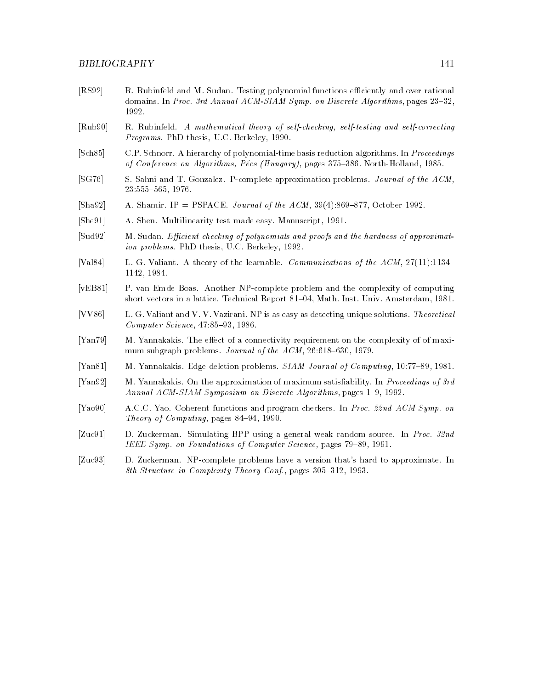- $[RS92]$ R. Rubinfeld and M. Sudan. Testing polynomial functions efficiently and over rational ach annual Academy annual Achemy annual Achemy ann an Discrete Algorithms pages annual annual annual annual a 1992.
- $[Rub90]$ R. Rubinfeld. A mathematical theory of self-checking, self-testing and self-correcting Programs. PhD thesis, U.C. Berkeley, 1990.
- $\lceil \text{Sch85} \rceil$ C.P. Schnorr. A hierarchy of polynomial-time basis reduction algorithms. In *Proceedings* of Conference on Algorithms, Pécs (Hungary), pages  $375-386$ . North-Holland, 1985.
- $\left[5G\,76\right]$ S. Sahni and T. Gonzalez. P-complete approximation problems. Journal of the  $ACM$ , 23:555-565, 1976.
- $[Sha92]$ shared the share in the Action of the Action of the Action of the Action of the Action of the Action of the Ac
- $[She91]$ A. Shen. Multilinearity test made easy. Manuscript, 1991.
- $Sud92$  $M$ . Sudan, *Efficient checking of polynomials and proofs and the hardness of approximat* ion problems. PhD thesis, U.C. Berkeley, 1992.
- -Val L G G Valiant A theory of the learnable Communications of the ACM  $\alpha$  and  $\alpha$
- $[**vEB81**]$ P. van Emde Boas. Another NP-complete problem and the complexity of computing short vectors in a lattice Technical Report  Math Inst Univ Amsterdam
- $[VV86]$ L. G. Valiant and V. V. Vazirani. NP is as easy as detecting unique solutions. Theoretical Computer Science Science Science Science Science Science Science Science Science Science Science Science Science
- $[Yan79]$ M. Yannakakis. The effect of a connectivity requirement on the complexity of of maximum subgraph problems. Journal of the  $ACM$ , 26:618-630, 1979.
- $[Yan81]$ M. Yannakakis. Edge deletion problems. SIAM Journal of Computing, 10:77-89, 1981.
- $[Yan92]$ M. Yannakakis. On the approximation of maximum satisfiability. In Proceedings of 3rd Annual ACM SIAM Symposium on Discrete Algorithms, pages 1–9, 1992.
- $[Ya000]$ Yao ACC Yao Coherent functions and program checkers In Proc- nd ACM Symp- on The computing pages of  $T$  and  $T$  of  $T$  and  $T$  and  $T$  and  $T$  and  $T$  and  $T$  and  $T$  and  $T$  and  $T$  and  $T$  and  $T$  and  $T$  and  $T$  and  $T$  and  $T$  and  $T$  and  $T$  and  $T$  and  $T$  and  $T$  and  $T$  and  $T$  and  $T$  and
- $[Zuc91]$ Zuc D Zuckerman Simulating BPP using a general weak random source In Proc- nd  $\mathcal{I} = \mathcal{I}$
- $[Zuc93]$ D. Zuckerman. NP-complete problems have a version that's hard to approximate. In th Structure in Complexity Theory Conf- pages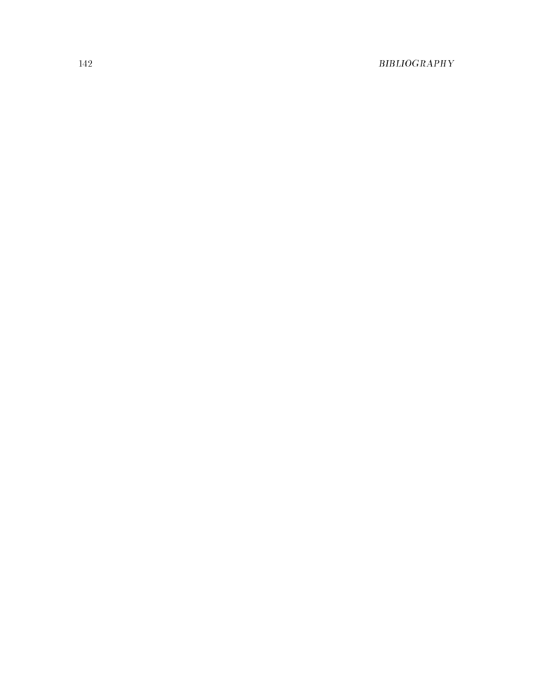#### ${\bf BIBLIOGRAPHY}$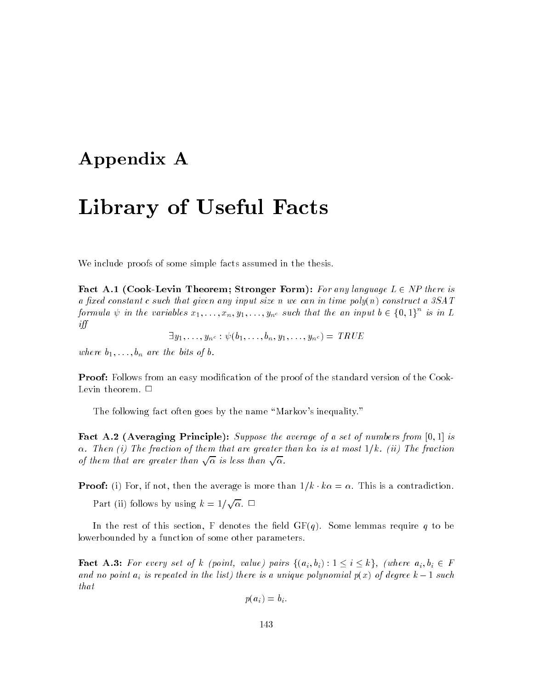### Appendix A

## Library of Useful Facts

We include proofs of some simple facts assumed in the thesis.

**Fact A.1 (Cook-Levin Theorem; Stronger Form):** For any language  $L \in NP$  there is a xed constant c such that given any input size n we can in time polyn construct a SAT formula  $\psi$  in the variables  $x_1, \ldots, x_n, y_1, \ldots, y_n$  such that the an input  $b \in \{0,1\}^n$  is in L  $if f$ 

 $\exists y_1,\ldots,y_{n^c}:\psi(b_1,\ldots,b_n,y_1,\ldots,y_{n^c})=\mathit{TRUE}$ 

 $\Box$  becomes the bits of bits of bits of bits of bits of bits of bits of bits of bits of bits of bits of bits of bits of bits of bits of bits of bits of bits of bits of bits of bits of bits of bits of bits of bits of bits

**Proof:** Follows from an easy modification of the proof of the standard version of the Cook-Levin theorem.  $\Box$ 

The following fact often goes by the name "Markov's inequality."

Fact A- Averaging Principle Suppose the average of a set of numbers from - is - Then i The fraction of them that are greater than k is at most k- ii The fraction of them that are greater than  $\sqrt{\alpha}$  is less than  $\sqrt{\alpha}$ .

**I** FOOT, (i) For, if not, then the average is more than  $1/\kappa \cdot \kappa \alpha = \alpha$ . This is a contradiction. Part (ii) follows by using  $k = 1/\sqrt{\alpha}$ .  $\Box$ 

In the rest of this section- F denotes the eld GFq Some lemmas require q to be lowerbounded by a function of some other parameters

**Fact A.3:** For every set of k (point, value) pairs  $\{(a_i, b_i) : 1 \le i \le k\}$ , (where  $a_i, b_i \in F$ and no point  $a_i$  is repeated in the list, there is a unique polynomial  $p(x)$  of degree  $\kappa = 1$  such that

 $p(a_i) = b_i$ .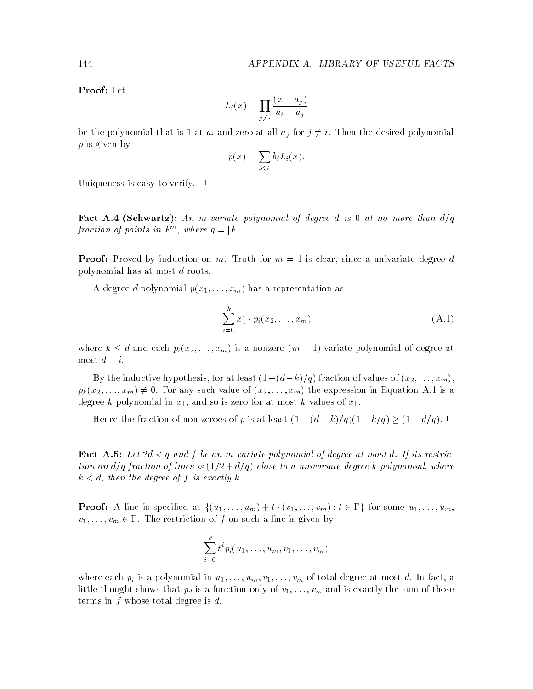Proof: Let

$$
L_i(x) = \prod_{j \neq i} \frac{(x - a_j)}{a_i - a_j}
$$

be the polynomial that is 1 at  $a_i$  and zero at all  $a_j$  for  $j \neq i$ . Then the desired polynomial p is given by

$$
p(x) = \sum_{i \leq k} b_i L_i(x).
$$

Uniqueness is easy to verify.  $\Box$ 

**Fact A.4 (Schwartz):** An m-variate polynomial of degree d is 0 at no more than  $d/q$ fraction of points in  $F^m$ , where  $q = |F|$ .

Proof Proved by induction on m Truth for m is clear- since a univariate degree d polynomial has at most d roots

A degreed polynomial px- -xm has a representation as

$$
\sum_{i=0}^{k} x_1^i \cdot p_i(x_2, \dots, x_m)
$$
 (A.1)

where  $k \leq d$  and each  $p_i(x_2,...,x_m)$  is a nonzero  $(m-1)$ -variate polynomial of degree at  $\mathbf{u} = \mathbf{v}$ .

By the inductive hypothesis, for at least  $(1 - (a - \kappa) / q)$  fraction of values of  $(x_2, \ldots, x_m)$ ,  $p_k(x_2,...,x_m) \neq 0.$  For any such value of  $(x_2,...,x_m)$  the expression in Equation A.1 is a degree k polynomial in  $\mathbf{I}$  in  $\mathbf{I}$  is zero for at most k values of  $\mathbf{I}$  is zero for at most k values of  $\mathbf{I}$ 

Hence the fraction of non-zeroes of p is at least  $(1-(d-k)/q)(1-k/q) \geq (1-d/q)$ .  $\Box$ 

Fact A Let d q and f be an mvariate polynomial of degree at most d- If its restric tion on d/q fraction of lines is  $(1/2 + d/q)$ -close to a univariate degree k polynomial, where d the degree of the degree of the degree of the degree of the degree of the degree of the degree of the degree of the degree of the degree of the degree of the degree of the degree of the degree of the degree of the degree

**Proof:** A line is specified as  $\{(u_1,\ldots,u_m)+t\cdot(v_1,\ldots,v_m):t\in\mathrm{F}\}$  for some  $u_1,\ldots,u_m$ ,  $v_1, \ldots, v_m \in F$ . The restriction of f on such a line is given by

$$
\sum_{i=0}^d t^i p_i(u_1,\ldots,u_m,v_1,\ldots,v_m)
$$

where each pix is a polynomial in u-literation in u-literation  $\mu_0$  is a polynomial degree at most distribution little that points the same of variable  $\mathcal{N}=1$  and  $\mathcal{N}=1$  and  $\mathcal{N}=1$  and  $\mathcal{N}=1$  and  $\mathcal{N}=1$  and  $\mathcal{N}=1$  and  $\mathcal{N}=1$  and  $\mathcal{N}=1$  and  $\mathcal{N}=1$  and  $\mathcal{N}=1$  and  $\mathcal{N}=1$  and  $\mathcal{N}=1$  and  $\mathcal{N}=1$  and terms in  $f$  whose total degree is  $d$ .

144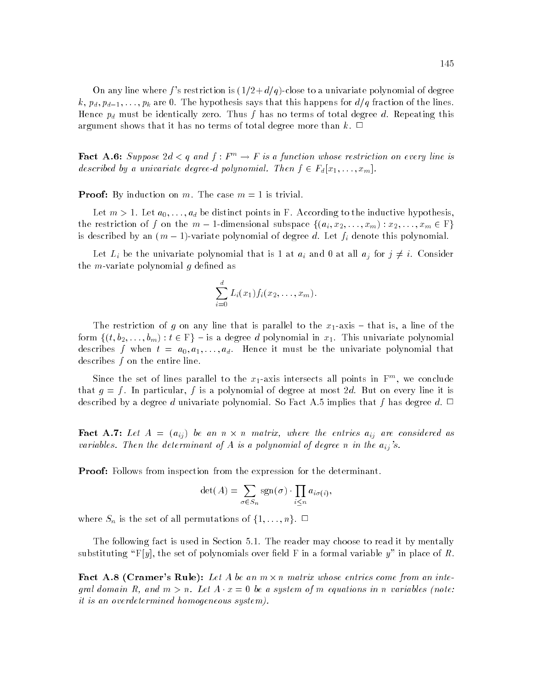On any line where f's restriction is  $(1/2+d/q)$ -close to a univariate polynomial of degree  $\mathbf{p}_i$ ,  $\mathbf{p}_i$  are hypothesis says that the happens for  $\mathbf{p}_i$  are the lines. Hence  $p_d$  must be identically zero. Thus f has no terms of total degree d. Repeating this argument shows that it has no terms of total degree more than  $k$ .  $\Box$ 

**Fact A.6:** Suppose 2a  $\lt q$  and  $\eta : F^{\prime\prime} \to F$  is a function whose restriction on every line is described by a univariate degree-d polynomial. Then  $f \in F_d[x_1, \ldots, x_m]$ .

**Proof:** By induction on m. The case  $m = 1$  is trivial.

ad be distinct points in F According to the inductive hypothesis-belief to the inductive hypothesisthe restriction of f on the  $m-1$ -dimensional subspace  $\{(a_i,x_2,\ldots,x_m): x_2,\ldots,x_m \in \mathrm{F}\}$ is described by an  $(m - 1)$ -variate polynomial of degree a. Let  $f_i$  denote this polynomial.

Let  $L_i$  be the univariate polynomial that is 1 at  $a_i$  and 0 at all  $a_j$  for  $j \neq i$ . Consider the *m*-variate polynomial g defined as

$$
\sum_{i=0}^d L_i(x_1) f_i(x_2,\ldots,x_m).
$$

The restriction of g on any line that is parallel to the xaxis that is- a line of the form  $\{(t, b_2, \ldots, b_m): t \in \mathbb{F}\}$  – is a degree  $d$  polynomial in  $x_1$ . This univariate polynomial describes for the second and the universe the second and the universe polynomial that the universe describes  $f$  on the entire line.

Since the set of lines parallel to the  $x_1$ -axis intersects all points in  ${\bf r}$  , we conclude that g f is an polynomial of degree at most discussed at most discussional at most discussion in the contract of described by a degree d univariate polynomial. So Fact A.5 implies that f has degree d.  $\Box$ 

**Fact A.7:** Let  $A = (a_{ij})$  be an  $n \times n$  matrix, where the entries  $a_{ij}$  are considered as ran the determinant of a is a polynomial of  $\mathcal{F}$  is a polynomial of degree  $\mathcal{F}$  and  $\mathcal{F}$  is a set

**Proof:** Follows from inspection from the expression for the determinant.

$$
\det(A) = \sum_{\sigma \in S_n} \operatorname{sgn}(\sigma) \cdot \prod_{i \leq n} a_{i\sigma(i)},
$$

where  $S_n$  is the set of all permutations of  $\{1,\ldots,n\}$ .  $\Box$ 

The following fact is used in Section 5.1. The reader may choose to read it by mentally substituting Fy- the set of polynomials over eld F in a formal variable y in place of R

**Fact A.8 (Cramer's Rule):** Let A be an  $m \times n$  matrix whose entries come from an inte $q_1$ at aomain  $R$ , and  $m > n$ . Let  $A \cdot x = 0$  be a system of m equations in n variables (note, it is an overdetermined homogeneous system).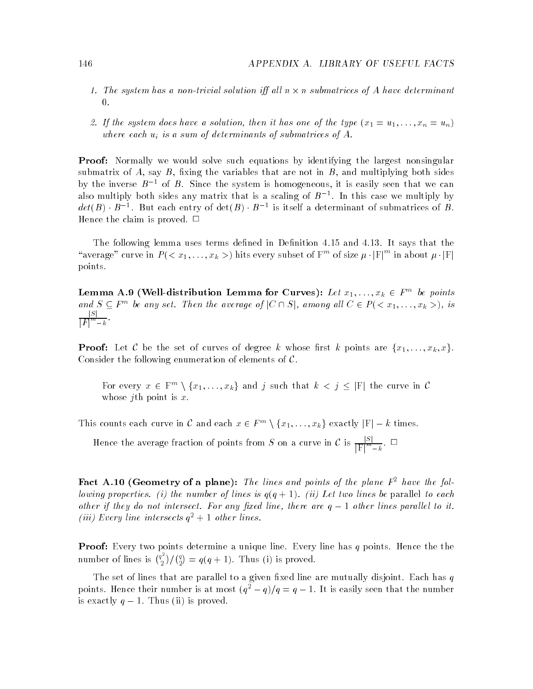- 1. The system has a non-trivial solution iff all  $n \times n$  submatrices of A have determinant  $\mathbf{0}$ .
- $\mathbf{v}$  is system does have a solution then it has one of the type  $\mathbf{v}$   $\mathbf{u}$  ,  $\mathbf{v}$  ,  $\mathbf{u}$  ,  $\mathbf{v}$  ,  $\mathbf{u}$ where each  $u_i$  is a sum of determinants of submatrices of A.

**Proof:** Normally we would solve such equations by identifying the largest nonsingular submatrix of A-1 and multiplying the content are not in B-1 and multiplying a side are  $\sim$ by the inverse  $B^{-1}$  of B. Since the system is homogeneous, it is easily seen that we can also multiply both sides any matrix that is a scaling of  $B^{-1}$ . In this case we multiply by  $det(B) \cdot B^{-1}$ . But each entry of  $det(B) \cdot B^{-1}$  is itself a determinant of submatrices of B. Hence the claim is proved.  $\Box$ 

 $\mathbf{M}$ "average" curve in  $P( $x_1, \ldots, x_k>$ ) hits every subset of F<sup>m</sup> of size  $\mu \cdot |F|^m$  in about  $\mu \cdot |F|$$ points

Lemma A.9 (Well-distribution Lemma for Curves): Let  $x_1, \ldots, x_k \in F^m$  be points and  $S \subseteq F^m$  be any set. Then the average of  $|C \cap S|$ , among all  $C \in P(\langle x_1, \ldots, x_k \rangle)$ , is  $|S|$  $|F|^m_{-k}$ 

**Proof:** Let  $\mathcal C$  be the set of curves of degree  $k$  whose first  $k$  points are  $\{x_1,\ldots,x_k,x\}$ . Consider the following enumeration of elements of  $\mathcal{C}$ .

For every  $x \in \mathbb{F}^m \setminus \{x_1,\ldots,x_k\}$  and  $j$  such that  $k < j \leq |\mathcal{F}|$  the curve in  $\mathcal{C}$ whose *j*th point is  $x$ .

This counts each curve in C and each  $x \in F^m \setminus \{x_1, \ldots, x_k\}$  exactly  $|F| - k$  times.

Hence the average fraction of points from S on a curve in C is  $\frac{|S|}{|\Gamma|^{m}-k}$ .  $\Box$ 

Fact A.10 (Geometry of a plane): The lines and points of the plane  $F^2$  have the following properties- i the number of lines is qq - ii Let two lines be parallel to each  $\sigma$  are  $\eta$  and  $\eta$  are are the sect. For any fixed the, there are  $q-1$  other three parallel to it. (iii) Every line intersects  $q^2 + 1$  other lines.

**Proof:** Every two points determine a unique line. Every line has  $q$  points. Hence the the number of lines is  $\binom{q^2}{2}/\binom{q}{2} = q(q+1)$ . Thus (i) is proved. -

The set of lines that are parallel to a given fixed line are mutually disjoint. Each has  $q$ points. Hence their number is at most  $(q^2 - q)/q = q - 1$ . It is easily seen that the number is exactly  $q = 1$ . Thus (ii) is proved.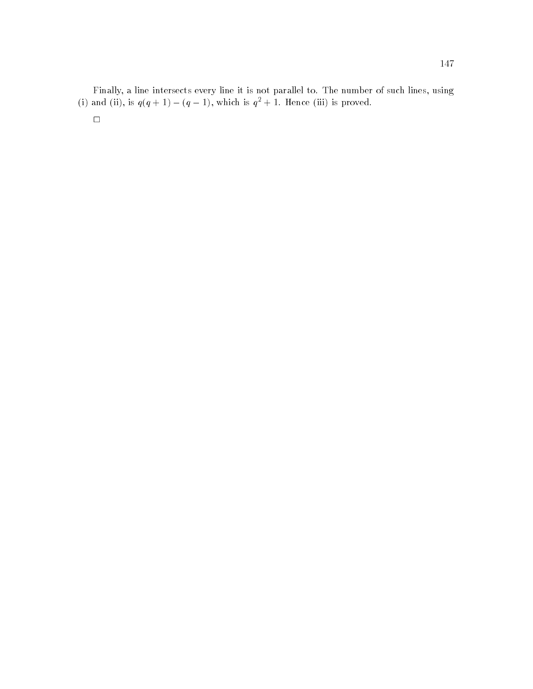Finally- a line intersects every line it is not parallel to The number of such lines- using (1) and (ii), is  $q(q+1) - (q-1)$ , which is  $q^+ + 1$ . Hence (iii) is proved.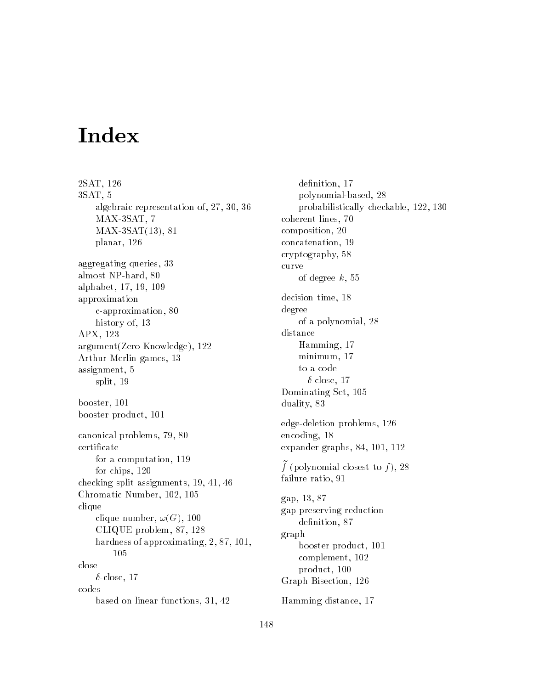## Index

SAT- SAT-19 and the same of the same of the same of the same of the same of the same of the same of the same of the algebraic representation of the contract of the contract of the contract of the contract of the contract of the MAX AND A REPORT OF THE CONTRACT OF THE CONTRACT OF THE CONTRACT OF THE CONTRACT OF THE CONTRACT OF THE CONTRACT OF MAX SAT planar aggregating queries almost NPhard 
 alphabet- -  approximation capproximation-between the capproximation-between the capproximation-between the cap and capproximation-between the cap and capproximation-between the cap and capproximation-between the cap and capproximation-between the c history of- APX argument argument argument argument argument argument argument argument argument argument argument argument ar ArthurMerlin games assignment-based on the contract of the contract of the contract of the contract of the contract of the contract of the contract of the contract of the contract of the contract of the contract of the contract of the contra split booster  booster production and the production of the production of the production of the production of the production of the production of the production of the production of the production of the production of the production of t canonical problems-between the canonical problems-between the canonical problems-between the canonical problemscertificate for a computation-dependent computation-dependent computation-dependent computationfor chips  checking split assignments-between the split assignments-between the split assignmentsand the chromatic Number-Number-Number-Number-Number-Number-Number-Number-Number-Number-Number-Number-Number-N clique clique number- G  e and the problem-between the problem-between the problem-between the problem-between the problem-between the p hardness of approximating- - 
- -105 close close close to the close of the control of the control of the control of the control of the control of the control of the control of the control of the control of the control of the control of the control of the control of codes based on linear functions-based on linear functions-based on linear functions-based on linear functions-based o

denis en den en den en de la construction de la construction de la construction de la construction de la construction de la construction de la construction de la construction de la construction de la construction de la con polynomialbased probabilistically checkable-based on the checkable-based on the checkable-based on the checkable-based on the c coherent lines-lines-lines-lines-lines-lines-lines-lines-lines-lines-lines-lines-lines-lines-lines-lines-lines composition in the component of the component of the component of the component of the component of the component of the component of the component of the component of the component of the component of the component of the concert concert contracts and concert cryptography-color curve  $\cdots$   $\cdots$ decision time degree of a polynomial-based and a polynomial-based and a polynomial-based and a polynomial-based and a polynomial-based and a polynomial-based and a polynomial-based and a polynomial-based and a polynomial-based and a polynomial Hamming minimum-minimum-minimum-minimum-minimum-minimum-minimum-minimum-minimum-minimum-minimum-minimum-minimum-minimu to a code close close to the close of the control of the control of the control of the control of the control of the control of the control of the control of the control of the control of the control of the control of the control of Dominating Set-   $\sim$  duality-control  $\sim$ edge deletion problems- problems- $\epsilon$  encoding-solution  $\Delta$  . The set of  $\Delta$ expander graphs- 
- -  $\mu$  (polynomial closest to  $\mu$ ),  $2\circ$ failure ratio gap- gappreserving reduction denis and denis and denis and denis and denis and denis and denis and denis and denis and denis and denis and graph booster production and the production of the production of the production of the production of the production of the production of the production of the production of the production of the production of the production of t complete the control of the complete state of the control of the control of the control of the control of the control of the control of the control of the control of the control of the control of the control of the control product the contract of the contract of the contract of the contract of the contract of the contract of the contract of the contract of the contract of the contract of the contract of the contract of the contract of the co Graph Bisection-Bisection-Bisection-Bisection-Bisection-Bisection-Bisection-Bisection-Bisection-Bisection-Bisec

Hamming distance-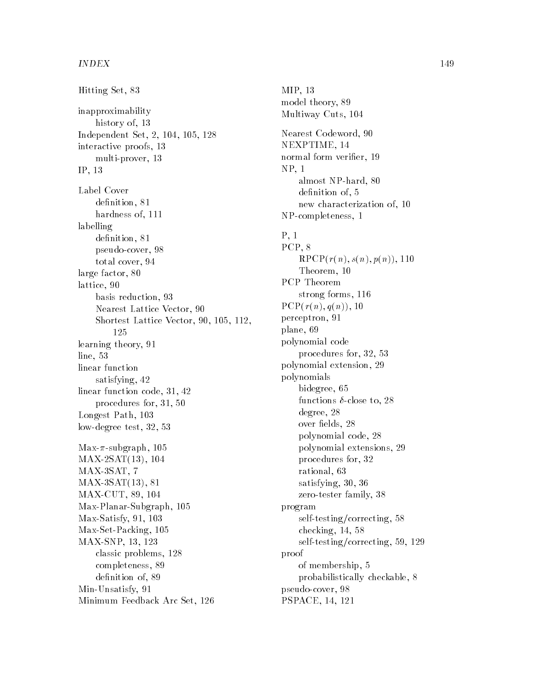Hitting Set inapproximability history of- Independent Set- - -  interactive proofs-beneficial proofs-beneficial proofs-beneficial proofs-beneficial proofs-beneficial proofs-b multiprover- IP-REPORT CONTINUES IN THE CONTINUES OF THE CONTINUES OF THE CONTINUES OF THE CONTINUES OF THE CONTINUES OF THE Label Cover denis en den en de la contrata de la contrata de la contrata de la contrata de la contrata de la contrata de l hardness of-control and control and control and control and control and control and control and control and co labelling denities are all the control of the control of the control of the control of the control of the control of the pseudocover total covered to the cover large factor 
 lattice  basis reduction-basis reduction-Nearest Lattice Vector-Vector-Vector-Vector-Vector-Vector-Vector-Vector-Vector-Vector-Vector-Vector-Vector-Vec enter a lattice vector-state vector-state vector-state vector-state vector-state vector-state vector-state vec 125 learning theory line. 53 linelinear function satisfying-terms of the statistic statistic statistic statistic statistic statistic statistic statistic statistic linear function code- procedures for- -   $\mathcal{L}$  . The path-bound-bound-bound-bound-bound-bound-bound-bound-bound-bound-bound-bound-bound-bound-bound-bound-bound-bound-bound-bound-bound-bound-bound-bound-bound-bound-bound-bound-bound-bound-bound-bound-bound-bou lowdegree test- - Maxsubgraph-  MAXSAT -  MAX SAT- MAX SAT - ------ - - - - - - - - - $\mathcal{L}$  are considered by  $\mathcal{L}$  and  $\mathcal{L}$  are considered by  $\mathcal{L}$ MaxSatisfy- -   $M_{\rm{N}}$  and  $M_{\rm{N}}$  and  $M_{\rm{N}}$  and  $M_{\rm{N}}$  and  $M_{\rm{N}}$  and  $M_{\rm{N}}$  and  $M_{\rm{N}}$  and  $M_{\rm{N}}$  and  $M_{\rm{N}}$  and  $M_{\rm{N}}$  and  $M_{\rm{N}}$  and  $M_{\rm{N}}$  and  $M_{\rm{N}}$  and  $M_{\rm{N}}$  and  $M_{\rm{N}}$  and  $M_{\rm{N}}$  a MAXSNP- classic problems-between the classical problems-between the classical problems-between the classical problemscomplete the complete state of the complete state of the complete state of the complete state of the complete s denition of-  $\sim$  Minunsatisfy-1.1  $\sim$  Minunsatisfy-1.1  $\sim$ Minimum Feedback Arc Set-

MIP model theory- Multiway Cuts  nearest Codeword-Codeword-NEXPTIME normal form verified and the control of the control of the control of the control of the control of the control of the control of the control of the control of the control of the control of the control of the control of th  $NP.1$ almost NPhard-State NPharmachand-NPhard-State NPharmachand-NPhard-NPhard-NPhard-NPhard-NPhard-NPhard-NPhard-NP definition of, 5 new characterization of  npersonal processes and contact the contact of the contact of the contact of the contact of the contact of the P. 1 PCP- -- - \\\ /\ \\ /\/\\ //\ Theorem is a complete the contract of the contract of the contract of the contract of the contract of the contract of the contract of the contract of the contract of the contract of the contract of the contract of the cont PCP Theorem  $s \sim \frac{1}{2}$  for  $\frac{1}{2}$  for  $\frac{1}{2}$  for  $\frac{1}{2}$  for  $\frac{1}{2}$  for  $\frac{1}{2}$ - -- , , , , , , , , , , , , , <del>.</del> perceptron plane-based and plane-based and plane-based and plane-based and plane-based and plane-based and plane-based and polynomial code procedures forpolynomial extension polynomials  $\mathbf{b}$  bidegreefunctions are the close to-close to-close to-close to-close to-close to-close to-close to-close to-close to-close to-close to-close to-close to-close to-close to-close to-close to-close to-close to-close to-close to-close degree-degree-degree-degree-degreeover elds polynomial code-based and code-based and code-based and code-based and code-based and code-based and code-based polynomial extensions procedures for rational satisfying-  zerotester family program selftesting-term and the self-term of the self-term of the self-term of the selfchecking- selftestingcorrecting- proof of membership-state membership-state and contact the contact of the contact of the contact of the contact of the contact of the contact of the contact of the contact of the contact of the contact of the contact of the cont probabilistically checkable pseudocover results and the second contract of the second contract of the second contract of the second contract of the second contract of the second contract of the second contract of the second contract of the second contract of the